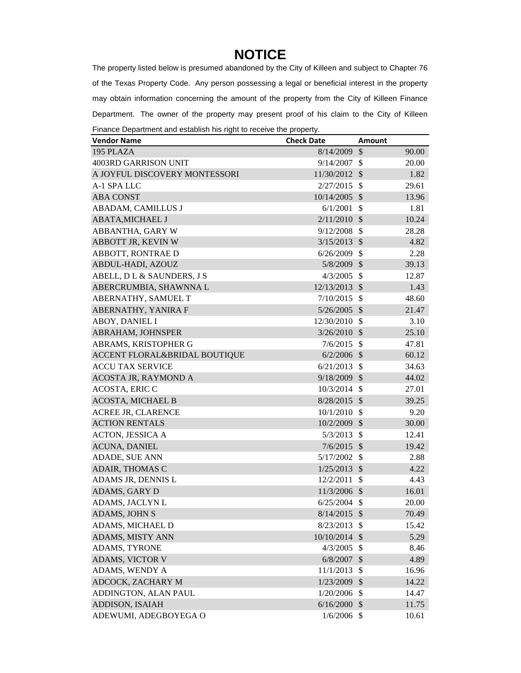## **NOTICE**

The property listed below is presumed abandoned by the City of Killeen and subject to Chapter 76 of the Texas Property Code. Any person possessing a legal or beneficial interest in the property may obtain information concerning the amount of the property from the City of Killeen Finance Department. The owner of the property may present proof of his claim to the City of Killeen Finance Department and establish his right to receive the property.

| manoe Department and coldbildring right to receive the property.<br><b>Vendor Name</b> | <b>Check Date</b> | Amount                    |       |
|----------------------------------------------------------------------------------------|-------------------|---------------------------|-------|
| 195 PLAZA                                                                              | 8/14/2009         | \$                        | 90.00 |
| 4003RD GARRISON UNIT                                                                   | 9/14/2007         | $\mathbb{S}$              | 20.00 |
| A JOYFUL DISCOVERY MONTESSORI                                                          | 11/30/2012        | $\mathcal{S}$             | 1.82  |
| A-1 SPA LLC                                                                            | 2/27/2015         | $\mathcal{S}$             | 29.61 |
| <b>ABA CONST</b>                                                                       | 10/14/2005        | $\mathcal{S}$             | 13.96 |
| ABADAM, CAMILLUS J                                                                     | 6/1/2001          | $\mathcal{S}$             | 1.81  |
| <b>ABATA, MICHAEL J</b>                                                                | 2/11/2010         | $\mathcal{S}$             | 10.24 |
| ABBANTHA, GARY W                                                                       | 9/12/2008         | $\mathcal{S}$             | 28.28 |
| ABBOTT JR, KEVIN W                                                                     | 3/15/2013         | $\mathcal{S}$             | 4.82  |
| ABBOTT, RONTRAE D                                                                      | 6/26/2009         | $\mathcal{S}$             | 2.28  |
| ABDUL-HADI, AZOUZ                                                                      | 5/8/2009 \$       |                           | 39.13 |
| ABELL, D L & SAUNDERS, J S                                                             | 4/3/2005          | $\mathcal{S}$             | 12.87 |
| ABERCRUMBIA, SHAWNNA L                                                                 | 12/13/2013        | $\mathcal{S}$             | 1.43  |
| ABERNATHY, SAMUEL T                                                                    | 7/10/2015         | $\mathcal{S}$             | 48.60 |
| ABERNATHY, YANIRA F                                                                    | $5/26/2005$ \$    |                           | 21.47 |
| ABOY, DANIEL I                                                                         | 12/30/2010        | $\mathcal{S}$             | 3.10  |
| ABRAHAM, JOHNSPER                                                                      | 3/26/2010         | $\mathcal{S}$             | 25.10 |
| ABRAMS, KRISTOPHER G                                                                   | 7/6/2015          | $\mathcal{S}$             | 47.81 |
| ACCENT FLORAL&BRIDAL BOUTIQUE                                                          | $6/2/2006$ \$     |                           | 60.12 |
| <b>ACCU TAX SERVICE</b>                                                                | 6/21/2013         | - \$                      | 34.63 |
| ACOSTA JR, RAYMOND A                                                                   | 9/18/2009 \$      |                           | 44.02 |
| <b>ACOSTA, ERIC C</b>                                                                  | 10/3/2014         | $\mathcal{S}$             | 27.01 |
| <b>ACOSTA, MICHAEL B</b>                                                               | $8/28/2015$ \$    |                           | 39.25 |
| <b>ACREE JR, CLARENCE</b>                                                              | 10/1/2010         | - \$                      | 9.20  |
| <b>ACTION RENTALS</b>                                                                  | 10/2/2009         | $\mathcal{S}$             | 30.00 |
| <b>ACTON, JESSICA A</b>                                                                | 5/3/2013          | $\mathcal{S}$             | 12.41 |
| <b>ACUNA, DANIEL</b>                                                                   | 7/6/2015          | $\mathcal{S}$             | 19.42 |
| ADADE, SUE ANN                                                                         | 5/17/2002         | $\mathcal{S}$             | 2.88  |
| <b>ADAIR, THOMAS C</b>                                                                 | 1/25/2013         | $\mathcal{S}$             | 4.22  |
| ADAMS JR, DENNIS L                                                                     | 12/2/2011         | $\mathcal{S}$             | 4.43  |
| <b>ADAMS, GARY D</b>                                                                   | 11/3/2006         | $\mathcal{S}$             | 16.01 |
| ADAMS, JACLYN L                                                                        | 6/25/2004         | $\boldsymbol{\mathsf{S}}$ | 20.00 |
| ADAMS, JOHN S                                                                          | 8/14/2015         | \$                        | 70.49 |
| ADAMS, MICHAEL D                                                                       | 8/23/2013         | $\mathcal{S}$             | 15.42 |
| ADAMS, MISTY ANN                                                                       | 10/10/2014        | $\mathcal{S}$             | 5.29  |
| ADAMS, TYRONE                                                                          | 4/3/2005          | $\boldsymbol{\mathsf{S}}$ | 8.46  |
| ADAMS, VICTOR V                                                                        | 6/8/2007          | \$                        | 4.89  |
| ADAMS, WENDY A                                                                         | 11/1/2013         | \$                        | 16.96 |
| ADCOCK, ZACHARY M                                                                      | 1/23/2009         | $\mathcal{S}$             | 14.22 |
| ADDINGTON, ALAN PAUL                                                                   | 1/20/2006         | \$                        | 14.47 |
| <b>ADDISON, ISAIAH</b>                                                                 | 6/16/2000         | $\mathcal{S}$             | 11.75 |
| ADEWUMI, ADEGBOYEGA O                                                                  | $1/6/2006$ \$     |                           | 10.61 |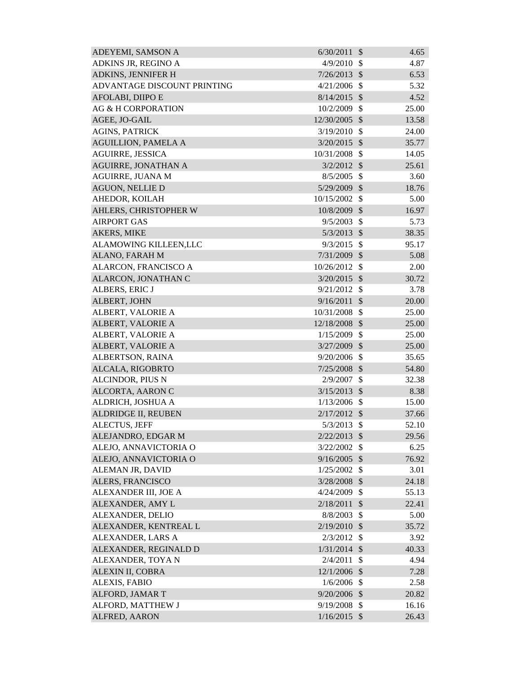| ADEYEMI, SAMSON A             | 6/30/2011      | $\mathcal{S}$ | 4.65  |
|-------------------------------|----------------|---------------|-------|
| ADKINS JR, REGINO A           | 4/9/2010       | -S            | 4.87  |
| ADKINS, JENNIFER H            | $7/26/2013$ \$ |               | 6.53  |
| ADVANTAGE DISCOUNT PRINTING   | 4/21/2006      | $\mathcal{S}$ | 5.32  |
| AFOLABI, DIIPO E              | $8/14/2015$ \$ |               | 4.52  |
| <b>AG &amp; H CORPORATION</b> | 10/2/2009      | $\mathcal{S}$ | 25.00 |
| AGEE, JO-GAIL                 | 12/30/2005 \$  |               | 13.58 |
| <b>AGINS, PATRICK</b>         | 3/19/2010      | $\mathcal{S}$ | 24.00 |
| <b>AGUILLION, PAMELA A</b>    | $3/20/2015$ \$ |               | 35.77 |
| <b>AGUIRRE, JESSICA</b>       | 10/31/2008     | $\mathbb{S}$  | 14.05 |
| AGUIRRE, JONATHAN A           | $3/2/2012$ \$  |               | 25.61 |
| AGUIRRE, JUANA M              | 8/5/2005       | $\mathcal{S}$ | 3.60  |
| <b>AGUON, NELLIE D</b>        | 5/29/2009      | $\mathcal{S}$ | 18.76 |
| AHEDOR, KOILAH                | 10/15/2002     | $\mathcal{S}$ | 5.00  |
| AHLERS, CHRISTOPHER W         | 10/8/2009      | $\mathcal{S}$ | 16.97 |
| <b>AIRPORT GAS</b>            | 9/5/2003       | $\mathcal{S}$ | 5.73  |
| AKERS, MIKE                   | 5/3/2013       | $\mathcal{S}$ | 38.35 |
| ALAMOWING KILLEEN,LLC         | 9/3/2015       | $\mathcal{S}$ | 95.17 |
| ALANO, FARAH M                | 7/31/2009 \$   |               | 5.08  |
| ALARCON, FRANCISCO A          | 10/26/2012     | $\mathbb{S}$  | 2.00  |
| ALARCON, JONATHAN C           | 3/20/2015      | $\mathcal{S}$ | 30.72 |
| ALBERS, ERIC J                | 9/21/2012      | $\mathcal{S}$ | 3.78  |
| ALBERT, JOHN                  | 9/16/2011      | $\mathcal{S}$ | 20.00 |
| ALBERT, VALORIE A             | 10/31/2008     | $\mathcal{S}$ | 25.00 |
| ALBERT, VALORIE A             | 12/18/2008     | $\mathcal{S}$ | 25.00 |
| ALBERT, VALORIE A             | 1/15/2009      | $\mathcal{S}$ | 25.00 |
| ALBERT, VALORIE A             | 3/27/2009      | $\mathcal{S}$ | 25.00 |
| ALBERTSON, RAINA              | 9/20/2006      | $\mathcal{S}$ | 35.65 |
| ALCALA, RIGOBRTO              | $7/25/2008$ \$ |               | 54.80 |
| ALCINDOR, PIUS N              | 2/9/2007       | \$            | 32.38 |
| ALCORTA, AARON C              | $3/15/2013$ \$ |               | 8.38  |
| ALDRICH, JOSHUA A             | 1/13/2006      | <sup>\$</sup> | 15.00 |
| <b>ALDRIDGE II, REUBEN</b>    | $2/17/2012$ \$ |               | 37.66 |
| ALECTUS, JEFF                 | 5/3/2013       | $\mathcal{S}$ | 52.10 |
| ALEJANDRO, EDGAR M            | $2/22/2013$ \$ |               | 29.56 |
| ALEJO, ANNAVICTORIA O         | 3/22/2002      | $\mathcal{S}$ | 6.25  |
| ALEJO, ANNAVICTORIA O         | 9/16/2005      | $\mathcal{S}$ | 76.92 |
| ALEMAN JR, DAVID              | 1/25/2002      | $\mathcal{S}$ | 3.01  |
| ALERS, FRANCISCO              | 3/28/2008      | $\mathcal{S}$ | 24.18 |
| ALEXANDER III, JOE A          | 4/24/2009      | $\mathcal{S}$ | 55.13 |
| ALEXANDER, AMY L              | 2/18/2011      | \$            | 22.41 |
| ALEXANDER, DELIO              | 8/8/2003       | $\mathcal{S}$ | 5.00  |
| ALEXANDER, KENTREAL L         | 2/19/2010      | $\mathcal{S}$ | 35.72 |
| ALEXANDER, LARS A             | 2/3/2012       | \$            | 3.92  |
| ALEXANDER, REGINALD D         | 1/31/2014      | $\mathcal{S}$ | 40.33 |
| ALEXANDER, TOYA N             | 2/4/2011       | \$            | 4.94  |
| ALEXIN II, COBRA              | 12/1/2006      | $\mathcal{S}$ | 7.28  |
| ALEXIS, FABIO                 | 1/6/2006       | $\mathbb{S}$  | 2.58  |
| ALFORD, JAMAR T               | 9/20/2006      | $\mathcal{S}$ | 20.82 |
| ALFORD, MATTHEW J             | 9/19/2008      | $\mathcal{S}$ | 16.16 |
| ALFRED, AARON                 | $1/16/2015$ \$ |               | 26.43 |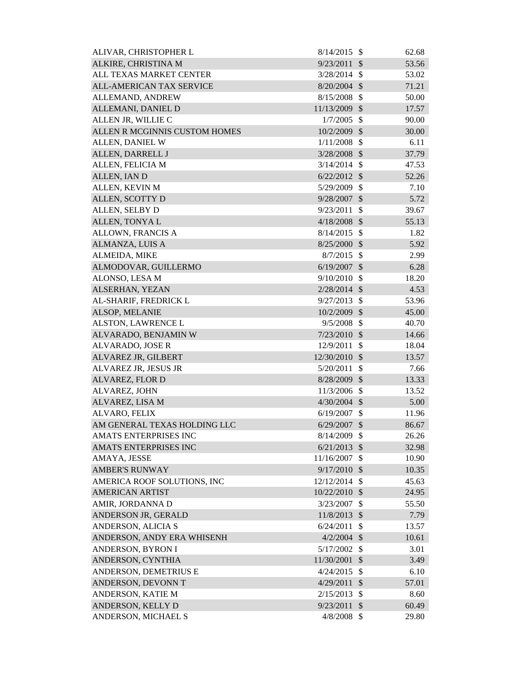| ALIVAR, CHRISTOPHER L           | 8/14/2015      | - \$                       | 62.68 |
|---------------------------------|----------------|----------------------------|-------|
| ALKIRE, CHRISTINA M             | 9/23/2011      | $\mathcal{S}$              | 53.56 |
| ALL TEXAS MARKET CENTER         | $3/28/2014$ \$ |                            | 53.02 |
| <b>ALL-AMERICAN TAX SERVICE</b> | $8/20/2004$ \$ |                            | 71.21 |
| ALLEMAND, ANDREW                | 8/15/2008      | -\$                        | 50.00 |
| ALLEMANI, DANIEL D              | 11/13/2009 \$  |                            | 17.57 |
| ALLEN JR, WILLIE C              | 1/7/2005       | $\mathcal{S}$              | 90.00 |
| ALLEN R MCGINNIS CUSTOM HOMES   | 10/2/2009      | $\mathcal{S}$              | 30.00 |
| ALLEN, DANIEL W                 | 1/11/2008      | $\mathcal{S}$              | 6.11  |
| ALLEN, DARRELL J                | 3/28/2008      | $\mathcal{S}$              | 37.79 |
| ALLEN, FELICIA M                | 3/14/2014      | $\mathcal{S}$              | 47.53 |
| ALLEN, IAN D                    | 6/22/2012      | $\mathcal{S}$              | 52.26 |
| ALLEN, KEVIN M                  | 5/29/2009      | $\mathcal{S}$              | 7.10  |
| ALLEN, SCOTTY D                 | 9/28/2007      | $\mathcal{S}$              | 5.72  |
| ALLEN, SELBY D                  | 9/23/2011      | $\mathcal{S}$              | 39.67 |
| ALLEN, TONYAL                   | $4/18/2008$ \$ |                            | 55.13 |
| ALLOWN, FRANCIS A               | 8/14/2015      | $\mathcal{S}$              | 1.82  |
| ALMANZA, LUIS A                 | $8/25/2000$ \$ |                            | 5.92  |
| ALMEIDA, MIKE                   | $8/7/2015$ \$  |                            | 2.99  |
| ALMODOVAR, GUILLERMO            | $6/19/2007$ \$ |                            | 6.28  |
| ALONSO, LESA M                  | 9/10/2010      | $\mathcal{S}$              | 18.20 |
| ALSERHAN, YEZAN                 | $2/28/2014$ \$ |                            | 4.53  |
| AL-SHARIF, FREDRICK L           | 9/27/2013      | $\mathcal{S}$              | 53.96 |
| ALSOP, MELANIE                  | 10/2/2009 \$   |                            | 45.00 |
| ALSTON, LAWRENCE L              | 9/5/2008       | $\mathcal{S}$              | 40.70 |
| ALVARADO, BENJAMIN W            | 7/23/2010      | $\mathcal{S}$              | 14.66 |
| ALVARADO, JOSE R                | 12/9/2011      | $\mathcal{S}$              | 18.04 |
| ALVAREZ JR, GILBERT             | 12/30/2010     | $\mathcal{S}$              | 13.57 |
| ALVAREZ JR, JESUS JR            | 5/20/2011      | $\mathcal{S}$              | 7.66  |
| ALVAREZ, FLOR D                 | 8/28/2009      | $\boldsymbol{\mathcal{S}}$ | 13.33 |
| ALVAREZ, JOHN                   | 11/3/2006      | $\boldsymbol{\mathsf{S}}$  | 13.52 |
| ALVAREZ, LISA M                 | $4/30/2004$ \$ |                            | 5.00  |
| ALVARO, FELIX                   | $6/19/2007$ \$ |                            | 11.96 |
| AM GENERAL TEXAS HOLDING LLC    | 6/29/2007      | $\mathcal{S}$              | 86.67 |
| AMATS ENTERPRISES INC           | 8/14/2009      | $\mathcal{S}$              | 26.26 |
| AMATS ENTERPRISES INC           | 6/21/2013      | $\mathcal{S}$              | 32.98 |
| AMAYA, JESSE                    | 11/16/2007     | $\mathcal{S}$              | 10.90 |
| <b>AMBER'S RUNWAY</b>           | 9/17/2010      | $\mathcal{S}$              | 10.35 |
| AMERICA ROOF SOLUTIONS, INC     | 12/12/2014 \$  |                            | 45.63 |
| <b>AMERICAN ARTIST</b>          | 10/22/2010     | $\mathcal{S}$              | 24.95 |
| AMIR, JORDANNA D                | 3/23/2007      | \$                         | 55.50 |
| ANDERSON JR, GERALD             | 11/8/2013      | $\mathcal{S}$              | 7.79  |
| ANDERSON, ALICIA S              | 6/24/2011      | $\mathcal{S}$              | 13.57 |
| ANDERSON, ANDY ERA WHISENH      | $4/2/2004$ \$  |                            | 10.61 |
| ANDERSON, BYRON I               | 5/17/2002      | $\mathcal{S}$              | 3.01  |
| ANDERSON, CYNTHIA               | 11/30/2001     | $\sqrt{3}$                 | 3.49  |
| ANDERSON, DEMETRIUS E           | 4/24/2015      | $\mathcal{S}$              | 6.10  |
| ANDERSON, DEVONN T              | 4/29/2011      | $\mathcal{S}$              | 57.01 |
| ANDERSON, KATIE M               | 2/15/2013      | $\mathcal{S}$              | 8.60  |
| ANDERSON, KELLY D               | 9/23/2011      | $\sqrt{3}$                 | 60.49 |
| ANDERSON, MICHAEL S             | $4/8/2008$ \$  |                            | 29.80 |
|                                 |                |                            |       |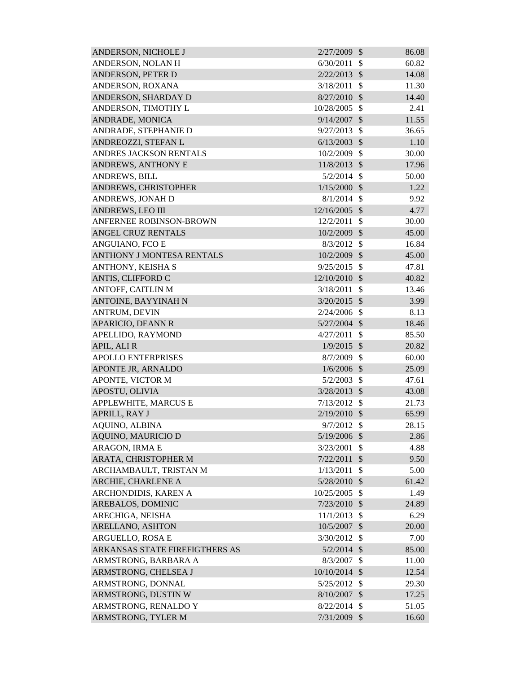| ANDERSON, NICHOLE J            | 2/27/2009      | $\mathcal{S}$ | 86.08 |
|--------------------------------|----------------|---------------|-------|
| ANDERSON, NOLAN H              | 6/30/2011      | \$            | 60.82 |
| ANDERSON, PETER D              | 2/22/2013      | $\mathcal{S}$ | 14.08 |
| ANDERSON, ROXANA               | 3/18/2011      | \$            | 11.30 |
| ANDERSON, SHARDAY D            | 8/27/2010      | $\mathcal{S}$ | 14.40 |
| ANDERSON, TIMOTHY L            | 10/28/2005     | $\mathcal{S}$ | 2.41  |
| ANDRADE, MONICA                | 9/14/2007      | $\mathcal{S}$ | 11.55 |
| ANDRADE, STEPHANIE D           | 9/27/2013      | $\mathcal{S}$ | 36.65 |
| ANDREOZZI, STEFAN L            | 6/13/2003      | $\mathcal{S}$ | 1.10  |
| <b>ANDRES JACKSON RENTALS</b>  | 10/2/2009      | $\mathcal{S}$ | 30.00 |
| ANDREWS, ANTHONY E             | 11/8/2013      | $\mathcal{S}$ | 17.96 |
| <b>ANDREWS, BILL</b>           | $5/2/2014$ \$  |               | 50.00 |
| ANDREWS, CHRISTOPHER           | 1/15/2000      | $\mathcal{S}$ | 1.22  |
| ANDREWS, JONAH D               | $8/1/2014$ \$  |               | 9.92  |
| <b>ANDREWS, LEO III</b>        | 12/16/2005     | $\mathcal{S}$ | 4.77  |
| <b>ANFERNEE ROBINSON-BROWN</b> | 12/2/2011      | $\mathcal{S}$ | 30.00 |
| ANGEL CRUZ RENTALS             | 10/2/2009      | $\mathcal{S}$ | 45.00 |
| ANGUIANO, FCO E                | $8/3/2012$ \$  |               | 16.84 |
| ANTHONY J MONTESA RENTALS      | 10/2/2009 \$   |               | 45.00 |
| ANTHONY, KEISHA S              | 9/25/2015      | $\mathcal{S}$ | 47.81 |
| ANTIS, CLIFFORD C              | 12/10/2010     | $\mathcal{S}$ | 40.82 |
| ANTOFF, CAITLIN M              | 3/18/2011      | $\mathcal{S}$ | 13.46 |
| ANTOINE, BAYYINAH N            | $3/20/2015$ \$ |               | 3.99  |
| ANTRUM, DEVIN                  | $2/24/2006$ \$ |               | 8.13  |
| <b>APARICIO, DEANN R</b>       | $5/27/2004$ \$ |               | 18.46 |
| APELLIDO, RAYMOND              | 4/27/2011      | $\mathcal{S}$ | 85.50 |
| APIL, ALI R                    | $1/9/2015$ \$  |               | 20.82 |
| <b>APOLLO ENTERPRISES</b>      | 8/7/2009       | $\mathcal{S}$ | 60.00 |
| APONTE JR, ARNALDO             | $1/6/2006$ \$  |               | 25.09 |
| APONTE, VICTOR M               | 5/2/2003       | $\mathcal{S}$ | 47.61 |
| APOSTU, OLIVIA                 | 3/28/2013 \$   |               | 43.08 |
| APPLEWHITE, MARCUS E           | 7/13/2012      | <sup>\$</sup> | 21.73 |
| APRILL, RAY J                  | $2/19/2010$ \$ |               | 65.99 |
| <b>AQUINO, ALBINA</b>          | $9/7/2012$ \$  |               | 28.15 |
| <b>AQUINO, MAURICIO D</b>      | 5/19/2006 \$   |               | 2.86  |
| ARAGON, IRMA E                 | 3/23/2001      | \$            | 4.88  |
| ARATA, CHRISTOPHER M           | 7/22/2011      | $\sqrt{3}$    | 9.50  |
| ARCHAMBAULT, TRISTAN M         | 1/13/2011      | $\mathcal{S}$ | 5.00  |
| ARCHIE, CHARLENE A             | 5/28/2010      | $\mathcal{S}$ | 61.42 |
| ARCHONDIDIS, KAREN A           | 10/25/2005     | $\mathcal{S}$ | 1.49  |
| AREBALOS, DOMINIC              | 7/23/2010      | $\sqrt{3}$    | 24.89 |
| ARECHIGA, NEISHA               | 11/1/2013      | $\mathcal{S}$ | 6.29  |
| ARELLANO, ASHTON               | 10/5/2007      | - \$          | 20.00 |
| ARGUELLO, ROSA E               | 3/30/2012      | - \$          | 7.00  |
| ARKANSAS STATE FIREFIGTHERS AS | $5/2/2014$ \$  |               | 85.00 |
| ARMSTRONG, BARBARA A           | 8/3/2007       | $\mathcal{S}$ | 11.00 |
| ARMSTRONG, CHELSEA J           | 10/10/2014 \$  |               | 12.54 |
| ARMSTRONG, DONNAL              | 5/25/2012 \$   |               | 29.30 |
| ARMSTRONG, DUSTIN W            | 8/10/2007      | $\mathcal{S}$ | 17.25 |
| ARMSTRONG, RENALDO Y           | 8/22/2014      | $\mathcal{S}$ | 51.05 |
| ARMSTRONG, TYLER M             | 7/31/2009 \$   |               | 16.60 |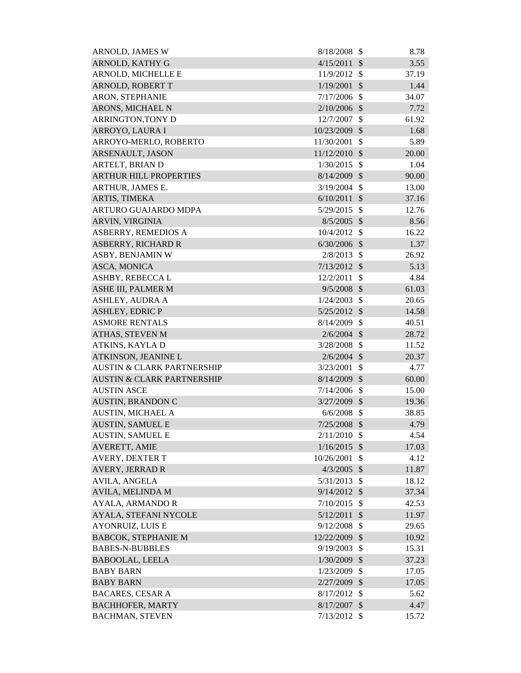| ARNOLD, JAMES W                       | 8/18/2008      | $\mathbb{S}$  | 8.78  |
|---------------------------------------|----------------|---------------|-------|
| ARNOLD, KATHY G                       | 4/15/2011      | $\mathcal{S}$ | 3.55  |
| ARNOLD, MICHELLE E                    | 11/9/2012      | $\mathcal{S}$ | 37.19 |
| ARNOLD, ROBERT T                      | 1/19/2001      | $\mathcal{S}$ | 1.44  |
| ARON, STEPHANIE                       | 7/17/2006      | $\mathcal{S}$ | 34.07 |
| ARONS, MICHAEL N                      | 2/10/2006      | $\mathcal{S}$ | 7.72  |
| ARRINGTON, TONY D                     | 12/7/2007      | $\mathcal{S}$ | 61.92 |
| ARROYO, LAURA I                       | 10/23/2009     | $\mathcal{S}$ | 1.68  |
| ARROYO-MERLO, ROBERTO                 | 11/30/2001     | $\mathcal{S}$ | 5.89  |
| ARSENAULT, JASON                      | 11/12/2010     | $\mathcal{S}$ | 20.00 |
| ARTELT, BRIAN D                       | 1/30/2015      | $\mathcal{S}$ | 1.04  |
| <b>ARTHUR HILL PROPERTIES</b>         | 8/14/2009      | $\mathcal{S}$ | 90.00 |
| ARTHUR, JAMES E.                      | 3/19/2004      | $\mathcal{S}$ | 13.00 |
| ARTIS, TIMEKA                         | $6/10/2011$ \$ |               | 37.16 |
| ARTURO GUAJARDO MDPA                  | 5/29/2015      | $\mathcal{S}$ | 12.76 |
| ARVIN, VIRGINIA                       | $8/5/2005$ \$  |               | 8.56  |
| ASBERRY, REMEDIOS A                   | 10/4/2012      | -\$           | 16.22 |
| <b>ASBERRY, RICHARD R</b>             | 6/30/2006      | $\mathcal{S}$ | 1.37  |
| ASBY, BENJAMIN W                      | $2/8/2013$ \$  |               | 26.92 |
| ASCA, MONICA                          | 7/13/2012      | $\mathcal{S}$ | 5.13  |
| ASHBY, REBECCA L                      | 12/2/2011      | $\mathcal{S}$ | 4.84  |
| ASHE III, PALMER M                    | $9/5/2008$ \$  |               | 61.03 |
| ASHLEY, AUDRA A                       | 1/24/2003      | $\mathcal{S}$ | 20.65 |
| <b>ASHLEY, EDRIC P</b>                | $5/25/2012$ \$ |               | 14.58 |
| <b>ASMORE RENTALS</b>                 | 8/14/2009      | $\mathcal{S}$ | 40.51 |
| ATHAS, STEVEN M                       | $2/6/2004$ \$  |               | 28.72 |
| ATKINS, KAYLA D                       | 3/28/2008      | $\mathcal{S}$ | 11.52 |
| ATKINSON, JEANINE L                   | $2/6/2004$ \$  |               | 20.37 |
| <b>AUSTIN &amp; CLARK PARTNERSHIP</b> | 3/23/2001      | $\mathcal{S}$ | 4.77  |
| <b>AUSTIN &amp; CLARK PARTNERSHIP</b> | 8/14/2009      | $\mathcal{S}$ | 60.00 |
| <b>AUSTIN ASCE</b>                    | $7/14/2006$ \$ |               | 15.00 |
| <b>AUSTIN, BRANDON C</b>              | 3/27/2009      | $\mathcal{S}$ | 19.36 |
| <b>AUSTIN, MICHAEL A</b>              | $6/6/2008$ \$  |               | 38.85 |
| <b>AUSTIN, SAMUEL E</b>               | $7/25/2008$ \$ |               | 4.79  |
| <b>AUSTIN, SAMUEL E</b>               | 2/11/2010      | $\mathcal{S}$ | 4.54  |
| AVERETT, AMIE                         | 1/16/2015      | $\mathcal{S}$ | 17.03 |
| AVERY, DEXTER T                       | 10/26/2001     | $\mathcal{S}$ | 4.12  |
| <b>AVERY, JERRAD R</b>                | 4/3/2005       | $\mathcal{S}$ | 11.87 |
| <b>AVILA, ANGELA</b>                  | 5/31/2013      | $\mathcal{S}$ | 18.12 |
| AVILA, MELINDA M                      | 9/14/2012      | $\mathcal{S}$ | 37.34 |
| <b>AYALA, ARMANDO R</b>               | 7/10/2015      | $\mathcal{S}$ | 42.53 |
| AYALA, STEFANI NYCOLE                 | 5/12/2011      | $\mathcal{S}$ | 11.97 |
| <b>AYONRUIZ, LUIS E</b>               | 9/12/2008      | $\mathcal{S}$ | 29.65 |
| <b>BABCOK, STEPHANIE M</b>            | 12/22/2009     | $\mathcal{S}$ | 10.92 |
| <b>BABES-N-BUBBLES</b>                | 9/19/2003      | \$            | 15.31 |
| <b>BABOOLAL, LEELA</b>                | 1/30/2009      | $\mathcal{S}$ | 37.23 |
| <b>BABY BARN</b>                      | 1/23/2009      | $\mathcal{S}$ | 17.05 |
| <b>BABY BARN</b>                      | 2/27/2009      | $\mathcal{S}$ | 17.05 |
| <b>BACARES, CESAR A</b>               | 8/17/2012      | \$            | 5.62  |
| <b>BACHHOFER, MARTY</b>               | 8/17/2007      | $\mathcal{S}$ | 4.47  |
| <b>BACHMAN, STEVEN</b>                | $7/13/2012$ \$ |               | 15.72 |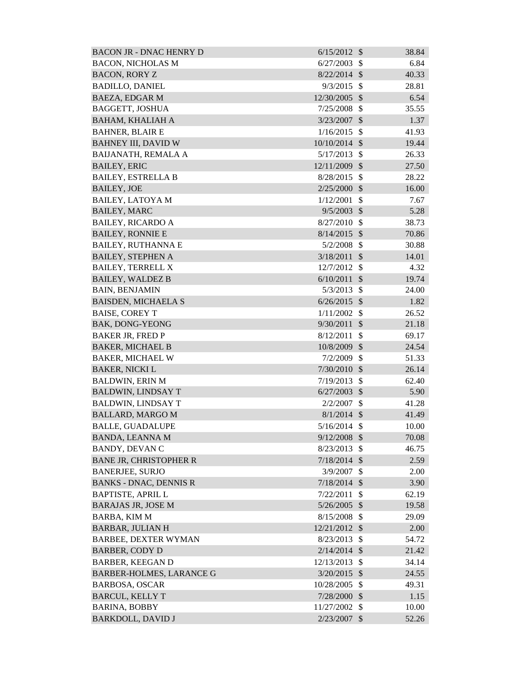| <b>BACON JR - DNAC HENRY D</b>  | $6/15/2012$ \$  |                           | 38.84 |
|---------------------------------|-----------------|---------------------------|-------|
| <b>BACON, NICHOLAS M</b>        | 6/27/2003       | -S                        | 6.84  |
| <b>BACON, RORY Z</b>            | $8/22/2014$ \$  |                           | 40.33 |
| <b>BADILLO, DANIEL</b>          | 9/3/2015        | $\mathbb{S}$              | 28.81 |
| <b>BAEZA, EDGAR M</b>           | 12/30/2005      | $\mathcal{S}$             | 6.54  |
| <b>BAGGETT, JOSHUA</b>          | $7/25/2008$ \$  |                           | 35.55 |
| <b>BAHAM, KHALIAH A</b>         | 3/23/2007       | $\mathcal{S}$             | 1.37  |
| <b>BAHNER, BLAIR E</b>          | 1/16/2015       | $\mathcal{S}$             | 41.93 |
| <b>BAHNEY III, DAVID W</b>      | $10/10/2014$ \$ |                           | 19.44 |
| <b>BAIJANATH, REMALA A</b>      | 5/17/2013       | $\mathcal{S}$             | 26.33 |
| <b>BAILEY, ERIC</b>             | 12/11/2009 \$   |                           | 27.50 |
| <b>BAILEY, ESTRELLA B</b>       | 8/28/2015       | $\mathcal{S}$             | 28.22 |
| <b>BAILEY, JOE</b>              | $2/25/2000$ \$  |                           | 16.00 |
| <b>BAILEY, LATOYA M</b>         | 1/12/2001       | \$                        | 7.67  |
| <b>BAILEY, MARC</b>             | $9/5/2003$ \$   |                           | 5.28  |
| <b>BAILEY, RICARDO A</b>        | 8/27/2010       | $\mathcal{S}$             | 38.73 |
| <b>BAILEY, RONNIE E</b>         | $8/14/2015$ \$  |                           | 70.86 |
| <b>BAILEY, RUTHANNA E</b>       | 5/2/2008        | $\mathcal{S}$             | 30.88 |
| <b>BAILEY, STEPHEN A</b>        | 3/18/2011       | $\mathcal{S}$             | 14.01 |
| <b>BAILEY, TERRELL X</b>        | 12/7/2012       | $\mathcal{S}$             | 4.32  |
| <b>BAILEY, WALDEZ B</b>         | 6/10/2011       | $\mathcal{S}$             | 19.74 |
| <b>BAIN, BENJAMIN</b>           | 5/3/2013        | $\mathbb{S}$              | 24.00 |
| <b>BAISDEN, MICHAELA S</b>      | $6/26/2015$ \$  |                           | 1.82  |
| <b>BAISE, COREY T</b>           | 1/11/2002       | $\mathbb{S}$              | 26.52 |
| BAK, DONG-YEONG                 | 9/30/2011       | $\mathcal{S}$             | 21.18 |
| <b>BAKER JR, FRED P</b>         | 8/12/2011       | $\mathcal{S}$             | 69.17 |
| <b>BAKER, MICHAEL B</b>         | 10/8/2009 \$    |                           | 24.54 |
| <b>BAKER, MICHAEL W</b>         | 7/2/2009        | \$                        | 51.33 |
| <b>BAKER, NICKI L</b>           | $7/30/2010$ \$  |                           | 26.14 |
| <b>BALDWIN, ERIN M</b>          | $7/19/2013$ \$  |                           | 62.40 |
| <b>BALDWIN, LINDSAY T</b>       | $6/27/2003$ \$  |                           | 5.90  |
| <b>BALDWIN, LINDSAY T</b>       | 2/2/2007        | \$                        | 41.28 |
| <b>BALLARD, MARGO M</b>         | $8/1/2014$ \$   |                           | 41.49 |
| <b>BALLE, GUADALUPE</b>         | $5/16/2014$ \$  |                           | 10.00 |
| <b>BANDA, LEANNA M</b>          | 9/12/2008       | $\mathcal{S}$             | 70.08 |
| <b>BANDY, DEVAN C</b>           | 8/23/2013       | $\mathcal{S}$             | 46.75 |
| <b>BANE JR, CHRISTOPHER R</b>   | 7/18/2014       | $\mathcal{S}$             | 2.59  |
| <b>BANERJEE, SURJO</b>          | 3/9/2007        | $\boldsymbol{\mathsf{S}}$ | 2.00  |
| <b>BANKS - DNAC, DENNIS R</b>   | 7/18/2014       | $\mathcal{S}$             | 3.90  |
| <b>BAPTISTE, APRIL L</b>        | 7/22/2011       | \$                        | 62.19 |
| <b>BARAJAS JR, JOSE M</b>       | $5/26/2005$ \$  |                           | 19.58 |
| BARBA, KIM M                    | $8/15/2008$ \$  |                           | 29.09 |
| <b>BARBAR, JULIAN H</b>         | 12/21/2012 \$   |                           | 2.00  |
| <b>BARBEE, DEXTER WYMAN</b>     | 8/23/2013       | $\mathcal{S}$             | 54.72 |
| <b>BARBER, CODY D</b>           | $2/14/2014$ \$  |                           | 21.42 |
| <b>BARBER, KEEGAN D</b>         | 12/13/2013      | $\mathcal{S}$             | 34.14 |
| <b>BARBER-HOLMES, LARANCE G</b> | $3/20/2015$ \$  |                           | 24.55 |
| <b>BARBOSA, OSCAR</b>           | 10/28/2005      | $\mathcal{S}$             | 49.31 |
| <b>BARCUL, KELLY T</b>          | 7/28/2000       | $\mathcal{S}$             | 1.15  |
| <b>BARINA, BOBBY</b>            | 11/27/2002      | -S                        | 10.00 |
| <b>BARKDOLL, DAVID J</b>        | 2/23/2007       | $\mathcal{S}$             | 52.26 |
|                                 |                 |                           |       |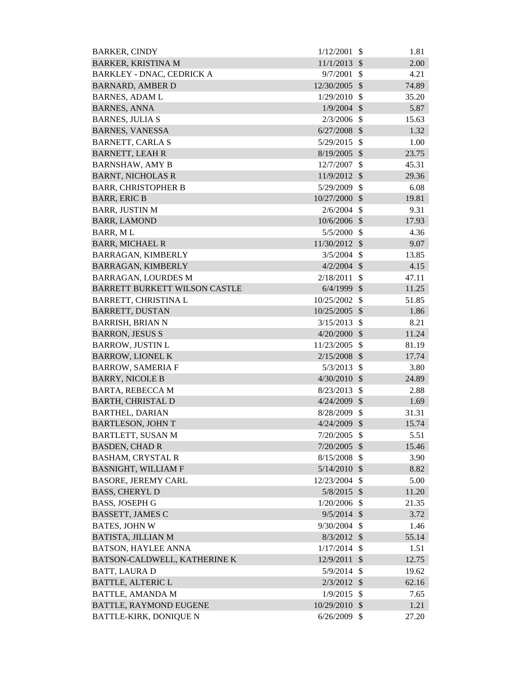| <b>BARKER, CINDY</b>                 | 1/12/2001      | $\mathcal{S}$ | 1.81  |
|--------------------------------------|----------------|---------------|-------|
| <b>BARKER, KRISTINA M</b>            | 11/1/2013      | $\mathcal{S}$ | 2.00  |
| <b>BARKLEY - DNAC, CEDRICK A</b>     | 9/7/2001       | \$            | 4.21  |
| <b>BARNARD, AMBER D</b>              | 12/30/2005     | $\mathcal{S}$ | 74.89 |
| <b>BARNES, ADAM L</b>                | 1/29/2010      | $\mathbb{S}$  | 35.20 |
| <b>BARNES, ANNA</b>                  | 1/9/2004       | $\mathcal{S}$ | 5.87  |
| <b>BARNES, JULIA S</b>               | 2/3/2006       | $\mathbb{S}$  | 15.63 |
| <b>BARNES, VANESSA</b>               | 6/27/2008      | $\mathcal{S}$ | 1.32  |
| <b>BARNETT, CARLA S</b>              | 5/29/2015      | $\mathcal{S}$ | 1.00  |
| <b>BARNETT, LEAH R</b>               | 8/19/2005 \$   |               | 23.75 |
| <b>BARNSHAW, AMY B</b>               | 12/7/2007      | $\mathcal{S}$ | 45.31 |
| <b>BARNT, NICHOLAS R</b>             | 11/9/2012 \$   |               | 29.36 |
| <b>BARR, CHRISTOPHER B</b>           | 5/29/2009      | $\mathcal{S}$ | 6.08  |
| <b>BARR, ERIC B</b>                  | 10/27/2000 \$  |               | 19.81 |
| <b>BARR, JUSTIN M</b>                | 2/6/2004       | $\mathcal{S}$ | 9.31  |
| <b>BARR, LAMOND</b>                  | 10/6/2006      | $\mathcal{S}$ | 17.93 |
| <b>BARR, ML</b>                      | 5/5/2000       | $\mathcal{S}$ | 4.36  |
| <b>BARR, MICHAEL R</b>               | 11/30/2012     | $\mathcal{S}$ | 9.07  |
| <b>BARRAGAN, KIMBERLY</b>            | 3/5/2004       | $\mathbb{S}$  | 13.85 |
| BARRAGAN, KIMBERLY                   | $4/2/2004$ \$  |               | 4.15  |
| <b>BARRAGAN, LOURDES M</b>           | 2/18/2011      | \$            | 47.11 |
| <b>BARRETT BURKETT WILSON CASTLE</b> | $6/4/1999$ \$  |               | 11.25 |
| BARRETT, CHRISTINA L                 | 10/25/2002     | $\mathcal{S}$ | 51.85 |
| <b>BARRETT, DUSTAN</b>               | 10/25/2005     | $\sqrt{3}$    | 1.86  |
| <b>BARRISH, BRIAN N</b>              | 3/15/2013      | $\mathcal{S}$ | 8.21  |
| <b>BARRON, JESUS S</b>               | 4/20/2000      | $\mathcal{S}$ | 11.24 |
| <b>BARROW, JUSTIN L</b>              | 11/23/2005     | $\mathcal{S}$ | 81.19 |
| <b>BARROW, LIONEL K</b>              | 2/15/2008      | $\mathcal{S}$ | 17.74 |
| <b>BARROW, SAMERIA F</b>             | 5/3/2013       | $\mathbb{S}$  | 3.80  |
| <b>BARRY, NICOLE B</b>               | 4/30/2010      | $\mathcal{S}$ | 24.89 |
| <b>BARTA, REBECCA M</b>              | 8/23/2013      | $\mathcal{S}$ | 2.88  |
| <b>BARTH, CHRISTAL D</b>             | $4/24/2009$ \$ |               | 1.69  |
| <b>BARTHEL, DARIAN</b>               | 8/28/2009 \$   |               | 31.31 |
| <b>BARTLESON, JOHN T</b>             | $4/24/2009$ \$ |               | 15.74 |
| BARTLETT, SUSAN M                    | 7/20/2005      | $\mathcal{S}$ | 5.51  |
| <b>BASDEN, CHAD R</b>                | $7/20/2005$ \$ |               | 15.46 |
| <b>BASHAM, CRYSTAL R</b>             | $8/15/2008$ \$ |               | 3.90  |
| <b>BASNIGHT, WILLIAM F</b>           | $5/14/2010$ \$ |               | 8.82  |
| <b>BASORE, JEREMY CARL</b>           | 12/23/2004 \$  |               | 5.00  |
| <b>BASS, CHERYLD</b>                 | $5/8/2015$ \$  |               | 11.20 |
| <b>BASS, JOSEPH G</b>                | 1/20/2006      | $\mathcal{S}$ | 21.35 |
| <b>BASSETT, JAMES C</b>              | $9/5/2014$ \$  |               | 3.72  |
| <b>BATES, JOHN W</b>                 | $9/30/2004$ \$ |               | 1.46  |
| <b>BATISTA, JILLIAN M</b>            | $8/3/2012$ \$  |               | 55.14 |
| <b>BATSON, HAYLEE ANNA</b>           | 1/17/2014      | $\mathcal{S}$ | 1.51  |
| BATSON-CALDWELL, KATHERINE K         | 12/9/2011      | $\mathcal{S}$ | 12.75 |
| <b>BATT, LAURAD</b>                  | 5/9/2014       | $\mathcal{S}$ | 19.62 |
| <b>BATTLE, ALTERIC L</b>             | $2/3/2012$ \$  |               | 62.16 |
| <b>BATTLE, AMANDA M</b>              | 1/9/2015       | $\mathbb{S}$  | 7.65  |
| <b>BATTLE, RAYMOND EUGENE</b>        | 10/29/2010 \$  |               | 1.21  |
| <b>BATTLE-KIRK, DONIQUE N</b>        | 6/26/2009      | $\mathcal{S}$ | 27.20 |
|                                      |                |               |       |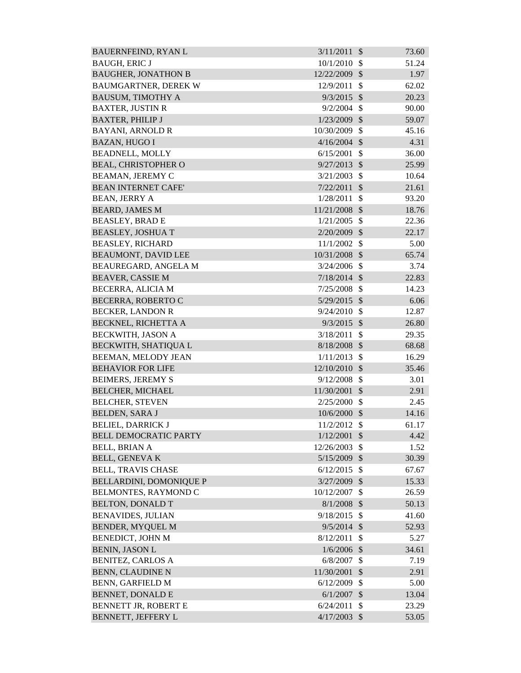| <b>BAUERNFEIND, RYAN L</b>     | 3/11/2011      | $\mathcal{S}$<br>73.60 |  |
|--------------------------------|----------------|------------------------|--|
| <b>BAUGH, ERIC J</b>           | 10/1/2010      | 51.24<br>$\mathcal{S}$ |  |
| <b>BAUGHER, JONATHON B</b>     | 12/22/2009     | $\mathcal{S}$<br>1.97  |  |
| <b>BAUMGARTNER, DEREK W</b>    | 12/9/2011      | 62.02<br>\$            |  |
| <b>BAUSUM, TIMOTHY A</b>       | 9/3/2015       | $\mathcal{S}$<br>20.23 |  |
| <b>BAXTER, JUSTIN R</b>        | 9/2/2004       | $\mathcal{S}$<br>90.00 |  |
| <b>BAXTER, PHILIP J</b>        | 1/23/2009      | $\mathcal{S}$<br>59.07 |  |
| <b>BAYANI, ARNOLD R</b>        | 10/30/2009     | $\mathcal{S}$<br>45.16 |  |
| <b>BAZAN, HUGO I</b>           | $4/16/2004$ \$ | 4.31                   |  |
| <b>BEADNELL, MOLLY</b>         | 6/15/2001      | \$<br>36.00            |  |
| <b>BEAL, CHRISTOPHER O</b>     | 9/27/2013      | $\mathcal{S}$<br>25.99 |  |
| <b>BEAMAN, JEREMY C</b>        | 3/21/2003      | \$<br>10.64            |  |
| <b>BEAN INTERNET CAFE'</b>     | 7/22/2011      | $\mathcal{S}$<br>21.61 |  |
| <b>BEAN, JERRY A</b>           | 1/28/2011      | \$<br>93.20            |  |
| <b>BEARD, JAMES M</b>          | 11/21/2008     | $\mathcal{S}$<br>18.76 |  |
| <b>BEASLEY, BRAD E</b>         | 1/21/2005      | $\mathcal{S}$<br>22.36 |  |
| <b>BEASLEY, JOSHUA T</b>       | 2/20/2009      | 22.17<br>$\mathcal{S}$ |  |
| <b>BEASLEY, RICHARD</b>        | 11/1/2002      | $\mathbb{S}$<br>5.00   |  |
| <b>BEAUMONT, DAVID LEE</b>     | 10/31/2008 \$  | 65.74                  |  |
| BEAUREGARD, ANGELA M           | 3/24/2006      | $\mathcal{S}$<br>3.74  |  |
| <b>BEAVER, CASSIE M</b>        | 7/18/2014      | 22.83<br>$\mathcal{S}$ |  |
| BECERRA, ALICIA M              | 7/25/2008      | $\mathcal{S}$<br>14.23 |  |
| <b>BECERRA, ROBERTO C</b>      | $5/29/2015$ \$ | 6.06                   |  |
| <b>BECKER, LANDON R</b>        | 9/24/2010      | $\mathcal{S}$<br>12.87 |  |
| BECKNEL, RICHETTA A            | 9/3/2015       | $\mathcal{S}$<br>26.80 |  |
| BECKWITH, JASON A              | 3/18/2011      | $\mathcal{S}$<br>29.35 |  |
| BECKWITH, SHATIQUA L           | 8/18/2008      | $\mathcal{S}$<br>68.68 |  |
| BEEMAN, MELODY JEAN            | 1/11/2013      | $\mathcal{S}$<br>16.29 |  |
| <b>BEHAVIOR FOR LIFE</b>       | 12/10/2010     | $\mathcal{S}$<br>35.46 |  |
| <b>BEIMERS, JEREMY S</b>       | 9/12/2008      | $\mathcal{S}$<br>3.01  |  |
| <b>BELCHER, MICHAEL</b>        | 11/30/2001 \$  | 2.91                   |  |
| <b>BELCHER, STEVEN</b>         | 2/25/2000      | $\mathcal{S}$<br>2.45  |  |
| <b>BELDEN, SARA J</b>          | 10/6/2000      | $\mathcal{S}$<br>14.16 |  |
| <b>BELIEL, DARRICK J</b>       | 11/2/2012      | $\mathcal{S}$<br>61.17 |  |
| <b>BELL DEMOCRATIC PARTY</b>   | 1/12/2001      | $\mathcal{S}$<br>4.42  |  |
| <b>BELL, BRIAN A</b>           | 12/26/2003     | \$<br>1.52             |  |
| <b>BELL, GENEVAK</b>           | 5/15/2009 \$   | 30.39                  |  |
| <b>BELL, TRAVIS CHASE</b>      | 6/12/2015      | $\mathcal{S}$<br>67.67 |  |
| <b>BELLARDINI, DOMONIQUE P</b> | 3/27/2009      | $\mathcal{S}$<br>15.33 |  |
| BELMONTES, RAYMOND C           | 10/12/2007     | \$<br>26.59            |  |
| <b>BELTON, DONALD T</b>        | $8/1/2008$ \$  | 50.13                  |  |
| <b>BENAVIDES, JULIAN</b>       | 9/18/2015      | $\mathcal{S}$<br>41.60 |  |
| <b>BENDER, MYQUEL M</b>        | $9/5/2014$ \$  | 52.93                  |  |
| BENEDICT, JOHN M               | 8/12/2011      | \$<br>5.27             |  |
| <b>BENIN, JASON L</b>          | 1/6/2006       | 34.61<br>$\mathcal{S}$ |  |
| <b>BENITEZ, CARLOS A</b>       | 6/8/2007       | $\mathcal{S}$<br>7.19  |  |
| <b>BENN, CLAUDINE N</b>        | 11/30/2001     | 2.91<br>$\mathcal{S}$  |  |
| <b>BENN, GARFIELD M</b>        | 6/12/2009      | \$<br>5.00             |  |
| <b>BENNET, DONALD E</b>        | 6/1/2007       | 13.04<br>\$            |  |
| BENNETT JR, ROBERT E           | 6/24/2011      | $\mathcal{S}$<br>23.29 |  |
| BENNETT, JEFFERY L             | 4/17/2003      | $\mathcal{S}$<br>53.05 |  |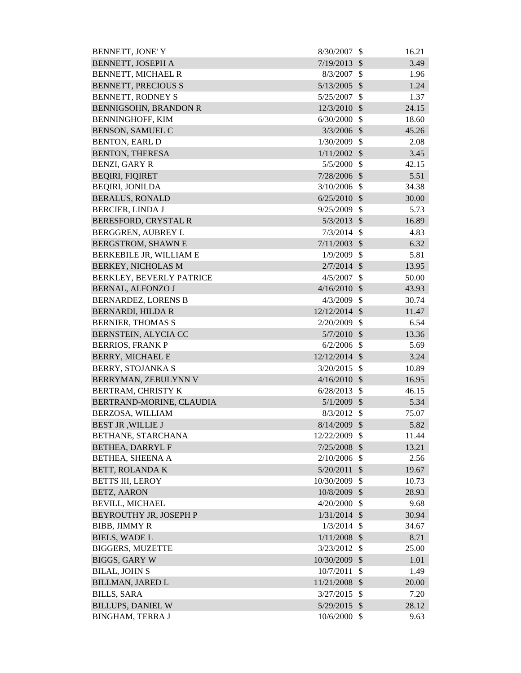| BENNETT, JONE' Y              | 8/30/2007       | \$                        | 16.21 |
|-------------------------------|-----------------|---------------------------|-------|
| <b>BENNETT, JOSEPH A</b>      | 7/19/2013       | $\mathcal{S}$             | 3.49  |
| <b>BENNETT, MICHAEL R</b>     | 8/3/2007        | $\mathcal{S}$             | 1.96  |
| <b>BENNETT, PRECIOUS S</b>    | 5/13/2005       | $\mathcal{S}$             | 1.24  |
| <b>BENNETT, RODNEY S</b>      | 5/25/2007       | \$                        | 1.37  |
| <b>BENNIGSOHN, BRANDON R</b>  | 12/3/2010       | $\mathcal{S}$             | 24.15 |
| <b>BENNINGHOFF, KIM</b>       | 6/30/2000       | $\mathcal{S}$             | 18.60 |
| <b>BENSON, SAMUEL C</b>       | 3/3/2006        | $\boldsymbol{\mathsf{S}}$ | 45.26 |
| <b>BENTON, EARL D</b>         | 1/30/2009       | $\mathcal{S}$             | 2.08  |
| <b>BENTON, THERESA</b>        | $1/11/2002$ \$  |                           | 3.45  |
| <b>BENZI, GARY R</b>          | $5/5/2000$ \$   |                           | 42.15 |
| <b>BEQIRI, FIQIRET</b>        | 7/28/2006       | $\mathcal{S}$             | 5.51  |
| <b>BEQIRI, JONILDA</b>        | $3/10/2006$ \$  |                           | 34.38 |
| <b>BERALUS, RONALD</b>        | $6/25/2010$ \$  |                           | 30.00 |
| <b>BERCIER, LINDA J</b>       | 9/25/2009       | $\mathcal{S}$             | 5.73  |
| <b>BERESFORD, CRYSTAL R</b>   | 5/3/2013        | $\mathcal{S}$             | 16.89 |
| BERGGREN, AUBREY L            | 7/3/2014        | $\mathcal{S}$             | 4.83  |
| <b>BERGSTROM, SHAWN E</b>     | $7/11/2003$ \$  |                           | 6.32  |
| BERKEBILE JR, WILLIAM E       | 1/9/2009        | $\mathcal{S}$             | 5.81  |
| <b>BERKEY, NICHOLAS M</b>     | $2/7/2014$ \$   |                           | 13.95 |
| BERKLEY, BEVERLY PATRICE      | 4/5/2007        | $\mathcal{S}$             | 50.00 |
| <b>BERNAL, ALFONZO J</b>      | $4/16/2010$ \$  |                           | 43.93 |
| <b>BERNARDEZ, LORENS B</b>    | 4/3/2009        | $\mathcal{S}$             | 30.74 |
| <b>BERNARDI, HILDA R</b>      | $12/12/2014$ \$ |                           | 11.47 |
| <b>BERNIER, THOMAS S</b>      | 2/20/2009       | $\mathcal{S}$             | 6.54  |
| BERNSTEIN, ALYCIA CC          | 5/7/2010        | $\mathcal{S}$             | 13.36 |
| <b>BERRIOS, FRANK P</b>       | $6/2/2006$ \$   |                           | 5.69  |
| <b>BERRY, MICHAEL E</b>       | 12/12/2014 \$   |                           | 3.24  |
| <b>BERRY, STOJANKA S</b>      | 3/20/2015       | -\$                       | 10.89 |
| BERRYMAN, ZEBULYNN V          | $4/16/2010$ \$  |                           | 16.95 |
| BERTRAM, CHRISTY K            | $6/28/2013$ \$  |                           | 46.15 |
| BERTRAND-MORINE, CLAUDIA      | $5/1/2009$ \$   |                           | 5.34  |
| BERZOSA, WILLIAM              | $8/3/2012$ \$   |                           | 75.07 |
| <b>BEST JR, WILLIE J</b>      | 8/14/2009 \$    |                           | 5.82  |
| BETHANE, STARCHANA            | 12/22/2009 \$   |                           | 11.44 |
| <b>BETHEA, DARRYL F</b>       | $7/25/2008$ \$  |                           | 13.21 |
| <b>BETHEA, SHEENA A</b>       | 2/10/2006       | \$                        | 2.56  |
| <b>BETT, ROLANDA K</b>        | 5/20/2011       | $\mathcal{S}$             | 19.67 |
| <b>BETTS III, LEROY</b>       | 10/30/2009      | $\mathcal{S}$             | 10.73 |
| <b>BETZ, AARON</b>            | 10/8/2009       | $\mathcal{S}$             | 28.93 |
| <b>BEVILL, MICHAEL</b>        | 4/20/2000       | $\mathcal{S}$             | 9.68  |
| <b>BEYROUTHY JR, JOSEPH P</b> | $1/31/2014$ \$  |                           | 30.94 |
| <b>BIBB, JIMMY R</b>          | $1/3/2014$ \$   |                           | 34.67 |
| <b>BIELS, WADE L</b>          | $1/11/2008$ \$  |                           | 8.71  |
| <b>BIGGERS, MUZETTE</b>       | 3/23/2012       | $\mathcal{S}$             | 25.00 |
| <b>BIGGS, GARY W</b>          | 10/30/2009 \$   |                           | 1.01  |
| <b>BILAL, JOHN S</b>          | 10/7/2011       | \$                        | 1.49  |
| <b>BILLMAN, JARED L</b>       | 11/21/2008 \$   |                           | 20.00 |
| <b>BILLS, SARA</b>            | 3/27/2015       | $\mathcal{S}$             | 7.20  |
| <b>BILLUPS, DANIEL W</b>      | $5/29/2015$ \$  |                           | 28.12 |
| <b>BINGHAM, TERRA J</b>       | 10/6/2000 \$    |                           | 9.63  |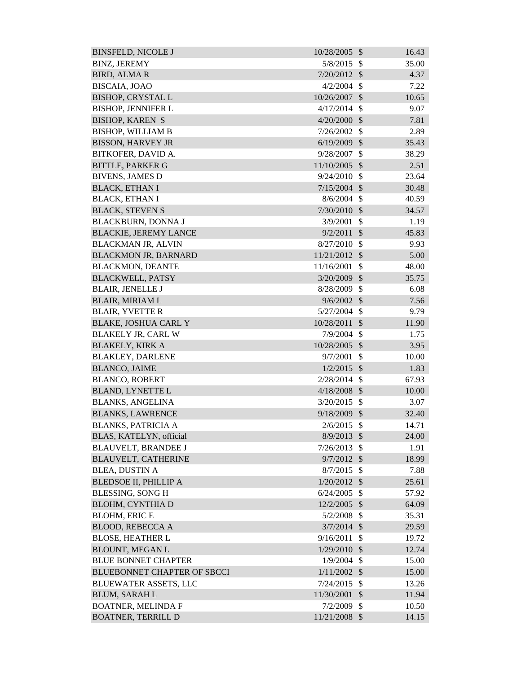| <b>BINSFELD, NICOLE J</b>          | 10/28/2005 \$  |               | 16.43 |
|------------------------------------|----------------|---------------|-------|
| <b>BINZ, JEREMY</b>                | 5/8/2015       | - \$          | 35.00 |
| <b>BIRD, ALMAR</b>                 | 7/20/2012      | $\mathcal{S}$ | 4.37  |
| BISCAIA, JOAO                      | 4/2/2004       | $\mathcal{S}$ | 7.22  |
| <b>BISHOP, CRYSTAL L</b>           | 10/26/2007     | $\mathcal{S}$ | 10.65 |
| <b>BISHOP, JENNIFER L</b>          | 4/17/2014      | $\mathcal{S}$ | 9.07  |
| <b>BISHOP, KAREN S</b>             | 4/20/2000      | $\mathcal{S}$ | 7.81  |
| <b>BISHOP, WILLIAM B</b>           | 7/26/2002      | $\mathcal{S}$ | 2.89  |
| <b>BISSON, HARVEY JR</b>           | 6/19/2009      | $\mathcal{S}$ | 35.43 |
| BITKOFER, DAVID A.                 | 9/28/2007      | \$            | 38.29 |
| <b>BITTLE, PARKER G</b>            | 11/10/2005     | $\mathcal{S}$ | 2.51  |
| <b>BIVENS, JAMES D</b>             | 9/24/2010      | \$            | 23.64 |
| <b>BLACK, ETHAN I</b>              | 7/15/2004      | $\mathcal{S}$ | 30.48 |
| <b>BLACK, ETHAN I</b>              | 8/6/2004       | $\mathbb{S}$  | 40.59 |
| <b>BLACK, STEVEN S</b>             | 7/30/2010      | $\mathcal{S}$ | 34.57 |
| <b>BLACKBURN, DONNA J</b>          | 3/9/2001       | $\mathcal{S}$ | 1.19  |
| <b>BLACKIE, JEREMY LANCE</b>       | 9/2/2011       | $\mathcal{S}$ | 45.83 |
| <b>BLACKMAN JR, ALVIN</b>          | 8/27/2010      | $\mathcal{S}$ | 9.93  |
| <b>BLACKMON JR, BARNARD</b>        | 11/21/2012     | $\mathcal{S}$ | 5.00  |
| <b>BLACKMON, DEANTE</b>            | 11/16/2001     | $\mathcal{S}$ | 48.00 |
| <b>BLACKWELL, PATSY</b>            | 3/20/2009      | $\mathcal{S}$ | 35.75 |
| <b>BLAIR, JENELLE J</b>            | 8/28/2009      | $\mathcal{S}$ | 6.08  |
| <b>BLAIR, MIRIAM L</b>             | 9/6/2002       | $\mathcal{S}$ | 7.56  |
| <b>BLAIR, YVETTE R</b>             | 5/27/2004      | $\mathcal{S}$ | 9.79  |
| <b>BLAKE, JOSHUA CARL Y</b>        | 10/28/2011     | $\mathcal{S}$ | 11.90 |
| <b>BLAKELY JR, CARL W</b>          | 7/9/2004       | $\mathcal{S}$ | 1.75  |
| <b>BLAKELY, KIRK A</b>             | 10/28/2005     | $\mathcal{S}$ | 3.95  |
| <b>BLAKLEY, DARLENE</b>            | 9/7/2001       | $\mathcal{S}$ | 10.00 |
| <b>BLANCO, JAIME</b>               | $1/2/2015$ \$  |               | 1.83  |
| <b>BLANCO, ROBERT</b>              | 2/28/2014      | $\mathcal{S}$ | 67.93 |
| <b>BLAND, LYNETTE L</b>            | 4/18/2008 \$   |               | 10.00 |
| <b>BLANKS, ANGELINA</b>            | 3/20/2015      | \$            | 3.07  |
| <b>BLANKS, LAWRENCE</b>            | 9/18/2009 \$   |               | 32.40 |
| <b>BLANKS, PATRICIA A</b>          | 2/6/2015       | $\mathbb{S}$  | 14.71 |
| BLAS, KATELYN, official            | $8/9/2013$ \$  |               | 24.00 |
| <b>BLAUVELT, BRANDEE J</b>         | 7/26/2013      | $\mathcal{S}$ | 1.91  |
| <b>BLAUVELT, CATHERINE</b>         | $9/7/2012$ \$  |               | 18.99 |
| <b>BLEA, DUSTIN A</b>              | 8/7/2015       | $\mathcal{S}$ | 7.88  |
| <b>BLEDSOE II, PHILLIP A</b>       | $1/20/2012$ \$ |               | 25.61 |
| <b>BLESSING, SONG H</b>            | 6/24/2005      | $\mathcal{S}$ | 57.92 |
| <b>BLOHM, CYNTHIA D</b>            | 12/2/2005 \$   |               | 64.09 |
| <b>BLOHM, ERIC E</b>               | 5/2/2008       | $\mathbb{S}$  | 35.31 |
| <b>BLOOD, REBECCA A</b>            | 3/7/2014       | $\mathcal{S}$ | 29.59 |
| <b>BLOSE, HEATHER L</b>            | 9/16/2011      | $\mathcal{S}$ | 19.72 |
| <b>BLOUNT, MEGAN L</b>             | 1/29/2010      | $\mathcal{S}$ | 12.74 |
| <b>BLUE BONNET CHAPTER</b>         | 1/9/2004       | $\mathcal{S}$ | 15.00 |
| <b>BLUEBONNET CHAPTER OF SBCCI</b> | $1/11/2002$ \$ |               | 15.00 |
| <b>BLUEWATER ASSETS, LLC</b>       | 7/24/2015      | $\mathcal{S}$ | 13.26 |
| <b>BLUM, SARAH L</b>               | 11/30/2001     | $\mathcal{S}$ | 11.94 |
| <b>BOATNER, MELINDA F</b>          | 7/2/2009       | $\mathcal{S}$ | 10.50 |
| <b>BOATNER, TERRILL D</b>          | 11/21/2008 \$  |               | 14.15 |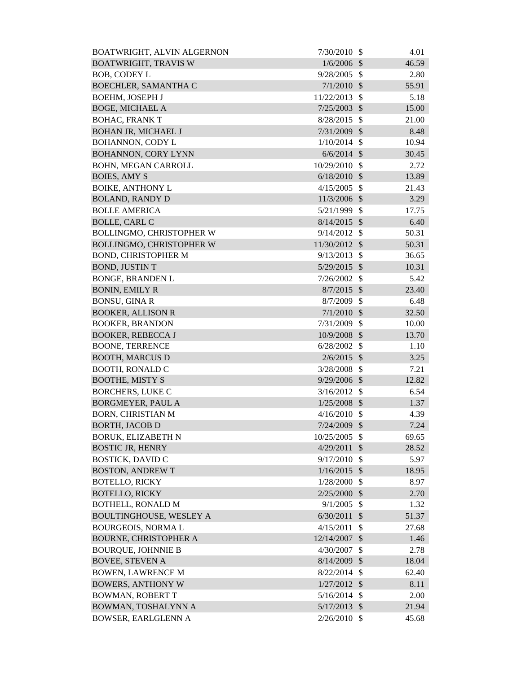| BOATWRIGHT, ALVIN ALGERNON      | 7/30/2010      | - \$                      | 4.01  |
|---------------------------------|----------------|---------------------------|-------|
| <b>BOATWRIGHT, TRAVIS W</b>     | $1/6/2006$ \$  |                           | 46.59 |
| <b>BOB, CODEY L</b>             | 9/28/2005      | -\$                       | 2.80  |
| <b>BOECHLER, SAMANTHA C</b>     | $7/1/2010$ \$  |                           | 55.91 |
| <b>BOEHM, JOSEPH J</b>          | 11/22/2013     | $\mathcal{S}$             | 5.18  |
| <b>BOGE, MICHAEL A</b>          | 7/25/2003      | $\mathcal{S}$             | 15.00 |
| <b>BOHAC, FRANK T</b>           | 8/28/2015      | $\mathcal{S}$             | 21.00 |
| <b>BOHAN JR, MICHAEL J</b>      | 7/31/2009      | $\mathcal{S}$             | 8.48  |
| <b>BOHANNON, CODY L</b>         | 1/10/2014      | $\mathbb{S}$              | 10.94 |
| <b>BOHANNON, CORY LYNN</b>      | $6/6/2014$ \$  |                           | 30.45 |
| <b>BOHN, MEGAN CARROLL</b>      | 10/29/2010     | $\mathcal{S}$             | 2.72  |
| <b>BOIES, AMY S</b>             | 6/18/2010      | $\mathcal{S}$             | 13.89 |
| <b>BOIKE, ANTHONY L</b>         | 4/15/2005      | $\mathcal{S}$             | 21.43 |
| <b>BOLAND, RANDY D</b>          | 11/3/2006      | $\mathcal{S}$             | 3.29  |
| <b>BOLLE AMERICA</b>            | 5/21/1999      | $\mathbb{S}$              | 17.75 |
| <b>BOLLE, CARL C</b>            | 8/14/2015      | $\mathcal{S}$             | 6.40  |
| <b>BOLLINGMO, CHRISTOPHER W</b> | 9/14/2012      | $\mathcal{S}$             | 50.31 |
| <b>BOLLINGMO, CHRISTOPHER W</b> | 11/30/2012 \$  |                           | 50.31 |
| <b>BOND, CHRISTOPHER M</b>      | 9/13/2013      | $\mathcal{S}$             | 36.65 |
| <b>BOND, JUSTIN T</b>           | $5/29/2015$ \$ |                           | 10.31 |
| <b>BONGE, BRANDEN L</b>         | 7/26/2002      | $\mathcal{S}$             | 5.42  |
| <b>BONIN, EMILY R</b>           | 8/7/2015       | $\mathcal{S}$             | 23.40 |
| <b>BONSU, GINA R</b>            | 8/7/2009       | $\mathcal{S}$             | 6.48  |
| <b>BOOKER, ALLISON R</b>        | 7/1/2010       | $\mathcal{S}$             | 32.50 |
| <b>BOOKER, BRANDON</b>          | 7/31/2009      | \$                        | 10.00 |
| <b>BOOKER, REBECCA J</b>        | 10/9/2008      | $\sqrt[6]{\frac{1}{2}}$   | 13.70 |
| <b>BOONE, TERRENCE</b>          | 6/28/2002      | $\mathcal{S}$             | 1.10  |
| <b>BOOTH, MARCUS D</b>          | 2/6/2015       | $\mathcal{S}$             | 3.25  |
| <b>BOOTH, RONALD C</b>          | 3/28/2008      | $\mathcal{S}$             | 7.21  |
| <b>BOOTHE, MISTY S</b>          | 9/29/2006 \$   |                           | 12.82 |
| <b>BORCHERS, LUKE C</b>         | 3/16/2012      | $\mathcal{S}$             | 6.54  |
| <b>BORGMEYER, PAUL A</b>        | 1/25/2008      | $\sqrt{3}$                | 1.37  |
| <b>BORN, CHRISTIAN M</b>        | 4/16/2010      | $\mathcal{S}$             | 4.39  |
| <b>BORTH, JACOB D</b>           | 7/24/2009 \$   |                           | 7.24  |
| <b>BORUK, ELIZABETH N</b>       | 10/25/2005     | $\mathbb{S}$              | 69.65 |
| <b>BOSTIC JR, HENRY</b>         | 4/29/2011      | $\mathcal{S}$             | 28.52 |
| <b>BOSTICK, DAVID C</b>         | 9/17/2010      | $\mathcal{S}$             | 5.97  |
| <b>BOSTON, ANDREW T</b>         | 1/16/2015      | $\mathcal{S}$             | 18.95 |
| <b>BOTELLO, RICKY</b>           | 1/28/2000      | $\mathcal{S}$             | 8.97  |
| <b>BOTELLO, RICKY</b>           | 2/25/2000      | $\mathcal{S}$             | 2.70  |
| <b>BOTHELL, RONALD M</b>        | 9/1/2005       | $\mathcal{S}$             | 1.32  |
| <b>BOULTINGHOUSE, WESLEY A</b>  | 6/30/2011      | $\mathcal{S}$             | 51.37 |
| <b>BOURGEOIS, NORMAL</b>        | 4/15/2011      | $\mathcal{S}$             | 27.68 |
| <b>BOURNE, CHRISTOPHER A</b>    | 12/14/2007     | $\boldsymbol{\mathsf{S}}$ | 1.46  |
| <b>BOURQUE, JOHNNIE B</b>       | 4/30/2007      | \$                        | 2.78  |
| <b>BOVEE, STEVEN A</b>          | 8/14/2009      | $\boldsymbol{\mathsf{S}}$ | 18.04 |
| <b>BOWEN, LAWRENCE M</b>        | 8/22/2014      | $\mathcal{S}$             | 62.40 |
| <b>BOWERS, ANTHONY W</b>        | 1/27/2012      | $\mathcal{S}$             | 8.11  |
| <b>BOWMAN, ROBERT T</b>         | 5/16/2014      | $\mathcal{S}$             | 2.00  |
| BOWMAN, TOSHALYNN A             | $5/17/2013$ \$ |                           | 21.94 |
| <b>BOWSER, EARLGLENN A</b>      | 2/26/2010      | $\mathcal{S}$             | 45.68 |
|                                 |                |                           |       |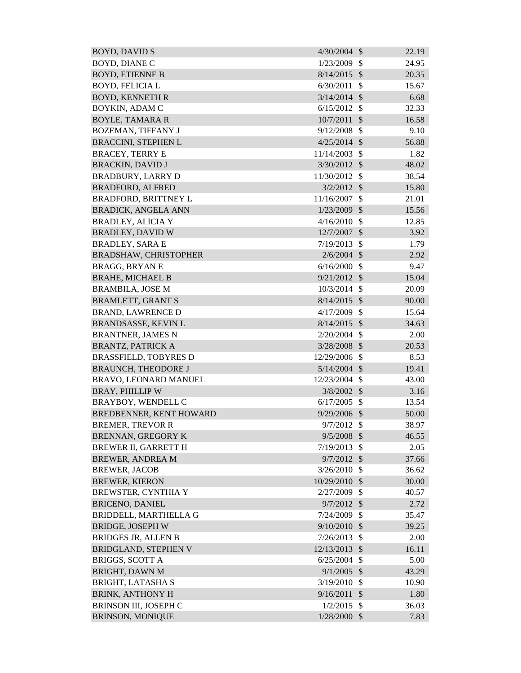| <b>BOYD, DAVID S</b>         | 4/30/2004      | $\mathcal{S}$ | 22.19 |
|------------------------------|----------------|---------------|-------|
| <b>BOYD, DIANE C</b>         | 1/23/2009      | $\mathcal{S}$ | 24.95 |
| <b>BOYD, ETIENNE B</b>       | 8/14/2015      | $\mathcal{S}$ | 20.35 |
| <b>BOYD, FELICIA L</b>       | 6/30/2011      | $\mathcal{S}$ | 15.67 |
| <b>BOYD, KENNETH R</b>       | 3/14/2014      | $\mathcal{S}$ | 6.68  |
| BOYKIN, ADAM C               | 6/15/2012      | $\mathcal{S}$ | 32.33 |
| <b>BOYLE, TAMARA R</b>       | 10/7/2011      | $\mathcal{S}$ | 16.58 |
| <b>BOZEMAN, TIFFANY J</b>    | 9/12/2008      | \$            | 9.10  |
| <b>BRACCINI, STEPHEN L</b>   | $4/25/2014$ \$ |               | 56.88 |
| <b>BRACEY, TERRY E</b>       | 11/14/2003     | $\mathcal{S}$ | 1.82  |
| <b>BRACKIN, DAVID J</b>      | $3/30/2012$ \$ |               | 48.02 |
| <b>BRADBURY, LARRY D</b>     | 11/30/2012     | \$            | 38.54 |
| <b>BRADFORD, ALFRED</b>      | $3/2/2012$ \$  |               | 15.80 |
| <b>BRADFORD, BRITTNEY L</b>  | 11/16/2007     | $\mathcal{S}$ | 21.01 |
| <b>BRADICK, ANGELA ANN</b>   | 1/23/2009      | $\mathcal{S}$ | 15.56 |
| <b>BRADLEY, ALICIA Y</b>     | 4/16/2010      | $\mathcal{S}$ | 12.85 |
| <b>BRADLEY, DAVID W</b>      | 12/7/2007      | $\mathcal{S}$ | 3.92  |
| <b>BRADLEY, SARA E</b>       | 7/19/2013      | $\mathcal{S}$ | 1.79  |
| <b>BRADSHAW, CHRISTOPHER</b> | $2/6/2004$ \$  |               | 2.92  |
| <b>BRAGG, BRYANE</b>         | 6/16/2000      | $\mathcal{S}$ | 9.47  |
| <b>BRAHE, MICHAEL B</b>      | 9/21/2012      | $\mathcal{S}$ | 15.04 |
| <b>BRAMBILA, JOSE M</b>      | 10/3/2014      | $\mathcal{S}$ | 20.09 |
| <b>BRAMLETT, GRANT S</b>     | 8/14/2015      | $\mathcal{S}$ | 90.00 |
| <b>BRAND, LAWRENCE D</b>     | 4/17/2009      | $\mathcal{S}$ | 15.64 |
| <b>BRANDSASSE, KEVIN L</b>   | 8/14/2015      | $\mathcal{S}$ | 34.63 |
| <b>BRANTNER, JAMES N</b>     | 2/20/2004      | $\mathcal{S}$ | 2.00  |
| <b>BRANTZ, PATRICK A</b>     | $3/28/2008$ \$ |               | 20.53 |
| <b>BRASSFIELD, TOBYRES D</b> | 12/29/2006     | $\mathcal{S}$ | 8.53  |
| <b>BRAUNCH, THEODORE J</b>   | $5/14/2004$ \$ |               | 19.41 |
| BRAVO, LEONARD MANUEL        | 12/23/2004     | $\mathbb{S}$  | 43.00 |
| <b>BRAY, PHILLIP W</b>       | $3/8/2002$ \$  |               | 3.16  |
| <b>BRAYBOY, WENDELL C</b>    | 6/17/2005      | $\mathcal{S}$ | 13.54 |
| BREDBENNER, KENT HOWARD      | 9/29/2006      | $\mathcal{S}$ | 50.00 |
| <b>BREMER, TREVOR R</b>      | $9/7/2012$ \$  |               | 38.97 |
| <b>BRENNAN, GREGORY K</b>    | 9/5/2008       | $\mathcal{S}$ | 46.55 |
| <b>BREWER II, GARRETT H</b>  | 7/19/2013      | $\mathcal{S}$ | 2.05  |
| <b>BREWER, ANDREA M</b>      | $9/7/2012$ \$  |               | 37.66 |
| <b>BREWER, JACOB</b>         | 3/26/2010      | $\mathcal{S}$ | 36.62 |
| <b>BREWER, KIERON</b>        | 10/29/2010     | $\mathcal{S}$ | 30.00 |
| BREWSTER, CYNTHIA Y          | 2/27/2009      | \$            | 40.57 |
| <b>BRICENO, DANIEL</b>       | $9/7/2012$ \$  |               | 2.72  |
| BRIDDELL, MARTHELLA G        | 7/24/2009      | $\mathcal{S}$ | 35.47 |
| <b>BRIDGE, JOSEPH W</b>      | 9/10/2010      | $\mathcal{S}$ | 39.25 |
| <b>BRIDGES JR, ALLEN B</b>   | 7/26/2013      | $\mathcal{S}$ | 2.00  |
| <b>BRIDGLAND, STEPHEN V</b>  | 12/13/2013     | $\mathcal{S}$ | 16.11 |
| <b>BRIGGS, SCOTT A</b>       | 6/25/2004      | $\mathcal{S}$ | 5.00  |
| <b>BRIGHT, DAWN M</b>        | $9/1/2005$ \$  |               | 43.29 |
| <b>BRIGHT, LATASHA S</b>     | 3/19/2010      | $\mathcal{S}$ | 10.90 |
| <b>BRINK, ANTHONY H</b>      | 9/16/2011      | $\mathcal{S}$ | 1.80  |
| BRINSON III, JOSEPH C        | 1/2/2015       | $\mathcal{S}$ | 36.03 |
| <b>BRINSON, MONIQUE</b>      | $1/28/2000$ \$ |               | 7.83  |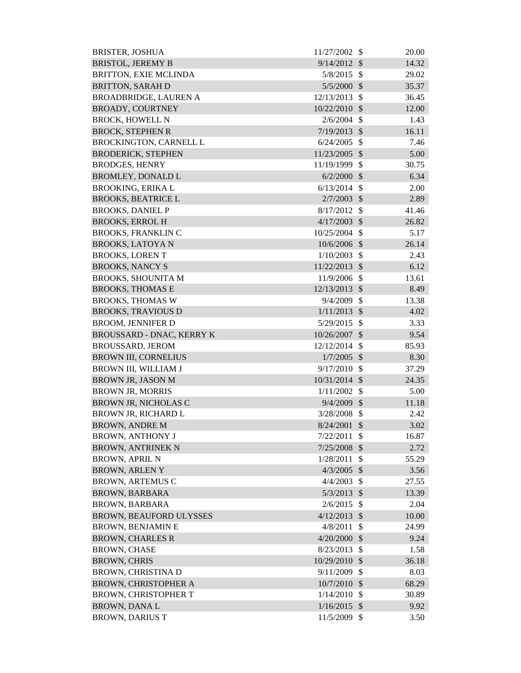| <b>BRISTER, JOSHUA</b>           | 11/27/2002     | $\mathcal{S}$              | 20.00 |
|----------------------------------|----------------|----------------------------|-------|
| <b>BRISTOL, JEREMY B</b>         | 9/14/2012      | $\sqrt[6]{\frac{1}{2}}$    | 14.32 |
| BRITTON, EXIE MCLINDA            | 5/8/2015       | $\mathcal{S}$              | 29.02 |
| <b>BRITTON, SARAH D</b>          | 5/5/2000       | $\mathcal{S}$              | 35.37 |
| <b>BROADBRIDGE, LAUREN A</b>     | 12/13/2013     | - \$                       | 36.45 |
| <b>BROADY, COURTNEY</b>          | 10/22/2010     | $\mathcal{S}$              | 12.00 |
| <b>BROCK, HOWELL N</b>           | 2/6/2004       | -\$                        | 1.43  |
| <b>BROCK, STEPHEN R</b>          | 7/19/2013      | $\boldsymbol{\mathcal{S}}$ | 16.11 |
| <b>BROCKINGTON, CARNELL L</b>    | 6/24/2005      | $\boldsymbol{\mathsf{S}}$  | 7.46  |
| <b>BRODERICK, STEPHEN</b>        | 11/23/2005     | $\mathcal{S}$              | 5.00  |
| <b>BRODGES, HENRY</b>            | 11/19/1999 \$  |                            | 30.75 |
| <b>BROMLEY, DONALD L</b>         | 6/2/2000       | \$                         | 6.34  |
| <b>BROOKING, ERIKA L</b>         | $6/13/2014$ \$ |                            | 2.00  |
| <b>BROOKS, BEATRICE L</b>        | 2/7/2003       | $\mathcal{S}$              | 2.89  |
| <b>BROOKS, DANIEL P</b>          | 8/17/2012      | $\mathcal{S}$              | 41.46 |
| <b>BROOKS, ERROL H</b>           | 4/17/2003      | $\mathcal{S}$              | 26.82 |
| <b>BROOKS, FRANKLIN C</b>        | 10/25/2004     | $\mathcal{S}$              | 5.17  |
| <b>BROOKS, LATOYAN</b>           | 10/6/2006 \$   |                            | 26.14 |
| <b>BROOKS, LORENT</b>            | 1/10/2003      | $\mathcal{S}$              | 2.43  |
| <b>BROOKS, NANCY S</b>           | 11/22/2013     | $\sqrt[6]{\frac{1}{2}}$    | 6.12  |
| <b>BROOKS, SHOUNITA M</b>        | 11/9/2006      | $\mathcal{S}$              | 13.61 |
| <b>BROOKS, THOMAS E</b>          | 12/13/2013 \$  |                            | 8.49  |
| <b>BROOKS, THOMAS W</b>          | 9/4/2009       | $\mathcal{S}$              | 13.38 |
| <b>BROOKS, TRAVIOUS D</b>        | $1/11/2013$ \$ |                            | 4.02  |
| <b>BROOM, JENNIFER D</b>         | 5/29/2015      | \$                         | 3.33  |
| <b>BROUSSARD - DNAC, KERRY K</b> | 10/26/2007 \$  |                            | 9.54  |
| <b>BROUSSARD, JEROM</b>          | 12/12/2014     | $\mathcal{S}$              | 85.93 |
| <b>BROWN III, CORNELIUS</b>      | $1/7/2005$ \$  |                            | 8.30  |
| BROWN III, WILLIAM J             | 9/17/2010      | $\mathcal{S}$              | 37.29 |
| <b>BROWN JR, JASON M</b>         | 10/31/2014 \$  |                            | 24.35 |
| <b>BROWN JR, MORRIS</b>          | $1/11/2002$ \$ |                            | 5.00  |
| <b>BROWN JR, NICHOLAS C</b>      | 9/4/2009       | $\mathcal{S}$              | 11.18 |
| <b>BROWN JR, RICHARD L</b>       | 3/28/2008      | \$                         | 2.42  |
| <b>BROWN, ANDRE M</b>            | 8/24/2001      | $\mathcal{S}$              | 3.02  |
| <b>BROWN, ANTHONY J</b>          | 7/22/2011      | \$                         | 16.87 |
| <b>BROWN, ANTRINEK N</b>         | 7/25/2008      | $\boldsymbol{\mathsf{S}}$  | 2.72  |
| <b>BROWN, APRIL N</b>            | 1/28/2011      | \$                         | 55.29 |
| <b>BROWN, ARLEN Y</b>            | 4/3/2005       | $\boldsymbol{\mathsf{S}}$  | 3.56  |
| <b>BROWN, ARTEMUS C</b>          | 4/4/2003       | \$                         | 27.55 |
| <b>BROWN, BARBARA</b>            | 5/3/2013       | $\boldsymbol{\mathsf{S}}$  | 13.39 |
| <b>BROWN, BARBARA</b>            | 2/6/2015       | $\mathcal{S}$              | 2.04  |
| <b>BROWN, BEAUFORD ULYSSES</b>   | 4/12/2013      | $\mathcal{S}$              | 10.00 |
| <b>BROWN, BENJAMIN E</b>         | 4/8/2011       | $\mathcal{S}$              | 24.99 |
| <b>BROWN, CHARLES R</b>          | 4/20/2000      | $\mathcal{S}$              | 9.24  |
| <b>BROWN, CHASE</b>              | 8/23/2013      | \$                         | 1.58  |
| <b>BROWN, CHRIS</b>              | 10/29/2010     | $\mathcal{S}$              | 36.18 |
| <b>BROWN, CHRISTINA D</b>        | 9/11/2009      | \$                         | 8.03  |
| <b>BROWN, CHRISTOPHER A</b>      | 10/7/2010      | $\mathcal{S}$              | 68.29 |
| <b>BROWN, CHRISTOPHER T</b>      | 1/14/2010      | \$                         | 30.89 |
| <b>BROWN, DANAL</b>              | 1/16/2015      | $\mathcal{S}$              | 9.92  |
| <b>BROWN, DARIUS T</b>           | 11/5/2009      | \$                         | 3.50  |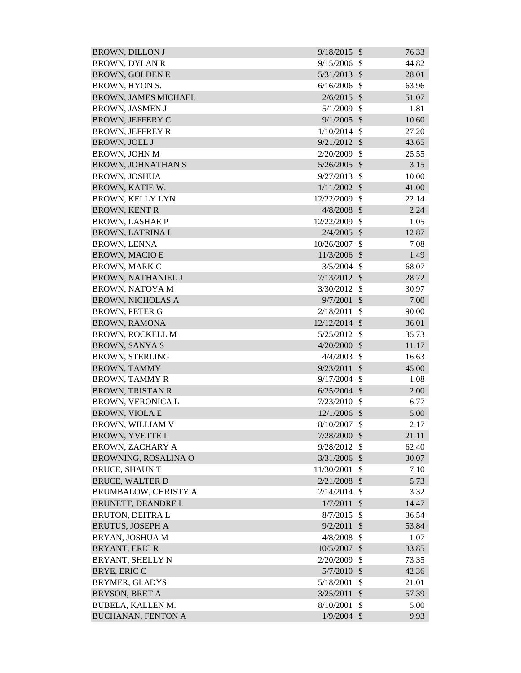| <b>BROWN, DILLON J</b>      | 9/18/2015              | $\mathcal{S}$       | 76.33          |
|-----------------------------|------------------------|---------------------|----------------|
| <b>BROWN, DYLAN R</b>       | 9/15/2006              | \$                  | 44.82          |
| <b>BROWN, GOLDEN E</b>      | 5/31/2013              | $\mathcal{S}$       | 28.01          |
| BROWN, HYON S.              | 6/16/2006              | $\mathcal{S}$       | 63.96          |
| <b>BROWN, JAMES MICHAEL</b> | 2/6/2015               | $\mathcal{S}$       | 51.07          |
| <b>BROWN, JASMEN J</b>      | 5/1/2009               | $\mathcal{S}$       | 1.81           |
| <b>BROWN, JEFFERY C</b>     | 9/1/2005               | $\mathcal{S}$       | 10.60          |
| <b>BROWN, JEFFREY R</b>     | 1/10/2014              | $\mathcal{S}$       | 27.20          |
| <b>BROWN, JOEL J</b>        | 9/21/2012              | $\mathcal{S}$       | 43.65          |
| <b>BROWN, JOHN M</b>        | 2/20/2009              | $\mathcal{S}$       | 25.55          |
| <b>BROWN, JOHNATHAN S</b>   | 5/26/2005              | $\mathcal{S}$       | 3.15           |
| <b>BROWN, JOSHUA</b>        | 9/27/2013              | $\mathcal{S}$       | 10.00          |
| BROWN, KATIE W.             | 1/11/2002              | $\mathcal{S}$       | 41.00          |
| <b>BROWN, KELLY LYN</b>     | 12/22/2009             | $\mathcal{S}$       | 22.14          |
| <b>BROWN, KENT R</b>        | 4/8/2008               | $\mathcal{S}$       | 2.24           |
| <b>BROWN, LASHAE P</b>      | 12/22/2009             | $\mathcal{S}$       | 1.05           |
| <b>BROWN, LATRINA L</b>     | 2/4/2005               | $\mathcal{S}$       | 12.87          |
| <b>BROWN, LENNA</b>         | 10/26/2007             | $\mathcal{S}$       | 7.08           |
| <b>BROWN, MACIO E</b>       | 11/3/2006              | $\mathcal{S}$       | 1.49           |
| <b>BROWN, MARK C</b>        | 3/5/2004               | $\mathbb{S}$        | 68.07          |
| <b>BROWN, NATHANIEL J</b>   | 7/13/2012              | $\mathcal{S}$       | 28.72          |
| <b>BROWN, NATOYA M</b>      | 3/30/2012              | $\mathcal{S}$       | 30.97          |
| <b>BROWN, NICHOLAS A</b>    | 9/7/2001               | $\mathcal{S}$       | 7.00           |
| <b>BROWN, PETER G</b>       | 2/18/2011              | $\mathcal{S}$       | 90.00          |
| <b>BROWN, RAMONA</b>        | 12/12/2014             | $\mathcal{S}$       | 36.01          |
| <b>BROWN, ROCKELL M</b>     | 5/25/2012              | $\mathcal{S}$       | 35.73          |
| <b>BROWN, SANYA S</b>       | 4/20/2000              | $\mathcal{S}$       | 11.17          |
| <b>BROWN, STERLING</b>      | 4/4/2003               | $\mathcal{S}$       | 16.63          |
| <b>BROWN, TAMMY</b>         | 9/23/2011              | $\mathcal{S}$       | 45.00          |
| <b>BROWN, TAMMY R</b>       | 9/17/2004              | $\mathcal{S}$       | 1.08           |
| <b>BROWN, TRISTAN R</b>     | $6/25/2004$ \$         |                     | 2.00           |
| <b>BROWN, VERONICA L</b>    | 7/23/2010              | <sup>\$</sup>       | 6.77           |
| <b>BROWN, VIOLA E</b>       | $12/1/2006$ \$         |                     | 5.00           |
| <b>BROWN, WILLIAM V</b>     | 8/10/2007              | $\mathcal{S}$       | 2.17           |
| <b>BROWN, YVETTE L</b>      | 7/28/2000              | $\mathcal{S}$       | 21.11          |
| <b>BROWN, ZACHARY A</b>     | 9/28/2012              | $\mathcal{S}$       | 62.40          |
| BROWNING, ROSALINA O        | 3/31/2006              | $\mathcal{S}$       | 30.07          |
| <b>BRUCE, SHAUN T</b>       | 11/30/2001             | $\mathcal{S}$       | 7.10           |
| <b>BRUCE, WALTER D</b>      | 2/21/2008              | $\mathcal{S}$       | 5.73           |
| BRUMBALOW, CHRISTY A        | 2/14/2014              | \$                  | 3.32           |
| <b>BRUNETT, DEANDRE L</b>   | 1/7/2011               | $\mathcal{S}$       | 14.47          |
| <b>BRUTON, DEITRAL</b>      | 8/7/2015               | $\mathcal{S}$       | 36.54          |
| <b>BRUTUS, JOSEPH A</b>     | 9/2/2011               | $\mathcal{S}$       | 53.84          |
| BRYAN, JOSHUA M             | 4/8/2008               | $\mathcal{S}$       | 1.07           |
| <b>BRYANT, ERIC R</b>       |                        | $\mathcal{S}$       |                |
| BRYANT, SHELLY N            | 10/5/2007<br>2/20/2009 | $\mathbb{S}$        | 33.85<br>73.35 |
|                             |                        | $\mathcal{S}$       |                |
| BRYE, ERIC C                | 5/7/2010               |                     | 42.36          |
| <b>BRYMER, GLADYS</b>       | 5/18/2001              | \$<br>$\mathcal{S}$ | 21.01          |
| <b>BRYSON, BRET A</b>       | 3/25/2011              |                     | 57.39          |
| BUBELA, KALLEN M.           | 8/10/2001              | $\mathcal{S}$       | 5.00           |
| <b>BUCHANAN, FENTON A</b>   | $1/9/2004$ \$          |                     | 9.93           |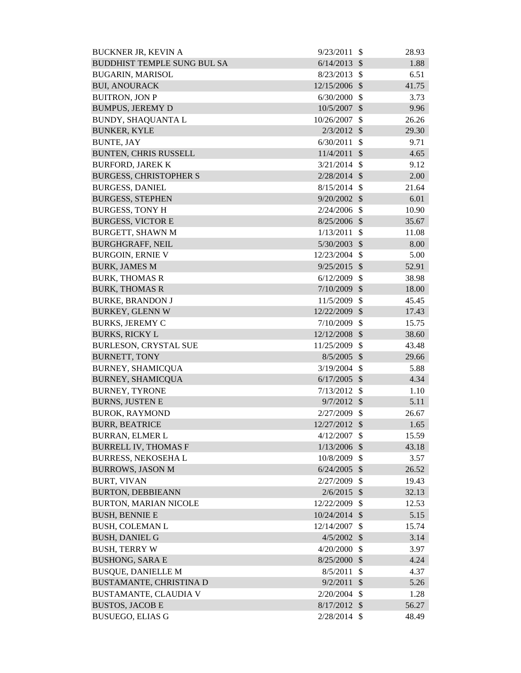| <b>BUCKNER JR, KEVIN A</b>         | 9/23/2011      | $\mathcal{S}$             | 28.93 |
|------------------------------------|----------------|---------------------------|-------|
| <b>BUDDHIST TEMPLE SUNG BUL SA</b> | 6/14/2013      | $\mathcal{S}$             | 1.88  |
| <b>BUGARIN, MARISOL</b>            | 8/23/2013      | $\mathcal{S}$             | 6.51  |
| <b>BUI, ANOURACK</b>               | 12/15/2006     | $\mathcal{S}$             | 41.75 |
| <b>BUITRON, JON P</b>              | 6/30/2000      | $\mathcal{S}$             | 3.73  |
| <b>BUMPUS, JEREMY D</b>            | 10/5/2007      | $\mathcal{S}$             | 9.96  |
| <b>BUNDY, SHAQUANTA L</b>          | 10/26/2007     | $\mathcal{S}$             | 26.26 |
| <b>BUNKER, KYLE</b>                | $2/3/2012$ \$  |                           | 29.30 |
| <b>BUNTE, JAY</b>                  | 6/30/2011      | $\mathcal{S}$             | 9.71  |
| <b>BUNTEN, CHRIS RUSSELL</b>       | 11/4/2011      | $\mathcal{S}$             | 4.65  |
| <b>BURFORD, JAREK K</b>            | 3/21/2014      | $\mathcal{S}$             | 9.12  |
| <b>BURGESS, CHRISTOPHER S</b>      | 2/28/2014      | $\mathcal{S}$             | 2.00  |
| <b>BURGESS, DANIEL</b>             | 8/15/2014      | $\mathbb{S}$              | 21.64 |
| <b>BURGESS, STEPHEN</b>            | 9/20/2002      | $\mathcal{S}$             | 6.01  |
| <b>BURGESS, TONY H</b>             | 2/24/2006      | $\mathcal{S}$             | 10.90 |
| <b>BURGESS, VICTOR E</b>           | 8/25/2006      | $\mathcal{S}$             | 35.67 |
| <b>BURGETT, SHAWN M</b>            | 1/13/2011      | $\mathcal{S}$             | 11.08 |
| <b>BURGHGRAFF, NEIL</b>            | 5/30/2003      | $\mathcal{S}$             | 8.00  |
| <b>BURGOIN, ERNIE V</b>            | 12/23/2004     | $\mathcal{S}$             | 5.00  |
| <b>BURK, JAMES M</b>               | 9/25/2015      | $\mathcal{S}$             | 52.91 |
| <b>BURK, THOMAS R</b>              | 6/12/2009      | $\mathcal{S}$             | 38.98 |
| <b>BURK, THOMAS R</b>              | $7/10/2009$ \$ |                           | 18.00 |
| <b>BURKE, BRANDON J</b>            | 11/5/2009      | $\mathcal{S}$             | 45.45 |
| <b>BURKEY, GLENN W</b>             | 12/22/2009     | $\mathcal{S}$             | 17.43 |
| <b>BURKS, JEREMY C</b>             | 7/10/2009      | $\mathcal{S}$             | 15.75 |
| <b>BURKS, RICKY L</b>              | 12/12/2008     | $\mathcal{S}$             | 38.60 |
| <b>BURLESON, CRYSTAL SUE</b>       | 11/25/2009     | $\mathcal{S}$             | 43.48 |
| <b>BURNETT, TONY</b>               | 8/5/2005       | $\mathcal{S}$             | 29.66 |
| <b>BURNEY, SHAMICQUA</b>           | 3/19/2004      | $\mathcal{S}$             | 5.88  |
| <b>BURNEY, SHAMICQUA</b>           | $6/17/2005$ \$ |                           | 4.34  |
| <b>BURNEY, TYRONE</b>              | 7/13/2012      | $\boldsymbol{\mathsf{S}}$ | 1.10  |
| <b>BURNS, JUSTEN E</b>             | 9/7/2012       | $\mathcal{S}$             | 5.11  |
| <b>BUROK, RAYMOND</b>              | 2/27/2009      | $\mathcal{S}$             | 26.67 |
| <b>BURR, BEATRICE</b>              | 12/27/2012 \$  |                           | 1.65  |
| <b>BURRAN, ELMER L</b>             | 4/12/2007      | $\mathcal{S}$             | 15.59 |
| <b>BURRELL IV, THOMAS F</b>        | 1/13/2006      | $\mathcal{S}$             | 43.18 |
| <b>BURRESS, NEKOSEHA L</b>         | 10/8/2009      | $\mathcal{S}$             | 3.57  |
| <b>BURROWS, JASON M</b>            | 6/24/2005      | $\mathcal{S}$             | 26.52 |
| <b>BURT, VIVAN</b>                 | 2/27/2009      | $\mathcal{S}$             | 19.43 |
| <b>BURTON, DEBBIEANN</b>           | 2/6/2015       | $\mathcal{S}$             | 32.13 |
| <b>BURTON, MARIAN NICOLE</b>       | 12/22/2009     | $\mathcal{S}$             | 12.53 |
| <b>BUSH, BENNIE E</b>              | 10/24/2014     | $\mathcal{S}$             | 5.15  |
| <b>BUSH, COLEMAN L</b>             | 12/14/2007     | $\mathcal{S}$             | 15.74 |
| <b>BUSH, DANIEL G</b>              | 4/5/2002       | $\sqrt{3}$                | 3.14  |
| <b>BUSH, TERRY W</b>               | 4/20/2000      | \$                        | 3.97  |
| <b>BUSHONG, SARA E</b>             | 8/25/2000      | $\sqrt{3}$                | 4.24  |
| <b>BUSQUE, DANIELLE M</b>          | 8/5/2011       | \$                        | 4.37  |
| BUSTAMANTE, CHRISTINA D            | 9/2/2011       | $\mathcal{S}$             | 5.26  |
| BUSTAMANTE, CLAUDIA V              | 2/20/2004      | $\mathcal{S}$             | 1.28  |
| <b>BUSTOS, JACOB E</b>             | $8/17/2012$ \$ |                           | 56.27 |
| <b>BUSUEGO, ELIAS G</b>            | $2/28/2014$ \$ |                           | 48.49 |
|                                    |                |                           |       |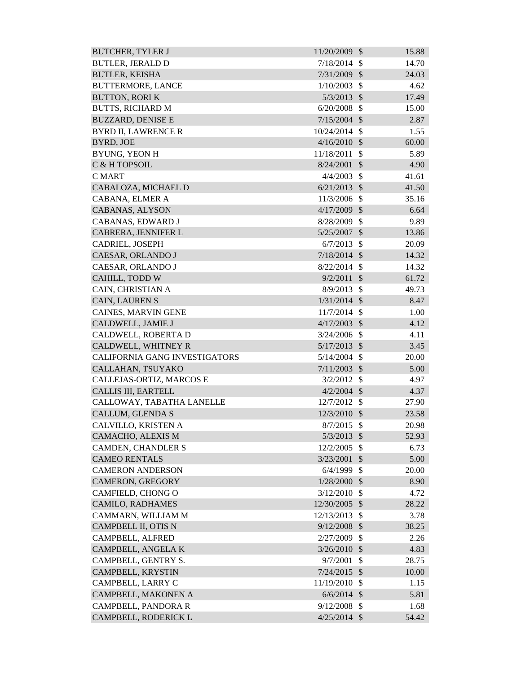| <b>BUTCHER, TYLER J</b>       | 11/20/2009     | $\mathcal{S}$             | 15.88 |
|-------------------------------|----------------|---------------------------|-------|
| <b>BUTLER, JERALD D</b>       | $7/18/2014$ \$ |                           | 14.70 |
| <b>BUTLER, KEISHA</b>         | 7/31/2009      | $\mathcal{S}$             | 24.03 |
| <b>BUTTERMORE, LANCE</b>      | 1/10/2003      | $\mathcal{S}$             | 4.62  |
| <b>BUTTON, RORI K</b>         | $5/3/2013$ \$  |                           | 17.49 |
| <b>BUTTS, RICHARD M</b>       | $6/20/2008$ \$ |                           | 15.00 |
| <b>BUZZARD, DENISE E</b>      | $7/15/2004$ \$ |                           | 2.87  |
| <b>BYRD II, LAWRENCE R</b>    | 10/24/2014     | $\mathcal{S}$             | 1.55  |
| <b>BYRD, JOE</b>              | $4/16/2010$ \$ |                           | 60.00 |
| BYUNG, YEON H                 | 11/18/2011     | $\mathcal{S}$             | 5.89  |
| C & H TOPSOIL                 | 8/24/2001      | $\sqrt$                   | 4.90  |
| <b>CMART</b>                  | 4/4/2003       | $\mathcal{S}$             | 41.61 |
| CABALOZA, MICHAEL D           | $6/21/2013$ \$ |                           | 41.50 |
| CABANA, ELMER A               | 11/3/2006 \$   |                           | 35.16 |
| CABANAS, ALYSON               | $4/17/2009$ \$ |                           | 6.64  |
| CABANAS, EDWARD J             | 8/28/2009      | $\mathcal{S}$             | 9.89  |
| CABRERA, JENNIFER L           | 5/25/2007      | $\mathcal{S}$             | 13.86 |
| CADRIEL, JOSEPH               | 6/7/2013       | $\mathcal{S}$             | 20.09 |
| CAESAR, ORLANDO J             | $7/18/2014$ \$ |                           | 14.32 |
| CAESAR, ORLANDO J             | 8/22/2014      | $\mathcal{S}$             | 14.32 |
| CAHILL, TODD W                | 9/2/2011       | $\mathcal{S}$             | 61.72 |
| CAIN, CHRISTIAN A             | 8/9/2013       | $\mathcal{S}$             | 49.73 |
| CAIN, LAUREN S                | $1/31/2014$ \$ |                           | 8.47  |
| CAINES, MARVIN GENE           | 11/7/2014      | $\mathcal{S}$             | 1.00  |
| CALDWELL, JAMIE J             | 4/17/2003      | $\mathcal{S}$             | 4.12  |
| CALDWELL, ROBERTA D           | $3/24/2006$ \$ |                           | 4.11  |
| CALDWELL, WHITNEY R           | $5/17/2013$ \$ |                           | 3.45  |
| CALIFORNIA GANG INVESTIGATORS | $5/14/2004$ \$ |                           | 20.00 |
| CALLAHAN, TSUYAKO             | $7/11/2003$ \$ |                           | 5.00  |
| CALLEJAS-ORTIZ, MARCOS E      | $3/2/2012$ \$  |                           | 4.97  |
| <b>CALLIS III, EARTELL</b>    | $4/2/2004$ \$  |                           | 4.37  |
| CALLOWAY, TABATHA LANELLE     | 12/7/2012      | \$                        | 27.90 |
| <b>CALLUM, GLENDA S</b>       | 12/3/2010      | $\mathcal{S}$             | 23.58 |
| CALVILLO, KRISTEN A           | 8/7/2015       | $\mathcal{S}$             | 20.98 |
| CAMACHO, ALEXIS M             | 5/3/2013       | $\mathcal{S}$             | 52.93 |
| <b>CAMDEN, CHANDLER S</b>     | 12/2/2005      | \$                        | 6.73  |
| <b>CAMEO RENTALS</b>          | 3/23/2001      | $\boldsymbol{\mathsf{S}}$ | 5.00  |
| <b>CAMERON ANDERSON</b>       | 6/4/1999       | $\mathcal{S}$             | 20.00 |
| CAMERON, GREGORY              | $1/28/2000$ \$ |                           | 8.90  |
| CAMFIELD, CHONG O             | 3/12/2010      | $\mathcal{S}$             | 4.72  |
| <b>CAMILO, RADHAMES</b>       | 12/30/2005 \$  |                           | 28.22 |
| CAMMARN, WILLIAM M            | 12/13/2013     | $\mathcal{S}$             | 3.78  |
| CAMPBELL II, OTIS N           | 9/12/2008      | $\mathcal{S}$             | 38.25 |
| CAMPBELL, ALFRED              | 2/27/2009      | \$                        | 2.26  |
| CAMPBELL, ANGELA K            | 3/26/2010      | $\mathcal{S}$             | 4.83  |
| CAMPBELL, GENTRY S.           | 9/7/2001       | $\mathcal{S}$             | 28.75 |
| CAMPBELL, KRYSTIN             | 7/24/2015      | $\mathcal{S}$             | 10.00 |
| CAMPBELL, LARRY C             | 11/19/2010     | $\mathcal{S}$             | 1.15  |
| CAMPBELL, MAKONEN A           | 6/6/2014       | $\sqrt[6]{\frac{1}{2}}$   | 5.81  |
| CAMPBELL, PANDORA R           | 9/12/2008      | $\mathcal{S}$             | 1.68  |
| CAMPBELL, RODERICK L          | $4/25/2014$ \$ |                           | 54.42 |
|                               |                |                           |       |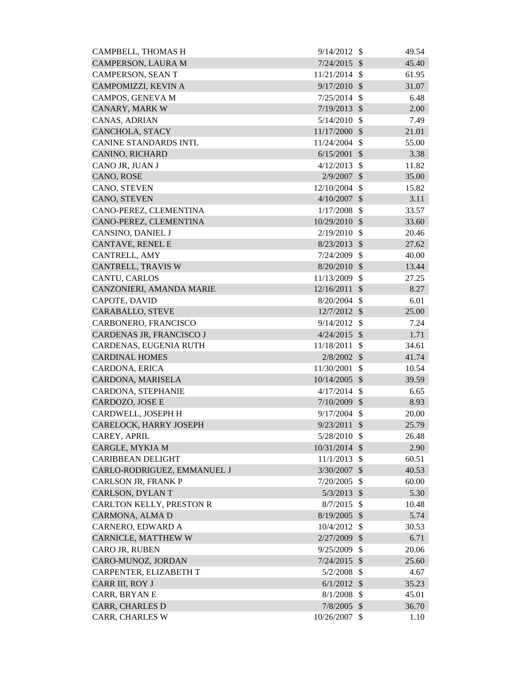| CAMPERSON, LAURA M<br>7/24/2015<br>$\mathcal{S}$<br>45.40<br><b>CAMPERSON, SEAN T</b><br>11/21/2014<br>-\$<br>61.95<br>CAMPOMIZZI, KEVIN A<br>9/17/2010<br>31.07<br>$\mathcal{S}$<br>CAMPOS, GENEVA M<br>$\mathcal{S}$<br>6.48<br>7/25/2014<br>CANARY, MARK W<br>$7/19/2013$ \$<br>2.00<br>CANAS, ADRIAN<br>$5/14/2010$ \$<br>7.49<br>CANCHOLA, STACY<br>11/17/2000<br>$\boldsymbol{\mathcal{S}}$<br>21.01<br><b>CANINE STANDARDS INTL</b><br>11/24/2004 \$<br>55.00<br>6/15/2001<br>$\mathcal{S}$<br>CANINO, RICHARD<br>3.38<br>$\mathcal{S}$<br>CANO JR, JUAN J<br>4/12/2013<br>11.82<br>$\mathcal{S}$<br>CANO, ROSE<br>2/9/2007<br>35.00<br>CANO, STEVEN<br>$\mathcal{S}$<br>15.82<br>12/10/2004<br>CANO, STEVEN<br>4/10/2007<br>$\mathcal{S}$<br>3.11<br>CANO-PEREZ, CLEMENTINA<br>1/17/2008<br>$\mathcal{S}$<br>33.57<br>CANO-PEREZ, CLEMENTINA<br>10/29/2010<br>$\mathcal{S}$<br>33.60<br>CANSINO, DANIEL J<br>2/19/2010<br>20.46<br>$\mathcal{S}$<br>CANTAVE, RENEL E<br>$\mathcal{S}$<br>8/23/2013<br>27.62<br>CANTRELL, AMY<br>7/24/2009<br>$\mathcal{S}$<br>40.00<br>CANTRELL, TRAVIS W<br>$8/20/2010$ \$<br>13.44<br>CANTU, CARLOS<br>11/13/2009<br>$\mathcal{S}$<br>27.25<br>CANZONIERI, AMANDA MARIE<br>12/16/2011<br>$\sqrt{3}$<br>8.27<br>$\mathcal{S}$<br>CAPOTE, DAVID<br>8/20/2004<br>6.01<br>CARABALLO, STEVE<br>12/7/2012 \$<br>25.00<br>CARBONERO, FRANCISCO<br>9/14/2012<br>$\mathcal{S}$<br>7.24<br>CARDENAS JR, FRANCISCO J<br>4/24/2015<br>1.71<br>$\mathcal{S}$<br>CARDENAS, EUGENIA RUTH<br>11/18/2011<br>$\mathcal{S}$<br>34.61<br><b>CARDINAL HOMES</b><br>2/8/2002<br>$\mathcal{S}$<br>41.74<br>CARDONA, ERICA<br>11/30/2001<br>$\mathcal{S}$<br>10.54<br>CARDONA, MARISELA<br>10/14/2005 \$<br>39.59<br>CARDONA, STEPHANIE<br>\$<br>6.65<br>4/17/2014<br>CARDOZO, JOSE E<br>7/10/2009<br>$\boldsymbol{\mathsf{S}}$<br>8.93<br>CARDWELL, JOSEPH H<br>$9/17/2004$ \$<br>20.00<br>CARELOCK, HARRY JOSEPH<br>$9/23/2011$ \$<br>25.79<br>CAREY, APRIL<br>5/28/2010<br>-\$<br>26.48<br>CARGLE, MYKIA M<br>10/31/2014 \$<br>2.90<br><b>CARIBBEAN DELIGHT</b><br>11/1/2013<br>$\mathcal{S}$<br>60.51<br>CARLO-RODRIGUEZ, EMMANUEL J<br>3/30/2007<br>$\mathcal{S}$<br>40.53<br>CARLSON JR, FRANK P<br>7/20/2005<br>$\mathcal{S}$<br>60.00<br>CARLSON, DYLAN T<br>$\mathcal{S}$<br>5.30<br>5/3/2013<br>CARLTON KELLY, PRESTON R<br>8/7/2015<br>$\mathcal{S}$<br>10.48<br>CARMONA, ALMA D<br>5.74<br>$8/19/2005$ \$<br>CARNERO, EDWARD A<br>10/4/2012 \$<br>30.53<br>CARNICLE, MATTHEW W<br>2/27/2009<br>$\boldsymbol{\mathcal{S}}$<br>6.71<br>CARO JR, RUBEN<br>9/25/2009<br>\$<br>20.06<br>CARO-MUNOZ, JORDAN<br>$7/24/2015$ \$<br>25.60<br>CARPENTER, ELIZABETH T<br>$5/2/2008$ \$<br>4.67<br>$6/1/2012$ \$<br>CARR III, ROY J<br>35.23<br>CARR, BRYAN E<br>45.01<br>$8/1/2008$ \$<br><b>CARR, CHARLES D</b><br>$7/8/2005$ \$<br>36.70<br>10/26/2007 \$ | CAMPBELL, THOMAS H     | 9/14/2012 | - \$ | 49.54 |
|--------------------------------------------------------------------------------------------------------------------------------------------------------------------------------------------------------------------------------------------------------------------------------------------------------------------------------------------------------------------------------------------------------------------------------------------------------------------------------------------------------------------------------------------------------------------------------------------------------------------------------------------------------------------------------------------------------------------------------------------------------------------------------------------------------------------------------------------------------------------------------------------------------------------------------------------------------------------------------------------------------------------------------------------------------------------------------------------------------------------------------------------------------------------------------------------------------------------------------------------------------------------------------------------------------------------------------------------------------------------------------------------------------------------------------------------------------------------------------------------------------------------------------------------------------------------------------------------------------------------------------------------------------------------------------------------------------------------------------------------------------------------------------------------------------------------------------------------------------------------------------------------------------------------------------------------------------------------------------------------------------------------------------------------------------------------------------------------------------------------------------------------------------------------------------------------------------------------------------------------------------------------------------------------------------------------------------------------------------------------------------------------------------------------------------------------------------------------------------------------------------------------------------------------------------------------------------------------------------------------------------------------------------------------------------------------------------------------------------------------------------------------------------------------------------------------------------------------------------------------------------|------------------------|-----------|------|-------|
|                                                                                                                                                                                                                                                                                                                                                                                                                                                                                                                                                                                                                                                                                                                                                                                                                                                                                                                                                                                                                                                                                                                                                                                                                                                                                                                                                                                                                                                                                                                                                                                                                                                                                                                                                                                                                                                                                                                                                                                                                                                                                                                                                                                                                                                                                                                                                                                                                                                                                                                                                                                                                                                                                                                                                                                                                                                                                |                        |           |      |       |
|                                                                                                                                                                                                                                                                                                                                                                                                                                                                                                                                                                                                                                                                                                                                                                                                                                                                                                                                                                                                                                                                                                                                                                                                                                                                                                                                                                                                                                                                                                                                                                                                                                                                                                                                                                                                                                                                                                                                                                                                                                                                                                                                                                                                                                                                                                                                                                                                                                                                                                                                                                                                                                                                                                                                                                                                                                                                                |                        |           |      |       |
|                                                                                                                                                                                                                                                                                                                                                                                                                                                                                                                                                                                                                                                                                                                                                                                                                                                                                                                                                                                                                                                                                                                                                                                                                                                                                                                                                                                                                                                                                                                                                                                                                                                                                                                                                                                                                                                                                                                                                                                                                                                                                                                                                                                                                                                                                                                                                                                                                                                                                                                                                                                                                                                                                                                                                                                                                                                                                |                        |           |      |       |
|                                                                                                                                                                                                                                                                                                                                                                                                                                                                                                                                                                                                                                                                                                                                                                                                                                                                                                                                                                                                                                                                                                                                                                                                                                                                                                                                                                                                                                                                                                                                                                                                                                                                                                                                                                                                                                                                                                                                                                                                                                                                                                                                                                                                                                                                                                                                                                                                                                                                                                                                                                                                                                                                                                                                                                                                                                                                                |                        |           |      |       |
|                                                                                                                                                                                                                                                                                                                                                                                                                                                                                                                                                                                                                                                                                                                                                                                                                                                                                                                                                                                                                                                                                                                                                                                                                                                                                                                                                                                                                                                                                                                                                                                                                                                                                                                                                                                                                                                                                                                                                                                                                                                                                                                                                                                                                                                                                                                                                                                                                                                                                                                                                                                                                                                                                                                                                                                                                                                                                |                        |           |      |       |
|                                                                                                                                                                                                                                                                                                                                                                                                                                                                                                                                                                                                                                                                                                                                                                                                                                                                                                                                                                                                                                                                                                                                                                                                                                                                                                                                                                                                                                                                                                                                                                                                                                                                                                                                                                                                                                                                                                                                                                                                                                                                                                                                                                                                                                                                                                                                                                                                                                                                                                                                                                                                                                                                                                                                                                                                                                                                                |                        |           |      |       |
|                                                                                                                                                                                                                                                                                                                                                                                                                                                                                                                                                                                                                                                                                                                                                                                                                                                                                                                                                                                                                                                                                                                                                                                                                                                                                                                                                                                                                                                                                                                                                                                                                                                                                                                                                                                                                                                                                                                                                                                                                                                                                                                                                                                                                                                                                                                                                                                                                                                                                                                                                                                                                                                                                                                                                                                                                                                                                |                        |           |      |       |
|                                                                                                                                                                                                                                                                                                                                                                                                                                                                                                                                                                                                                                                                                                                                                                                                                                                                                                                                                                                                                                                                                                                                                                                                                                                                                                                                                                                                                                                                                                                                                                                                                                                                                                                                                                                                                                                                                                                                                                                                                                                                                                                                                                                                                                                                                                                                                                                                                                                                                                                                                                                                                                                                                                                                                                                                                                                                                |                        |           |      |       |
|                                                                                                                                                                                                                                                                                                                                                                                                                                                                                                                                                                                                                                                                                                                                                                                                                                                                                                                                                                                                                                                                                                                                                                                                                                                                                                                                                                                                                                                                                                                                                                                                                                                                                                                                                                                                                                                                                                                                                                                                                                                                                                                                                                                                                                                                                                                                                                                                                                                                                                                                                                                                                                                                                                                                                                                                                                                                                |                        |           |      |       |
|                                                                                                                                                                                                                                                                                                                                                                                                                                                                                                                                                                                                                                                                                                                                                                                                                                                                                                                                                                                                                                                                                                                                                                                                                                                                                                                                                                                                                                                                                                                                                                                                                                                                                                                                                                                                                                                                                                                                                                                                                                                                                                                                                                                                                                                                                                                                                                                                                                                                                                                                                                                                                                                                                                                                                                                                                                                                                |                        |           |      |       |
|                                                                                                                                                                                                                                                                                                                                                                                                                                                                                                                                                                                                                                                                                                                                                                                                                                                                                                                                                                                                                                                                                                                                                                                                                                                                                                                                                                                                                                                                                                                                                                                                                                                                                                                                                                                                                                                                                                                                                                                                                                                                                                                                                                                                                                                                                                                                                                                                                                                                                                                                                                                                                                                                                                                                                                                                                                                                                |                        |           |      |       |
|                                                                                                                                                                                                                                                                                                                                                                                                                                                                                                                                                                                                                                                                                                                                                                                                                                                                                                                                                                                                                                                                                                                                                                                                                                                                                                                                                                                                                                                                                                                                                                                                                                                                                                                                                                                                                                                                                                                                                                                                                                                                                                                                                                                                                                                                                                                                                                                                                                                                                                                                                                                                                                                                                                                                                                                                                                                                                |                        |           |      |       |
|                                                                                                                                                                                                                                                                                                                                                                                                                                                                                                                                                                                                                                                                                                                                                                                                                                                                                                                                                                                                                                                                                                                                                                                                                                                                                                                                                                                                                                                                                                                                                                                                                                                                                                                                                                                                                                                                                                                                                                                                                                                                                                                                                                                                                                                                                                                                                                                                                                                                                                                                                                                                                                                                                                                                                                                                                                                                                |                        |           |      |       |
|                                                                                                                                                                                                                                                                                                                                                                                                                                                                                                                                                                                                                                                                                                                                                                                                                                                                                                                                                                                                                                                                                                                                                                                                                                                                                                                                                                                                                                                                                                                                                                                                                                                                                                                                                                                                                                                                                                                                                                                                                                                                                                                                                                                                                                                                                                                                                                                                                                                                                                                                                                                                                                                                                                                                                                                                                                                                                |                        |           |      |       |
|                                                                                                                                                                                                                                                                                                                                                                                                                                                                                                                                                                                                                                                                                                                                                                                                                                                                                                                                                                                                                                                                                                                                                                                                                                                                                                                                                                                                                                                                                                                                                                                                                                                                                                                                                                                                                                                                                                                                                                                                                                                                                                                                                                                                                                                                                                                                                                                                                                                                                                                                                                                                                                                                                                                                                                                                                                                                                |                        |           |      |       |
|                                                                                                                                                                                                                                                                                                                                                                                                                                                                                                                                                                                                                                                                                                                                                                                                                                                                                                                                                                                                                                                                                                                                                                                                                                                                                                                                                                                                                                                                                                                                                                                                                                                                                                                                                                                                                                                                                                                                                                                                                                                                                                                                                                                                                                                                                                                                                                                                                                                                                                                                                                                                                                                                                                                                                                                                                                                                                |                        |           |      |       |
|                                                                                                                                                                                                                                                                                                                                                                                                                                                                                                                                                                                                                                                                                                                                                                                                                                                                                                                                                                                                                                                                                                                                                                                                                                                                                                                                                                                                                                                                                                                                                                                                                                                                                                                                                                                                                                                                                                                                                                                                                                                                                                                                                                                                                                                                                                                                                                                                                                                                                                                                                                                                                                                                                                                                                                                                                                                                                |                        |           |      |       |
|                                                                                                                                                                                                                                                                                                                                                                                                                                                                                                                                                                                                                                                                                                                                                                                                                                                                                                                                                                                                                                                                                                                                                                                                                                                                                                                                                                                                                                                                                                                                                                                                                                                                                                                                                                                                                                                                                                                                                                                                                                                                                                                                                                                                                                                                                                                                                                                                                                                                                                                                                                                                                                                                                                                                                                                                                                                                                |                        |           |      |       |
|                                                                                                                                                                                                                                                                                                                                                                                                                                                                                                                                                                                                                                                                                                                                                                                                                                                                                                                                                                                                                                                                                                                                                                                                                                                                                                                                                                                                                                                                                                                                                                                                                                                                                                                                                                                                                                                                                                                                                                                                                                                                                                                                                                                                                                                                                                                                                                                                                                                                                                                                                                                                                                                                                                                                                                                                                                                                                |                        |           |      |       |
|                                                                                                                                                                                                                                                                                                                                                                                                                                                                                                                                                                                                                                                                                                                                                                                                                                                                                                                                                                                                                                                                                                                                                                                                                                                                                                                                                                                                                                                                                                                                                                                                                                                                                                                                                                                                                                                                                                                                                                                                                                                                                                                                                                                                                                                                                                                                                                                                                                                                                                                                                                                                                                                                                                                                                                                                                                                                                |                        |           |      |       |
|                                                                                                                                                                                                                                                                                                                                                                                                                                                                                                                                                                                                                                                                                                                                                                                                                                                                                                                                                                                                                                                                                                                                                                                                                                                                                                                                                                                                                                                                                                                                                                                                                                                                                                                                                                                                                                                                                                                                                                                                                                                                                                                                                                                                                                                                                                                                                                                                                                                                                                                                                                                                                                                                                                                                                                                                                                                                                |                        |           |      |       |
|                                                                                                                                                                                                                                                                                                                                                                                                                                                                                                                                                                                                                                                                                                                                                                                                                                                                                                                                                                                                                                                                                                                                                                                                                                                                                                                                                                                                                                                                                                                                                                                                                                                                                                                                                                                                                                                                                                                                                                                                                                                                                                                                                                                                                                                                                                                                                                                                                                                                                                                                                                                                                                                                                                                                                                                                                                                                                |                        |           |      |       |
|                                                                                                                                                                                                                                                                                                                                                                                                                                                                                                                                                                                                                                                                                                                                                                                                                                                                                                                                                                                                                                                                                                                                                                                                                                                                                                                                                                                                                                                                                                                                                                                                                                                                                                                                                                                                                                                                                                                                                                                                                                                                                                                                                                                                                                                                                                                                                                                                                                                                                                                                                                                                                                                                                                                                                                                                                                                                                |                        |           |      |       |
|                                                                                                                                                                                                                                                                                                                                                                                                                                                                                                                                                                                                                                                                                                                                                                                                                                                                                                                                                                                                                                                                                                                                                                                                                                                                                                                                                                                                                                                                                                                                                                                                                                                                                                                                                                                                                                                                                                                                                                                                                                                                                                                                                                                                                                                                                                                                                                                                                                                                                                                                                                                                                                                                                                                                                                                                                                                                                |                        |           |      |       |
|                                                                                                                                                                                                                                                                                                                                                                                                                                                                                                                                                                                                                                                                                                                                                                                                                                                                                                                                                                                                                                                                                                                                                                                                                                                                                                                                                                                                                                                                                                                                                                                                                                                                                                                                                                                                                                                                                                                                                                                                                                                                                                                                                                                                                                                                                                                                                                                                                                                                                                                                                                                                                                                                                                                                                                                                                                                                                |                        |           |      |       |
|                                                                                                                                                                                                                                                                                                                                                                                                                                                                                                                                                                                                                                                                                                                                                                                                                                                                                                                                                                                                                                                                                                                                                                                                                                                                                                                                                                                                                                                                                                                                                                                                                                                                                                                                                                                                                                                                                                                                                                                                                                                                                                                                                                                                                                                                                                                                                                                                                                                                                                                                                                                                                                                                                                                                                                                                                                                                                |                        |           |      |       |
|                                                                                                                                                                                                                                                                                                                                                                                                                                                                                                                                                                                                                                                                                                                                                                                                                                                                                                                                                                                                                                                                                                                                                                                                                                                                                                                                                                                                                                                                                                                                                                                                                                                                                                                                                                                                                                                                                                                                                                                                                                                                                                                                                                                                                                                                                                                                                                                                                                                                                                                                                                                                                                                                                                                                                                                                                                                                                |                        |           |      |       |
|                                                                                                                                                                                                                                                                                                                                                                                                                                                                                                                                                                                                                                                                                                                                                                                                                                                                                                                                                                                                                                                                                                                                                                                                                                                                                                                                                                                                                                                                                                                                                                                                                                                                                                                                                                                                                                                                                                                                                                                                                                                                                                                                                                                                                                                                                                                                                                                                                                                                                                                                                                                                                                                                                                                                                                                                                                                                                |                        |           |      |       |
|                                                                                                                                                                                                                                                                                                                                                                                                                                                                                                                                                                                                                                                                                                                                                                                                                                                                                                                                                                                                                                                                                                                                                                                                                                                                                                                                                                                                                                                                                                                                                                                                                                                                                                                                                                                                                                                                                                                                                                                                                                                                                                                                                                                                                                                                                                                                                                                                                                                                                                                                                                                                                                                                                                                                                                                                                                                                                |                        |           |      |       |
|                                                                                                                                                                                                                                                                                                                                                                                                                                                                                                                                                                                                                                                                                                                                                                                                                                                                                                                                                                                                                                                                                                                                                                                                                                                                                                                                                                                                                                                                                                                                                                                                                                                                                                                                                                                                                                                                                                                                                                                                                                                                                                                                                                                                                                                                                                                                                                                                                                                                                                                                                                                                                                                                                                                                                                                                                                                                                |                        |           |      |       |
|                                                                                                                                                                                                                                                                                                                                                                                                                                                                                                                                                                                                                                                                                                                                                                                                                                                                                                                                                                                                                                                                                                                                                                                                                                                                                                                                                                                                                                                                                                                                                                                                                                                                                                                                                                                                                                                                                                                                                                                                                                                                                                                                                                                                                                                                                                                                                                                                                                                                                                                                                                                                                                                                                                                                                                                                                                                                                |                        |           |      |       |
|                                                                                                                                                                                                                                                                                                                                                                                                                                                                                                                                                                                                                                                                                                                                                                                                                                                                                                                                                                                                                                                                                                                                                                                                                                                                                                                                                                                                                                                                                                                                                                                                                                                                                                                                                                                                                                                                                                                                                                                                                                                                                                                                                                                                                                                                                                                                                                                                                                                                                                                                                                                                                                                                                                                                                                                                                                                                                |                        |           |      |       |
|                                                                                                                                                                                                                                                                                                                                                                                                                                                                                                                                                                                                                                                                                                                                                                                                                                                                                                                                                                                                                                                                                                                                                                                                                                                                                                                                                                                                                                                                                                                                                                                                                                                                                                                                                                                                                                                                                                                                                                                                                                                                                                                                                                                                                                                                                                                                                                                                                                                                                                                                                                                                                                                                                                                                                                                                                                                                                |                        |           |      |       |
|                                                                                                                                                                                                                                                                                                                                                                                                                                                                                                                                                                                                                                                                                                                                                                                                                                                                                                                                                                                                                                                                                                                                                                                                                                                                                                                                                                                                                                                                                                                                                                                                                                                                                                                                                                                                                                                                                                                                                                                                                                                                                                                                                                                                                                                                                                                                                                                                                                                                                                                                                                                                                                                                                                                                                                                                                                                                                |                        |           |      |       |
|                                                                                                                                                                                                                                                                                                                                                                                                                                                                                                                                                                                                                                                                                                                                                                                                                                                                                                                                                                                                                                                                                                                                                                                                                                                                                                                                                                                                                                                                                                                                                                                                                                                                                                                                                                                                                                                                                                                                                                                                                                                                                                                                                                                                                                                                                                                                                                                                                                                                                                                                                                                                                                                                                                                                                                                                                                                                                |                        |           |      |       |
|                                                                                                                                                                                                                                                                                                                                                                                                                                                                                                                                                                                                                                                                                                                                                                                                                                                                                                                                                                                                                                                                                                                                                                                                                                                                                                                                                                                                                                                                                                                                                                                                                                                                                                                                                                                                                                                                                                                                                                                                                                                                                                                                                                                                                                                                                                                                                                                                                                                                                                                                                                                                                                                                                                                                                                                                                                                                                |                        |           |      |       |
|                                                                                                                                                                                                                                                                                                                                                                                                                                                                                                                                                                                                                                                                                                                                                                                                                                                                                                                                                                                                                                                                                                                                                                                                                                                                                                                                                                                                                                                                                                                                                                                                                                                                                                                                                                                                                                                                                                                                                                                                                                                                                                                                                                                                                                                                                                                                                                                                                                                                                                                                                                                                                                                                                                                                                                                                                                                                                |                        |           |      |       |
|                                                                                                                                                                                                                                                                                                                                                                                                                                                                                                                                                                                                                                                                                                                                                                                                                                                                                                                                                                                                                                                                                                                                                                                                                                                                                                                                                                                                                                                                                                                                                                                                                                                                                                                                                                                                                                                                                                                                                                                                                                                                                                                                                                                                                                                                                                                                                                                                                                                                                                                                                                                                                                                                                                                                                                                                                                                                                |                        |           |      |       |
|                                                                                                                                                                                                                                                                                                                                                                                                                                                                                                                                                                                                                                                                                                                                                                                                                                                                                                                                                                                                                                                                                                                                                                                                                                                                                                                                                                                                                                                                                                                                                                                                                                                                                                                                                                                                                                                                                                                                                                                                                                                                                                                                                                                                                                                                                                                                                                                                                                                                                                                                                                                                                                                                                                                                                                                                                                                                                |                        |           |      |       |
|                                                                                                                                                                                                                                                                                                                                                                                                                                                                                                                                                                                                                                                                                                                                                                                                                                                                                                                                                                                                                                                                                                                                                                                                                                                                                                                                                                                                                                                                                                                                                                                                                                                                                                                                                                                                                                                                                                                                                                                                                                                                                                                                                                                                                                                                                                                                                                                                                                                                                                                                                                                                                                                                                                                                                                                                                                                                                |                        |           |      |       |
|                                                                                                                                                                                                                                                                                                                                                                                                                                                                                                                                                                                                                                                                                                                                                                                                                                                                                                                                                                                                                                                                                                                                                                                                                                                                                                                                                                                                                                                                                                                                                                                                                                                                                                                                                                                                                                                                                                                                                                                                                                                                                                                                                                                                                                                                                                                                                                                                                                                                                                                                                                                                                                                                                                                                                                                                                                                                                |                        |           |      |       |
|                                                                                                                                                                                                                                                                                                                                                                                                                                                                                                                                                                                                                                                                                                                                                                                                                                                                                                                                                                                                                                                                                                                                                                                                                                                                                                                                                                                                                                                                                                                                                                                                                                                                                                                                                                                                                                                                                                                                                                                                                                                                                                                                                                                                                                                                                                                                                                                                                                                                                                                                                                                                                                                                                                                                                                                                                                                                                |                        |           |      |       |
|                                                                                                                                                                                                                                                                                                                                                                                                                                                                                                                                                                                                                                                                                                                                                                                                                                                                                                                                                                                                                                                                                                                                                                                                                                                                                                                                                                                                                                                                                                                                                                                                                                                                                                                                                                                                                                                                                                                                                                                                                                                                                                                                                                                                                                                                                                                                                                                                                                                                                                                                                                                                                                                                                                                                                                                                                                                                                |                        |           |      |       |
|                                                                                                                                                                                                                                                                                                                                                                                                                                                                                                                                                                                                                                                                                                                                                                                                                                                                                                                                                                                                                                                                                                                                                                                                                                                                                                                                                                                                                                                                                                                                                                                                                                                                                                                                                                                                                                                                                                                                                                                                                                                                                                                                                                                                                                                                                                                                                                                                                                                                                                                                                                                                                                                                                                                                                                                                                                                                                |                        |           |      |       |
|                                                                                                                                                                                                                                                                                                                                                                                                                                                                                                                                                                                                                                                                                                                                                                                                                                                                                                                                                                                                                                                                                                                                                                                                                                                                                                                                                                                                                                                                                                                                                                                                                                                                                                                                                                                                                                                                                                                                                                                                                                                                                                                                                                                                                                                                                                                                                                                                                                                                                                                                                                                                                                                                                                                                                                                                                                                                                |                        |           |      |       |
|                                                                                                                                                                                                                                                                                                                                                                                                                                                                                                                                                                                                                                                                                                                                                                                                                                                                                                                                                                                                                                                                                                                                                                                                                                                                                                                                                                                                                                                                                                                                                                                                                                                                                                                                                                                                                                                                                                                                                                                                                                                                                                                                                                                                                                                                                                                                                                                                                                                                                                                                                                                                                                                                                                                                                                                                                                                                                |                        |           |      |       |
|                                                                                                                                                                                                                                                                                                                                                                                                                                                                                                                                                                                                                                                                                                                                                                                                                                                                                                                                                                                                                                                                                                                                                                                                                                                                                                                                                                                                                                                                                                                                                                                                                                                                                                                                                                                                                                                                                                                                                                                                                                                                                                                                                                                                                                                                                                                                                                                                                                                                                                                                                                                                                                                                                                                                                                                                                                                                                |                        |           |      |       |
|                                                                                                                                                                                                                                                                                                                                                                                                                                                                                                                                                                                                                                                                                                                                                                                                                                                                                                                                                                                                                                                                                                                                                                                                                                                                                                                                                                                                                                                                                                                                                                                                                                                                                                                                                                                                                                                                                                                                                                                                                                                                                                                                                                                                                                                                                                                                                                                                                                                                                                                                                                                                                                                                                                                                                                                                                                                                                |                        |           |      |       |
|                                                                                                                                                                                                                                                                                                                                                                                                                                                                                                                                                                                                                                                                                                                                                                                                                                                                                                                                                                                                                                                                                                                                                                                                                                                                                                                                                                                                                                                                                                                                                                                                                                                                                                                                                                                                                                                                                                                                                                                                                                                                                                                                                                                                                                                                                                                                                                                                                                                                                                                                                                                                                                                                                                                                                                                                                                                                                |                        |           |      |       |
|                                                                                                                                                                                                                                                                                                                                                                                                                                                                                                                                                                                                                                                                                                                                                                                                                                                                                                                                                                                                                                                                                                                                                                                                                                                                                                                                                                                                                                                                                                                                                                                                                                                                                                                                                                                                                                                                                                                                                                                                                                                                                                                                                                                                                                                                                                                                                                                                                                                                                                                                                                                                                                                                                                                                                                                                                                                                                | <b>CARR, CHARLES W</b> |           |      | 1.10  |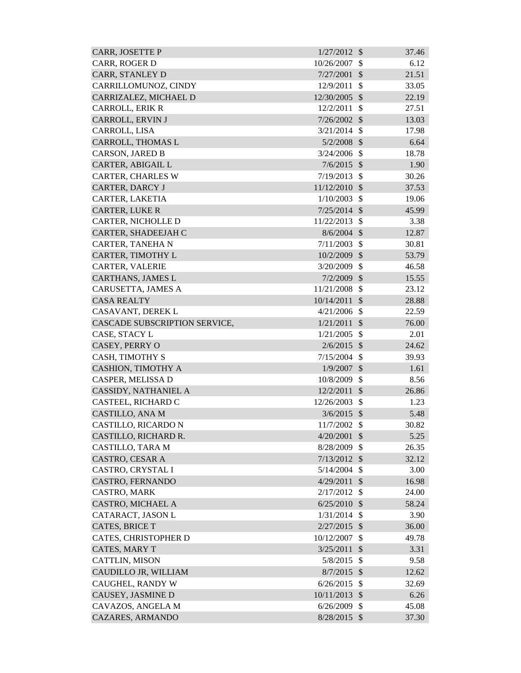| <b>CARR, JOSETTE P</b>        | 1/27/2012      | $\mathcal{S}$ | 37.46 |
|-------------------------------|----------------|---------------|-------|
| CARR, ROGER D                 | 10/26/2007     | \$            | 6.12  |
| <b>CARR, STANLEY D</b>        | 7/27/2001      | $\mathcal{S}$ | 21.51 |
| CARRILLOMUNOZ, CINDY          | 12/9/2011      | \$            | 33.05 |
| CARRIZALEZ, MICHAEL D         | 12/30/2005     | $\mathcal{S}$ | 22.19 |
| CARROLL, ERIK R               | 12/2/2011      | $\mathbb{S}$  | 27.51 |
| CARROLL, ERVIN J              | $7/26/2002$ \$ |               | 13.03 |
| CARROLL, LISA                 | 3/21/2014      | $\mathcal{S}$ | 17.98 |
| CARROLL, THOMAS L             | $5/2/2008$ \$  |               | 6.64  |
| <b>CARSON, JARED B</b>        | 3/24/2006      | $\mathbb{S}$  | 18.78 |
| CARTER, ABIGAIL L             | $7/6/2015$ \$  |               | 1.90  |
| <b>CARTER, CHARLES W</b>      | 7/19/2013      | $\mathcal{S}$ | 30.26 |
| CARTER, DARCY J               | 11/12/2010 \$  |               | 37.53 |
| CARTER, LAKETIA               | 1/10/2003      | $\mathcal{S}$ | 19.06 |
| <b>CARTER, LUKE R</b>         | $7/25/2014$ \$ |               | 45.99 |
| CARTER, NICHOLLE D            | 11/22/2013     | $\mathcal{S}$ | 3.38  |
| CARTER, SHADEEJAH C           | 8/6/2004       | $\mathcal{S}$ | 12.87 |
| CARTER, TANEHA N              | 7/11/2003      | $\mathcal{S}$ | 30.81 |
| CARTER, TIMOTHY L             | 10/2/2009      | $\mathcal{S}$ | 53.79 |
| <b>CARTER, VALERIE</b>        | 3/20/2009      | $\mathcal{S}$ | 46.58 |
| <b>CARTHANS, JAMES L</b>      | 7/2/2009       | $\mathcal{S}$ | 15.55 |
| CARUSETTA, JAMES A            | 11/21/2008 \$  |               | 23.12 |
| <b>CASA REALTY</b>            | 10/14/2011     | $\mathcal{S}$ | 28.88 |
| CASAVANT, DEREK L             | 4/21/2006      | $\mathbb{S}$  | 22.59 |
| CASCADE SUBSCRIPTION SERVICE, | 1/21/2011      | $\mathcal{S}$ | 76.00 |
| CASE, STACY L                 | 1/21/2005      | $\mathcal{S}$ | 2.01  |
| CASEY, PERRY O                | $2/6/2015$ \$  |               | 24.62 |
| CASH, TIMOTHY S               | $7/15/2004$ \$ |               | 39.93 |
| <b>CASHION, TIMOTHY A</b>     | $1/9/2007$ \$  |               | 1.61  |
| CASPER, MELISSA D             | 10/8/2009      | $\mathcal{S}$ | 8.56  |
| CASSIDY, NATHANIEL A          | 12/2/2011 \$   |               | 26.86 |
| CASTEEL, RICHARD C            | 12/26/2003     | \$            | 1.23  |
| <b>CASTILLO, ANA M</b>        | 3/6/2015       | $\mathcal{S}$ | 5.48  |
| CASTILLO, RICARDO N           | 11/7/2002      | $\mathcal{S}$ | 30.82 |
| CASTILLO, RICHARD R.          | 4/20/2001      | $\mathcal{S}$ | 5.25  |
| <b>CASTILLO, TARA M</b>       | 8/28/2009      | \$            | 26.35 |
| <b>CASTRO, CESAR A</b>        | 7/13/2012      | $\mathcal{S}$ | 32.12 |
| <b>CASTRO, CRYSTAL I</b>      | 5/14/2004      | $\mathcal{S}$ | 3.00  |
| CASTRO, FERNANDO              | 4/29/2011      | $\mathcal{S}$ | 16.98 |
| CASTRO, MARK                  | 2/17/2012      | \$            | 24.00 |
| CASTRO, MICHAEL A             | 6/25/2010      | $\mathcal{S}$ | 58.24 |
| CATARACT, JASON L             | 1/31/2014      | $\mathcal{S}$ | 3.90  |
| <b>CATES, BRICE T</b>         | 2/27/2015      | $\mathcal{S}$ | 36.00 |
| CATES, CHRISTOPHER D          | 10/12/2007     | \$            | 49.78 |
| CATES, MARY T                 | 3/25/2011      | $\mathcal{S}$ | 3.31  |
| <b>CATTLIN, MISON</b>         | 5/8/2015       | $\mathcal{S}$ | 9.58  |
| CAUDILLO JR, WILLIAM          | 8/7/2015       | $\mathcal{S}$ | 12.62 |
| CAUGHEL, RANDY W              | 6/26/2015      | $\mathcal{S}$ | 32.69 |
| CAUSEY, JASMINE D             | 10/11/2013     | $\mathcal{S}$ | 6.26  |
| CAVAZOS, ANGELA M             | 6/26/2009      | $\mathcal{S}$ | 45.08 |
| CAZARES, ARMANDO              | 8/28/2015 \$   |               | 37.30 |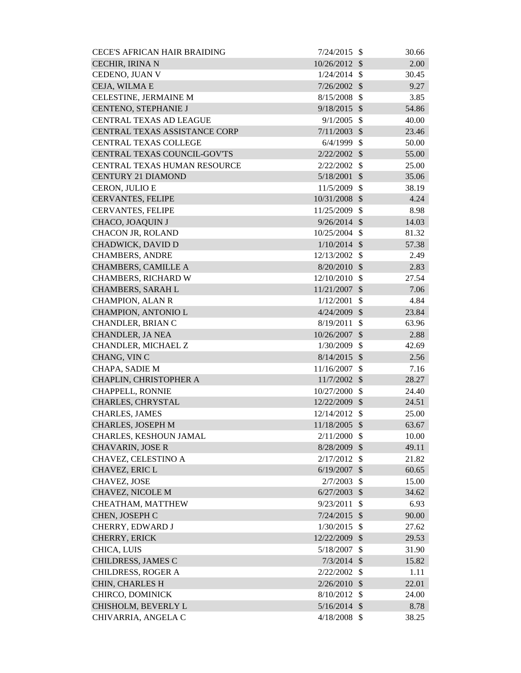| <b>CECE'S AFRICAN HAIR BRAIDING</b> | $7/24/2015$ \$ |                           | 30.66 |
|-------------------------------------|----------------|---------------------------|-------|
| CECHIR, IRINA N                     | 10/26/2012 \$  |                           | 2.00  |
| CEDENO, JUAN V                      | $1/24/2014$ \$ |                           | 30.45 |
| CEJA, WILMA E                       | 7/26/2002      | $\mathcal{S}$             | 9.27  |
| CELESTINE, JERMAINE M               | 8/15/2008      | $\mathcal{S}$             | 3.85  |
| CENTENO, STEPHANIE J                | $9/18/2015$ \$ |                           | 54.86 |
| <b>CENTRAL TEXAS AD LEAGUE</b>      | 9/1/2005       | $\mathcal{S}$             | 40.00 |
| CENTRAL TEXAS ASSISTANCE CORP       | 7/11/2003      | $\mathcal{S}$             | 23.46 |
| <b>CENTRAL TEXAS COLLEGE</b>        | $6/4/1999$ \$  |                           | 50.00 |
| CENTRAL TEXAS COUNCIL-GOV'TS        | $2/22/2002$ \$ |                           | 55.00 |
| CENTRAL TEXAS HUMAN RESOURCE        | $2/22/2002$ \$ |                           | 25.00 |
| <b>CENTURY 21 DIAMOND</b>           | 5/18/2001      | $\mathcal{S}$             | 35.06 |
| CERON, JULIO E                      | 11/5/2009      | $\mathcal{S}$             | 38.19 |
| <b>CERVANTES, FELIPE</b>            | 10/31/2008 \$  |                           | 4.24  |
| <b>CERVANTES, FELIPE</b>            | 11/25/2009     | $\mathcal{S}$             | 8.98  |
| <b>CHACO, JOAQUIN J</b>             | $9/26/2014$ \$ |                           | 14.03 |
| <b>CHACON JR, ROLAND</b>            | 10/25/2004     | $\mathcal{S}$             | 81.32 |
| CHADWICK, DAVID D                   | $1/10/2014$ \$ |                           | 57.38 |
| <b>CHAMBERS, ANDRE</b>              | 12/13/2002     | $\mathcal{S}$             | 2.49  |
| <b>CHAMBERS, CAMILLE A</b>          | $8/20/2010$ \$ |                           | 2.83  |
| <b>CHAMBERS, RICHARD W</b>          | 12/10/2010     | $\mathcal{S}$             | 27.54 |
| <b>CHAMBERS, SARAH L</b>            | 11/21/2007 \$  |                           | 7.06  |
| <b>CHAMPION, ALAN R</b>             | 1/12/2001      | $\mathcal{S}$             | 4.84  |
| CHAMPION, ANTONIO L                 | 4/24/2009      | $\mathcal{S}$             | 23.84 |
| CHANDLER, BRIAN C                   | 8/19/2011      | $\mathcal{S}$             | 63.96 |
| <b>CHANDLER, JA NEA</b>             | 10/26/2007     | $\mathcal{S}$             | 2.88  |
| CHANDLER, MICHAEL Z                 | 1/30/2009      | $\boldsymbol{\mathsf{S}}$ | 42.69 |
| CHANG, VINC                         | $8/14/2015$ \$ |                           | 2.56  |
| <b>CHAPA, SADIE M</b>               | 11/16/2007     | $\mathcal{S}$             | 7.16  |
| CHAPLIN, CHRISTOPHER A              | 11/7/2002 \$   |                           | 28.27 |
| CHAPPELL, RONNIE                    | 10/27/2000 \$  |                           | 24.40 |
| CHARLES, CHRYSTAL                   | 12/22/2009     | $\mathcal{S}$             | 24.51 |
| <b>CHARLES, JAMES</b>               | 12/14/2012 \$  |                           | 25.00 |
| <b>CHARLES, JOSEPH M</b>            | 11/18/2005 \$  |                           | 63.67 |
| CHARLES, KESHOUN JAMAL              | 2/11/2000      | \$                        | 10.00 |
| <b>CHAVARIN, JOSE R</b>             | 8/28/2009      | $\mathcal{S}$             | 49.11 |
| CHAVEZ, CELESTINO A                 | 2/17/2012      | $\mathcal{S}$             | 21.82 |
| CHAVEZ, ERIC L                      | 6/19/2007      | $\mathcal{S}$             | 60.65 |
| CHAVEZ, JOSE                        | 2/7/2003       | \$                        | 15.00 |
| CHAVEZ, NICOLE M                    | 6/27/2003      | $\mathcal{S}$             | 34.62 |
| CHEATHAM, MATTHEW                   | 9/23/2011      | \$                        | 6.93  |
| CHEN, JOSEPH C                      | 7/24/2015      | $\mathcal{S}$             | 90.00 |
| CHERRY, EDWARD J                    | $1/30/2015$ \$ |                           | 27.62 |
| CHERRY, ERICK                       | 12/22/2009 \$  |                           | 29.53 |
| CHICA, LUIS                         | 5/18/2007      | \$                        | 31.90 |
| CHILDRESS, JAMES C                  | $7/3/2014$ \$  |                           | 15.82 |
| <b>CHILDRESS, ROGER A</b>           | 2/22/2002      | $\mathcal{S}$             | 1.11  |
| CHIN, CHARLES H                     | $2/26/2010$ \$ |                           | 22.01 |
| CHIRCO, DOMINICK                    | 8/10/2012      | \$                        | 24.00 |
| CHISHOLM, BEVERLY L                 | $5/16/2014$ \$ |                           | 8.78  |
| CHIVARRIA, ANGELA C                 | $4/18/2008$ \$ |                           | 38.25 |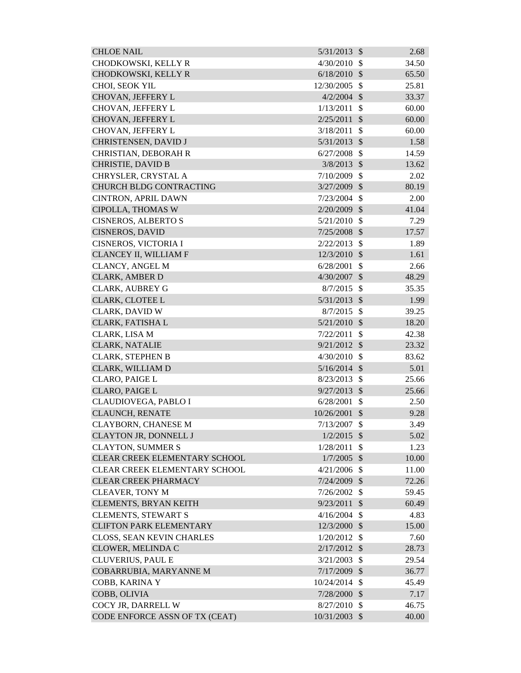| <b>CHLOE NAIL</b>                    | $5/31/2013$ \$ |                           | 2.68  |
|--------------------------------------|----------------|---------------------------|-------|
| CHODKOWSKI, KELLY R                  | 4/30/2010      | $\mathcal{S}$             | 34.50 |
| CHODKOWSKI, KELLY R                  | 6/18/2010      | $\mathcal{S}$             | 65.50 |
| CHOI, SEOK YIL                       | 12/30/2005     | $\mathcal{S}$             | 25.81 |
| CHOVAN, JEFFERY L                    | 4/2/2004       | $\mathcal{S}$             | 33.37 |
| CHOVAN, JEFFERY L                    | 1/13/2011      | $\mathcal{S}$             | 60.00 |
| CHOVAN, JEFFERY L                    | 2/25/2011      | $\mathcal{S}$             | 60.00 |
| CHOVAN, JEFFERY L                    | 3/18/2011      | \$                        | 60.00 |
| CHRISTENSEN, DAVID J                 | 5/31/2013      | $\mathcal{S}$             | 1.58  |
| CHRISTIAN, DEBORAH R                 | 6/27/2008      | $\mathcal{S}$             | 14.59 |
| <b>CHRISTIE, DAVID B</b>             | 3/8/2013       | $\mathcal{S}$             | 13.62 |
| CHRYSLER, CRYSTAL A                  | 7/10/2009      | $\mathcal{S}$             | 2.02  |
| <b>CHURCH BLDG CONTRACTING</b>       | $3/27/2009$ \$ |                           | 80.19 |
| <b>CINTRON, APRIL DAWN</b>           | 7/23/2004      | $\mathcal{S}$             | 2.00  |
| CIPOLLA, THOMAS W                    | 2/20/2009      | $\mathcal{S}$             | 41.04 |
| <b>CISNEROS, ALBERTO S</b>           | 5/21/2010      | $\mathcal{S}$             | 7.29  |
| <b>CISNEROS, DAVID</b>               | 7/25/2008      | $\mathcal{S}$             | 17.57 |
| CISNEROS, VICTORIA I                 | 2/22/2013      | $\mathcal{S}$             | 1.89  |
| CLANCEY II, WILLIAM F                | 12/3/2010      | $\mathcal{S}$             | 1.61  |
| <b>CLANCY, ANGEL M</b>               | 6/28/2001      | $\mathcal{S}$             | 2.66  |
| <b>CLARK, AMBER D</b>                | 4/30/2007      | $\mathcal{S}$             | 48.29 |
| <b>CLARK, AUBREY G</b>               | 8/7/2015       | $\mathcal{S}$             | 35.35 |
| <b>CLARK, CLOTEE L</b>               | 5/31/2013      | $\mathcal{S}$             | 1.99  |
| CLARK, DAVID W                       | 8/7/2015       | -\$                       | 39.25 |
| CLARK, FATISHA L                     | 5/21/2010      | $\mathcal{S}$             | 18.20 |
| CLARK, LISA M                        | 7/22/2011      | $\mathcal{S}$             | 42.38 |
| <b>CLARK, NATALIE</b>                | 9/21/2012      | $\mathcal{S}$             | 23.32 |
| <b>CLARK, STEPHEN B</b>              | 4/30/2010      | $\mathbb{S}$              | 83.62 |
| CLARK, WILLIAM D                     | $5/16/2014$ \$ |                           | 5.01  |
| <b>CLARO, PAIGE L</b>                | 8/23/2013      | $\boldsymbol{\mathsf{S}}$ | 25.66 |
| <b>CLARO, PAIGE L</b>                | $9/27/2013$ \$ |                           | 25.66 |
| CLAUDIOVEGA, PABLO I                 | 6/28/2001      | \$                        | 2.50  |
| <b>CLAUNCH, RENATE</b>               | 10/26/2001     | $\mathcal{S}$             | 9.28  |
| <b>CLAYBORN, CHANESE M</b>           | 7/13/2007      | $\mathcal{S}$             | 3.49  |
| CLAYTON JR, DONNELL J                | $1/2/2015$ \$  |                           | 5.02  |
| <b>CLAYTON, SUMMER S</b>             | 1/28/2011      | \$                        | 1.23  |
| CLEAR CREEK ELEMENTARY SCHOOL        | $1/7/2005$ \$  |                           | 10.00 |
| <b>CLEAR CREEK ELEMENTARY SCHOOL</b> | $4/21/2006$ \$ |                           | 11.00 |
| <b>CLEAR CREEK PHARMACY</b>          | $7/24/2009$ \$ |                           | 72.26 |
| <b>CLEAVER, TONY M</b>               | 7/26/2002      | $\mathcal{S}$             | 59.45 |
| <b>CLEMENTS, BRYAN KEITH</b>         | 9/23/2011      | $\mathcal{S}$             | 60.49 |
| <b>CLEMENTS, STEWART S</b>           | 4/16/2004      | $\mathcal{S}$             | 4.83  |
| <b>CLIFTON PARK ELEMENTARY</b>       | 12/3/2000 \$   |                           | 15.00 |
| CLOSS, SEAN KEVIN CHARLES            | 1/20/2012      | $\mathbb{S}$              | 7.60  |
| CLOWER, MELINDA C                    | 2/17/2012      | $\mathcal{S}$             | 28.73 |
| <b>CLUVERIUS, PAUL E</b>             | 3/21/2003      | $\mathbb{S}$              | 29.54 |
| COBARRUBIA, MARYANNE M               | $7/17/2009$ \$ |                           | 36.77 |
| COBB, KARINA Y                       | 10/24/2014     | -\$                       | 45.49 |
| COBB, OLIVIA                         | 7/28/2000      | $\mathcal{S}$             | 7.17  |
| COCY JR, DARRELL W                   | 8/27/2010      | \$                        | 46.75 |
| CODE ENFORCE ASSN OF TX (CEAT)       | 10/31/2003 \$  |                           | 40.00 |
|                                      |                |                           |       |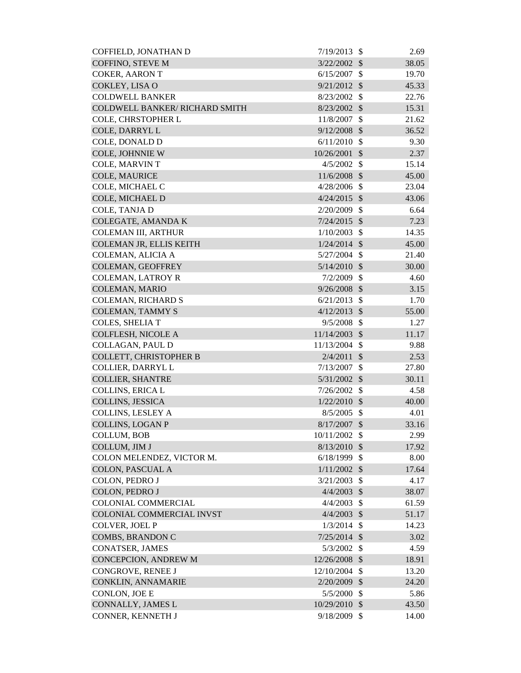| COFFIELD, JONATHAN D                  | 7/19/2013      | \$                         | 2.69  |
|---------------------------------------|----------------|----------------------------|-------|
| COFFINO, STEVE M                      | 3/22/2002      | $\mathcal{S}$              | 38.05 |
| <b>COKER, AARON T</b>                 | 6/15/2007      | $\mathcal{S}$              | 19.70 |
| COKLEY, LISA O                        | 9/21/2012      | $\mathcal{S}$              | 45.33 |
| <b>COLDWELL BANKER</b>                | 8/23/2002      | $\mathcal{S}$              | 22.76 |
| <b>COLDWELL BANKER/ RICHARD SMITH</b> | 8/23/2002      | $\mathcal{S}$              | 15.31 |
| COLE, CHRSTOPHER L                    | 11/8/2007      | $\mathcal{S}$              | 21.62 |
| COLE, DARRYL L                        | 9/12/2008      | $\mathcal{S}$              | 36.52 |
| COLE, DONALD D                        | 6/11/2010      | $\mathcal{S}$              | 9.30  |
| COLE, JOHNNIE W                       | 10/26/2001     | $\mathcal{S}$              | 2.37  |
| COLE, MARVINT                         | 4/5/2002       | $\mathcal{S}$              | 15.14 |
| <b>COLE, MAURICE</b>                  | 11/6/2008      | $\mathcal{S}$              | 45.00 |
| COLE, MICHAEL C                       | 4/28/2006      | $\mathcal{S}$              | 23.04 |
| COLE, MICHAEL D                       | 4/24/2015      | $\mathcal{S}$              | 43.06 |
| COLE, TANJA D                         | 2/20/2009      | $\mathcal{S}$              | 6.64  |
| COLEGATE, AMANDA K                    | 7/24/2015      | $\mathcal{S}$              | 7.23  |
| <b>COLEMAN III, ARTHUR</b>            | 1/10/2003      | $\mathcal{S}$              | 14.35 |
| COLEMAN JR, ELLIS KEITH               | $1/24/2014$ \$ |                            | 45.00 |
| COLEMAN, ALICIA A                     | 5/27/2004      | $\mathcal{S}$              | 21.40 |
| <b>COLEMAN, GEOFFREY</b>              | 5/14/2010      | $\mathcal{S}$              | 30.00 |
| <b>COLEMAN, LATROY R</b>              | 7/2/2009       | $\mathcal{S}$              | 4.60  |
| <b>COLEMAN, MARIO</b>                 | 9/26/2008      | $\mathcal{S}$              | 3.15  |
| COLEMAN, RICHARD S                    | 6/21/2013      | $\mathcal{S}$              | 1.70  |
| <b>COLEMAN, TAMMY S</b>               | 4/12/2013      | $\mathcal{S}$              | 55.00 |
| COLES, SHELIA T                       | 9/5/2008       | $\mathcal{S}$              | 1.27  |
| COLFLESH, NICOLE A                    | 11/14/2003     | $\mathcal{S}$              | 11.17 |
| COLLAGAN, PAUL D                      | 11/13/2004     | $\mathcal{S}$              | 9.88  |
| <b>COLLETT, CHRISTOPHER B</b>         | 2/4/2011       | $\mathcal{S}$              | 2.53  |
| COLLIER, DARRYL L                     | 7/13/2007      | $\mathcal{S}$              | 27.80 |
| <b>COLLIER, SHANTRE</b>               | 5/31/2002      | $\mathcal{S}$              | 30.11 |
| COLLINS, ERICA L                      | 7/26/2002      | $\boldsymbol{\mathsf{S}}$  | 4.58  |
| <b>COLLINS, JESSICA</b>               | 1/22/2010      | $\mathcal{S}$              | 40.00 |
| <b>COLLINS, LESLEY A</b>              | 8/5/2005       | $\mathcal{S}$              | 4.01  |
| <b>COLLINS, LOGAN P</b>               | 8/17/2007      | $\mathcal{S}$              | 33.16 |
| <b>COLLUM, BOB</b>                    | 10/11/2002     | $\mathcal{S}$              | 2.99  |
| COLLUM, JIM J                         | 8/13/2010      | $\mathcal{S}$              | 17.92 |
| COLON MELENDEZ, VICTOR M.             | 6/18/1999      | $\mathcal{S}$              | 8.00  |
| <b>COLON, PASCUAL A</b>               | 1/11/2002      | $\mathcal{S}$              | 17.64 |
| COLON, PEDRO J                        | 3/21/2003      | $\mathcal{S}$              | 4.17  |
| COLON, PEDRO J                        | 4/4/2003       | $\mathcal{S}$              | 38.07 |
| <b>COLONIAL COMMERCIAL</b>            | 4/4/2003       | $\mathcal{S}$              | 61.59 |
| COLONIAL COMMERCIAL INVST             | 4/4/2003       | $\mathcal{S}$              | 51.17 |
| COLVER, JOEL P                        | $1/3/2014$ \$  |                            | 14.23 |
| COMBS, BRANDON C                      | $7/25/2014$ \$ |                            | 3.02  |
| <b>CONATSER, JAMES</b>                | 5/3/2002       | $\mathcal{S}$              | 4.59  |
| CONCEPCION, ANDREW M                  | 12/26/2008 \$  |                            | 18.91 |
| CONGROVE, RENEE J                     | 12/10/2004     | $\mathcal{S}$              | 13.20 |
| CONKLIN, ANNAMARIE                    | 2/20/2009      | $\mathcal{S}$              | 24.20 |
| CONLON, JOE E                         | 5/5/2000       | $\mathcal{S}$              | 5.86  |
| CONNALLY, JAMES L                     | 10/29/2010     | $\boldsymbol{\mathcal{S}}$ | 43.50 |
| CONNER, KENNETH J                     | 9/18/2009      | $\boldsymbol{\mathsf{S}}$  | 14.00 |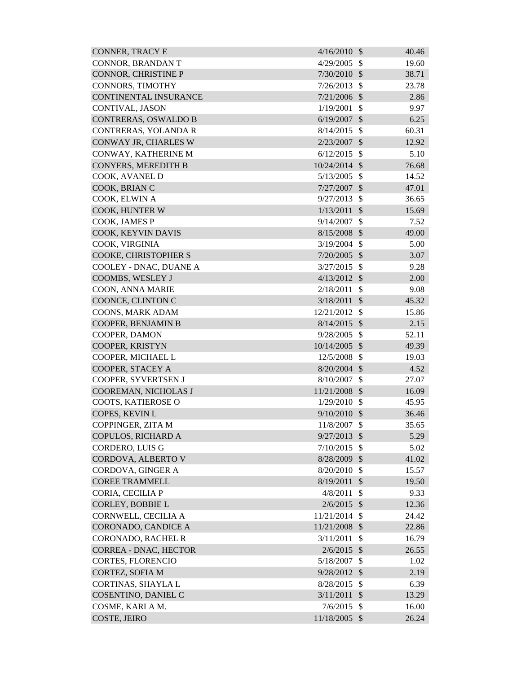| <b>CONNER, TRACY E</b>      | 4/16/2010     | $\mathcal{S}$              | 40.46 |
|-----------------------------|---------------|----------------------------|-------|
| CONNOR, BRANDAN T           | 4/29/2005     | $\mathcal{S}$              | 19.60 |
| CONNOR, CHRISTINE P         | 7/30/2010     | $\mathcal{S}$              | 38.71 |
| CONNORS, TIMOTHY            | 7/26/2013     | $\mathcal{S}$              | 23.78 |
| CONTINENTAL INSURANCE       | 7/21/2006     | $\mathcal{S}$              | 2.86  |
| CONTIVAL, JASON             | 1/19/2001     | \$                         | 9.97  |
| <b>CONTRERAS, OSWALDO B</b> | 6/19/2007     | $\boldsymbol{\mathcal{S}}$ | 6.25  |
| CONTRERAS, YOLANDA R        | 8/14/2015     | $\mathcal{S}$              | 60.31 |
| CONWAY JR, CHARLES W        | 2/23/2007     | $\mathcal{S}$              | 12.92 |
| CONWAY, KATHERINE M         | 6/12/2015     | $\mathcal{S}$              | 5.10  |
| <b>CONYERS, MEREDITH B</b>  | 10/24/2014    | $\mathcal{S}$              | 76.68 |
| COOK, AVANEL D              | 5/13/2005     | $\mathcal{S}$              | 14.52 |
| COOK, BRIAN C               | 7/27/2007     | $\mathcal{S}$              | 47.01 |
| COOK, ELWIN A               | 9/27/2013     | $\mathcal{S}$              | 36.65 |
| COOK, HUNTER W              | 1/13/2011     | $\mathcal{S}$              | 15.69 |
| COOK, JAMES P               | 9/14/2007     | \$                         | 7.52  |
| COOK, KEYVIN DAVIS          | 8/15/2008     | $\mathcal{S}$              | 49.00 |
| COOK, VIRGINIA              | 3/19/2004     | $\mathcal{S}$              | 5.00  |
| COOKE, CHRISTOPHER S        | 7/20/2005     | $\mathcal{S}$              | 3.07  |
| COOLEY - DNAC, DUANE A      | 3/27/2015     | $\mathcal{S}$              | 9.28  |
| COOMBS, WESLEY J            | 4/13/2012     | $\mathcal{S}$              | 2.00  |
| COON, ANNA MARIE            | 2/18/2011     | $\mathcal{S}$              | 9.08  |
| COONCE, CLINTON C           | 3/18/2011     | $\mathcal{S}$              | 45.32 |
| COONS, MARK ADAM            | 12/21/2012    | $\mathcal{S}$              | 15.86 |
| COOPER, BENJAMIN B          | 8/14/2015     | $\mathcal{S}$              | 2.15  |
| COOPER, DAMON               | 9/28/2005     | $\mathcal{S}$              | 52.11 |
| COOPER, KRISTYN             | 10/14/2005    | $\mathcal{S}$              | 49.39 |
| COOPER, MICHAEL L           | 12/5/2008     | $\boldsymbol{\mathsf{S}}$  | 19.03 |
| COOPER, STACEY A            | 8/20/2004     | $\mathcal{S}$              | 4.52  |
| COOPER, SYVERTSEN J         | 8/10/2007     | $\boldsymbol{\mathsf{S}}$  | 27.07 |
| COOREMAN, NICHOLAS J        | 11/21/2008 \$ |                            | 16.09 |
| COOTS, KATIEROSE O          | 1/29/2010     | $\mathcal{S}$              | 45.95 |
| COPES, KEVIN L              | 9/10/2010     | $\mathcal{S}$              | 36.46 |
| COPPINGER, ZITA M           | 11/8/2007     | $\mathcal{S}$              | 35.65 |
| COPULOS, RICHARD A          | 9/27/2013     | $\mathcal{S}$              | 5.29  |
| <b>CORDERO, LUIS G</b>      | 7/10/2015     | \$                         | 5.02  |
| CORDOVA, ALBERTO V          | 8/28/2009     | $\mathcal{S}$              | 41.02 |
| CORDOVA, GINGER A           | 8/20/2010     | $\mathcal{S}$              | 15.57 |
| <b>COREE TRAMMELL</b>       | 8/19/2011     | $\mathcal{S}$              | 19.50 |
| CORIA, CECILIA P            | 4/8/2011      | \$                         | 9.33  |
| CORLEY, BOBBIE L            | 2/6/2015      | $\mathcal{S}$              | 12.36 |
| CORNWELL, CECILIA A         | 11/21/2014    | $\mathbb{S}$               | 24.42 |
| CORONADO, CANDICE A         | 11/21/2008    | $\mathcal{S}$              | 22.86 |
| <b>CORONADO, RACHEL R</b>   | 3/11/2011     | \$                         | 16.79 |
| CORREA - DNAC, HECTOR       | $2/6/2015$ \$ |                            | 26.55 |
| <b>CORTES, FLORENCIO</b>    | 5/18/2007     | $\mathcal{S}$              | 1.02  |
| CORTEZ, SOFIA M             | 9/28/2012     | $\mathcal{S}$              | 2.19  |
| CORTINAS, SHAYLA L          | 8/28/2015     | $\mathcal{S}$              | 6.39  |
| COSENTINO, DANIEL C         | 3/11/2011     | $\mathcal{S}$              | 13.29 |
| COSME, KARLA M.             | 7/6/2015      | $\mathbb{S}$               | 16.00 |
| COSTE, JEIRO                | 11/18/2005 \$ |                            | 26.24 |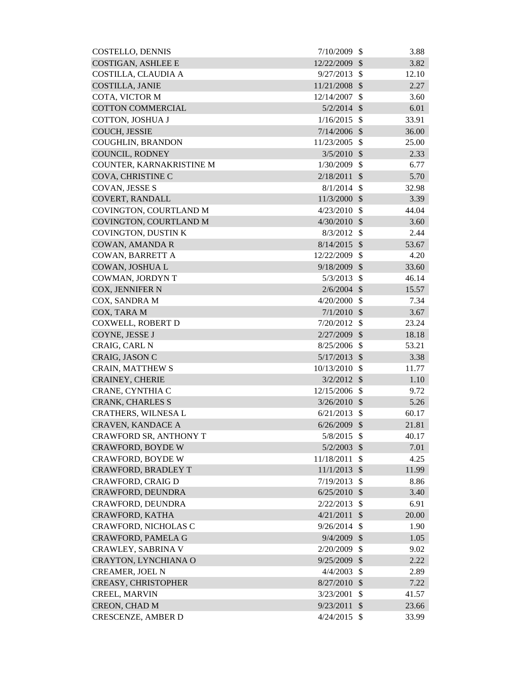| <b>COSTELLO, DENNIS</b>   | 7/10/2009      | $\mathcal{S}$              | 3.88  |
|---------------------------|----------------|----------------------------|-------|
| <b>COSTIGAN, ASHLEE E</b> | 12/22/2009     | $\mathcal{S}$              | 3.82  |
| COSTILLA, CLAUDIA A       | 9/27/2013      | $\mathcal{S}$              | 12.10 |
| COSTILLA, JANIE           | 11/21/2008     | $\mathcal{S}$              | 2.27  |
| COTA, VICTOR M            | 12/14/2007     | $\mathcal{S}$              | 3.60  |
| <b>COTTON COMMERCIAL</b>  | $5/2/2014$ \$  |                            | 6.01  |
| COTTON, JOSHUA J          | 1/16/2015      | $\mathcal{S}$              | 33.91 |
| COUCH, JESSIE             | 7/14/2006      | $\mathcal{S}$              | 36.00 |
| <b>COUGHLIN, BRANDON</b>  | 11/23/2005     | $\mathcal{S}$              | 25.00 |
| <b>COUNCIL, RODNEY</b>    | 3/5/2010       | $\mathcal{S}$              | 2.33  |
| COUNTER, KARNAKRISTINE M  | 1/30/2009      | $\mathcal{S}$              | 6.77  |
| COVA, CHRISTINE C         | 2/18/2011      | $\mathcal{S}$              | 5.70  |
| COVAN, JESSE S            | 8/1/2014       | $\mathcal{S}$              | 32.98 |
| COVERT, RANDALL           | 11/3/2000      | $\mathcal{S}$              | 3.39  |
| COVINGTON, COURTLAND M    | 4/23/2010      | $\mathcal{S}$              | 44.04 |
| COVINGTON, COURTLAND M    | 4/30/2010      | $\mathcal{S}$              | 3.60  |
| COVINGTON, DUSTIN K       | 8/3/2012       | $\mathcal{S}$              | 2.44  |
| COWAN, AMANDA R           | 8/14/2015      | $\mathcal{S}$              | 53.67 |
| COWAN, BARRETT A          | 12/22/2009     | $\boldsymbol{\mathsf{S}}$  | 4.20  |
| COWAN, JOSHUA L           | 9/18/2009      | $\mathcal{S}$              | 33.60 |
| COWMAN, JORDYN T          | 5/3/2013       | $\mathcal{S}$              | 46.14 |
| COX, JENNIFER N           | $2/6/2004$ \$  |                            | 15.57 |
| COX, SANDRA M             | 4/20/2000      | $\mathcal{S}$              | 7.34  |
| COX, TARA M               | 7/1/2010       | $\mathcal{S}$              | 3.67  |
| COXWELL, ROBERT D         | 7/20/2012      | $\mathcal{S}$              | 23.24 |
| COYNE, JESSE J            | 2/27/2009      | $\mathcal{S}$              | 18.18 |
| CRAIG, CARL N             | 8/25/2006      | $\mathcal{S}$              | 53.21 |
| CRAIG, JASON C            | 5/17/2013      | $\sqrt{3}$                 | 3.38  |
| <b>CRAIN, MATTHEW S</b>   | 10/13/2010     | $\mathcal{S}$              | 11.77 |
| <b>CRAINEY, CHERIE</b>    | $3/2/2012$ \$  |                            | 1.10  |
| CRANE, CYNTHIA C          | 12/15/2006 \$  |                            | 9.72  |
| <b>CRANK, CHARLES S</b>   | 3/26/2010      | $\mathcal{S}$              | 5.26  |
| CRATHERS, WILNESA L       | 6/21/2013      | $\mathcal{S}$              | 60.17 |
| <b>CRAVEN, KANDACE A</b>  | 6/26/2009      | $\mathcal{S}$              | 21.81 |
| CRAWFORD SR, ANTHONY T    | 5/8/2015       | $\mathcal{S}$              | 40.17 |
| <b>CRAWFORD, BOYDE W</b>  | 5/2/2003       | $\boldsymbol{\mathsf{S}}$  | 7.01  |
| CRAWFORD, BOYDE W         | 11/18/2011     | $\mathcal{S}$              | 4.25  |
| CRAWFORD, BRADLEY T       | 11/1/2013      | $\mathcal{S}$              | 11.99 |
| <b>CRAWFORD, CRAIG D</b>  | 7/19/2013      | $\mathcal{S}$              | 8.86  |
| CRAWFORD, DEUNDRA         | 6/25/2010      | $\boldsymbol{\mathsf{S}}$  | 3.40  |
| CRAWFORD, DEUNDRA         | 2/22/2013      | $\mathcal{S}$              | 6.91  |
| CRAWFORD, KATHA           | 4/21/2011      | $\mathcal{S}$              | 20.00 |
| CRAWFORD, NICHOLAS C      | 9/26/2014      | $\mathcal{S}$              | 1.90  |
| CRAWFORD, PAMELA G        | 9/4/2009       | $\mathcal{S}$              | 1.05  |
| CRAWLEY, SABRINA V        | 2/20/2009      | $\mathcal{S}$              | 9.02  |
| CRAYTON, LYNCHIANA O      | 9/25/2009      | $\mathcal{S}$              | 2.22  |
| <b>CREAMER, JOEL N</b>    | 4/4/2003       | $\boldsymbol{\mathsf{S}}$  | 2.89  |
| CREASY, CHRISTOPHER       | 8/27/2010      | $\mathcal{S}$              | 7.22  |
| <b>CREEL, MARVIN</b>      | 3/23/2001      | \$                         | 41.57 |
| CREON, CHAD M             | 9/23/2011      | $\boldsymbol{\mathcal{S}}$ | 23.66 |
| <b>CRESCENZE, AMBER D</b> | $4/24/2015$ \$ |                            | 33.99 |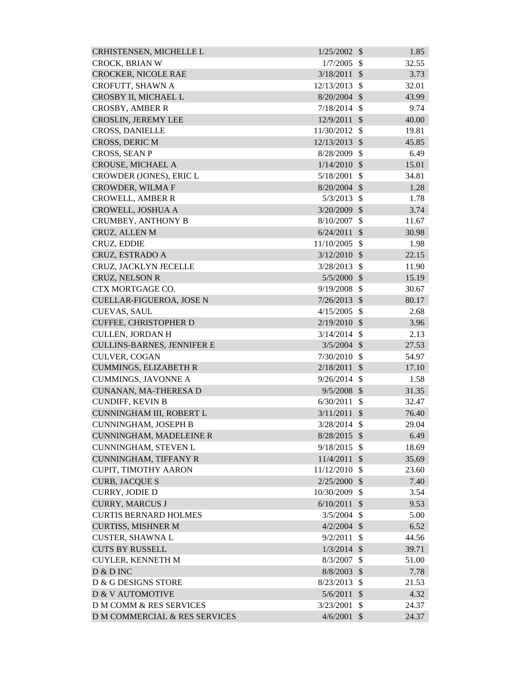| CRHISTENSEN, MICHELLE L            | 1/25/2002      | $\mathcal{S}$ | 1.85  |
|------------------------------------|----------------|---------------|-------|
| CROCK, BRIAN W                     | 1/7/2005       | $\mathcal{S}$ | 32.55 |
| <b>CROCKER, NICOLE RAE</b>         | 3/18/2011      | $\mathcal{S}$ | 3.73  |
| CROFUTT, SHAWN A                   | 12/13/2013     | $\mathcal{S}$ | 32.01 |
| CROSBY II, MICHAEL L               | $8/20/2004$ \$ |               | 43.99 |
| <b>CROSBY, AMBER R</b>             | 7/18/2014      | $\mathcal{S}$ | 9.74  |
| <b>CROSLIN, JEREMY LEE</b>         | 12/9/2011      | $\mathcal{S}$ | 40.00 |
| <b>CROSS, DANIELLE</b>             | 11/30/2012     | \$            | 19.81 |
| CROSS, DERIC M                     | 12/13/2013     | $\mathcal{S}$ | 45.85 |
| <b>CROSS, SEAN P</b>               | 8/28/2009      | $\mathcal{S}$ | 6.49  |
| CROUSE, MICHAEL A                  | 1/14/2010      | $\mathcal{S}$ | 15.01 |
| CROWDER (JONES), ERIC L            | 5/18/2001      | \$            | 34.81 |
| <b>CROWDER, WILMA F</b>            | 8/20/2004      | $\mathcal{S}$ | 1.28  |
| <b>CROWELL, AMBER R</b>            | 5/3/2013       | $\mathcal{S}$ | 1.78  |
| CROWELL, JOSHUA A                  | 3/20/2009      | $\mathcal{S}$ | 3.74  |
| <b>CRUMBEY, ANTHONY B</b>          | 8/10/2007      | \$            | 11.67 |
| CRUZ, ALLEN M                      | 6/24/2011      | $\mathcal{S}$ | 30.98 |
| CRUZ, EDDIE                        | 11/10/2005     | $\mathcal{S}$ | 1.98  |
| CRUZ, ESTRADO A                    | 3/12/2010      | $\mathcal{S}$ | 22.15 |
| CRUZ, JACKLYN JECELLE              | 3/28/2013      | $\mathcal{S}$ | 11.90 |
| CRUZ, NELSON R                     | 5/5/2000       | $\mathcal{S}$ | 15.19 |
| CTX MORTGAGE CO.                   | 9/19/2008      | $\mathcal{S}$ | 30.67 |
| <b>CUELLAR-FIGUEROA, JOSE N</b>    | 7/26/2013      | $\mathcal{S}$ | 80.17 |
| <b>CUEVAS, SAUL</b>                | 4/15/2005      | $\mathcal{S}$ | 2.68  |
| <b>CUFFEE, CHRISTOPHER D</b>       | 2/19/2010      | $\mathcal{S}$ | 3.96  |
| <b>CULLEN, JORDAN H</b>            | 3/14/2014      | $\mathcal{S}$ | 2.13  |
| <b>CULLINS-BARNES, JENNIFER E</b>  | $3/5/2004$ \$  |               | 27.53 |
| <b>CULVER, COGAN</b>               | 7/30/2010      | $\mathcal{S}$ | 54.97 |
| <b>CUMMINGS, ELIZABETH R</b>       | 2/18/2011      | $\mathcal{S}$ | 17.10 |
| <b>CUMMINGS, JAVONNE A</b>         | 9/26/2014      | $\mathcal{S}$ | 1.58  |
| CUNANAN, MA-THERESA D              | $9/5/2008$ \$  |               | 31.35 |
| <b>CUNDIFF, KEVIN B</b>            | 6/30/2011      | \$            | 32.47 |
| CUNNINGHAM III, ROBERT L           | $3/11/2011$ \$ |               | 76.40 |
| <b>CUNNINGHAM, JOSEPH B</b>        | 3/28/2014      | $\mathcal{S}$ | 29.04 |
| CUNNINGHAM, MADELEINE R            | 8/28/2015      | $\mathcal{S}$ | 6.49  |
| CUNNINGHAM, STEVEN L               | 9/18/2015      | $\mathcal{S}$ | 18.69 |
| CUNNINGHAM, TIFFANY R              | 11/4/2011      | $\mathcal{S}$ | 35.69 |
| CUPIT, TIMOTHY AARON               | 11/12/2010     | $\mathcal{S}$ | 23.60 |
| <b>CURB, JACQUE S</b>              | $2/25/2000$ \$ |               | 7.40  |
| <b>CURRY, JODIE D</b>              | 10/30/2009     | \$            | 3.54  |
| <b>CURRY, MARCUS J</b>             | 6/10/2011      | $\mathcal{S}$ | 9.53  |
| <b>CURTIS BERNARD HOLMES</b>       | 3/5/2004       | $\mathcal{S}$ | 5.00  |
| <b>CURTISS, MISHNER M</b>          | $4/2/2004$ \$  |               | 6.52  |
| <b>CUSTER, SHAWNAL</b>             | 9/2/2011       | $\mathcal{S}$ | 44.56 |
| <b>CUTS BY RUSSELL</b>             | 1/3/2014       | $\mathcal{S}$ | 39.71 |
| <b>CUYLER, KENNETH M</b>           | 8/3/2007       | $\mathbb{S}$  | 51.00 |
| D & D INC                          | 8/8/2003       | $\mathcal{S}$ | 7.78  |
| D & G DESIGNS STORE                | 8/23/2013      | $\mathcal{S}$ | 21.53 |
| D & V AUTOMOTIVE                   | 5/6/2011       | $\mathcal{S}$ | 4.32  |
| <b>D M COMM &amp; RES SERVICES</b> | 3/23/2001      | $\mathcal{S}$ | 24.37 |
| D M COMMERCIAL & RES SERVICES      | 4/6/2001       | $\mathcal{S}$ | 24.37 |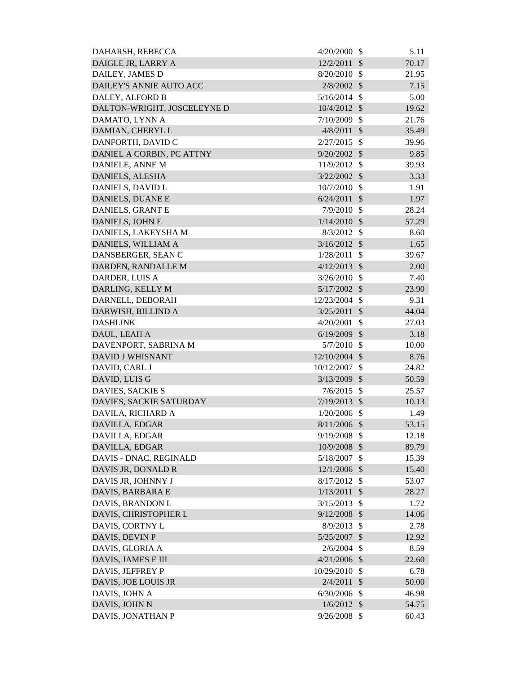| DAHARSH, REBECCA            | 4/20/2000      | $\mathcal{S}$              | 5.11  |
|-----------------------------|----------------|----------------------------|-------|
| DAIGLE JR, LARRY A          | 12/2/2011      | $\mathcal{S}$              | 70.17 |
| DAILEY, JAMES D             | $8/20/2010$ \$ |                            | 21.95 |
| DAILEY'S ANNIE AUTO ACC     | 2/8/2002       | $\mathcal{S}$              | 7.15  |
| DALEY, ALFORD B             | $5/16/2014$ \$ |                            | 5.00  |
| DALTON-WRIGHT, JOSCELEYNE D | 10/4/2012 \$   |                            | 19.62 |
| DAMATO, LYNN A              | $7/10/2009$ \$ |                            | 21.76 |
| DAMIAN, CHERYL L            | $4/8/2011$ \$  |                            | 35.49 |
| DANFORTH, DAVID C           | $2/27/2015$ \$ |                            | 39.96 |
| DANIEL A CORBIN, PC ATTNY   | $9/20/2002$ \$ |                            | 9.85  |
| DANIELE, ANNE M             | 11/9/2012 \$   |                            | 39.93 |
| DANIELS, ALESHA             | 3/22/2002      | $\mathcal{S}$              | 3.33  |
| DANIELS, DAVID L            | $10/7/2010$ \$ |                            | 1.91  |
| <b>DANIELS, DUANE E</b>     | 6/24/2011      | $\mathcal{S}$              | 1.97  |
| DANIELS, GRANT E            | $7/9/2010$ \$  |                            | 28.24 |
| DANIELS, JOHN E             | $1/14/2010$ \$ |                            | 57.29 |
| DANIELS, LAKEYSHA M         | $8/3/2012$ \$  |                            | 8.60  |
| DANIELS, WILLIAM A          | $3/16/2012$ \$ |                            | 1.65  |
| DANSBERGER, SEAN C          | 1/28/2011      | -\$                        | 39.67 |
| DARDEN, RANDALLE M          | $4/12/2013$ \$ |                            | 2.00  |
| DARDER, LUIS A              | 3/26/2010      | $\mathcal{S}$              | 7.40  |
| DARLING, KELLY M            | $5/17/2002$ \$ |                            | 23.90 |
| DARNELL, DEBORAH            | 12/23/2004 \$  |                            | 9.31  |
| DARWISH, BILLIND A          | $3/25/2011$ \$ |                            | 44.04 |
| <b>DASHLINK</b>             | 4/20/2001      | \$                         | 27.03 |
| DAUL, LEAH A                | $6/19/2009$ \$ |                            | 3.18  |
| DAVENPORT, SABRINA M        | $5/7/2010$ \$  |                            | 10.00 |
| <b>DAVID J WHISNANT</b>     | 12/10/2004 \$  |                            | 8.76  |
|                             | 10/12/2007     | - \$                       | 24.82 |
| DAVID, CARL J               |                |                            |       |
| DAVID, LUIS G               | 3/13/2009      | $\mathcal{S}$              | 50.59 |
| DAVIES, SACKIE S            | 7/6/2015       | $\mathcal{S}$              | 25.57 |
| DAVIES, SACKIE SATURDAY     | 7/19/2013      | $\mathcal{S}$              | 10.13 |
| DAVILA, RICHARD A           | 1/20/2006      | -\$                        | 1.49  |
| DAVILLA, EDGAR              | 8/11/2006 \$   |                            | 53.15 |
| DAVILLA, EDGAR              | 9/19/2008      | $\mathcal{S}$              | 12.18 |
| DAVILLA, EDGAR              | 10/9/2008 \$   |                            | 89.79 |
| DAVIS - DNAC, REGINALD      | 5/18/2007      | \$                         | 15.39 |
| DAVIS JR, DONALD R          | 12/1/2006 \$   |                            | 15.40 |
| DAVIS JR, JOHNNY J          | 8/17/2012      | $\mathcal{S}$              | 53.07 |
| DAVIS, BARBARA E            | 1/13/2011      | $\boldsymbol{\mathsf{S}}$  | 28.27 |
| DAVIS, BRANDON L            | 3/15/2013      | $\mathcal{S}$              | 1.72  |
| DAVIS, CHRISTOPHER L        | 9/12/2008      | $\boldsymbol{\mathcal{S}}$ | 14.06 |
| DAVIS, CORTNY L             | 8/9/2013       | $\mathcal{S}$              | 2.78  |
| DAVIS, DEVIN P              | 5/25/2007      | $\boldsymbol{\mathsf{S}}$  | 12.92 |
| DAVIS, GLORIA A             | 2/6/2004       | $\mathcal{S}$              | 8.59  |
| DAVIS, JAMES E III          | $4/21/2006$ \$ |                            | 22.60 |
| DAVIS, JEFFREY P            | 10/29/2010     | \$                         | 6.78  |
| DAVIS, JOE LOUIS JR         | 2/4/2011       | $\sqrt[6]{\frac{1}{2}}$    | 50.00 |
| DAVIS, JOHN A               | 6/30/2006      | \$                         | 46.98 |
| DAVIS, JOHN N               | $1/6/2012$ \$  |                            | 54.75 |
| DAVIS, JONATHAN P           | 9/26/2008      | \$                         | 60.43 |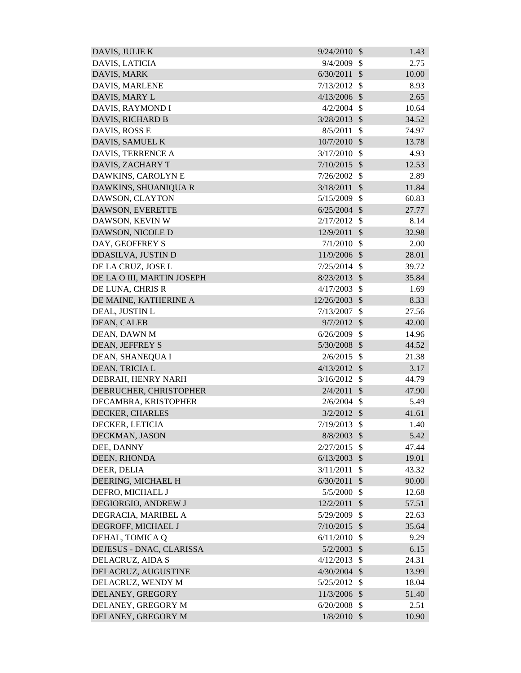| DAVIS, JULIE K             | 9/24/2010     | $\mathcal{S}$              | 1.43  |
|----------------------------|---------------|----------------------------|-------|
| DAVIS, LATICIA             | 9/4/2009      | $\mathbb{S}$               | 2.75  |
| DAVIS, MARK                | 6/30/2011     | $\mathcal{S}$              | 10.00 |
| DAVIS, MARLENE             | 7/13/2012     | \$                         | 8.93  |
| DAVIS, MARY L              | 4/13/2006     | $\mathcal{S}$              | 2.65  |
| DAVIS, RAYMOND I           | 4/2/2004      | $\mathcal{S}$              | 10.64 |
| DAVIS, RICHARD B           | 3/28/2013     | $\mathcal{S}$              | 34.52 |
| DAVIS, ROSS E              | 8/5/2011      | \$                         | 74.97 |
| DAVIS, SAMUEL K            | 10/7/2010     | $\mathcal{S}$              | 13.78 |
| DAVIS, TERRENCE A          | 3/17/2010     | $\mathcal{S}$              | 4.93  |
| DAVIS, ZACHARY T           | 7/10/2015     | $\mathcal{S}$              | 12.53 |
| DAWKINS, CAROLYN E         | 7/26/2002     | \$                         | 2.89  |
| DAWKINS, SHUANIQUA R       | 3/18/2011     | $\mathcal{S}$              | 11.84 |
| DAWSON, CLAYTON            | 5/15/2009     | $\mathcal{S}$              | 60.83 |
| DAWSON, EVERETTE           | 6/25/2004     | $\mathcal{S}$              | 27.77 |
| DAWSON, KEVIN W            | 2/17/2012     | \$                         | 8.14  |
| DAWSON, NICOLE D           | 12/9/2011     | $\mathcal{S}$              | 32.98 |
| DAY, GEOFFREY S            | 7/1/2010      | $\mathcal{S}$              | 2.00  |
| DDASILVA, JUSTIN D         | 11/9/2006     | $\mathcal{S}$              | 28.01 |
| DE LA CRUZ, JOSE L         | 7/25/2014     | $\mathcal{S}$              | 39.72 |
| DE LA O III, MARTIN JOSEPH | 8/23/2013     | $\mathcal{S}$              | 35.84 |
| DE LUNA, CHRIS R           | 4/17/2003     | $\mathcal{S}$              | 1.69  |
| DE MAINE, KATHERINE A      | 12/26/2003    | $\mathcal{S}$              | 8.33  |
| DEAL, JUSTIN L             | 7/13/2007     | \$                         | 27.56 |
| DEAN, CALEB                | 9/7/2012      | $\mathcal{S}$              | 42.00 |
| DEAN, DAWN M               | 6/26/2009     | $\mathcal{S}$              | 14.96 |
| <b>DEAN, JEFFREY S</b>     | 5/30/2008     | $\mathcal{S}$              | 44.52 |
| DEAN, SHANEQUA I           | 2/6/2015      | $\mathbb{S}$               | 21.38 |
| DEAN, TRICIA L             | 4/13/2012     | $\mathcal{S}$              | 3.17  |
| DEBRAH, HENRY NARH         | 3/16/2012     | $\mathcal{S}$              | 44.79 |
| DEBRUCHER, CHRISTOPHER     | $2/4/2011$ \$ |                            | 47.90 |
| DECAMBRA, KRISTOPHER       | 2/6/2004      | <sup>\$</sup>              | 5.49  |
| DECKER, CHARLES            | $3/2/2012$ \$ |                            | 41.61 |
| DECKER, LETICIA            | 7/19/2013     | $\mathcal{S}$              | 1.40  |
| DECKMAN, JASON             | 8/8/2003      | $\mathcal{S}$              | 5.42  |
| DEE, DANNY                 | 2/27/2015     | $\mathcal{S}$              | 47.44 |
| DEEN, RHONDA               | 6/13/2003     | $\mathcal{S}$              | 19.01 |
| DEER, DELIA                | 3/11/2011     | \$                         | 43.32 |
| DEERING, MICHAEL H         | 6/30/2011     | $\mathcal{S}$              | 90.00 |
| DEFRO, MICHAEL J           | 5/5/2000      | \$                         | 12.68 |
| DEGIORGIO, ANDREW J        | 12/2/2011     | $\mathcal{S}$              | 57.51 |
| DEGRACIA, MARIBEL A        | 5/29/2009     | $\mathcal{S}$              | 22.63 |
| DEGROFF, MICHAEL J         | 7/10/2015     | $\mathcal{S}$              | 35.64 |
| DEHAL, TOMICA Q            | 6/11/2010     | \$                         | 9.29  |
| DEJESUS - DNAC, CLARISSA   | 5/2/2003      | $\mathcal{S}$              | 6.15  |
| DELACRUZ, AIDA S           | 4/12/2013     | $\mathcal{S}$              | 24.31 |
| DELACRUZ, AUGUSTINE        | 4/30/2004     | $\mathcal{S}$              | 13.99 |
| DELACRUZ, WENDY M          | 5/25/2012     | $\mathbb{S}$               | 18.04 |
| DELANEY, GREGORY           | 11/3/2006     | $\boldsymbol{\mathcal{S}}$ | 51.40 |
| DELANEY, GREGORY M         | 6/20/2008     | $\boldsymbol{\mathsf{S}}$  | 2.51  |
| DELANEY, GREGORY M         | $1/8/2010$ \$ |                            | 10.90 |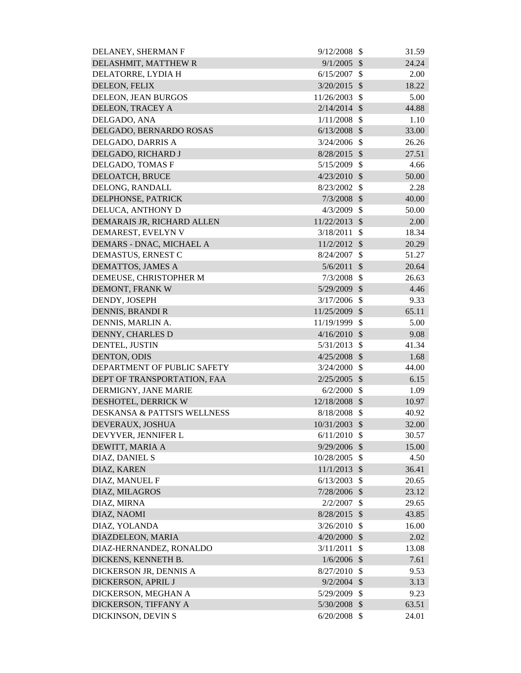| DELANEY, SHERMAN F                      | 9/12/2008      | - \$                      | 31.59 |
|-----------------------------------------|----------------|---------------------------|-------|
| DELASHMIT, MATTHEW R                    | 9/1/2005       | $\mathcal{S}$             | 24.24 |
| DELATORRE, LYDIA H                      | 6/15/2007      | - \$                      | 2.00  |
| DELEON, FELIX                           | $3/20/2015$ \$ |                           | 18.22 |
| DELEON, JEAN BURGOS                     | 11/26/2003     | $\mathcal{S}$             | 5.00  |
| DELEON, TRACEY A                        | $2/14/2014$ \$ |                           | 44.88 |
| DELGADO, ANA                            | $1/11/2008$ \$ |                           | 1.10  |
| DELGADO, BERNARDO ROSAS                 | $6/13/2008$ \$ |                           | 33.00 |
| DELGADO, DARRIS A                       | $3/24/2006$ \$ |                           | 26.26 |
| DELGADO, RICHARD J                      | $8/28/2015$ \$ |                           | 27.51 |
| DELGADO, TOMAS F                        | 5/15/2009 \$   |                           | 4.66  |
| DELOATCH, BRUCE                         | $4/23/2010$ \$ |                           | 50.00 |
| DELONG, RANDALL                         | 8/23/2002      | $\mathcal{S}$             | 2.28  |
| DELPHONSE, PATRICK                      | $7/3/2008$ \$  |                           | 40.00 |
| DELUCA, ANTHONY D                       | $4/3/2009$ \$  |                           | 50.00 |
| DEMARAIS JR, RICHARD ALLEN              | 11/22/2013     | $\mathcal{S}$             | 2.00  |
| DEMAREST, EVELYN V                      | 3/18/2011      | $\mathcal{S}$             | 18.34 |
| DEMARS - DNAC, MICHAEL A                | $11/2/2012$ \$ |                           | 20.29 |
| DEMASTUS, ERNEST C                      | 8/24/2007      | $\mathcal{S}$             | 51.27 |
| DEMATTOS, JAMES A                       | 5/6/2011       | $\mathcal{S}$             | 20.64 |
| DEMEUSE, CHRISTOPHER M                  | 7/3/2008       | $\mathcal{S}$             | 26.63 |
| DEMONT, FRANK W                         | 5/29/2009 \$   |                           | 4.46  |
| DENDY, JOSEPH                           | 3/17/2006      | $\mathbb{S}$              | 9.33  |
| <b>DENNIS, BRANDI R</b>                 | 11/25/2009 \$  |                           | 65.11 |
| DENNIS, MARLIN A.                       | 11/19/1999     | $\mathcal{S}$             | 5.00  |
| DENNY, CHARLES D                        | 4/16/2010      | $\mathcal{S}$             | 9.08  |
| DENTEL, JUSTIN                          | $5/31/2013$ \$ |                           | 41.34 |
| DENTON, ODIS                            | 4/25/2008      | $\mathcal{S}$             | 1.68  |
| DEPARTMENT OF PUBLIC SAFETY             | $3/24/2000$ \$ |                           | 44.00 |
| DEPT OF TRANSPORTATION, FAA             | 2/25/2005      | $\mathcal{S}$             | 6.15  |
| DERMIGNY, JANE MARIE                    | $6/2/2000$ \$  |                           | 1.09  |
| DESHOTEL, DERRICK W                     | 12/18/2008 \$  |                           | 10.97 |
| <b>DESKANSA &amp; PATTSI'S WELLNESS</b> | 8/18/2008 \$   |                           | 40.92 |
| DEVERAUX, JOSHUA                        | 10/31/2003 \$  |                           | 32.00 |
| DEVYVER, JENNIFER L                     | 6/11/2010      | -\$                       | 30.57 |
| DEWITT, MARIA A                         | 9/29/2006      | $\mathcal{S}$             | 15.00 |
| DIAZ, DANIEL S                          | 10/28/2005     | $\mathcal{S}$             | 4.50  |
| DIAZ, KAREN                             | $11/1/2013$ \$ |                           | 36.41 |
| DIAZ, MANUEL F                          | $6/13/2003$ \$ |                           | 20.65 |
| DIAZ, MILAGROS                          | 7/28/2006 \$   |                           | 23.12 |
| DIAZ, MIRNA                             | 2/2/2007       | $\boldsymbol{\mathsf{S}}$ | 29.65 |
| DIAZ, NAOMI                             | $8/28/2015$ \$ |                           | 43.85 |
| DIAZ, YOLANDA                           | 3/26/2010      | $\mathcal{S}$             | 16.00 |
| DIAZDELEON, MARIA                       | 4/20/2000      | $\mathcal{S}$             | 2.02  |
| DIAZ-HERNANDEZ, RONALDO                 | 3/11/2011      | $\mathcal{S}$             | 13.08 |
| DICKENS, KENNETH B.                     | $1/6/2006$ \$  |                           | 7.61  |
| DICKERSON JR, DENNIS A                  | 8/27/2010      | \$                        | 9.53  |
| DICKERSON, APRIL J                      | $9/2/2004$ \$  |                           | 3.13  |
| DICKERSON, MEGHAN A                     | 5/29/2009      | $\boldsymbol{\mathsf{S}}$ | 9.23  |
| DICKERSON, TIFFANY A                    | 5/30/2008 \$   |                           | 63.51 |
| DICKINSON, DEVIN S                      | $6/20/2008$ \$ |                           | 24.01 |
|                                         |                |                           |       |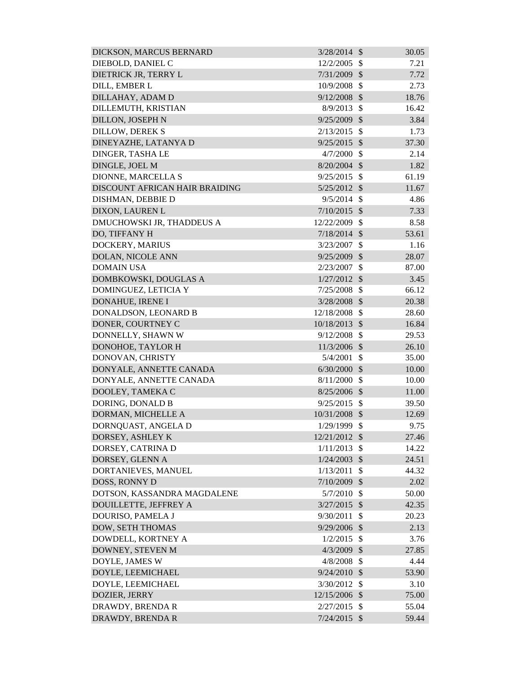| DICKSON, MARCUS BERNARD        | $3/28/2014$ \$ |               | 30.05 |
|--------------------------------|----------------|---------------|-------|
| DIEBOLD, DANIEL C              | 12/2/2005      | $\mathcal{S}$ | 7.21  |
| DIETRICK JR, TERRY L           | 7/31/2009      | $\mathcal{S}$ | 7.72  |
| DILL, EMBER L                  | 10/9/2008      | $\mathcal{S}$ | 2.73  |
| DILLAHAY, ADAM D               | $9/12/2008$ \$ |               | 18.76 |
| DILLEMUTH, KRISTIAN            | 8/9/2013       | $\mathcal{S}$ | 16.42 |
| <b>DILLON, JOSEPH N</b>        | 9/25/2009      | $\mathcal{S}$ | 3.84  |
| <b>DILLOW, DEREK S</b>         | 2/13/2015      | $\mathcal{S}$ | 1.73  |
| DINEYAZHE, LATANYA D           | $9/25/2015$ \$ |               | 37.30 |
| DINGER, TASHA LE               | 4/7/2000       | $\mathbb{S}$  | 2.14  |
| DINGLE, JOEL M                 | $8/20/2004$ \$ |               | 1.82  |
| DIONNE, MARCELLA S             | 9/25/2015      | $\mathcal{S}$ | 61.19 |
| DISCOUNT AFRICAN HAIR BRAIDING | 5/25/2012 \$   |               | 11.67 |
| DISHMAN, DEBBIE D              | 9/5/2014       | $\mathcal{S}$ | 4.86  |
| DIXON, LAUREN L                | $7/10/2015$ \$ |               | 7.33  |
| DMUCHOWSKI JR, THADDEUS A      | 12/22/2009     | $\mathcal{S}$ | 8.58  |
| DO, TIFFANY H                  | $7/18/2014$ \$ |               | 53.61 |
| DOCKERY, MARIUS                | 3/23/2007      | $\mathcal{S}$ | 1.16  |
| DOLAN, NICOLE ANN              | 9/25/2009 \$   |               | 28.07 |
| <b>DOMAIN USA</b>              | 2/23/2007      | \$            | 87.00 |
| DOMBKOWSKI, DOUGLAS A          | $1/27/2012$ \$ |               | 3.45  |
| DOMINGUEZ, LETICIA Y           | 7/25/2008      | $\mathcal{S}$ | 66.12 |
| DONAHUE, IRENE I               | 3/28/2008      | $\mathcal{S}$ | 20.38 |
| DONALDSON, LEONARD B           | 12/18/2008     | $\mathcal{S}$ | 28.60 |
| DONER, COURTNEY C              | 10/18/2013     | $\mathcal{S}$ | 16.84 |
| DONNELLY, SHAWN W              | 9/12/2008      | $\mathbb{S}$  | 29.53 |
| DONOHOE, TAYLOR H              | 11/3/2006 \$   |               | 26.10 |
| DONOVAN, CHRISTY               | 5/4/2001       | $\mathcal{S}$ | 35.00 |
| DONYALE, ANNETTE CANADA        | 6/30/2000      | $\mathcal{S}$ | 10.00 |
| DONYALE, ANNETTE CANADA        | 8/11/2000      | -\$           | 10.00 |
| DOOLEY, TAMEKA C               | $8/25/2006$ \$ |               | 11.00 |
| DORING, DONALD B               | 9/25/2015      | -\$           | 39.50 |
| DORMAN, MICHELLE A             | 10/31/2008 \$  |               | 12.69 |
| DORNQUAST, ANGELA D            | 1/29/1999      | $\mathcal{S}$ | 9.75  |
| DORSEY, ASHLEY K               | 12/21/2012     | $\mathcal{S}$ | 27.46 |
| DORSEY, CATRINA D              | 1/11/2013      | $\mathcal{S}$ | 14.22 |
| DORSEY, GLENN A                | 1/24/2003      | $\mathcal{S}$ | 24.51 |
| DORTANIEVES, MANUEL            | 1/13/2011      | $\mathcal{S}$ | 44.32 |
| DOSS, RONNY D                  | 7/10/2009      | $\mathcal{S}$ | 2.02  |
| DOTSON, KASSANDRA MAGDALENE    | 5/7/2010       | \$            | 50.00 |
| DOUILLETTE, JEFFREY A          | 3/27/2015      | $\mathcal{S}$ | 42.35 |
| DOURISO, PAMELA J              | 9/30/2011      | \$            | 20.23 |
| DOW, SETH THOMAS               | 9/29/2006      | $\mathcal{S}$ | 2.13  |
| DOWDELL, KORTNEY A             | 1/2/2015       | $\mathcal{S}$ | 3.76  |
| DOWNEY, STEVEN M               | $4/3/2009$ \$  |               | 27.85 |
| DOYLE, JAMES W                 | 4/8/2008       | $\mathcal{S}$ | 4.44  |
| DOYLE, LEEMICHAEL              | 9/24/2010 \$   |               | 53.90 |
| DOYLE, LEEMICHAEL              | 3/30/2012      | $\mathcal{S}$ | 3.10  |
| DOZIER, JERRY                  | 12/15/2006     | $\mathcal{S}$ | 75.00 |
| DRAWDY, BRENDA R               | 2/27/2015      | -\$           | 55.04 |
| DRAWDY, BRENDA R               | $7/24/2015$ \$ |               | 59.44 |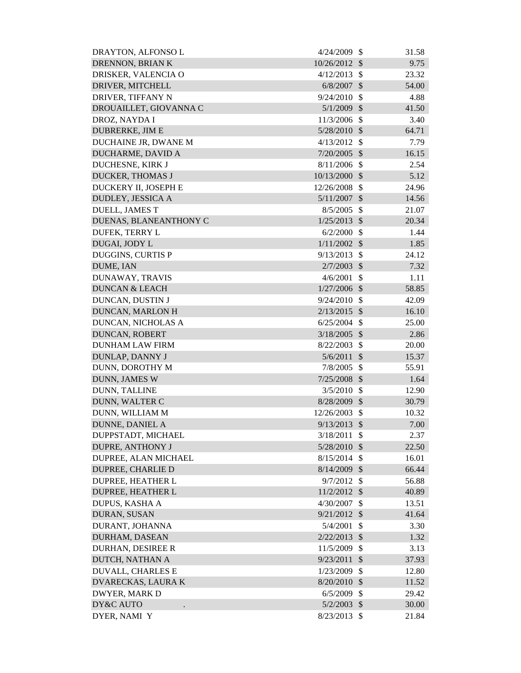| DRAYTON, ALFONSO L        | 4/24/2009      | - \$                       | 31.58 |
|---------------------------|----------------|----------------------------|-------|
| DRENNON, BRIAN K          | 10/26/2012 \$  |                            | 9.75  |
| DRISKER, VALENCIA O       | 4/12/2013      | $\mathcal{S}$              | 23.32 |
| DRIVER, MITCHELL          | 6/8/2007       | $\boldsymbol{\mathcal{S}}$ | 54.00 |
| DRIVER, TIFFANY N         | 9/24/2010      | -\$                        | 4.88  |
| DROUAILLET, GIOVANNA C    | $5/1/2009$ \$  |                            | 41.50 |
| DROZ, NAYDA I             | 11/3/2006      | $\mathcal{S}$              | 3.40  |
| <b>DUBRERKE, JIM E</b>    | $5/28/2010$ \$ |                            | 64.71 |
| DUCHAINE JR, DWANE M      | 4/13/2012      | $\mathcal{S}$              | 7.79  |
| DUCHARME, DAVID A         | 7/20/2005      | $\mathcal{S}$              | 16.15 |
| DUCHESNE, KIRK J          | $8/11/2006$ \$ |                            | 2.54  |
| <b>DUCKER, THOMAS J</b>   | 10/13/2000     | $\sqrt[6]{\frac{1}{2}}$    | 5.12  |
| DUCKERY II, JOSEPH E      | 12/26/2008     | $\mathcal{S}$              | 24.96 |
| DUDLEY, JESSICA A         | 5/11/2007      | $\boldsymbol{\mathcal{S}}$ | 14.56 |
| <b>DUELL, JAMES T</b>     | 8/5/2005       | $\mathcal{S}$              | 21.07 |
| DUENAS, BLANEANTHONY C    | 1/25/2013      | $\mathcal{S}$              | 20.34 |
| DUFEK, TERRY L            | 6/2/2000       | $\mathcal{S}$              | 1.44  |
| DUGAI, JODY L             | $1/11/2002$ \$ |                            | 1.85  |
| <b>DUGGINS, CURTIS P</b>  | 9/13/2013      | $\mathcal{S}$              | 24.12 |
| DUME, IAN                 | $2/7/2003$ \$  |                            | 7.32  |
| DUNAWAY, TRAVIS           | 4/6/2001       | $\mathcal{S}$              | 1.11  |
| <b>DUNCAN &amp; LEACH</b> | $1/27/2006$ \$ |                            | 58.85 |
| DUNCAN, DUSTIN J          | 9/24/2010      | -\$                        | 42.09 |
| DUNCAN, MARLON H          | 2/13/2015      | $\mathcal{S}$              | 16.10 |
| DUNCAN, NICHOLAS A        | 6/25/2004      | $\mathcal{S}$              | 25.00 |
| DUNCAN, ROBERT            | 3/18/2005      | $\boldsymbol{\mathcal{S}}$ | 2.86  |
| <b>DUNHAM LAW FIRM</b>    | 8/22/2003      | $\mathcal{S}$              | 20.00 |
| DUNLAP, DANNY J           | 5/6/2011       | $\boldsymbol{\mathcal{S}}$ | 15.37 |
| DUNN, DOROTHY M           | 7/8/2005       | $\boldsymbol{\mathsf{S}}$  | 55.91 |
| <b>DUNN, JAMES W</b>      | $7/25/2008$ \$ |                            | 1.64  |
| DUNN, TALLINE             | $3/5/2010$ \$  |                            | 12.90 |
| DUNN, WALTER C            | 8/28/2009      | $\boldsymbol{\mathsf{S}}$  | 30.79 |
| DUNN, WILLIAM M           | 12/26/2003     | \$                         | 10.32 |
| DUNNE, DANIEL A           | 9/13/2013      | $\mathcal{S}$              | 7.00  |
| DUPPSTADT, MICHAEL        | 3/18/2011      | $\boldsymbol{\mathsf{S}}$  | 2.37  |
| <b>DUPRE, ANTHONY J</b>   | 5/28/2010      | $\mathcal{S}$              | 22.50 |
| DUPREE, ALAN MICHAEL      | 8/15/2014      | \$                         | 16.01 |
| <b>DUPREE, CHARLIE D</b>  | 8/14/2009      | $\boldsymbol{\mathcal{S}}$ | 66.44 |
| DUPREE, HEATHER L         | $9/7/2012$ \$  |                            | 56.88 |
| DUPREE, HEATHER L         | 11/2/2012 \$   |                            | 40.89 |
| DUPUS, KASHA A            | 4/30/2007      | \$                         | 13.51 |
| DURAN, SUSAN              | $9/21/2012$ \$ |                            | 41.64 |
| DURANT, JOHANNA           | 5/4/2001       | \$                         | 3.30  |
| DURHAM, DASEAN            | $2/22/2013$ \$ |                            | 1.32  |
| DURHAN, DESIREE R         | 11/5/2009      | \$                         | 3.13  |
| DUTCH, NATHAN A           | 9/23/2011      | $\boldsymbol{\mathsf{S}}$  | 37.93 |
| <b>DUVALL, CHARLES E</b>  | 1/23/2009      | $\mathcal{S}$              | 12.80 |
| <b>DVARECKAS, LAURA K</b> | 8/20/2010      | $\mathcal{S}$              | 11.52 |
| <b>DWYER, MARK D</b>      | 6/5/2009       | \$                         | 29.42 |
| DY&C AUTO                 | 5/2/2003       | $\boldsymbol{\mathsf{S}}$  | 30.00 |
| DYER, NAMI Y              | $8/23/2013$ \$ |                            | 21.84 |
|                           |                |                            |       |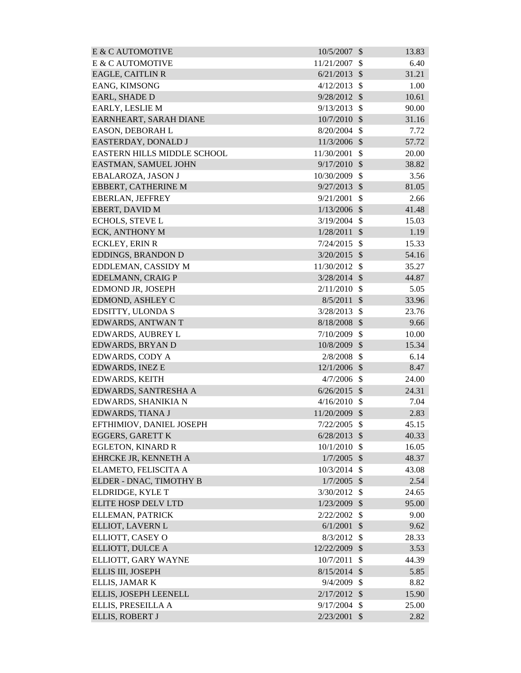| E & C AUTOMOTIVE            | 10/5/2007      | $\mathcal{S}$              | 13.83 |
|-----------------------------|----------------|----------------------------|-------|
| E & C AUTOMOTIVE            | 11/21/2007     | \$                         | 6.40  |
| <b>EAGLE, CAITLIN R</b>     | 6/21/2013      | $\mathcal{S}$              | 31.21 |
| EANG, KIMSONG               | 4/12/2013      | $\mathcal{S}$              | 1.00  |
| <b>EARL, SHADE D</b>        | 9/28/2012      | $\mathcal{S}$              | 10.61 |
| EARLY, LESLIE M             | 9/13/2013      | $\mathcal{S}$              | 90.00 |
| EARNHEART, SARAH DIANE      | 10/7/2010      | $\mathcal{S}$              | 31.16 |
| EASON, DEBORAH L            | 8/20/2004      | $\mathbb{S}$               | 7.72  |
| EASTERDAY, DONALD J         | 11/3/2006 \$   |                            | 57.72 |
| EASTERN HILLS MIDDLE SCHOOL | 11/30/2001     | \$                         | 20.00 |
| EASTMAN, SAMUEL JOHN        | 9/17/2010      | $\mathcal{S}$              | 38.82 |
| EBALAROZA, JASON J          | 10/30/2009     | \$                         | 3.56  |
| <b>EBBERT, CATHERINE M</b>  | $9/27/2013$ \$ |                            | 81.05 |
| EBERLAN, JEFFREY            | 9/21/2001      | $\mathcal{S}$              | 2.66  |
| EBERT, DAVID M              | 1/13/2006      | $\mathcal{S}$              | 41.48 |
| <b>ECHOLS, STEVE L</b>      | 3/19/2004      | $\mathcal{S}$              | 15.03 |
| <b>ECK, ANTHONY M</b>       | 1/28/2011      | $\mathcal{S}$              | 1.19  |
| <b>ECKLEY, ERIN R</b>       | 7/24/2015      | $\mathcal{S}$              | 15.33 |
| EDDINGS, BRANDON D          | 3/20/2015      | $\mathcal{S}$              | 54.16 |
| EDDLEMAN, CASSIDY M         | 11/30/2012     | $\mathbb{S}$               | 35.27 |
| EDELMANN, CRAIG P           | 3/28/2014      | $\mathcal{S}$              | 44.87 |
| EDMOND JR, JOSEPH           | 2/11/2010      | $\mathcal{S}$              | 5.05  |
| EDMOND, ASHLEY C            | 8/5/2011       | $\mathcal{S}$              | 33.96 |
| EDSITTY, ULONDA S           | 3/28/2013      | $\mathcal{S}$              | 23.76 |
| EDWARDS, ANTWAN T           | 8/18/2008      | $\mathcal{S}$              | 9.66  |
| EDWARDS, AUBREY L           | 7/10/2009      | $\mathcal{S}$              | 10.00 |
| EDWARDS, BRYAN D            | 10/8/2009      | $\mathcal{S}$              | 15.34 |
| EDWARDS, CODY A             | 2/8/2008       | $\mathcal{S}$              | 6.14  |
| <b>EDWARDS, INEZ E</b>      | 12/1/2006      | $\mathcal{S}$              | 8.47  |
| EDWARDS, KEITH              | $4/7/2006$ \$  |                            | 24.00 |
| EDWARDS, SANTRESHA A        | $6/26/2015$ \$ |                            | 24.31 |
| EDWARDS, SHANIKIA N         | 4/16/2010      | \$                         | 7.04  |
| EDWARDS, TIANA J            | 11/20/2009     | $\mathcal{S}$              | 2.83  |
| EFTHIMIOV, DANIEL JOSEPH    | 7/22/2005      | $\mathcal{S}$              | 45.15 |
| <b>EGGERS, GARETT K</b>     | $6/28/2013$ \$ |                            | 40.33 |
| <b>EGLETON, KINARD R</b>    | 10/1/2010      | $\mathcal{S}$              | 16.05 |
| EHRCKE JR, KENNETH A        | $1/7/2005$ \$  |                            | 48.37 |
| ELAMETO, FELISCITA A        | 10/3/2014      | $\mathcal{S}$              | 43.08 |
| ELDER - DNAC, TIMOTHY B     | $1/7/2005$ \$  |                            | 2.54  |
| ELDRIDGE, KYLE T            | 3/30/2012      | $\mathcal{S}$              | 24.65 |
| <b>ELITE HOSP DELV LTD</b>  | $1/23/2009$ \$ |                            | 95.00 |
| ELLEMAN, PATRICK            | 2/22/2002      | $\mathcal{S}$              | 9.00  |
| ELLIOT, LAVERN L            | 6/1/2001       | $\mathcal{S}$              | 9.62  |
| ELLIOTT, CASEY O            | 8/3/2012       | $\mathcal{S}$              | 28.33 |
| ELLIOTT, DULCE A            | 12/22/2009     | $\boldsymbol{\mathcal{S}}$ | 3.53  |
| ELLIOTT, GARY WAYNE         | 10/7/2011      | $\mathcal{S}$              | 44.39 |
| ELLIS III, JOSEPH           | 8/15/2014      | $\mathcal{S}$              | 5.85  |
| ELLIS, JAMAR K              | 9/4/2009       | $\mathcal{S}$              | 8.82  |
| ELLIS, JOSEPH LEENELL       | 2/17/2012      | $\mathcal{S}$              | 15.90 |
| ELLIS, PRESEILLA A          | 9/17/2004      | $\mathbb{S}$               | 25.00 |
| ELLIS, ROBERT J             | 2/23/2001      | $\mathcal{S}$              | 2.82  |
|                             |                |                            |       |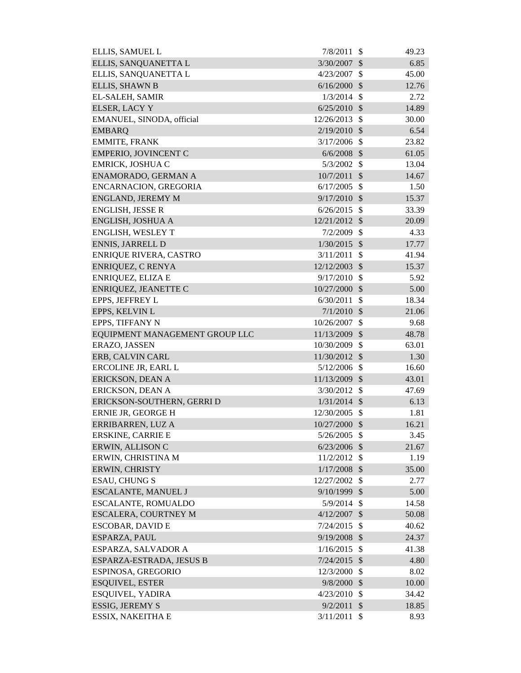| ELLIS, SAMUEL L                | 7/8/2011       | -\$                       | 49.23 |
|--------------------------------|----------------|---------------------------|-------|
| ELLIS, SANQUANETTA L           | 3/30/2007      | $\mathcal{S}$             | 6.85  |
| ELLIS, SANQUANETTA L           | 4/23/2007      | $\mathcal{S}$             | 45.00 |
| ELLIS, SHAWN B                 | 6/16/2000      | $\mathcal{S}$             | 12.76 |
| EL-SALEH, SAMIR                | 1/3/2014       | -\$                       | 2.72  |
| <b>ELSER, LACY Y</b>           | $6/25/2010$ \$ |                           | 14.89 |
| EMANUEL, SINODA, official      | 12/26/2013     | $\mathcal{S}$             | 30.00 |
| <b>EMBARQ</b>                  | 2/19/2010      | $\mathcal{S}$             | 6.54  |
| <b>EMMITE, FRANK</b>           | $3/17/2006$ \$ |                           | 23.82 |
| <b>EMPERIO, JOVINCENT C</b>    | $6/6/2008$ \$  |                           | 61.05 |
| EMRICK, JOSHUA C               | 5/3/2002       | \$                        | 13.04 |
| ENAMORADO, GERMAN A            | 10/7/2011      | $\mathcal{S}$             | 14.67 |
| ENCARNACION, GREGORIA          | 6/17/2005      | $\mathcal{S}$             | 1.50  |
| ENGLAND, JEREMY M              | $9/17/2010$ \$ |                           | 15.37 |
| <b>ENGLISH, JESSE R</b>        | 6/26/2015      | $\mathcal{S}$             | 33.39 |
| ENGLISH, JOSHUA A              | 12/21/2012     | $\mathcal{S}$             | 20.09 |
| ENGLISH, WESLEY T              | 7/2/2009       | $\mathcal{S}$             | 4.33  |
| <b>ENNIS, JARRELL D</b>        | $1/30/2015$ \$ |                           | 17.77 |
| <b>ENRIQUE RIVERA, CASTRO</b>  | 3/11/2011      | $\mathcal{S}$             | 41.94 |
| <b>ENRIQUEZ, C RENYA</b>       | 12/12/2003     | $\mathcal{S}$             | 15.37 |
| ENRIQUEZ, ELIZA E              | 9/17/2010      | $\mathcal{S}$             | 5.92  |
| ENRIQUEZ, JEANETTE C           | 10/27/2000 \$  |                           | 5.00  |
| EPPS, JEFFREY L                | 6/30/2011      | $\mathcal{S}$             | 18.34 |
| EPPS, KELVIN L                 | $7/1/2010$ \$  |                           | 21.06 |
| EPPS, TIFFANY N                | 10/26/2007     | \$                        | 9.68  |
| EQUIPMENT MANAGEMENT GROUP LLC | 11/13/2009 \$  |                           | 48.78 |
| ERAZO, JASSEN                  | 10/30/2009     | \$                        | 63.01 |
| ERB, CALVIN CARL               | 11/30/2012     | $\mathcal{S}$             | 1.30  |
| ERCOLINE JR, EARL L            | $5/12/2006$ \$ |                           | 16.60 |
| ERICKSON, DEAN A               | 11/13/2009     | $\mathcal{S}$             | 43.01 |
| ERICKSON, DEAN A               | 3/30/2012 \$   |                           | 47.69 |
| ERICKSON-SOUTHERN, GERRI D     | $1/31/2014$ \$ |                           | 6.13  |
| ERNIE JR, GEORGE H             | 12/30/2005 \$  |                           | 1.81  |
| ERRIBARREN, LUZ A              | 10/27/2000 \$  |                           | 16.21 |
| <b>ERSKINE, CARRIE E</b>       | 5/26/2005      | $\mathcal{S}$             | 3.45  |
| ERWIN, ALLISON C               | 6/23/2006      | \$                        | 21.67 |
| ERWIN, CHRISTINA M             | 11/2/2012      | \$                        | 1.19  |
| ERWIN, CHRISTY                 | $1/17/2008$ \$ |                           | 35.00 |
| <b>ESAU, CHUNG S</b>           | 12/27/2002     | $\boldsymbol{\mathsf{S}}$ | 2.77  |
| ESCALANTE, MANUEL J            | 9/10/1999      | $\mathcal{S}$             | 5.00  |
| ESCALANTE, ROMUALDO            | $5/9/2014$ \$  |                           | 14.58 |
| <b>ESCALERA, COURTNEY M</b>    | 4/12/2007      | $\mathcal{S}$             | 50.08 |
| ESCOBAR, DAVID E               | $7/24/2015$ \$ |                           | 40.62 |
| ESPARZA, PAUL                  | 9/19/2008      | $\mathcal{S}$             | 24.37 |
| ESPARZA, SALVADOR A            | 1/16/2015      | $\mathcal{S}$             | 41.38 |
| ESPARZA-ESTRADA, JESUS B       | 7/24/2015      | $\mathcal{S}$             | 4.80  |
| ESPINOSA, GREGORIO             | 12/3/2000      | -\$                       | 8.02  |
| <b>ESQUIVEL, ESTER</b>         | 9/8/2000       | $\mathcal{S}$             | 10.00 |
| ESQUIVEL, YADIRA               | 4/23/2010      | $\mathcal{S}$             | 34.42 |
| <b>ESSIG, JEREMY S</b>         | 9/2/2011       | $\mathcal{S}$             | 18.85 |
| ESSIX, NAKEITHA E              | 3/11/2011      | \$                        | 8.93  |
|                                |                |                           |       |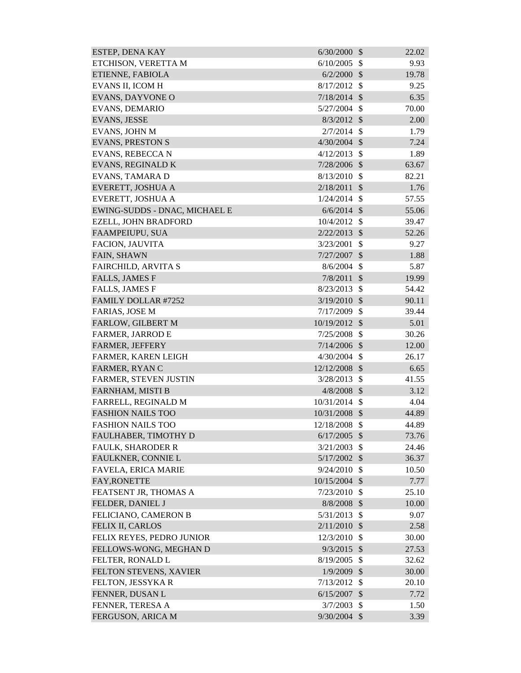| ESTEP, DENA KAY               | 6/30/2000      | $\mathcal{S}$ | 22.02 |
|-------------------------------|----------------|---------------|-------|
| ETCHISON, VERETTA M           | 6/10/2005      | $\mathcal{S}$ | 9.93  |
| ETIENNE, FABIOLA              | 6/2/2000       | $\mathcal{S}$ | 19.78 |
| EVANS II, ICOM H              | 8/17/2012      | $\mathcal{S}$ | 9.25  |
| EVANS, DAYVONE O              | 7/18/2014      | $\mathcal{S}$ | 6.35  |
| <b>EVANS, DEMARIO</b>         | 5/27/2004      | $\mathcal{S}$ | 70.00 |
| <b>EVANS, JESSE</b>           | $8/3/2012$ \$  |               | 2.00  |
| EVANS, JOHN M                 | 2/7/2014       | $\mathcal{S}$ | 1.79  |
| <b>EVANS, PRESTON S</b>       | $4/30/2004$ \$ |               | 7.24  |
| EVANS, REBECCA N              | 4/12/2013      | $\mathbb{S}$  | 1.89  |
| EVANS, REGINALD K             | 7/28/2006 \$   |               | 63.67 |
| EVANS, TAMARA D               | 8/13/2010      | $\mathcal{S}$ | 82.21 |
| EVERETT, JOSHUA A             | 2/18/2011      | $\mathcal{S}$ | 1.76  |
| EVERETT, JOSHUA A             | 1/24/2014      | $\mathcal{S}$ | 57.55 |
| EWING-SUDDS - DNAC, MICHAEL E | $6/6/2014$ \$  |               | 55.06 |
| EZELL, JOHN BRADFORD          | 10/4/2012      | $\mathcal{S}$ | 39.47 |
| FAAMPEIUPU, SUA               | 2/22/2013      | $\mathcal{S}$ | 52.26 |
| FACION, JAUVITA               | 3/23/2001      | $\mathcal{S}$ | 9.27  |
| FAIN, SHAWN                   | 7/27/2007      | $\mathcal{S}$ | 1.88  |
| FAIRCHILD, ARVITA S           | 8/6/2004       | $\mathcal{S}$ | 5.87  |
| <b>FALLS, JAMES F</b>         | 7/8/2011       | $\mathcal{S}$ | 19.99 |
| <b>FALLS, JAMES F</b>         | 8/23/2013      | $\mathcal{S}$ | 54.42 |
| FAMILY DOLLAR #7252           | 3/19/2010      | $\mathcal{S}$ | 90.11 |
| FARIAS, JOSE M                | 7/17/2009      | $\mathcal{S}$ | 39.44 |
| FARLOW, GILBERT M             | 10/19/2012     | $\mathcal{S}$ | 5.01  |
| <b>FARMER, JARROD E</b>       | 7/25/2008      | $\mathcal{S}$ | 30.26 |
| FARMER, JEFFERY               | 7/14/2006      | - \$          | 12.00 |
| FARMER, KAREN LEIGH           | 4/30/2004      | $\mathbb{S}$  | 26.17 |
| FARMER, RYAN C                | 12/12/2008     | $\mathcal{S}$ | 6.65  |
| FARMER, STEVEN JUSTIN         | 3/28/2013      | $\mathcal{S}$ | 41.55 |
| FARNHAM, MISTI B              | $4/8/2008$ \$  |               | 3.12  |
| FARRELL, REGINALD M           | 10/31/2014     | $\mathcal{S}$ | 4.04  |
| <b>FASHION NAILS TOO</b>      | 10/31/2008 \$  |               | 44.89 |
| <b>FASHION NAILS TOO</b>      | 12/18/2008     | $\mathcal{S}$ | 44.89 |
| FAULHABER, TIMOTHY D          | 6/17/2005      | $\mathcal{S}$ | 73.76 |
| <b>FAULK, SHARODER R</b>      | 3/21/2003      | $\mathcal{S}$ | 24.46 |
| FAULKNER, CONNIE L            | $5/17/2002$ \$ |               | 36.37 |
| FAVELA, ERICA MARIE           | 9/24/2010      | $\mathcal{S}$ | 10.50 |
| <b>FAY, RONETTE</b>           | 10/15/2004     | $\mathcal{S}$ | 7.77  |
| FEATSENT JR, THOMAS A         | 7/23/2010      | $\mathcal{S}$ | 25.10 |
| FELDER, DANIEL J              | 8/8/2008       | $\mathcal{S}$ | 10.00 |
| FELICIANO, CAMERON B          | 5/31/2013      | $\mathcal{S}$ | 9.07  |
| FELIX II, CARLOS              | 2/11/2010      | $\mathcal{S}$ | 2.58  |
| FELIX REYES, PEDRO JUNIOR     | 12/3/2010      | $\mathcal{S}$ | 30.00 |
| FELLOWS-WONG, MEGHAN D        | 9/3/2015       | $\mathcal{S}$ | 27.53 |
| FELTER, RONALD L              | 8/19/2005      | $\mathbb{S}$  | 32.62 |
| FELTON STEVENS, XAVIER        | $1/9/2009$ \$  |               | 30.00 |
| FELTON, JESSYKA R             | 7/13/2012      | $\mathcal{S}$ | 20.10 |
| FENNER, DUSAN L               | 6/15/2007      | $\mathcal{S}$ | 7.72  |
| FENNER, TERESA A              | 3/7/2003       | $\mathcal{S}$ | 1.50  |
| FERGUSON, ARICA M             | $9/30/2004$ \$ |               | 3.39  |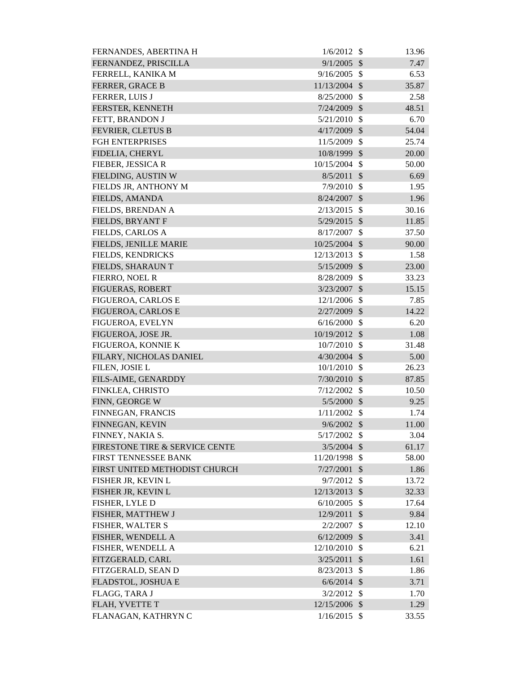| FERNANDES, ABERTINA H          | 1/6/2012       | -\$                       | 13.96 |
|--------------------------------|----------------|---------------------------|-------|
| FERNANDEZ, PRISCILLA           | 9/1/2005       | $\mathcal{S}$             | 7.47  |
| FERRELL, KANIKA M              | 9/16/2005      | $\mathcal{S}$             | 6.53  |
| FERRER, GRACE B                | 11/13/2004     | $\mathcal{S}$             | 35.87 |
| FERRER, LUIS J                 | 8/25/2000      | $\mathcal{S}$             | 2.58  |
| FERSTER, KENNETH               | 7/24/2009      | $\mathcal{S}$             | 48.51 |
| FETT, BRANDON J                | 5/21/2010      | $\mathcal{S}$             | 6.70  |
| FEVRIER, CLETUS B              | 4/17/2009      | \$                        | 54.04 |
| <b>FGH ENTERPRISES</b>         | 11/5/2009      | $\mathcal{S}$             | 25.74 |
| FIDELIA, CHERYL                | 10/8/1999      | $\mathcal{S}$             | 20.00 |
| FIEBER, JESSICA R              | 10/15/2004     | $\mathcal{S}$             | 50.00 |
| FIELDING, AUSTIN W             | 8/5/2011       | $\mathcal{S}$             | 6.69  |
| FIELDS JR, ANTHONY M           | 7/9/2010       | $\mathcal{S}$             | 1.95  |
| FIELDS, AMANDA                 | 8/24/2007      | $\mathcal{S}$             | 1.96  |
| FIELDS, BRENDAN A              | 2/13/2015      | $\mathcal{S}$             | 30.16 |
| FIELDS, BRYANT F               | 5/29/2015      | $\mathcal{S}$             | 11.85 |
| FIELDS, CARLOS A               | 8/17/2007      | $\mathcal{S}$             | 37.50 |
| FIELDS, JENILLE MARIE          | 10/25/2004 \$  |                           | 90.00 |
| FIELDS, KENDRICKS              | 12/13/2013     | $\mathcal{S}$             | 1.58  |
| FIELDS, SHARAUN T              | 5/15/2009      | $\sqrt[6]{\frac{1}{2}}$   | 23.00 |
| FIERRO, NOEL R                 | 8/28/2009      | \$                        | 33.23 |
| FIGUERAS, ROBERT               | $3/23/2007$ \$ |                           | 15.15 |
| FIGUEROA, CARLOS E             | 12/1/2006      | $\mathcal{S}$             | 7.85  |
| FIGUEROA, CARLOS E             | $2/27/2009$ \$ |                           | 14.22 |
| FIGUEROA, EVELYN               | 6/16/2000      | $\mathcal{S}$             | 6.20  |
| FIGUEROA, JOSE JR.             | 10/19/2012     | $\mathcal{S}$             | 1.08  |
| FIGUEROA, KONNIE K             | 10/7/2010      | \$                        | 31.48 |
| FILARY, NICHOLAS DANIEL        | $4/30/2004$ \$ |                           | 5.00  |
| FILEN, JOSIE L                 | $10/1/2010$ \$ |                           | 26.23 |
| FILS-AIME, GENARDDY            | 7/30/2010      | $\boldsymbol{\mathsf{S}}$ | 87.85 |
| FINKLEA, CHRISTO               | $7/12/2002$ \$ |                           | 10.50 |
| FINN, GEORGE W                 | $5/5/2000$ \$  |                           | 9.25  |
| FINNEGAN, FRANCIS              | $1/11/2002$ \$ |                           | 1.74  |
| FINNEGAN, KEVIN                | $9/6/2002$ \$  |                           | 11.00 |
| FINNEY, NAKIA S.               | $5/17/2002$ \$ |                           | 3.04  |
| FIRESTONE TIRE & SERVICE CENTE | $3/5/2004$ \$  |                           | 61.17 |
| FIRST TENNESSEE BANK           | 11/20/1998 \$  |                           | 58.00 |
| FIRST UNITED METHODIST CHURCH  | $7/27/2001$ \$ |                           | 1.86  |
| FISHER JR, KEVIN L             | $9/7/2012$ \$  |                           | 13.72 |
| FISHER JR, KEVIN L             | 12/13/2013 \$  |                           | 32.33 |
| FISHER, LYLE D                 | 6/10/2005      | $\mathcal{S}$             | 17.64 |
| FISHER, MATTHEW J              | 12/9/2011      | $\sqrt{3}$                | 9.84  |
| FISHER, WALTER S               | 2/2/2007       | $\mathcal{S}$             | 12.10 |
| FISHER, WENDELL A              | $6/12/2009$ \$ |                           | 3.41  |
| FISHER, WENDELL A              | 12/10/2010     | \$                        | 6.21  |
| FITZGERALD, CARL               | $3/25/2011$ \$ |                           | 1.61  |
| FITZGERALD, SEAN D             | 8/23/2013      | $\mathcal{S}$             | 1.86  |
| FLADSTOL, JOSHUA E             | $6/6/2014$ \$  |                           | 3.71  |
| FLAGG, TARA J                  | 3/2/2012       | $\mathcal{S}$             | 1.70  |
| FLAH, YVETTE T                 | 12/15/2006 \$  |                           | 1.29  |
| FLANAGAN, KATHRYN C            | $1/16/2015$ \$ |                           | 33.55 |
|                                |                |                           |       |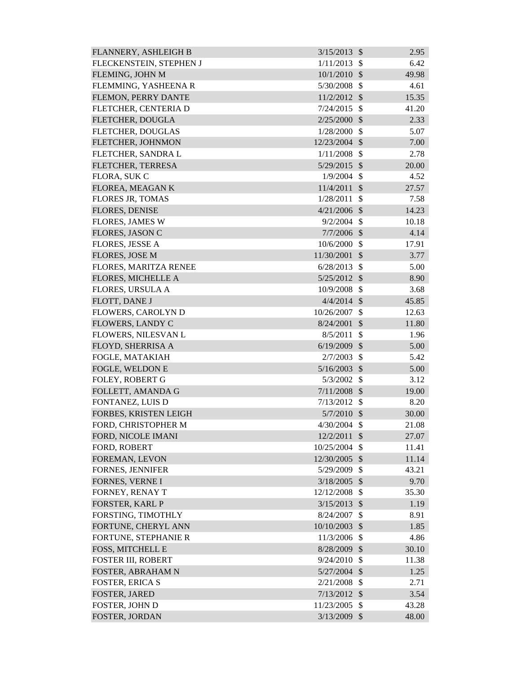| FLANNERY, ASHLEIGH B      | 3/15/2013      | $\mathcal{S}$             | 2.95  |
|---------------------------|----------------|---------------------------|-------|
| FLECKENSTEIN, STEPHEN J   | 1/11/2013      | \$                        | 6.42  |
| FLEMING, JOHN M           | 10/1/2010      | $\mathcal{S}$             | 49.98 |
| FLEMMING, YASHEENA R      | 5/30/2008      | \$                        | 4.61  |
| FLEMON, PERRY DANTE       | 11/2/2012      | $\mathcal{S}$             | 15.35 |
| FLETCHER, CENTERIA D      | 7/24/2015      | $\mathcal{S}$             | 41.20 |
| FLETCHER, DOUGLA          | 2/25/2000      | $\mathcal{S}$             | 2.33  |
| FLETCHER, DOUGLAS         | 1/28/2000      | \$                        | 5.07  |
| FLETCHER, JOHNMON         | 12/23/2004 \$  |                           | 7.00  |
| FLETCHER, SANDRA L        | 1/11/2008      | $\mathcal{S}$             | 2.78  |
| FLETCHER, TERRESA         | 5/29/2015 \$   |                           | 20.00 |
| FLORA, SUK C              | 1/9/2004       | $\mathcal{S}$             | 4.52  |
| FLOREA, MEAGAN K          | 11/4/2011      | $\mathcal{S}$             | 27.57 |
| <b>FLORES JR, TOMAS</b>   | 1/28/2011      | $\mathcal{S}$             | 7.58  |
| <b>FLORES, DENISE</b>     | 4/21/2006      | $\mathcal{S}$             | 14.23 |
| <b>FLORES, JAMES W</b>    | 9/2/2004       | $\mathcal{S}$             | 10.18 |
| <b>FLORES, JASON C</b>    | 7/7/2006       | $\mathcal{S}$             | 4.14  |
| <b>FLORES, JESSE A</b>    | 10/6/2000      | $\mathcal{S}$             | 17.91 |
| <b>FLORES, JOSE M</b>     | 11/30/2001     | $\mathcal{S}$             | 3.77  |
| FLORES, MARITZA RENEE     | 6/28/2013      | $\mathcal{S}$             | 5.00  |
| FLORES, MICHELLE A        | 5/25/2012      | $\mathcal{S}$             | 8.90  |
| <b>FLORES, URSULA A</b>   | 10/9/2008      | $\mathcal{S}$             | 3.68  |
| FLOTT, DANE J             | $4/4/2014$ \$  |                           | 45.85 |
| FLOWERS, CAROLYN D        | 10/26/2007     | $\mathcal{S}$             | 12.63 |
| <b>FLOWERS, LANDY C</b>   | 8/24/2001      | \$                        | 11.80 |
| FLOWERS, NILESVAN L       | 8/5/2011       | \$                        | 1.96  |
| FLOYD, SHERRISA A         | 6/19/2009      | $\mathcal{S}$             | 5.00  |
| FOGLE, MATAKIAH           | 2/7/2003       | $\mathcal{S}$             | 5.42  |
| FOGLE, WELDON E           | 5/16/2003      | $\mathcal{S}$             | 5.00  |
| FOLEY, ROBERT G           | 5/3/2002       | $\mathcal{S}$             | 3.12  |
| FOLLETT, AMANDA G         | $7/11/2008$ \$ |                           | 19.00 |
| FONTANEZ, LUIS D          | 7/13/2012      | $\mathcal{S}$             | 8.20  |
| FORBES, KRISTEN LEIGH     | 5/7/2010       | $\mathcal{S}$             | 30.00 |
| FORD, CHRISTOPHER M       | 4/30/2004      | $\mathcal{S}$             | 21.08 |
| FORD, NICOLE IMANI        | 12/2/2011      | $\mathcal{S}$             | 27.07 |
| FORD, ROBERT              | 10/25/2004     | \$                        | 11.41 |
| FOREMAN, LEVON            | 12/30/2005     | $\mathcal{S}$             | 11.14 |
| <b>FORNES, JENNIFER</b>   | 5/29/2009      | $\mathcal{S}$             | 43.21 |
| FORNES, VERNE I           | 3/18/2005      | $\mathcal{S}$             | 9.70  |
| FORNEY, RENAY T           | 12/12/2008     | \$                        | 35.30 |
| FORSTER, KARL P           | 3/15/2013      | \$                        | 1.19  |
| FORSTING, TIMOTHLY        | 8/24/2007      | $\mathcal{S}$             | 8.91  |
| FORTUNE, CHERYL ANN       | 10/10/2003     | $\mathcal{S}$             | 1.85  |
| FORTUNE, STEPHANIE R      | 11/3/2006      | $\boldsymbol{\mathsf{S}}$ | 4.86  |
| FOSS, MITCHELL E          | 8/28/2009      | $\boldsymbol{\mathsf{S}}$ | 30.10 |
| <b>FOSTER III, ROBERT</b> | 9/24/2010      | \$                        | 11.38 |
| FOSTER, ABRAHAM N         | 5/27/2004      | $\mathcal{S}$             | 1.25  |
| <b>FOSTER, ERICA S</b>    | 2/21/2008      | $\mathcal{S}$             | 2.71  |
| <b>FOSTER, JARED</b>      | 7/13/2012      | $\mathcal{S}$             | 3.54  |
| FOSTER, JOHN D            | 11/23/2005     | $\mathcal{S}$             | 43.28 |
| FOSTER, JORDAN            | 3/13/2009      | $\mathcal{S}$             | 48.00 |
|                           |                |                           |       |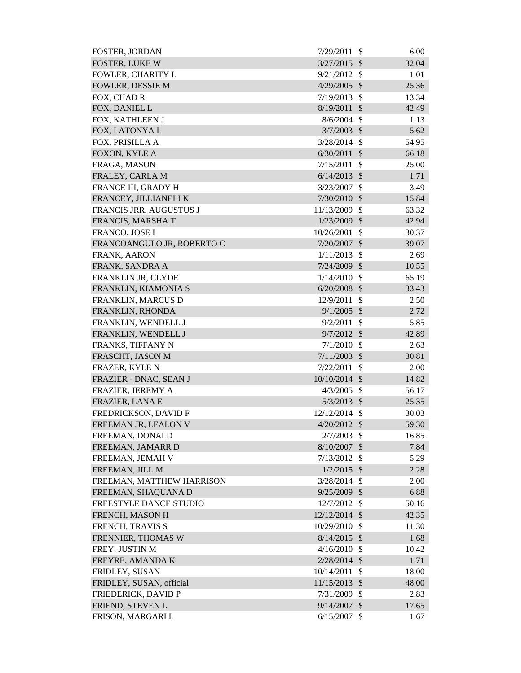| <b>FOSTER, JORDAN</b>      | 7/29/2011      | <sup>\$</sup>             | 6.00  |
|----------------------------|----------------|---------------------------|-------|
| <b>FOSTER, LUKE W</b>      | 3/27/2015      | $\mathcal{S}$             | 32.04 |
| FOWLER, CHARITY L          | 9/21/2012      | $\mathbb{S}$              | 1.01  |
| <b>FOWLER, DESSIE M</b>    | 4/29/2005      | $\mathcal{S}$             | 25.36 |
| FOX, CHAD R                | 7/19/2013      | $\mathcal{S}$             | 13.34 |
| FOX, DANIEL L              | 8/19/2011      | $\mathcal{S}$             | 42.49 |
| FOX, KATHLEEN J            | 8/6/2004       | -\$                       | 1.13  |
| FOX, LATONYAL              | 3/7/2003       | $\mathcal{S}$             | 5.62  |
| FOX, PRISILLA A            | 3/28/2014      | $\mathbb{S}$              | 54.95 |
| FOXON, KYLE A              | 6/30/2011      | $\mathcal{S}$             | 66.18 |
| FRAGA, MASON               | 7/15/2011      | $\mathcal{S}$             | 25.00 |
| FRALEY, CARLA M            | 6/14/2013      | $\mathcal{S}$             | 1.71  |
| FRANCE III, GRADY H        | 3/23/2007      | $\mathcal{S}$             | 3.49  |
| FRANCEY, JILLIANELI K      | 7/30/2010      | $\mathcal{S}$             | 15.84 |
| FRANCIS JRR, AUGUSTUS J    | 11/13/2009     | $\mathcal{S}$             | 63.32 |
| FRANCIS, MARSHAT           | 1/23/2009      | $\mathcal{S}$             | 42.94 |
| FRANCO, JOSE I             | 10/26/2001     | \$                        | 30.37 |
| FRANCOANGULO JR, ROBERTO C | 7/20/2007      | $\sqrt[6]{\frac{1}{2}}$   | 39.07 |
| FRANK, AARON               | 1/11/2013      | $\mathcal{S}$             | 2.69  |
| FRANK, SANDRA A            | 7/24/2009      | $\mathcal{S}$             | 10.55 |
| FRANKLIN JR, CLYDE         | 1/14/2010      | $\mathcal{S}$             | 65.19 |
| FRANKLIN, KIAMONIA S       | $6/20/2008$ \$ |                           | 33.43 |
| FRANKLIN, MARCUS D         | 12/9/2011      | $\mathcal{S}$             | 2.50  |
| FRANKLIN, RHONDA           | 9/1/2005       | $\mathcal{S}$             | 2.72  |
| FRANKLIN, WENDELL J        | 9/2/2011       | \$                        | 5.85  |
| FRANKLIN, WENDELL J        | 9/7/2012       | $\mathcal{S}$             | 42.89 |
| FRANKS, TIFFANY N          | 7/1/2010       | $\mathcal{S}$             | 2.63  |
| FRASCHT, JASON M           | 7/11/2003      | $\sqrt$                   | 30.81 |
| FRAZER, KYLE N             | 7/22/2011      | $\mathcal{S}$             | 2.00  |
| FRAZIER - DNAC, SEAN J     | 10/10/2014 \$  |                           | 14.82 |
| FRAZIER, JEREMY A          | 4/3/2005       | $\boldsymbol{\mathsf{S}}$ | 56.17 |
| FRAZIER, LANA E            | $5/3/2013$ \$  |                           | 25.35 |
| FREDRICKSON, DAVID F       | 12/12/2014 \$  |                           | 30.03 |
| FREEMAN JR, LEALON V       | $4/20/2012$ \$ |                           | 59.30 |
| FREEMAN, DONALD            | 2/7/2003       | $\mathcal{S}$             | 16.85 |
| FREEMAN, JAMARR D          | $8/10/2007$ \$ |                           | 7.84  |
| FREEMAN, JEMAH V           | 7/13/2012      | $\mathcal{S}$             | 5.29  |
| FREEMAN, JILL M            | $1/2/2015$ \$  |                           | 2.28  |
| FREEMAN, MATTHEW HARRISON  | $3/28/2014$ \$ |                           | 2.00  |
| FREEMAN, SHAQUANA D        | 9/25/2009      | $\mathcal{S}$             | 6.88  |
| FREESTYLE DANCE STUDIO     | 12/7/2012      | $\mathcal{S}$             | 50.16 |
|                            | 12/12/2014 \$  |                           |       |
| FRENCH, MASON H            | 10/29/2010     | $\mathcal{S}$             | 42.35 |
| FRENCH, TRAVIS S           |                |                           | 11.30 |
| FRENNIER, THOMAS W         | 8/14/2015      | $\mathcal{S}$             | 1.68  |
| FREY, JUSTIN M             | 4/16/2010      | $\mathcal{S}$             | 10.42 |
| FREYRE, AMANDA K           | $2/28/2014$ \$ |                           | 1.71  |
| FRIDLEY, SUSAN             | 10/14/2011     | $\mathcal{S}$             | 18.00 |
| FRIDLEY, SUSAN, official   | 11/15/2013     | $\sqrt{3}$                | 48.00 |
| FRIEDERICK, DAVID P        | 7/31/2009      | \$                        | 2.83  |
| FRIEND, STEVEN L           | 9/14/2007      | $\sqrt{3}$                | 17.65 |
| FRISON, MARGARI L          | $6/15/2007$ \$ |                           | 1.67  |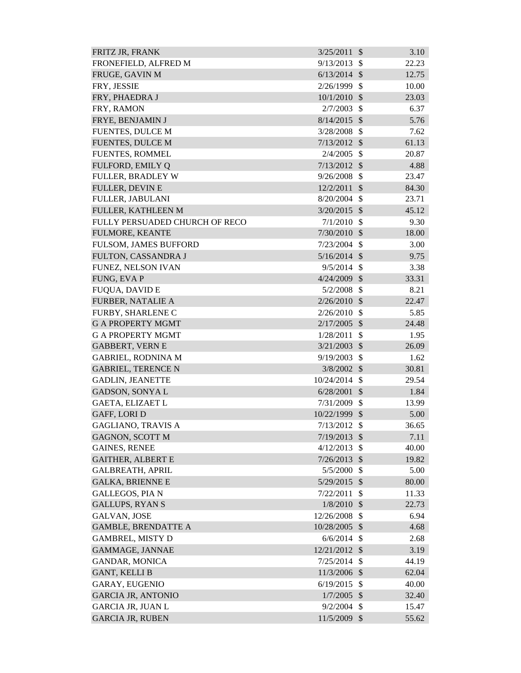| FRITZ JR, FRANK                | 3/25/2011      | $\mathcal{S}$ | 3.10  |
|--------------------------------|----------------|---------------|-------|
| FRONEFIELD, ALFRED M           | 9/13/2013      | \$            | 22.23 |
| FRUGE, GAVIN M                 | 6/13/2014      | $\mathcal{S}$ | 12.75 |
| FRY, JESSIE                    | 2/26/1999      | $\mathcal{S}$ | 10.00 |
| FRY, PHAEDRA J                 | 10/1/2010      | $\mathcal{S}$ | 23.03 |
| FRY, RAMON                     | 2/7/2003       | $\mathcal{S}$ | 6.37  |
| FRYE, BENJAMIN J               | 8/14/2015      | $\mathcal{S}$ | 5.76  |
| <b>FUENTES, DULCE M</b>        | 3/28/2008      | $\mathcal{S}$ | 7.62  |
| <b>FUENTES, DULCE M</b>        | 7/13/2012      | $\mathcal{S}$ | 61.13 |
| <b>FUENTES, ROMMEL</b>         | 2/4/2005       | $\mathcal{S}$ | 20.87 |
| FULFORD, EMILY Q               | $7/13/2012$ \$ |               | 4.88  |
| <b>FULLER, BRADLEY W</b>       | 9/26/2008      | $\mathcal{S}$ | 23.47 |
| <b>FULLER, DEVIN E</b>         | 12/2/2011      | $\mathcal{S}$ | 84.30 |
| FULLER, JABULANI               | 8/20/2004      | $\mathcal{S}$ | 23.71 |
| FULLER, KATHLEEN M             | $3/20/2015$ \$ |               | 45.12 |
| FULLY PERSUADED CHURCH OF RECO | 7/1/2010       | $\mathcal{S}$ | 9.30  |
| <b>FULMORE, KEANTE</b>         | 7/30/2010      | $\mathcal{S}$ | 18.00 |
| FULSOM, JAMES BUFFORD          | 7/23/2004      | $\mathbb{S}$  | 3.00  |
| FULTON, CASSANDRA J            | $5/16/2014$ \$ |               | 9.75  |
| FUNEZ, NELSON IVAN             | 9/5/2014       | $\mathcal{S}$ | 3.38  |
| FUNG, EVA P                    | 4/24/2009      | $\mathcal{S}$ | 33.31 |
| <b>FUQUA, DAVID E</b>          | 5/2/2008       | $\mathcal{S}$ | 8.21  |
| <b>FURBER, NATALIE A</b>       | 2/26/2010      | $\mathcal{S}$ | 22.47 |
| FURBY, SHARLENE C              | 2/26/2010      | $\mathcal{S}$ | 5.85  |
| <b>G A PROPERTY MGMT</b>       | 2/17/2005      | $\mathcal{S}$ | 24.48 |
| <b>G A PROPERTY MGMT</b>       | 1/28/2011      | $\mathcal{S}$ | 1.95  |
| <b>GABBERT, VERN E</b>         | 3/21/2003      | $\mathcal{S}$ | 26.09 |
| <b>GABRIEL, RODNINA M</b>      | 9/19/2003      | $\mathcal{S}$ | 1.62  |
| <b>GABRIEL, TERENCE N</b>      | $3/8/2002$ \$  |               | 30.81 |
| <b>GADLIN, JEANETTE</b>        | 10/24/2014 \$  |               | 29.54 |
| <b>GADSON, SONYAL</b>          | $6/28/2001$ \$ |               | 1.84  |
| GAETA, ELIZAET L               | 7/31/2009      | $\mathcal{S}$ | 13.99 |
| <b>GAFF, LORI D</b>            | 10/22/1999     | $\mathcal{S}$ | 5.00  |
| <b>GAGLIANO, TRAVIS A</b>      | 7/13/2012      | $\mathcal{S}$ | 36.65 |
| GAGNON, SCOTT M                | 7/19/2013      | $\mathcal{S}$ | 7.11  |
| <b>GAINES, RENEE</b>           | 4/12/2013      | $\mathcal{S}$ | 40.00 |
| <b>GAITHER, ALBERT E</b>       | 7/26/2013      | $\mathcal{S}$ | 19.82 |
| <b>GALBREATH, APRIL</b>        | 5/5/2000       | \$            | 5.00  |
| <b>GALKA, BRIENNE E</b>        | $5/29/2015$ \$ |               | 80.00 |
| <b>GALLEGOS, PIA N</b>         | 7/22/2011      | \$            | 11.33 |
| <b>GALLUPS, RYAN S</b>         | 1/8/2010       | $\sqrt{3}$    | 22.73 |
| <b>GALVAN, JOSE</b>            | 12/26/2008     | $\mathcal{S}$ | 6.94  |
| <b>GAMBLE, BRENDATTE A</b>     | 10/28/2005     | $\mathcal{S}$ | 4.68  |
| <b>GAMBREL, MISTY D</b>        | 6/6/2014       | $\mathcal{S}$ | 2.68  |
| GAMMAGE, JANNAE                | 12/21/2012 \$  |               | 3.19  |
| <b>GANDAR, MONICA</b>          | 7/25/2014      | $\mathcal{S}$ | 44.19 |
| <b>GANT, KELLI B</b>           | 11/3/2006      | $\mathcal{S}$ | 62.04 |
| GARAY, EUGENIO                 | 6/19/2015      | $\mathcal{S}$ | 40.00 |
| <b>GARCIA JR, ANTONIO</b>      | 1/7/2005       | $\mathcal{S}$ | 32.40 |
| <b>GARCIA JR, JUAN L</b>       | 9/2/2004       | $\mathcal{S}$ | 15.47 |
| <b>GARCIA JR, RUBEN</b>        | 11/5/2009      | $\mathcal{S}$ | 55.62 |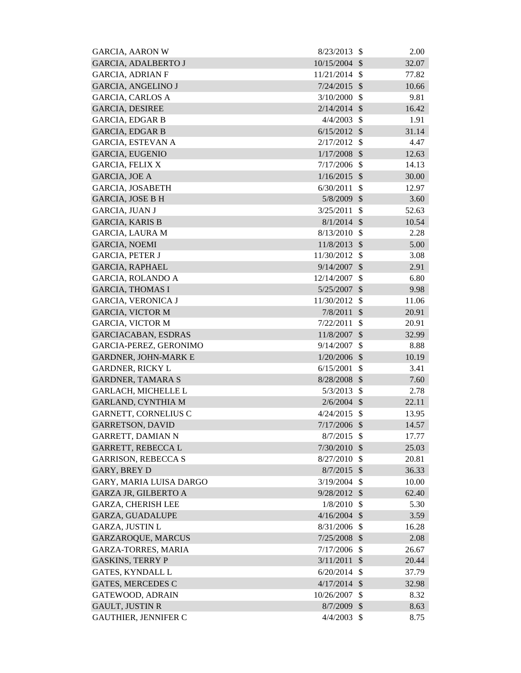| <b>GARCIA, AARON W</b>      | 8/23/2013      | <sup>\$</sup>             | 2.00  |
|-----------------------------|----------------|---------------------------|-------|
| <b>GARCIA, ADALBERTO J</b>  | 10/15/2004     | $\mathcal{S}$             | 32.07 |
| <b>GARCIA, ADRIAN F</b>     | 11/21/2014     | $\mathcal{S}$             | 77.82 |
| <b>GARCIA, ANGELINO J</b>   | $7/24/2015$ \$ |                           | 10.66 |
| <b>GARCIA, CARLOS A</b>     | 3/10/2000      | $\mathcal{S}$             | 9.81  |
| <b>GARCIA, DESIREE</b>      | $2/14/2014$ \$ |                           | 16.42 |
| <b>GARCIA, EDGAR B</b>      | 4/4/2003       | $\mathcal{S}$             | 1.91  |
| <b>GARCIA, EDGAR B</b>      | 6/15/2012      | $\mathcal{S}$             | 31.14 |
| <b>GARCIA, ESTEVAN A</b>    | 2/17/2012      | $\mathcal{S}$             | 4.47  |
| <b>GARCIA, EUGENIO</b>      | 1/17/2008      | $\mathcal{S}$             | 12.63 |
| GARCIA, FELIX X             | 7/17/2006      | $\mathcal{S}$             | 14.13 |
| <b>GARCIA, JOE A</b>        | 1/16/2015      | $\mathcal{S}$             | 30.00 |
| <b>GARCIA, JOSABETH</b>     | 6/30/2011      | $\mathcal{S}$             | 12.97 |
| <b>GARCIA, JOSE B H</b>     | 5/8/2009       | $\mathcal{S}$             | 3.60  |
| <b>GARCIA, JUAN J</b>       | 3/25/2011      | $\mathcal{S}$             | 52.63 |
| <b>GARCIA, KARIS B</b>      | 8/1/2014       | $\mathcal{S}$             | 10.54 |
| <b>GARCIA, LAURA M</b>      | 8/13/2010      | $\mathcal{S}$             | 2.28  |
| <b>GARCIA, NOEMI</b>        | 11/8/2013      | $\mathcal{S}$             | 5.00  |
| <b>GARCIA, PETER J</b>      | 11/30/2012     | $\boldsymbol{\mathsf{S}}$ | 3.08  |
| <b>GARCIA, RAPHAEL</b>      | 9/14/2007      | $\mathcal{S}$             | 2.91  |
| <b>GARCIA, ROLANDO A</b>    | 12/14/2007     | \$                        | 6.80  |
| <b>GARCIA, THOMAS I</b>     | 5/25/2007      | $\mathcal{S}$             | 9.98  |
| <b>GARCIA, VERONICA J</b>   | 11/30/2012     | $\mathcal{S}$             | 11.06 |
| <b>GARCIA, VICTOR M</b>     | 7/8/2011       | $\mathcal{S}$             | 20.91 |
| <b>GARCIA, VICTOR M</b>     | 7/22/2011      | \$                        | 20.91 |
| <b>GARCIACABAN, ESDRAS</b>  | 11/8/2007      | $\mathcal{S}$             | 32.99 |
| GARCIA-PEREZ, GERONIMO      | 9/14/2007      | $\mathcal{S}$             | 8.88  |
| <b>GARDNER, JOHN-MARK E</b> | $1/20/2006$ \$ |                           | 10.19 |
| <b>GARDNER, RICKY L</b>     | 6/15/2001      | $\mathcal{S}$             | 3.41  |
| <b>GARDNER, TAMARA S</b>    | 8/28/2008      | $\mathcal{S}$             | 7.60  |
| <b>GARLACH, MICHELLE L</b>  | $5/3/2013$ \$  |                           | 2.78  |
| <b>GARLAND, CYNTHIA M</b>   | 2/6/2004       | $\mathcal{S}$             | 22.11 |
| <b>GARNETT, CORNELIUS C</b> | 4/24/2015      | -\$                       | 13.95 |
| <b>GARRETSON, DAVID</b>     | $7/17/2006$ \$ |                           | 14.57 |
| <b>GARRETT, DAMIAN N</b>    | $8/7/2015$ \$  |                           | 17.77 |
| <b>GARRETT, REBECCAL</b>    | 7/30/2010      | $\mathcal{S}$             | 25.03 |
| <b>GARRISON, REBECCA S</b>  | 8/27/2010      | -\$                       | 20.81 |
| <b>GARY, BREY D</b>         | $8/7/2015$ \$  |                           | 36.33 |
| GARY, MARIA LUISA DARGO     | 3/19/2004      | -\$                       | 10.00 |
| <b>GARZA JR, GILBERTO A</b> | 9/28/2012 \$   |                           | 62.40 |
| <b>GARZA, CHERISH LEE</b>   | 1/8/2010       | $\mathcal{S}$             | 5.30  |
| GARZA, GUADALUPE            | $4/16/2004$ \$ |                           | 3.59  |
| <b>GARZA, JUSTIN L</b>      | 8/31/2006      | -\$                       | 16.28 |
| <b>GARZAROQUE, MARCUS</b>   | 7/25/2008      | $\mathcal{S}$             | 2.08  |
| <b>GARZA-TORRES, MARIA</b>  | 7/17/2006      | $\mathcal{S}$             | 26.67 |
| <b>GASKINS, TERRY P</b>     | 3/11/2011      | $\mathcal{S}$             | 20.44 |
| GATES, KYNDALL L            | 6/20/2014      | $\mathcal{S}$             | 37.79 |
| <b>GATES, MERCEDES C</b>    | 4/17/2014      | $\mathcal{S}$             | 32.98 |
| <b>GATEWOOD, ADRAIN</b>     | 10/26/2007     | \$                        | 8.32  |
| <b>GAULT, JUSTIN R</b>      | 8/7/2009       | \$                        | 8.63  |
| <b>GAUTHIER, JENNIFER C</b> | 4/4/2003       | $\mathcal{S}$             | 8.75  |
|                             |                |                           |       |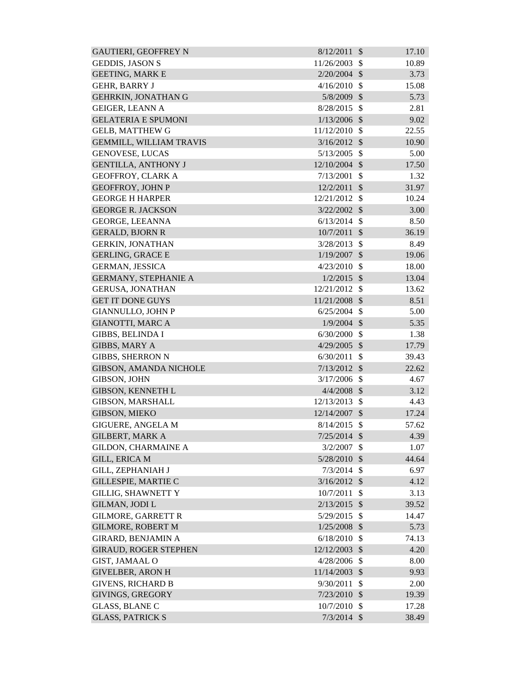| <b>GAUTIERI, GEOFFREY N</b>    | 8/12/2011     | $\mathcal{S}$              | 17.10 |
|--------------------------------|---------------|----------------------------|-------|
| <b>GEDDIS, JASON S</b>         | 11/26/2003    | $\mathcal{S}$              | 10.89 |
| <b>GEETING, MARK E</b>         | 2/20/2004     | $\mathcal{S}$              | 3.73  |
| <b>GEHR, BARRY J</b>           | 4/16/2010     | $\mathcal{S}$              | 15.08 |
| <b>GEHRKIN, JONATHAN G</b>     | 5/8/2009 \$   |                            | 5.73  |
| <b>GEIGER, LEANN A</b>         | 8/28/2015     | $\mathcal{S}$              | 2.81  |
| <b>GELATERIA E SPUMONI</b>     | 1/13/2006     | $\mathcal{S}$              | 9.02  |
| <b>GELB, MATTHEW G</b>         | 11/12/2010    | $\mathbb{S}$               | 22.55 |
| <b>GEMMILL, WILLIAM TRAVIS</b> | 3/16/2012     | $\mathcal{S}$              | 10.90 |
| <b>GENOVESE, LUCAS</b>         | 5/13/2005     | $\mathcal{S}$              | 5.00  |
| <b>GENTILLA, ANTHONY J</b>     | 12/10/2004 \$ |                            | 17.50 |
| <b>GEOFFROY, CLARK A</b>       | 7/13/2001     | \$                         | 1.32  |
| <b>GEOFFROY, JOHN P</b>        | 12/2/2011     | $\mathcal{S}$              | 31.97 |
| <b>GEORGE H HARPER</b>         | 12/21/2012    | $\mathcal{S}$              | 10.24 |
| <b>GEORGE R. JACKSON</b>       | 3/22/2002     | $\mathcal{S}$              | 3.00  |
| <b>GEORGE, LEEANNA</b>         | 6/13/2014     | $\mathcal{S}$              | 8.50  |
| <b>GERALD, BJORN R</b>         | 10/7/2011     | $\mathcal{S}$              | 36.19 |
| <b>GERKIN, JONATHAN</b>        | 3/28/2013     | $\mathcal{S}$              | 8.49  |
| <b>GERLING, GRACE E</b>        | 1/19/2007     | $\mathcal{S}$              | 19.06 |
| <b>GERMAN, JESSICA</b>         | 4/23/2010     | $\mathcal{S}$              | 18.00 |
| <b>GERMANY, STEPHANIE A</b>    | 1/2/2015      | $\mathcal{S}$              | 13.04 |
| <b>GERUSA, JONATHAN</b>        | 12/21/2012    | $\mathcal{S}$              | 13.62 |
| <b>GET IT DONE GUYS</b>        | 11/21/2008 \$ |                            | 8.51  |
| <b>GIANNULLO, JOHN P</b>       | 6/25/2004     | $\mathcal{S}$              | 5.00  |
| <b>GIANOTTI, MARC A</b>        | 1/9/2004      | $\mathcal{S}$              | 5.35  |
| <b>GIBBS, BELINDA I</b>        | 6/30/2000     | $\mathcal{S}$              | 1.38  |
| <b>GIBBS, MARY A</b>           | 4/29/2005     | $\mathcal{S}$              | 17.79 |
| <b>GIBBS, SHERRON N</b>        | 6/30/2011     | $\mathcal{S}$              | 39.43 |
| <b>GIBSON, AMANDA NICHOLE</b>  | 7/13/2012     | $\mathcal{S}$              | 22.62 |
| <b>GIBSON, JOHN</b>            | 3/17/2006     | $\mathcal{S}$              | 4.67  |
| <b>GIBSON, KENNETH L</b>       | $4/4/2008$ \$ |                            | 3.12  |
| <b>GIBSON, MARSHALL</b>        | 12/13/2013    | \$                         | 4.43  |
| GIBSON, MIEKO                  | 12/14/2007    | $\sqrt[6]{\frac{1}{2}}$    | 17.24 |
| <b>GIGUERE, ANGELA M</b>       | 8/14/2015     | $\mathcal{S}$              | 57.62 |
| <b>GILBERT, MARK A</b>         | 7/25/2014     | $\mathcal{S}$              | 4.39  |
| <b>GILDON, CHARMAINE A</b>     | 3/2/2007      | \$                         | 1.07  |
| <b>GILL, ERICA M</b>           | 5/28/2010     | $\mathcal{S}$              | 44.64 |
| <b>GILL, ZEPHANIAH J</b>       | 7/3/2014      | $\mathbb{S}$               | 6.97  |
| <b>GILLESPIE, MARTIE C</b>     | 3/16/2012     | $\mathcal{S}$              | 4.12  |
| <b>GILLIG, SHAWNETT Y</b>      | 10/7/2011     | \$                         | 3.13  |
| <b>GILMAN, JODI L</b>          | 2/13/2015     | $\mathcal{S}$              | 39.52 |
| <b>GILMORE, GARRETT R</b>      | 5/29/2015     | $\mathcal{S}$              | 14.47 |
| <b>GILMORE, ROBERT M</b>       | 1/25/2008     | $\mathcal{S}$              | 5.73  |
| <b>GIRARD, BENJAMIN A</b>      | 6/18/2010     | \$                         | 74.13 |
| <b>GIRAUD, ROGER STEPHEN</b>   | 12/12/2003    | $\boldsymbol{\mathcal{S}}$ | 4.20  |
| GIST, JAMAAL O                 | 4/28/2006     | $\mathcal{S}$              | 8.00  |
| <b>GIVELBER, ARON H</b>        | 11/14/2003    | $\mathcal{S}$              | 9.93  |
| <b>GIVENS, RICHARD B</b>       | 9/30/2011     | \$                         | 2.00  |
| GIVINGS, GREGORY               | 7/23/2010     | \$                         | 19.39 |
| <b>GLASS, BLANE C</b>          | 10/7/2010     | $\mathcal{S}$              | 17.28 |
| <b>GLASS, PATRICK S</b>        | 7/3/2014      | $\mathcal{S}$              | 38.49 |
|                                |               |                            |       |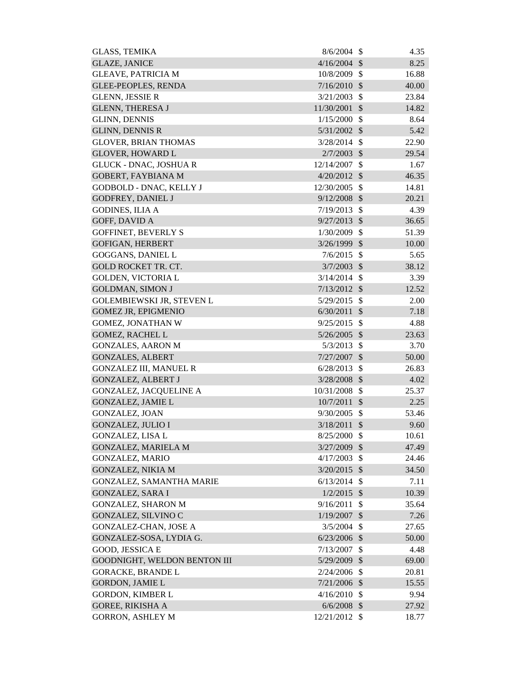| <b>GLASS, TEMIKA</b>             | 8/6/2004       | - \$                       | 4.35  |
|----------------------------------|----------------|----------------------------|-------|
| <b>GLAZE, JANICE</b>             | 4/16/2004      | $\mathcal{S}$              | 8.25  |
| <b>GLEAVE, PATRICIA M</b>        | 10/8/2009      | $\mathcal{S}$              | 16.88 |
| <b>GLEE-PEOPLES, RENDA</b>       | 7/16/2010      | $\mathcal{S}$              | 40.00 |
| <b>GLENN, JESSIE R</b>           | 3/21/2003      | $\mathcal{S}$              | 23.84 |
| <b>GLENN, THERESA J</b>          | 11/30/2001     | $\mathcal{S}$              | 14.82 |
| <b>GLINN, DENNIS</b>             | 1/15/2000      | $\mathcal{S}$              | 8.64  |
| <b>GLINN, DENNIS R</b>           | 5/31/2002      | \$                         | 5.42  |
| <b>GLOVER, BRIAN THOMAS</b>      | 3/28/2014      | -\$                        | 22.90 |
| <b>GLOVER, HOWARD L</b>          | $2/7/2003$ \$  |                            | 29.54 |
| <b>GLUCK - DNAC, JOSHUA R</b>    | 12/14/2007     | $\mathcal{S}$              | 1.67  |
| GOBERT, FAYBIANA M               | 4/20/2012      | $\mathcal{S}$              | 46.35 |
| <b>GODBOLD - DNAC, KELLY J</b>   | 12/30/2005     | $\mathcal{S}$              | 14.81 |
| <b>GODFREY, DANIEL J</b>         | 9/12/2008      | $\mathcal{S}$              | 20.21 |
| <b>GODINES, ILIA A</b>           | 7/19/2013      | $\mathcal{S}$              | 4.39  |
| GOFF, DAVID A                    | 9/27/2013      | $\mathcal{S}$              | 36.65 |
| <b>GOFFINET, BEVERLY S</b>       | 1/30/2009      | $\mathcal{S}$              | 51.39 |
| GOFIGAN, HERBERT                 | $3/26/1999$ \$ |                            | 10.00 |
| GOGGANS, DANIEL L                | $7/6/2015$ \$  |                            | 5.65  |
| <b>GOLD ROCKET TR. CT.</b>       | 3/7/2003       | $\mathcal{S}$              | 38.12 |
| <b>GOLDEN, VICTORIA L</b>        | 3/14/2014      | \$                         | 3.39  |
| <b>GOLDMAN, SIMON J</b>          | $7/13/2012$ \$ |                            | 12.52 |
| <b>GOLEMBIEWSKI JR, STEVEN L</b> | 5/29/2015      | $\mathcal{S}$              | 2.00  |
| <b>GOMEZ JR, EPIGMENIO</b>       | 6/30/2011      | $\sqrt{3}$                 | 7.18  |
| <b>GOMEZ, JONATHAN W</b>         | 9/25/2015      | $\mathcal{S}$              | 4.88  |
| <b>GOMEZ, RACHEL L</b>           | $5/26/2005$ \$ |                            | 23.63 |
| <b>GONZALES, AARON M</b>         | 5/3/2013       | $\mathcal{S}$              | 3.70  |
| <b>GONZALES, ALBERT</b>          | 7/27/2007      | $\mathcal{S}$              | 50.00 |
| <b>GONZALEZ III, MANUEL R</b>    | 6/28/2013      | $\mathcal{S}$              | 26.83 |
| <b>GONZALEZ, ALBERT J</b>        | 3/28/2008      | $\mathcal{S}$              | 4.02  |
| <b>GONZALEZ, JACQUELINE A</b>    | 10/31/2008     | $\boldsymbol{\mathsf{S}}$  | 25.37 |
| <b>GONZALEZ, JAMIE L</b>         | 10/7/2011      | $\boldsymbol{\mathcal{S}}$ | 2.25  |
| <b>GONZALEZ, JOAN</b>            | 9/30/2005      | $\boldsymbol{\mathsf{S}}$  | 53.46 |
| <b>GONZALEZ, JULIO I</b>         | 3/18/2011      | $\mathcal{S}$              | 9.60  |
| <b>GONZALEZ, LISA L</b>          | 8/25/2000      | \$                         | 10.61 |
| <b>GONZALEZ, MARIELA M</b>       | 3/27/2009      | $\boldsymbol{\mathsf{S}}$  | 47.49 |
| <b>GONZALEZ, MARIO</b>           | 4/17/2003      | \$                         | 24.46 |
| <b>GONZALEZ, NIKIA M</b>         | $3/20/2015$ \$ |                            | 34.50 |
| GONZALEZ, SAMANTHA MARIE         | 6/13/2014      | -\$                        | 7.11  |
| <b>GONZALEZ, SARA I</b>          | $1/2/2015$ \$  |                            | 10.39 |
| <b>GONZALEZ, SHARON M</b>        | 9/16/2011      | $\mathcal{S}$              | 35.64 |
| GONZALEZ, SILVINO C              | 1/19/2007      | $\mathcal{S}$              | 7.26  |
| <b>GONZALEZ-CHAN, JOSE A</b>     | $3/5/2004$ \$  |                            | 27.65 |
| GONZALEZ-SOSA, LYDIA G.          | $6/23/2006$ \$ |                            | 50.00 |
| GOOD, JESSICA E                  | 7/13/2007      | \$                         | 4.48  |
| GOODNIGHT, WELDON BENTON III     | 5/29/2009      | $\mathcal{S}$              | 69.00 |
| <b>GORACKE, BRANDE L</b>         | 2/24/2006      | $\mathcal{S}$              | 20.81 |
| <b>GORDON, JAMIE L</b>           | $7/21/2006$ \$ |                            | 15.55 |
| GORDON, KIMBER L                 | 4/16/2010      | $\mathcal{S}$              | 9.94  |
| <b>GOREE, RIKISHA A</b>          | $6/6/2008$ \$  |                            | 27.92 |
| <b>GORRON, ASHLEY M</b>          | 12/21/2012 \$  |                            | 18.77 |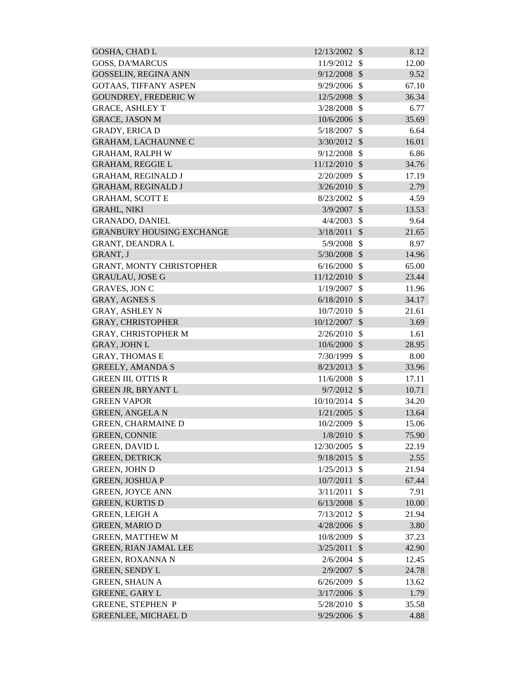| <b>GOSHA, CHAD L</b>             | 12/13/2002     | $\mathcal{S}$ | 8.12  |
|----------------------------------|----------------|---------------|-------|
| <b>GOSS, DA'MARCUS</b>           | 11/9/2012      | <sup>\$</sup> | 12.00 |
| <b>GOSSELIN, REGINA ANN</b>      | 9/12/2008      | $\mathcal{S}$ | 9.52  |
| <b>GOTAAS, TIFFANY ASPEN</b>     | 9/29/2006      | $\mathcal{S}$ | 67.10 |
| <b>GOUNDREY, FREDERIC W</b>      | 12/5/2008      | $\mathcal{S}$ | 36.34 |
| <b>GRACE, ASHLEY T</b>           | 3/28/2008      | $\mathcal{S}$ | 6.77  |
| <b>GRACE, JASON M</b>            | 10/6/2006 \$   |               | 35.69 |
| <b>GRADY, ERICA D</b>            | 5/18/2007      | \$            | 6.64  |
| <b>GRAHAM, LACHAUNNE C</b>       | $3/30/2012$ \$ |               | 16.01 |
| <b>GRAHAM, RALPH W</b>           | 9/12/2008      | $\mathcal{S}$ | 6.86  |
| <b>GRAHAM, REGGIE L</b>          | 11/12/2010     | $\mathcal{S}$ | 34.76 |
| <b>GRAHAM, REGINALD J</b>        | 2/20/2009      | $\mathcal{S}$ | 17.19 |
| <b>GRAHAM, REGINALD J</b>        | 3/26/2010      | $\mathcal{S}$ | 2.79  |
| <b>GRAHAM, SCOTT E</b>           | 8/23/2002      | $\mathcal{S}$ | 4.59  |
| <b>GRAHL, NIKI</b>               | 3/9/2007       | $\mathcal{S}$ | 13.53 |
| <b>GRANADO, DANIEL</b>           | 4/4/2003       | $\mathcal{S}$ | 9.64  |
| <b>GRANBURY HOUSING EXCHANGE</b> | 3/18/2011      | $\mathcal{S}$ | 21.65 |
| <b>GRANT, DEANDRA L</b>          | 5/9/2008       | $\mathcal{S}$ | 8.97  |
| GRANT, J                         | 5/30/2008 \$   |               | 14.96 |
| <b>GRANT, MONTY CHRISTOPHER</b>  | 6/16/2000      | $\mathcal{S}$ | 65.00 |
| <b>GRAULAU, JOSE G</b>           | 11/12/2010     | $\mathcal{S}$ | 23.44 |
| <b>GRAVES, JON C</b>             | 1/19/2007      | $\mathcal{S}$ | 11.96 |
| <b>GRAY, AGNES S</b>             | 6/18/2010      | $\mathcal{S}$ | 34.17 |
| <b>GRAY, ASHLEY N</b>            | 10/7/2010      | $\mathcal{S}$ | 21.61 |
| <b>GRAY, CHRISTOPHER</b>         | 10/12/2007     | $\mathcal{S}$ | 3.69  |
| <b>GRAY, CHRISTOPHER M</b>       | 2/26/2010      | $\mathcal{S}$ | 1.61  |
| <b>GRAY, JOHN L</b>              | 10/6/2000      | $\mathcal{S}$ | 28.95 |
| <b>GRAY, THOMAS E</b>            | 7/30/1999      | $\mathcal{S}$ | 8.00  |
| <b>GREELY, AMANDA S</b>          | 8/23/2013      | $\mathcal{S}$ | 33.96 |
| <b>GREEN III, OTTIS R</b>        | 11/6/2008      | $\mathcal{S}$ | 17.11 |
| <b>GREEN JR, BRYANT L</b>        | $9/7/2012$ \$  |               | 10.71 |
| <b>GREEN VAPOR</b>               | 10/10/2014     | <sup>\$</sup> | 34.20 |
| <b>GREEN, ANGELA N</b>           | $1/21/2005$ \$ |               | 13.64 |
| <b>GREEN, CHARMAINE D</b>        | 10/2/2009      | $\mathcal{S}$ | 15.06 |
| <b>GREEN, CONNIE</b>             | 1/8/2010       | $\mathcal{S}$ | 75.90 |
| <b>GREEN, DAVID L</b>            | 12/30/2005     | $\mathcal{S}$ | 22.19 |
| <b>GREEN, DETRICK</b>            | 9/18/2015      | $\mathcal{S}$ | 2.55  |
| <b>GREEN, JOHN D</b>             | 1/25/2013      | $\mathcal{S}$ | 21.94 |
| <b>GREEN, JOSHUA P</b>           | 10/7/2011      | $\mathcal{S}$ | 67.44 |
| <b>GREEN, JOYCE ANN</b>          | 3/11/2011      | $\mathcal{S}$ | 7.91  |
| <b>GREEN, KURTIS D</b>           | 6/13/2008      | $\mathcal{S}$ | 10.00 |
| <b>GREEN, LEIGH A</b>            | 7/13/2012      | $\mathcal{S}$ | 21.94 |
| <b>GREEN, MARIO D</b>            | $4/28/2006$ \$ |               | 3.80  |
| <b>GREEN, MATTHEW M</b>          | 10/8/2009      | $\mathcal{S}$ | 37.23 |
| <b>GREEN, RIAN JAMAL LEE</b>     | 3/25/2011      | \$            | 42.90 |
| <b>GREEN, ROXANNA N</b>          | 2/6/2004       | $\mathcal{S}$ | 12.45 |
| <b>GREEN, SENDY L</b>            | 2/9/2007       | $\mathcal{S}$ | 24.78 |
| <b>GREEN, SHAUN A</b>            | 6/26/2009      | $\mathcal{S}$ | 13.62 |
| <b>GREENE, GARY L</b>            | 3/17/2006      | $\mathcal{S}$ | 1.79  |
| <b>GREENE, STEPHEN P</b>         | 5/28/2010      | $\mathcal{S}$ | 35.58 |
| <b>GREENLEE, MICHAEL D</b>       | 9/29/2006      | $\mathcal{S}$ | 4.88  |
|                                  |                |               |       |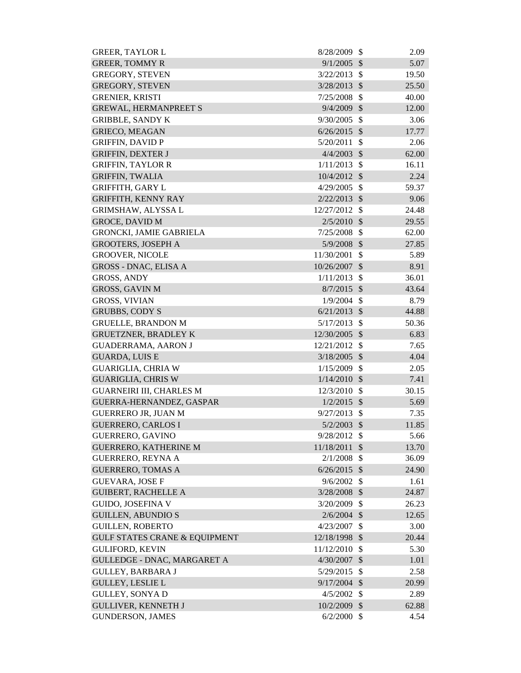| <b>GREER, TAYLOR L</b>                   | 8/28/2009      | \$            | 2.09  |
|------------------------------------------|----------------|---------------|-------|
| <b>GREER, TOMMY R</b>                    | $9/1/2005$ \$  |               | 5.07  |
| <b>GREGORY, STEVEN</b>                   | 3/22/2013      | $\mathcal{S}$ | 19.50 |
| <b>GREGORY, STEVEN</b>                   | 3/28/2013      | $\mathcal{S}$ | 25.50 |
| <b>GRENIER, KRISTI</b>                   | 7/25/2008      | $\mathcal{S}$ | 40.00 |
| <b>GREWAL, HERMANPREET S</b>             | $9/4/2009$ \$  |               | 12.00 |
| <b>GRIBBLE, SANDY K</b>                  | 9/30/2005      | $\mathcal{S}$ | 3.06  |
| <b>GRIECO, MEAGAN</b>                    | $6/26/2015$ \$ |               | 17.77 |
| <b>GRIFFIN, DAVID P</b>                  | 5/20/2011      | $\mathcal{S}$ | 2.06  |
| <b>GRIFFIN, DEXTER J</b>                 | 4/4/2003       | $\mathcal{S}$ | 62.00 |
| <b>GRIFFIN, TAYLOR R</b>                 | 1/11/2013      | $\mathcal{S}$ | 16.11 |
| <b>GRIFFIN, TWALIA</b>                   | 10/4/2012      | $\mathcal{S}$ | 2.24  |
| <b>GRIFFITH, GARY L</b>                  | 4/29/2005      | $\mathcal{S}$ | 59.37 |
| <b>GRIFFITH, KENNY RAY</b>               | $2/22/2013$ \$ |               | 9.06  |
| GRIMSHAW, ALYSSA L                       | 12/27/2012 \$  |               | 24.48 |
| <b>GROCE, DAVID M</b>                    | $2/5/2010$ \$  |               | 29.55 |
| <b>GRONCKI, JAMIE GABRIELA</b>           | 7/25/2008      | $\mathcal{S}$ | 62.00 |
| <b>GROOTERS, JOSEPH A</b>                | $5/9/2008$ \$  |               | 27.85 |
| <b>GROOVER, NICOLE</b>                   | 11/30/2001     | $\mathcal{S}$ | 5.89  |
| <b>GROSS - DNAC, ELISA A</b>             | 10/26/2007     | $\mathcal{S}$ | 8.91  |
| <b>GROSS, ANDY</b>                       | 1/11/2013      | $\mathcal{S}$ | 36.01 |
| <b>GROSS, GAVIN M</b>                    | 8/7/2015       | $\mathcal{S}$ | 43.64 |
| <b>GROSS, VIVIAN</b>                     | 1/9/2004       | $\mathcal{S}$ | 8.79  |
| <b>GRUBBS, CODY S</b>                    | 6/21/2013      | $\mathcal{S}$ | 44.88 |
| <b>GRUELLE, BRANDON M</b>                | 5/17/2013      | $\mathcal{S}$ | 50.36 |
| <b>GRUETZNER, BRADLEY K</b>              | 12/30/2005     | $\mathcal{S}$ | 6.83  |
| <b>GUADERRAMA, AARON J</b>               | 12/21/2012 \$  |               | 7.65  |
| <b>GUARDA, LUIS E</b>                    | 3/18/2005      | $\mathcal{S}$ | 4.04  |
| <b>GUARIGLIA, CHRIA W</b>                | $1/15/2009$ \$ |               | 2.05  |
| <b>GUARIGLIA, CHRIS W</b>                | $1/14/2010$ \$ |               | 7.41  |
| <b>GUARNEIRI III, CHARLES M</b>          | 12/3/2010 \$   |               | 30.15 |
| GUERRA-HERNANDEZ, GASPAR                 | $1/2/2015$ \$  |               | 5.69  |
| <b>GUERRERO JR, JUAN M</b>               | 9/27/2013      | \$            | 7.35  |
| <b>GUERRERO, CARLOS I</b>                | $5/2/2003$ \$  |               | 11.85 |
| <b>GUERRERO, GAVINO</b>                  | $9/28/2012$ \$ |               | 5.66  |
| <b>GUERRERO, KATHERINE M</b>             | 11/18/2011     | $\mathcal{S}$ | 13.70 |
| <b>GUERRERO, REYNA A</b>                 | 2/1/2008       | \$            | 36.09 |
| <b>GUERRERO, TOMAS A</b>                 | 6/26/2015      | $\mathcal{S}$ | 24.90 |
| <b>GUEVARA, JOSE F</b>                   | 9/6/2002       | $\mathcal{S}$ | 1.61  |
| <b>GUIBERT, RACHELLE A</b>               | 3/28/2008      | $\mathcal{S}$ | 24.87 |
| <b>GUIDO, JOSEFINA V</b>                 | 3/20/2009      | $\mathcal{S}$ | 26.23 |
| <b>GUILLEN, ABUNDIO S</b>                | $2/6/2004$ \$  |               | 12.65 |
| <b>GUILLEN, ROBERTO</b>                  | 4/23/2007      | $\mathcal{S}$ | 3.00  |
| <b>GULF STATES CRANE &amp; EQUIPMENT</b> | 12/18/1998 \$  |               | 20.44 |
| <b>GULIFORD, KEVIN</b>                   | 11/12/2010     | \$            | 5.30  |
| GULLEDGE - DNAC, MARGARET A              | 4/30/2007 \$   |               | 1.01  |
| <b>GULLEY, BARBARA J</b>                 | 5/29/2015      | $\mathcal{S}$ | 2.58  |
| <b>GULLEY, LESLIE L</b>                  | $9/17/2004$ \$ |               | 20.99 |
| <b>GULLEY, SONYA D</b>                   | 4/5/2002       | $\mathcal{S}$ | 2.89  |
| <b>GULLIVER, KENNETH J</b>               | 10/2/2009      | $\mathcal{S}$ | 62.88 |
| <b>GUNDERSON, JAMES</b>                  | $6/2/2000$ \$  |               | 4.54  |
|                                          |                |               |       |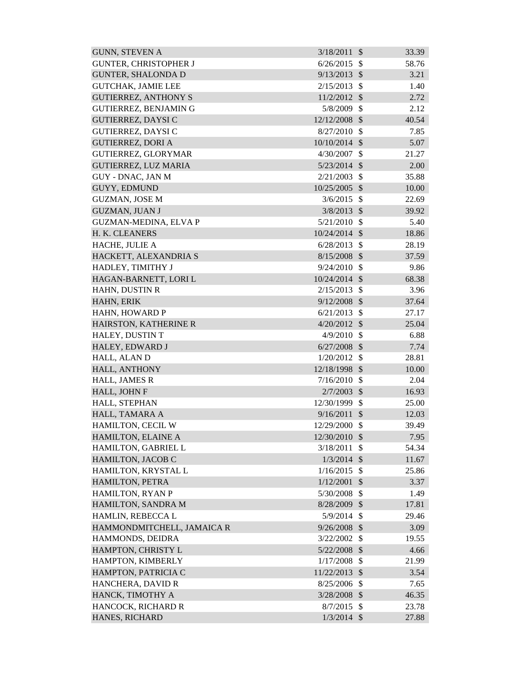| <b>GUNN, STEVEN A</b>        | 3/18/2011      | $\mathcal{S}$ | 33.39 |
|------------------------------|----------------|---------------|-------|
| <b>GUNTER, CHRISTOPHER J</b> | 6/26/2015      | $\mathcal{S}$ | 58.76 |
| <b>GUNTER, SHALONDA D</b>    | 9/13/2013      | $\mathcal{S}$ | 3.21  |
| <b>GUTCHAK, JAMIE LEE</b>    | 2/15/2013      | $\mathcal{S}$ | 1.40  |
| <b>GUTIERREZ, ANTHONY S</b>  | 11/2/2012      | $\mathcal{S}$ | 2.72  |
| <b>GUTIERREZ, BENJAMIN G</b> | 5/8/2009       | $\mathcal{S}$ | 2.12  |
| <b>GUTIERREZ, DAYSI C</b>    | 12/12/2008     | $\mathcal{S}$ | 40.54 |
| <b>GUTIERREZ, DAYSI C</b>    | 8/27/2010      | $\mathcal{S}$ | 7.85  |
| <b>GUTIERREZ, DORI A</b>     | 10/10/2014     | $\mathcal{S}$ | 5.07  |
| GUTIERREZ, GLORYMAR          | 4/30/2007      | $\mathcal{S}$ | 21.27 |
| <b>GUTIERREZ, LUZ MARIA</b>  | $5/23/2014$ \$ |               | 2.00  |
| <b>GUY - DNAC, JAN M</b>     | 2/21/2003      | \$            | 35.88 |
| <b>GUYY, EDMUND</b>          | 10/25/2005 \$  |               | 10.00 |
| <b>GUZMAN, JOSE M</b>        | 3/6/2015       | $\mathcal{S}$ | 22.69 |
| <b>GUZMAN, JUAN J</b>        | 3/8/2013       | $\mathcal{S}$ | 39.92 |
| <b>GUZMAN-MEDINA, ELVA P</b> | 5/21/2010      | $\mathcal{S}$ | 5.40  |
| H. K. CLEANERS               | 10/24/2014 \$  |               | 18.86 |
| HACHE, JULIE A               | 6/28/2013      | $\mathcal{S}$ | 28.19 |
| HACKETT, ALEXANDRIA S        | 8/15/2008      | $\mathcal{S}$ | 37.59 |
| HADLEY, TIMITHY J            | 9/24/2010      | $\mathcal{S}$ | 9.86  |
| HAGAN-BARNETT, LORI L        | 10/24/2014     | $\mathcal{S}$ | 68.38 |
| HAHN, DUSTIN R               | 2/15/2013      | $\mathcal{S}$ | 3.96  |
| HAHN, ERIK                   | 9/12/2008      | $\mathcal{S}$ | 37.64 |
| HAHN, HOWARD P               | 6/21/2013      | $\mathcal{S}$ | 27.17 |
| HAIRSTON, KATHERINE R        | 4/20/2012      | $\mathcal{S}$ | 25.04 |
| HALEY, DUSTIN T              | 4/9/2010       | $\mathcal{S}$ | 6.88  |
| HALEY, EDWARD J              | $6/27/2008$ \$ |               | 7.74  |
| HALL, ALAN D                 | 1/20/2012      | \$            | 28.81 |
| HALL, ANTHONY                | 12/18/1998 \$  |               | 10.00 |
| HALL, JAMES R                | 7/16/2010      | $\mathcal{S}$ | 2.04  |
| HALL, JOHN F                 | $2/7/2003$ \$  |               | 16.93 |
| HALL, STEPHAN                | 12/30/1999     | $\mathcal{S}$ | 25.00 |
| HALL, TAMARA A               | $9/16/2011$ \$ |               | 12.03 |
| HAMILTON, CECIL W            | 12/29/2000     | $\mathcal{S}$ | 39.49 |
| HAMILTON, ELAINE A           | 12/30/2010     | $\mathcal{S}$ | 7.95  |
| HAMILTON, GABRIEL L          | 3/18/2011      | \$            | 54.34 |
| HAMILTON, JACOB C            | 1/3/2014       | $\mathcal{S}$ | 11.67 |
| HAMILTON, KRYSTAL L          | 1/16/2015      | $\mathcal{S}$ | 25.86 |
| HAMILTON, PETRA              | 1/12/2001      | $\mathcal{S}$ | 3.37  |
| HAMILTON, RYAN P             | 5/30/2008      | \$            | 1.49  |
| HAMILTON, SANDRA M           | 8/28/2009 \$   |               | 17.81 |
| HAMLIN, REBECCA L            | 5/9/2014       | $\mathcal{S}$ | 29.46 |
| HAMMONDMITCHELL, JAMAICA R   | $9/26/2008$ \$ |               | 3.09  |
| HAMMONDS, DEIDRA             | 3/22/2002      | \$            | 19.55 |
| HAMPTON, CHRISTY L           | $5/22/2008$ \$ |               | 4.66  |
| HAMPTON, KIMBERLY            | 1/17/2008      | $\mathcal{S}$ | 21.99 |
| HAMPTON, PATRICIA C          | 11/22/2013     | $\mathcal{S}$ | 3.54  |
| HANCHERA, DAVID R            | 8/25/2006      | \$            | 7.65  |
| HANCK, TIMOTHY A             | 3/28/2008      | $\mathcal{S}$ | 46.35 |
| HANCOCK, RICHARD R           | 8/7/2015       | $\mathcal{S}$ | 23.78 |
| HANES, RICHARD               | $1/3/2014$ \$  |               | 27.88 |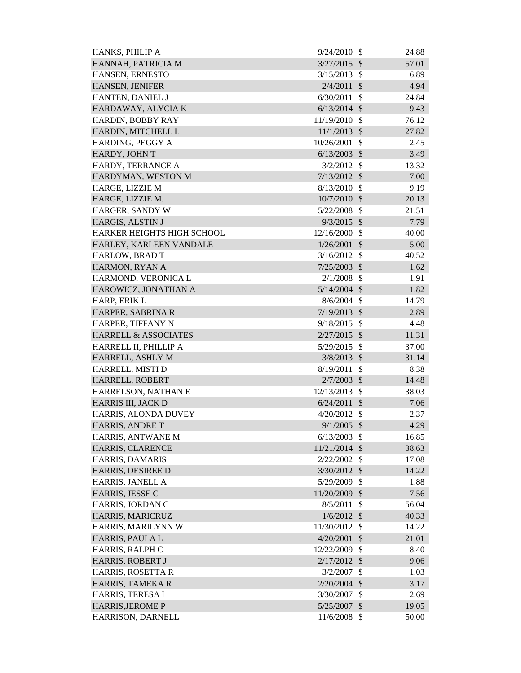| HANKS, PHILIP A                 | 9/24/2010      | - \$                      | 24.88 |
|---------------------------------|----------------|---------------------------|-------|
| HANNAH, PATRICIA M              | 3/27/2015      | $\mathcal{S}$             | 57.01 |
| HANSEN, ERNESTO                 | 3/15/2013      | - \$                      | 6.89  |
| HANSEN, JENIFER                 | 2/4/2011       | $\mathcal{S}$             | 4.94  |
| HANTEN, DANIEL J                | 6/30/2011      | \$                        | 24.84 |
| HARDAWAY, ALYCIA K              | $6/13/2014$ \$ |                           | 9.43  |
| HARDIN, BOBBY RAY               | 11/19/2010 \$  |                           | 76.12 |
| HARDIN, MITCHELL L              | $11/1/2013$ \$ |                           | 27.82 |
| HARDING, PEGGY A                | 10/26/2001     | $\mathcal{S}$             | 2.45  |
| HARDY, JOHN T                   | 6/13/2003      | $\mathcal{S}$             | 3.49  |
| HARDY, TERRANCE A               | $3/2/2012$ \$  |                           | 13.32 |
| HARDYMAN, WESTON M              | $7/13/2012$ \$ |                           | 7.00  |
| HARGE, LIZZIE M                 | $8/13/2010$ \$ |                           | 9.19  |
| HARGE, LIZZIE M.                | $10/7/2010$ \$ |                           | 20.13 |
| HARGER, SANDY W                 | $5/22/2008$ \$ |                           | 21.51 |
| HARGIS, ALSTIN J                | 9/3/2015       | $\mathcal{S}$             | 7.79  |
| HARKER HEIGHTS HIGH SCHOOL      | 12/16/2000     | $\mathcal{S}$             | 40.00 |
| HARLEY, KARLEEN VANDALE         | 1/26/2001      | $\mathcal{S}$             | 5.00  |
| HARLOW, BRAD T                  | $3/16/2012$ \$ |                           | 40.52 |
| HARMON, RYAN A                  | $7/25/2003$ \$ |                           | 1.62  |
| HARMOND, VERONICA L             | 2/1/2008       | $\mathcal{S}$             | 1.91  |
| HAROWICZ, JONATHAN A            | $5/14/2004$ \$ |                           | 1.82  |
| HARP, ERIK L                    | 8/6/2004       | $\mathcal{S}$             | 14.79 |
| HARPER, SABRINA R               | $7/19/2013$ \$ |                           | 2.89  |
| HARPER, TIFFANY N               | 9/18/2015      | $\mathcal{S}$             | 4.48  |
| <b>HARRELL &amp; ASSOCIATES</b> | $2/27/2015$ \$ |                           | 11.31 |
| HARRELL II, PHILLIP A           | 5/29/2015      | $\mathbb{S}$              | 37.00 |
| HARRELL, ASHLY M                | $3/8/2013$ \$  |                           | 31.14 |
| HARRELL, MISTI D                | 8/19/2011      | $\mathcal{S}$             | 8.38  |
| HARRELL, ROBERT                 | 2/7/2003       | $\mathcal{S}$             | 14.48 |
| HARRELSON, NATHAN E             | 12/13/2013     | \$                        | 38.03 |
| HARRIS III, JACK D              | 6/24/2011      | $\boldsymbol{\mathsf{S}}$ | 7.06  |
| HARRIS, ALONDA DUVEY            | $4/20/2012$ \$ |                           | 2.37  |
| HARRIS, ANDRE T                 | $9/1/2005$ \$  |                           | 4.29  |
| HARRIS, ANTWANE M               | 6/13/2003      | $\mathcal{S}$             | 16.85 |
| HARRIS, CLARENCE                | 11/21/2014 \$  |                           | 38.63 |
| HARRIS, DAMARIS                 | $2/22/2002$ \$ |                           | 17.08 |
| HARRIS, DESIREE D               | $3/30/2012$ \$ |                           | 14.22 |
| HARRIS, JANELL A                | 5/29/2009 \$   |                           | 1.88  |
| HARRIS, JESSE C                 | 11/20/2009     | $\boldsymbol{\mathsf{S}}$ | 7.56  |
| HARRIS, JORDAN C                | 8/5/2011       | $\mathcal{S}$             | 56.04 |
| HARRIS, MARICRUZ                | $1/6/2012$ \$  |                           | 40.33 |
| HARRIS, MARILYNN W              | 11/30/2012     | $\mathcal{S}$             | 14.22 |
| HARRIS, PAULA L                 | 4/20/2001      | $\mathcal{S}$             | 21.01 |
| HARRIS, RALPH C                 | 12/22/2009     | \$                        | 8.40  |
| HARRIS, ROBERT J                | $2/17/2012$ \$ |                           | 9.06  |
| HARRIS, ROSETTA R               | 3/2/2007       | $\mathcal{S}$             | 1.03  |
| HARRIS, TAMEKA R                | $2/20/2004$ \$ |                           | 3.17  |
| HARRIS, TERESA I                | 3/30/2007      | \$                        | 2.69  |
| <b>HARRIS, JEROME P</b>         | $5/25/2007$ \$ |                           | 19.05 |
| HARRISON, DARNELL               | 11/6/2008 \$   |                           | 50.00 |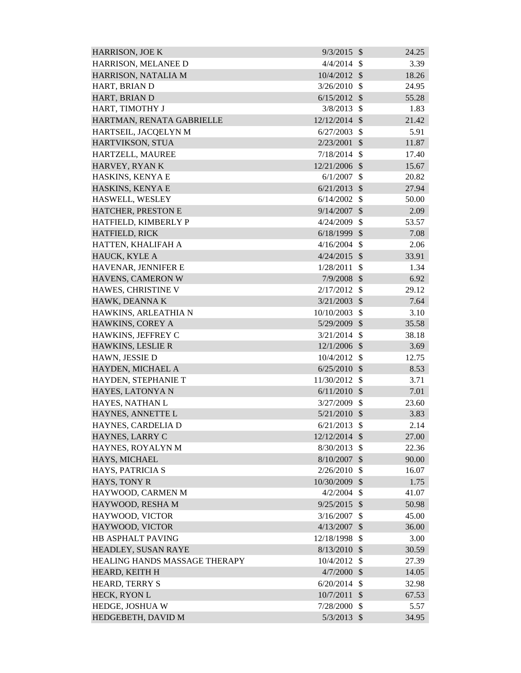| HARRISON, MELANEE D<br>4/4/2014<br>3.39<br>-\$<br>HARRISON, NATALIA M<br>10/4/2012 \$<br>18.26<br>HART, BRIAN D<br>3/26/2010<br>24.95<br>$\mathcal{S}$<br>HART, BRIAN D<br>6/15/2012<br>- \$<br>55.28<br>HART, TIMOTHY J<br>3/8/2013<br>$\mathbb{S}$<br>1.83<br>HARTMAN, RENATA GABRIELLE<br>12/12/2014<br>$\mathcal{S}$<br>21.42<br>5.91<br>HARTSEIL, JACQELYN M<br>6/27/2003<br>$\mathcal{S}$<br>HARTVIKSON, STUA<br>2/23/2001<br>$\mathcal{S}$<br>11.87<br>$\mathcal{S}$<br>HARTZELL, MAUREE<br>7/18/2014<br>17.40<br>HARVEY, RYAN K<br>$\mathcal{S}$<br>15.67<br>12/21/2006<br>HASKINS, KENYA E<br>6/1/2007<br>\$<br>20.82<br>HASKINS, KENYA E<br>$6/21/2013$ \$<br>27.94<br>$\mathcal{S}$<br>HASWELL, WESLEY<br>6/14/2002<br>50.00<br>HATCHER, PRESTON E<br>9/14/2007<br>$\mathcal{S}$<br>2.09<br>$\mathcal{S}$<br>HATFIELD, KIMBERLY P<br>53.57<br>4/24/2009<br>HATFIELD, RICK<br>7.08<br>$6/18/1999$ \$<br>HATTEN, KHALIFAH A<br>4/16/2004<br>$\mathcal{S}$<br>2.06<br>HAUCK, KYLE A<br>4/24/2015<br>33.91<br>$\mathcal{S}$<br>HAVENAR, JENNIFER E<br>1/28/2011<br>$\mathcal{S}$<br>1.34<br>HAVENS, CAMERON W<br>7/9/2008<br>6.92<br>$\mathcal{S}$<br>HAWES, CHRISTINE V<br>$\mathcal{S}$<br>2/17/2012<br>29.12<br>HAWK, DEANNAK<br>$3/21/2003$ \$<br>7.64<br>HAWKINS, ARLEATHIA N<br>10/10/2003<br>$\mathcal{S}$<br>3.10<br>HAWKINS, COREY A<br>35.58<br>5/29/2009<br>$\mathcal{S}$<br>HAWKINS, JEFFREY C<br>$\mathcal{S}$<br>3/21/2014<br>38.18<br>HAWKINS, LESLIE R<br>$12/1/2006$ \$<br>3.69<br>10/4/2012<br>\$<br>HAWN, JESSIE D<br>12.75<br>HAYDEN, MICHAEL A<br>$6/25/2010$ \$<br>8.53<br>HAYDEN, STEPHANIE T<br>11/30/2012 \$<br>3.71<br>$6/11/2010$ \$<br>HAYES, LATONYA N<br>7.01<br>HAYES, NATHAN L<br>3/27/2009<br>$\mathcal{S}$<br>23.60<br>HAYNES, ANNETTE L<br>$5/21/2010$ \$<br>3.83<br>HAYNES, CARDELIA D<br>6/21/2013<br>$\mathcal{S}$<br>2.14<br>HAYNES, LARRY C<br>12/12/2014<br>$\mathcal{S}$<br>27.00<br>HAYNES, ROYALYN M<br>8/30/2013<br>$\mathcal{S}$<br>22.36<br>HAYS, MICHAEL<br>8/10/2007<br>$\mathcal{S}$<br>90.00<br>HAYS, PATRICIA S<br>$\mathcal{S}$<br>2/26/2010<br>16.07<br>HAYS, TONY R<br>10/30/2009<br>$\mathcal{S}$<br>1.75<br>HAYWOOD, CARMEN M<br>4/2/2004<br>$\boldsymbol{\mathsf{S}}$<br>41.07<br>HAYWOOD, RESHA M<br>$9/25/2015$ \$<br>50.98<br>HAYWOOD, VICTOR<br>$\mathcal{S}$<br>3/16/2007<br>45.00<br>HAYWOOD, VICTOR<br>36.00<br>4/13/2007<br>$\mathcal{S}$<br>HB ASPHALT PAVING<br>12/18/1998<br>$\mathcal{S}$<br>3.00<br>8/13/2010<br>30.59<br>HEADLEY, SUSAN RAYE<br>$\sqrt[6]{\frac{1}{2}}$<br>10/4/2012<br>$\mathcal{S}$<br>HEALING HANDS MASSAGE THERAPY<br>27.39<br>HEARD, KEITH H<br>4/7/2000<br>$\mathcal{S}$<br>14.05<br><b>HEARD, TERRY S</b><br>6/20/2014<br>$\mathcal{S}$<br>32.98<br>HECK, RYON L<br>10/7/2011<br>$\mathcal{S}$<br>67.53<br>HEDGE, JOSHUA W<br>7/28/2000<br>$\mathcal{S}$<br>5.57<br>HEDGEBETH, DAVID M<br>$5/3/2013$ \$<br>34.95 | <b>HARRISON, JOE K</b> | $9/3/2015$ \$ | 24.25 |
|------------------------------------------------------------------------------------------------------------------------------------------------------------------------------------------------------------------------------------------------------------------------------------------------------------------------------------------------------------------------------------------------------------------------------------------------------------------------------------------------------------------------------------------------------------------------------------------------------------------------------------------------------------------------------------------------------------------------------------------------------------------------------------------------------------------------------------------------------------------------------------------------------------------------------------------------------------------------------------------------------------------------------------------------------------------------------------------------------------------------------------------------------------------------------------------------------------------------------------------------------------------------------------------------------------------------------------------------------------------------------------------------------------------------------------------------------------------------------------------------------------------------------------------------------------------------------------------------------------------------------------------------------------------------------------------------------------------------------------------------------------------------------------------------------------------------------------------------------------------------------------------------------------------------------------------------------------------------------------------------------------------------------------------------------------------------------------------------------------------------------------------------------------------------------------------------------------------------------------------------------------------------------------------------------------------------------------------------------------------------------------------------------------------------------------------------------------------------------------------------------------------------------------------------------------------------------------------------------------------------------------------------------------------------------------------------------------------------------------------------------------------------------------------------------------------------------------------------------------------------------------------------------------------------|------------------------|---------------|-------|
|                                                                                                                                                                                                                                                                                                                                                                                                                                                                                                                                                                                                                                                                                                                                                                                                                                                                                                                                                                                                                                                                                                                                                                                                                                                                                                                                                                                                                                                                                                                                                                                                                                                                                                                                                                                                                                                                                                                                                                                                                                                                                                                                                                                                                                                                                                                                                                                                                                                                                                                                                                                                                                                                                                                                                                                                                                                                                                                        |                        |               |       |
|                                                                                                                                                                                                                                                                                                                                                                                                                                                                                                                                                                                                                                                                                                                                                                                                                                                                                                                                                                                                                                                                                                                                                                                                                                                                                                                                                                                                                                                                                                                                                                                                                                                                                                                                                                                                                                                                                                                                                                                                                                                                                                                                                                                                                                                                                                                                                                                                                                                                                                                                                                                                                                                                                                                                                                                                                                                                                                                        |                        |               |       |
|                                                                                                                                                                                                                                                                                                                                                                                                                                                                                                                                                                                                                                                                                                                                                                                                                                                                                                                                                                                                                                                                                                                                                                                                                                                                                                                                                                                                                                                                                                                                                                                                                                                                                                                                                                                                                                                                                                                                                                                                                                                                                                                                                                                                                                                                                                                                                                                                                                                                                                                                                                                                                                                                                                                                                                                                                                                                                                                        |                        |               |       |
|                                                                                                                                                                                                                                                                                                                                                                                                                                                                                                                                                                                                                                                                                                                                                                                                                                                                                                                                                                                                                                                                                                                                                                                                                                                                                                                                                                                                                                                                                                                                                                                                                                                                                                                                                                                                                                                                                                                                                                                                                                                                                                                                                                                                                                                                                                                                                                                                                                                                                                                                                                                                                                                                                                                                                                                                                                                                                                                        |                        |               |       |
|                                                                                                                                                                                                                                                                                                                                                                                                                                                                                                                                                                                                                                                                                                                                                                                                                                                                                                                                                                                                                                                                                                                                                                                                                                                                                                                                                                                                                                                                                                                                                                                                                                                                                                                                                                                                                                                                                                                                                                                                                                                                                                                                                                                                                                                                                                                                                                                                                                                                                                                                                                                                                                                                                                                                                                                                                                                                                                                        |                        |               |       |
|                                                                                                                                                                                                                                                                                                                                                                                                                                                                                                                                                                                                                                                                                                                                                                                                                                                                                                                                                                                                                                                                                                                                                                                                                                                                                                                                                                                                                                                                                                                                                                                                                                                                                                                                                                                                                                                                                                                                                                                                                                                                                                                                                                                                                                                                                                                                                                                                                                                                                                                                                                                                                                                                                                                                                                                                                                                                                                                        |                        |               |       |
|                                                                                                                                                                                                                                                                                                                                                                                                                                                                                                                                                                                                                                                                                                                                                                                                                                                                                                                                                                                                                                                                                                                                                                                                                                                                                                                                                                                                                                                                                                                                                                                                                                                                                                                                                                                                                                                                                                                                                                                                                                                                                                                                                                                                                                                                                                                                                                                                                                                                                                                                                                                                                                                                                                                                                                                                                                                                                                                        |                        |               |       |
|                                                                                                                                                                                                                                                                                                                                                                                                                                                                                                                                                                                                                                                                                                                                                                                                                                                                                                                                                                                                                                                                                                                                                                                                                                                                                                                                                                                                                                                                                                                                                                                                                                                                                                                                                                                                                                                                                                                                                                                                                                                                                                                                                                                                                                                                                                                                                                                                                                                                                                                                                                                                                                                                                                                                                                                                                                                                                                                        |                        |               |       |
|                                                                                                                                                                                                                                                                                                                                                                                                                                                                                                                                                                                                                                                                                                                                                                                                                                                                                                                                                                                                                                                                                                                                                                                                                                                                                                                                                                                                                                                                                                                                                                                                                                                                                                                                                                                                                                                                                                                                                                                                                                                                                                                                                                                                                                                                                                                                                                                                                                                                                                                                                                                                                                                                                                                                                                                                                                                                                                                        |                        |               |       |
|                                                                                                                                                                                                                                                                                                                                                                                                                                                                                                                                                                                                                                                                                                                                                                                                                                                                                                                                                                                                                                                                                                                                                                                                                                                                                                                                                                                                                                                                                                                                                                                                                                                                                                                                                                                                                                                                                                                                                                                                                                                                                                                                                                                                                                                                                                                                                                                                                                                                                                                                                                                                                                                                                                                                                                                                                                                                                                                        |                        |               |       |
|                                                                                                                                                                                                                                                                                                                                                                                                                                                                                                                                                                                                                                                                                                                                                                                                                                                                                                                                                                                                                                                                                                                                                                                                                                                                                                                                                                                                                                                                                                                                                                                                                                                                                                                                                                                                                                                                                                                                                                                                                                                                                                                                                                                                                                                                                                                                                                                                                                                                                                                                                                                                                                                                                                                                                                                                                                                                                                                        |                        |               |       |
|                                                                                                                                                                                                                                                                                                                                                                                                                                                                                                                                                                                                                                                                                                                                                                                                                                                                                                                                                                                                                                                                                                                                                                                                                                                                                                                                                                                                                                                                                                                                                                                                                                                                                                                                                                                                                                                                                                                                                                                                                                                                                                                                                                                                                                                                                                                                                                                                                                                                                                                                                                                                                                                                                                                                                                                                                                                                                                                        |                        |               |       |
|                                                                                                                                                                                                                                                                                                                                                                                                                                                                                                                                                                                                                                                                                                                                                                                                                                                                                                                                                                                                                                                                                                                                                                                                                                                                                                                                                                                                                                                                                                                                                                                                                                                                                                                                                                                                                                                                                                                                                                                                                                                                                                                                                                                                                                                                                                                                                                                                                                                                                                                                                                                                                                                                                                                                                                                                                                                                                                                        |                        |               |       |
|                                                                                                                                                                                                                                                                                                                                                                                                                                                                                                                                                                                                                                                                                                                                                                                                                                                                                                                                                                                                                                                                                                                                                                                                                                                                                                                                                                                                                                                                                                                                                                                                                                                                                                                                                                                                                                                                                                                                                                                                                                                                                                                                                                                                                                                                                                                                                                                                                                                                                                                                                                                                                                                                                                                                                                                                                                                                                                                        |                        |               |       |
|                                                                                                                                                                                                                                                                                                                                                                                                                                                                                                                                                                                                                                                                                                                                                                                                                                                                                                                                                                                                                                                                                                                                                                                                                                                                                                                                                                                                                                                                                                                                                                                                                                                                                                                                                                                                                                                                                                                                                                                                                                                                                                                                                                                                                                                                                                                                                                                                                                                                                                                                                                                                                                                                                                                                                                                                                                                                                                                        |                        |               |       |
|                                                                                                                                                                                                                                                                                                                                                                                                                                                                                                                                                                                                                                                                                                                                                                                                                                                                                                                                                                                                                                                                                                                                                                                                                                                                                                                                                                                                                                                                                                                                                                                                                                                                                                                                                                                                                                                                                                                                                                                                                                                                                                                                                                                                                                                                                                                                                                                                                                                                                                                                                                                                                                                                                                                                                                                                                                                                                                                        |                        |               |       |
|                                                                                                                                                                                                                                                                                                                                                                                                                                                                                                                                                                                                                                                                                                                                                                                                                                                                                                                                                                                                                                                                                                                                                                                                                                                                                                                                                                                                                                                                                                                                                                                                                                                                                                                                                                                                                                                                                                                                                                                                                                                                                                                                                                                                                                                                                                                                                                                                                                                                                                                                                                                                                                                                                                                                                                                                                                                                                                                        |                        |               |       |
|                                                                                                                                                                                                                                                                                                                                                                                                                                                                                                                                                                                                                                                                                                                                                                                                                                                                                                                                                                                                                                                                                                                                                                                                                                                                                                                                                                                                                                                                                                                                                                                                                                                                                                                                                                                                                                                                                                                                                                                                                                                                                                                                                                                                                                                                                                                                                                                                                                                                                                                                                                                                                                                                                                                                                                                                                                                                                                                        |                        |               |       |
|                                                                                                                                                                                                                                                                                                                                                                                                                                                                                                                                                                                                                                                                                                                                                                                                                                                                                                                                                                                                                                                                                                                                                                                                                                                                                                                                                                                                                                                                                                                                                                                                                                                                                                                                                                                                                                                                                                                                                                                                                                                                                                                                                                                                                                                                                                                                                                                                                                                                                                                                                                                                                                                                                                                                                                                                                                                                                                                        |                        |               |       |
|                                                                                                                                                                                                                                                                                                                                                                                                                                                                                                                                                                                                                                                                                                                                                                                                                                                                                                                                                                                                                                                                                                                                                                                                                                                                                                                                                                                                                                                                                                                                                                                                                                                                                                                                                                                                                                                                                                                                                                                                                                                                                                                                                                                                                                                                                                                                                                                                                                                                                                                                                                                                                                                                                                                                                                                                                                                                                                                        |                        |               |       |
|                                                                                                                                                                                                                                                                                                                                                                                                                                                                                                                                                                                                                                                                                                                                                                                                                                                                                                                                                                                                                                                                                                                                                                                                                                                                                                                                                                                                                                                                                                                                                                                                                                                                                                                                                                                                                                                                                                                                                                                                                                                                                                                                                                                                                                                                                                                                                                                                                                                                                                                                                                                                                                                                                                                                                                                                                                                                                                                        |                        |               |       |
|                                                                                                                                                                                                                                                                                                                                                                                                                                                                                                                                                                                                                                                                                                                                                                                                                                                                                                                                                                                                                                                                                                                                                                                                                                                                                                                                                                                                                                                                                                                                                                                                                                                                                                                                                                                                                                                                                                                                                                                                                                                                                                                                                                                                                                                                                                                                                                                                                                                                                                                                                                                                                                                                                                                                                                                                                                                                                                                        |                        |               |       |
|                                                                                                                                                                                                                                                                                                                                                                                                                                                                                                                                                                                                                                                                                                                                                                                                                                                                                                                                                                                                                                                                                                                                                                                                                                                                                                                                                                                                                                                                                                                                                                                                                                                                                                                                                                                                                                                                                                                                                                                                                                                                                                                                                                                                                                                                                                                                                                                                                                                                                                                                                                                                                                                                                                                                                                                                                                                                                                                        |                        |               |       |
|                                                                                                                                                                                                                                                                                                                                                                                                                                                                                                                                                                                                                                                                                                                                                                                                                                                                                                                                                                                                                                                                                                                                                                                                                                                                                                                                                                                                                                                                                                                                                                                                                                                                                                                                                                                                                                                                                                                                                                                                                                                                                                                                                                                                                                                                                                                                                                                                                                                                                                                                                                                                                                                                                                                                                                                                                                                                                                                        |                        |               |       |
|                                                                                                                                                                                                                                                                                                                                                                                                                                                                                                                                                                                                                                                                                                                                                                                                                                                                                                                                                                                                                                                                                                                                                                                                                                                                                                                                                                                                                                                                                                                                                                                                                                                                                                                                                                                                                                                                                                                                                                                                                                                                                                                                                                                                                                                                                                                                                                                                                                                                                                                                                                                                                                                                                                                                                                                                                                                                                                                        |                        |               |       |
|                                                                                                                                                                                                                                                                                                                                                                                                                                                                                                                                                                                                                                                                                                                                                                                                                                                                                                                                                                                                                                                                                                                                                                                                                                                                                                                                                                                                                                                                                                                                                                                                                                                                                                                                                                                                                                                                                                                                                                                                                                                                                                                                                                                                                                                                                                                                                                                                                                                                                                                                                                                                                                                                                                                                                                                                                                                                                                                        |                        |               |       |
|                                                                                                                                                                                                                                                                                                                                                                                                                                                                                                                                                                                                                                                                                                                                                                                                                                                                                                                                                                                                                                                                                                                                                                                                                                                                                                                                                                                                                                                                                                                                                                                                                                                                                                                                                                                                                                                                                                                                                                                                                                                                                                                                                                                                                                                                                                                                                                                                                                                                                                                                                                                                                                                                                                                                                                                                                                                                                                                        |                        |               |       |
|                                                                                                                                                                                                                                                                                                                                                                                                                                                                                                                                                                                                                                                                                                                                                                                                                                                                                                                                                                                                                                                                                                                                                                                                                                                                                                                                                                                                                                                                                                                                                                                                                                                                                                                                                                                                                                                                                                                                                                                                                                                                                                                                                                                                                                                                                                                                                                                                                                                                                                                                                                                                                                                                                                                                                                                                                                                                                                                        |                        |               |       |
|                                                                                                                                                                                                                                                                                                                                                                                                                                                                                                                                                                                                                                                                                                                                                                                                                                                                                                                                                                                                                                                                                                                                                                                                                                                                                                                                                                                                                                                                                                                                                                                                                                                                                                                                                                                                                                                                                                                                                                                                                                                                                                                                                                                                                                                                                                                                                                                                                                                                                                                                                                                                                                                                                                                                                                                                                                                                                                                        |                        |               |       |
|                                                                                                                                                                                                                                                                                                                                                                                                                                                                                                                                                                                                                                                                                                                                                                                                                                                                                                                                                                                                                                                                                                                                                                                                                                                                                                                                                                                                                                                                                                                                                                                                                                                                                                                                                                                                                                                                                                                                                                                                                                                                                                                                                                                                                                                                                                                                                                                                                                                                                                                                                                                                                                                                                                                                                                                                                                                                                                                        |                        |               |       |
|                                                                                                                                                                                                                                                                                                                                                                                                                                                                                                                                                                                                                                                                                                                                                                                                                                                                                                                                                                                                                                                                                                                                                                                                                                                                                                                                                                                                                                                                                                                                                                                                                                                                                                                                                                                                                                                                                                                                                                                                                                                                                                                                                                                                                                                                                                                                                                                                                                                                                                                                                                                                                                                                                                                                                                                                                                                                                                                        |                        |               |       |
|                                                                                                                                                                                                                                                                                                                                                                                                                                                                                                                                                                                                                                                                                                                                                                                                                                                                                                                                                                                                                                                                                                                                                                                                                                                                                                                                                                                                                                                                                                                                                                                                                                                                                                                                                                                                                                                                                                                                                                                                                                                                                                                                                                                                                                                                                                                                                                                                                                                                                                                                                                                                                                                                                                                                                                                                                                                                                                                        |                        |               |       |
|                                                                                                                                                                                                                                                                                                                                                                                                                                                                                                                                                                                                                                                                                                                                                                                                                                                                                                                                                                                                                                                                                                                                                                                                                                                                                                                                                                                                                                                                                                                                                                                                                                                                                                                                                                                                                                                                                                                                                                                                                                                                                                                                                                                                                                                                                                                                                                                                                                                                                                                                                                                                                                                                                                                                                                                                                                                                                                                        |                        |               |       |
|                                                                                                                                                                                                                                                                                                                                                                                                                                                                                                                                                                                                                                                                                                                                                                                                                                                                                                                                                                                                                                                                                                                                                                                                                                                                                                                                                                                                                                                                                                                                                                                                                                                                                                                                                                                                                                                                                                                                                                                                                                                                                                                                                                                                                                                                                                                                                                                                                                                                                                                                                                                                                                                                                                                                                                                                                                                                                                                        |                        |               |       |
|                                                                                                                                                                                                                                                                                                                                                                                                                                                                                                                                                                                                                                                                                                                                                                                                                                                                                                                                                                                                                                                                                                                                                                                                                                                                                                                                                                                                                                                                                                                                                                                                                                                                                                                                                                                                                                                                                                                                                                                                                                                                                                                                                                                                                                                                                                                                                                                                                                                                                                                                                                                                                                                                                                                                                                                                                                                                                                                        |                        |               |       |
|                                                                                                                                                                                                                                                                                                                                                                                                                                                                                                                                                                                                                                                                                                                                                                                                                                                                                                                                                                                                                                                                                                                                                                                                                                                                                                                                                                                                                                                                                                                                                                                                                                                                                                                                                                                                                                                                                                                                                                                                                                                                                                                                                                                                                                                                                                                                                                                                                                                                                                                                                                                                                                                                                                                                                                                                                                                                                                                        |                        |               |       |
|                                                                                                                                                                                                                                                                                                                                                                                                                                                                                                                                                                                                                                                                                                                                                                                                                                                                                                                                                                                                                                                                                                                                                                                                                                                                                                                                                                                                                                                                                                                                                                                                                                                                                                                                                                                                                                                                                                                                                                                                                                                                                                                                                                                                                                                                                                                                                                                                                                                                                                                                                                                                                                                                                                                                                                                                                                                                                                                        |                        |               |       |
|                                                                                                                                                                                                                                                                                                                                                                                                                                                                                                                                                                                                                                                                                                                                                                                                                                                                                                                                                                                                                                                                                                                                                                                                                                                                                                                                                                                                                                                                                                                                                                                                                                                                                                                                                                                                                                                                                                                                                                                                                                                                                                                                                                                                                                                                                                                                                                                                                                                                                                                                                                                                                                                                                                                                                                                                                                                                                                                        |                        |               |       |
|                                                                                                                                                                                                                                                                                                                                                                                                                                                                                                                                                                                                                                                                                                                                                                                                                                                                                                                                                                                                                                                                                                                                                                                                                                                                                                                                                                                                                                                                                                                                                                                                                                                                                                                                                                                                                                                                                                                                                                                                                                                                                                                                                                                                                                                                                                                                                                                                                                                                                                                                                                                                                                                                                                                                                                                                                                                                                                                        |                        |               |       |
|                                                                                                                                                                                                                                                                                                                                                                                                                                                                                                                                                                                                                                                                                                                                                                                                                                                                                                                                                                                                                                                                                                                                                                                                                                                                                                                                                                                                                                                                                                                                                                                                                                                                                                                                                                                                                                                                                                                                                                                                                                                                                                                                                                                                                                                                                                                                                                                                                                                                                                                                                                                                                                                                                                                                                                                                                                                                                                                        |                        |               |       |
|                                                                                                                                                                                                                                                                                                                                                                                                                                                                                                                                                                                                                                                                                                                                                                                                                                                                                                                                                                                                                                                                                                                                                                                                                                                                                                                                                                                                                                                                                                                                                                                                                                                                                                                                                                                                                                                                                                                                                                                                                                                                                                                                                                                                                                                                                                                                                                                                                                                                                                                                                                                                                                                                                                                                                                                                                                                                                                                        |                        |               |       |
|                                                                                                                                                                                                                                                                                                                                                                                                                                                                                                                                                                                                                                                                                                                                                                                                                                                                                                                                                                                                                                                                                                                                                                                                                                                                                                                                                                                                                                                                                                                                                                                                                                                                                                                                                                                                                                                                                                                                                                                                                                                                                                                                                                                                                                                                                                                                                                                                                                                                                                                                                                                                                                                                                                                                                                                                                                                                                                                        |                        |               |       |
|                                                                                                                                                                                                                                                                                                                                                                                                                                                                                                                                                                                                                                                                                                                                                                                                                                                                                                                                                                                                                                                                                                                                                                                                                                                                                                                                                                                                                                                                                                                                                                                                                                                                                                                                                                                                                                                                                                                                                                                                                                                                                                                                                                                                                                                                                                                                                                                                                                                                                                                                                                                                                                                                                                                                                                                                                                                                                                                        |                        |               |       |
|                                                                                                                                                                                                                                                                                                                                                                                                                                                                                                                                                                                                                                                                                                                                                                                                                                                                                                                                                                                                                                                                                                                                                                                                                                                                                                                                                                                                                                                                                                                                                                                                                                                                                                                                                                                                                                                                                                                                                                                                                                                                                                                                                                                                                                                                                                                                                                                                                                                                                                                                                                                                                                                                                                                                                                                                                                                                                                                        |                        |               |       |
|                                                                                                                                                                                                                                                                                                                                                                                                                                                                                                                                                                                                                                                                                                                                                                                                                                                                                                                                                                                                                                                                                                                                                                                                                                                                                                                                                                                                                                                                                                                                                                                                                                                                                                                                                                                                                                                                                                                                                                                                                                                                                                                                                                                                                                                                                                                                                                                                                                                                                                                                                                                                                                                                                                                                                                                                                                                                                                                        |                        |               |       |
|                                                                                                                                                                                                                                                                                                                                                                                                                                                                                                                                                                                                                                                                                                                                                                                                                                                                                                                                                                                                                                                                                                                                                                                                                                                                                                                                                                                                                                                                                                                                                                                                                                                                                                                                                                                                                                                                                                                                                                                                                                                                                                                                                                                                                                                                                                                                                                                                                                                                                                                                                                                                                                                                                                                                                                                                                                                                                                                        |                        |               |       |
|                                                                                                                                                                                                                                                                                                                                                                                                                                                                                                                                                                                                                                                                                                                                                                                                                                                                                                                                                                                                                                                                                                                                                                                                                                                                                                                                                                                                                                                                                                                                                                                                                                                                                                                                                                                                                                                                                                                                                                                                                                                                                                                                                                                                                                                                                                                                                                                                                                                                                                                                                                                                                                                                                                                                                                                                                                                                                                                        |                        |               |       |
|                                                                                                                                                                                                                                                                                                                                                                                                                                                                                                                                                                                                                                                                                                                                                                                                                                                                                                                                                                                                                                                                                                                                                                                                                                                                                                                                                                                                                                                                                                                                                                                                                                                                                                                                                                                                                                                                                                                                                                                                                                                                                                                                                                                                                                                                                                                                                                                                                                                                                                                                                                                                                                                                                                                                                                                                                                                                                                                        |                        |               |       |
|                                                                                                                                                                                                                                                                                                                                                                                                                                                                                                                                                                                                                                                                                                                                                                                                                                                                                                                                                                                                                                                                                                                                                                                                                                                                                                                                                                                                                                                                                                                                                                                                                                                                                                                                                                                                                                                                                                                                                                                                                                                                                                                                                                                                                                                                                                                                                                                                                                                                                                                                                                                                                                                                                                                                                                                                                                                                                                                        |                        |               |       |
|                                                                                                                                                                                                                                                                                                                                                                                                                                                                                                                                                                                                                                                                                                                                                                                                                                                                                                                                                                                                                                                                                                                                                                                                                                                                                                                                                                                                                                                                                                                                                                                                                                                                                                                                                                                                                                                                                                                                                                                                                                                                                                                                                                                                                                                                                                                                                                                                                                                                                                                                                                                                                                                                                                                                                                                                                                                                                                                        |                        |               |       |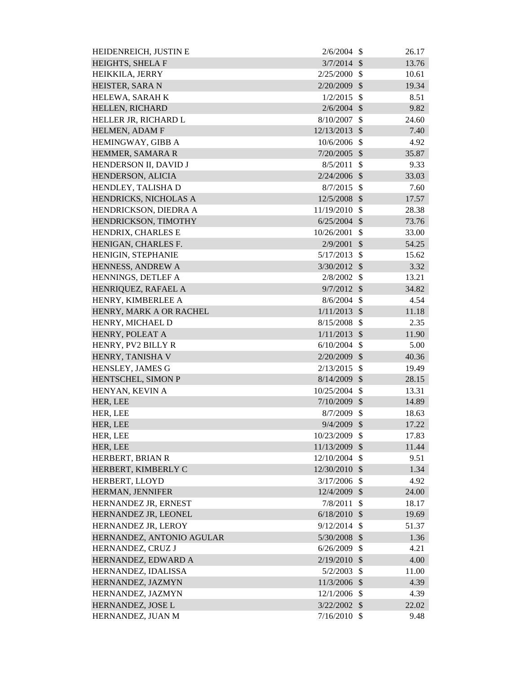| HEIDENREICH, JUSTIN E     | 2/6/2004               | - \$                      | 26.17          |
|---------------------------|------------------------|---------------------------|----------------|
| HEIGHTS, SHELA F          | $3/7/2014$ \$          |                           | 13.76          |
| HEIKKILA, JERRY           | 2/25/2000              | -\$                       | 10.61          |
| HEISTER, SARA N           | 2/20/2009              | $\mathcal{S}$             | 19.34          |
| HELEWA, SARAH K           | 1/2/2015               | $\mathcal{S}$             | 8.51           |
| HELLEN, RICHARD           | $2/6/2004$ \$          |                           | 9.82           |
| HELLER JR, RICHARD L      | 8/10/2007              | $\mathcal{S}$             | 24.60          |
| HELMEN, ADAM F            | 12/13/2013             | $\mathcal{S}$             | 7.40           |
| HEMINGWAY, GIBB A         | 10/6/2006              | $\mathcal{S}$             | 4.92           |
| HEMMER, SAMARA R          | $7/20/2005$ \$         |                           | 35.87          |
| HENDERSON II, DAVID J     | 8/5/2011               | $\mathcal{S}$             | 9.33           |
| HENDERSON, ALICIA         | 2/24/2006              | $\mathcal{S}$             | 33.03          |
| HENDLEY, TALISHA D        | 8/7/2015               | $\mathcal{S}$             | 7.60           |
| HENDRICKS, NICHOLAS A     | 12/5/2008 \$           |                           | 17.57          |
| HENDRICKSON, DIEDRA A     | 11/19/2010             | -\$                       | 28.38          |
| HENDRICKSON, TIMOTHY      | 6/25/2004              | $\mathcal{S}$             | 73.76          |
| HENDRIX, CHARLES E        | 10/26/2001             | $\mathcal{S}$             | 33.00          |
| HENIGAN, CHARLES F.       | 2/9/2001               | $\mathcal{S}$             | 54.25          |
| HENIGIN, STEPHANIE        | 5/17/2013              | $\mathcal{S}$             | 15.62          |
| HENNESS, ANDREW A         | 3/30/2012 \$           |                           | 3.32           |
| HENNINGS, DETLEF A        | 2/8/2002               | $\mathcal{S}$             | 13.21          |
| HENRIQUEZ, RAFAEL A       | $9/7/2012$ \$          |                           | 34.82          |
| HENRY, KIMBERLEE A        | 8/6/2004               | $\mathcal{S}$             | 4.54           |
| HENRY, MARK A OR RACHEL   | $1/11/2013$ \$         |                           | 11.18          |
| HENRY, MICHAEL D          | 8/15/2008              | \$                        | 2.35           |
| HENRY, POLEAT A           | 1/11/2013              | \$                        | 11.90          |
| HENRY, PV2 BILLY R        | 6/10/2004              | $\mathcal{S}$             | 5.00           |
| HENRY, TANISHA V          | 2/20/2009              | $\mathcal{S}$             |                |
|                           |                        |                           | 40.36          |
| HENSLEY, JAMES G          | 2/13/2015<br>8/14/2009 | $\mathcal{S}$             | 19.49<br>28.15 |
| HENTSCHEL, SIMON P        |                        | $\boldsymbol{\mathsf{S}}$ |                |
| HENYAN, KEVIN A           | 10/25/2004 \$          |                           | 13.31          |
| HER, LEE                  | 7/10/2009 \$           |                           | 14.89          |
| HER, LEE                  | $8/7/2009$ \$          |                           | 18.63          |
| HER, LEE                  | $9/4/2009$ \$          |                           | 17.22          |
| HER, LEE                  | 10/23/2009 \$          |                           | 17.83          |
| HER, LEE                  | 11/13/2009             | $\boldsymbol{\mathsf{S}}$ | 11.44          |
| HERBERT, BRIAN R          | 12/10/2004 \$          |                           | 9.51           |
| HERBERT, KIMBERLY C       | 12/30/2010 \$          |                           | 1.34           |
| HERBERT, LLOYD            | $3/17/2006$ \$         |                           | 4.92           |
| HERMAN, JENNIFER          | 12/4/2009              | $\mathcal{S}$             | 24.00          |
| HERNANDEZ JR, ERNEST      | 7/8/2011               | $\mathcal{S}$             | 18.17          |
| HERNANDEZ JR, LEONEL      | $6/18/2010$ \$         |                           | 19.69          |
| HERNANDEZ JR, LEROY       | $9/12/2014$ \$         |                           | 51.37          |
| HERNANDEZ, ANTONIO AGULAR | $5/30/2008$ \$         |                           | 1.36           |
| HERNANDEZ, CRUZ J         | 6/26/2009              | \$                        | 4.21           |
| HERNANDEZ, EDWARD A       | $2/19/2010$ \$         |                           | 4.00           |
| HERNANDEZ, IDALISSA       | 5/2/2003               | $\mathcal{S}$             | 11.00          |
| HERNANDEZ, JAZMYN         | 11/3/2006 \$           |                           | 4.39           |
| HERNANDEZ, JAZMYN         | 12/1/2006 \$           |                           | 4.39           |
| HERNANDEZ, JOSE L         | $3/22/2002$ \$         |                           | 22.02          |
| HERNANDEZ, JUAN M         | $7/16/2010$ \$         |                           | 9.48           |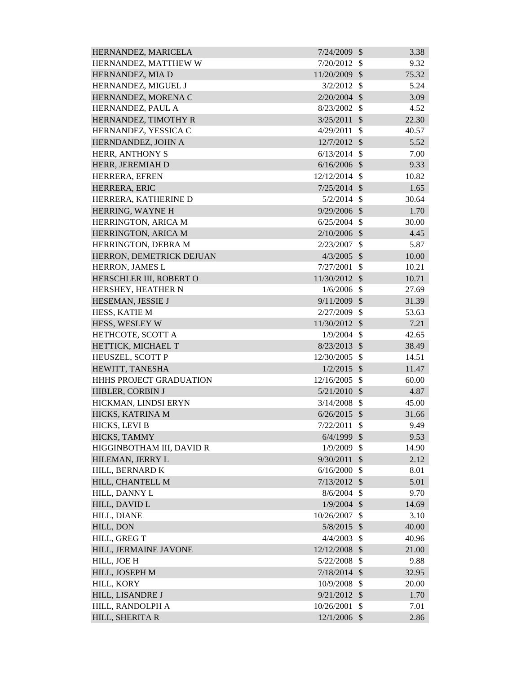| HERNANDEZ, MARICELA       | 7/24/2009      | $\mathcal{S}$             | 3.38  |
|---------------------------|----------------|---------------------------|-------|
| HERNANDEZ, MATTHEW W      | $7/20/2012$ \$ |                           | 9.32  |
| HERNANDEZ, MIA D          | 11/20/2009     | $\mathcal{S}$             | 75.32 |
| HERNANDEZ, MIGUEL J       | 3/2/2012       | $\mathcal{S}$             | 5.24  |
| HERNANDEZ, MORENA C       | $2/20/2004$ \$ |                           | 3.09  |
| HERNANDEZ, PAUL A         | 8/23/2002      | $\mathcal{S}$             | 4.52  |
| HERNANDEZ, TIMOTHY R      | 3/25/2011      | $\mathcal{S}$             | 22.30 |
| HERNANDEZ, YESSICA C      | 4/29/2011      | \$                        | 40.57 |
| HERNDANDEZ, JOHN A        | 12/7/2012 \$   |                           | 5.52  |
| HERR, ANTHONY S           | 6/13/2014      | $\mathcal{S}$             | 7.00  |
| HERR, JEREMIAH D          | $6/16/2006$ \$ |                           | 9.33  |
| HERRERA, EFREN            | 12/12/2014     | $\mathcal{S}$             | 10.82 |
| HERRERA, ERIC             | 7/25/2014      | $\mathcal{S}$             | 1.65  |
| HERRERA, KATHERINE D      | $5/2/2014$ \$  |                           | 30.64 |
| HERRING, WAYNE H          | 9/29/2006 \$   |                           | 1.70  |
| HERRINGTON, ARICA M       | $6/25/2004$ \$ |                           | 30.00 |
| HERRINGTON, ARICA M       | 2/10/2006      | $\mathcal{S}$             | 4.45  |
| HERRINGTON, DEBRA M       | 2/23/2007      | $\mathcal{S}$             | 5.87  |
| HERRON, DEMETRICK DEJUAN  | $4/3/2005$ \$  |                           | 10.00 |
| HERRON, JAMES L           | 7/27/2001      | $\mathcal{S}$             | 10.21 |
| HERSCHLER III, ROBERT O   | 11/30/2012 \$  |                           | 10.71 |
| HERSHEY, HEATHER N        | $1/6/2006$ \$  |                           | 27.69 |
| HESEMAN, JESSIE J         | $9/11/2009$ \$ |                           | 31.39 |
| HESS, KATIE M             | 2/27/2009      | $\mathcal{S}$             | 53.63 |
| HESS, WESLEY W            | 11/30/2012 \$  |                           | 7.21  |
| HETHCOTE, SCOTT A         | 1/9/2004       | $\mathcal{S}$             | 42.65 |
| HETTICK, MICHAEL T        | $8/23/2013$ \$ |                           | 38.49 |
| HEUSZEL, SCOTT P          | 12/30/2005     | $\mathcal{S}$             | 14.51 |
| HEWITT, TANESHA           | $1/2/2015$ \$  |                           | 11.47 |
| HHHS PROJECT GRADUATION   | 12/16/2005     | $\mathcal{S}$             | 60.00 |
| HIBLER, CORBIN J          | $5/21/2010$ \$ |                           | 4.87  |
| HICKMAN, LINDSI ERYN      | 3/14/2008      | \$                        | 45.00 |
| HICKS, KATRINA M          | $6/26/2015$ \$ |                           | 31.66 |
| HICKS, LEVI B             | 7/22/2011      | $\mathcal{S}$             | 9.49  |
| HICKS, TAMMY              | $6/4/1999$ \$  |                           | 9.53  |
| HIGGINBOTHAM III, DAVID R | 1/9/2009       | \$                        | 14.90 |
| HILEMAN, JERRY L          | 9/30/2011      | $\mathcal{S}$             | 2.12  |
| HILL, BERNARD K           | 6/16/2000      | $\mathcal{S}$             | 8.01  |
| HILL, CHANTELL M          | $7/13/2012$ \$ |                           | 5.01  |
| HILL, DANNY L             | 8/6/2004       | $\boldsymbol{\mathsf{S}}$ | 9.70  |
| HILL, DAVID L             | $1/9/2004$ \$  |                           | 14.69 |
| HILL, DIANE               | 10/26/2007     | $\mathcal{S}$             | 3.10  |
| HILL, DON                 | 5/8/2015 \$    |                           | 40.00 |
| HILL, GREG T              | 4/4/2003       | $\mathcal{S}$             | 40.96 |
| HILL, JERMAINE JAVONE     | 12/12/2008 \$  |                           |       |
|                           |                | $\mathcal{S}$             | 21.00 |
| HILL, JOE H               | 5/22/2008      |                           | 9.88  |
| HILL, JOSEPH M            | $7/18/2014$ \$ |                           | 32.95 |
| HILL, KORY                | 10/9/2008      | $\mathcal{S}$             | 20.00 |
| HILL, LISANDRE J          | $9/21/2012$ \$ |                           | 1.70  |
| HILL, RANDOLPH A          | 10/26/2001     | $\mathcal{S}$             | 7.01  |
| HILL, SHERITA R           | 12/1/2006 \$   |                           | 2.86  |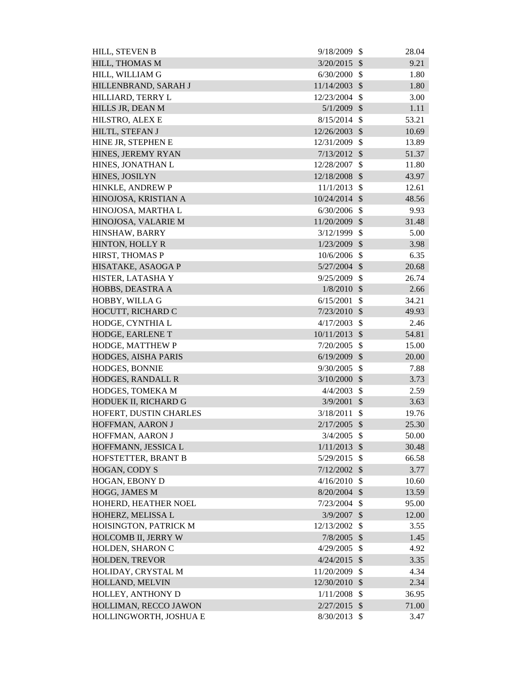| HILL, STEVEN B         | 9/18/2009       | $\mathcal{S}$             | 28.04 |
|------------------------|-----------------|---------------------------|-------|
| HILL, THOMAS M         | 3/20/2015       | $\mathcal{S}$             | 9.21  |
| HILL, WILLIAM G        | 6/30/2000       | $\mathcal{S}$             | 1.80  |
| HILLENBRAND, SARAH J   | 11/14/2003      | \$                        | 1.80  |
| HILLIARD, TERRY L      | 12/23/2004 \$   |                           | 3.00  |
| HILLS JR, DEAN M       | 5/1/2009        | $\mathcal{S}$             | 1.11  |
| HILSTRO, ALEX E        | $8/15/2014$ \$  |                           | 53.21 |
| HILTL, STEFAN J        | 12/26/2003      | \$                        | 10.69 |
| HINE JR, STEPHEN E     | 12/31/2009      | $\mathcal{S}$             | 13.89 |
| HINES, JEREMY RYAN     | $7/13/2012$ \$  |                           | 51.37 |
| HINES, JONATHAN L      | 12/28/2007      | \$                        | 11.80 |
| HINES, JOSILYN         | 12/18/2008      | $\boldsymbol{\mathsf{S}}$ | 43.97 |
| HINKLE, ANDREW P       | 11/1/2013       | $\mathbb{S}$              | 12.61 |
| HINOJOSA, KRISTIAN A   | 10/24/2014 \$   |                           | 48.56 |
| HINOJOSA, MARTHA L     | 6/30/2006       | $\mathcal{S}$             | 9.93  |
| HINOJOSA, VALARIE M    | 11/20/2009      | $\mathcal{S}$             | 31.48 |
| HINSHAW, BARRY         | 3/12/1999       | $\mathcal{S}$             | 5.00  |
| HINTON, HOLLY R        | $1/23/2009$ \$  |                           | 3.98  |
| HIRST, THOMAS P        | 10/6/2006 \$    |                           | 6.35  |
| HISATAKE, ASAOGA P     | $5/27/2004$ \$  |                           | 20.68 |
| HISTER, LATASHA Y      | 9/25/2009       | $\mathcal{S}$             | 26.74 |
| HOBBS, DEASTRA A       | $1/8/2010$ \$   |                           | 2.66  |
| HOBBY, WILLA G         | 6/15/2001       | \$                        | 34.21 |
| HOCUTT, RICHARD C      | $7/23/2010$ \$  |                           | 49.93 |
| HODGE, CYNTHIA L       | 4/17/2003       | \$                        | 2.46  |
| HODGE, EARLENE T       | $10/11/2013$ \$ |                           | 54.81 |
| HODGE, MATTHEW P       | 7/20/2005       | $\mathcal{S}$             | 15.00 |
| HODGES, AISHA PARIS    | 6/19/2009       | $\sqrt$                   | 20.00 |
| HODGES, BONNIE         | 9/30/2005       | $\mathcal{S}$             | 7.88  |
| HODGES, RANDALL R      | 3/10/2000       | $\mathcal{S}$             | 3.73  |
| HODGES, TOMEKA M       | 4/4/2003        | $\mathcal{S}$             | 2.59  |
| HODUEK II, RICHARD G   | 3/9/2001        | \$                        | 3.63  |
| HOFERT, DUSTIN CHARLES | 3/18/2011       | $\mathcal{S}$             | 19.76 |
| HOFFMAN, AARON J       | $2/17/2005$ \$  |                           | 25.30 |
| HOFFMAN, AARON J       | 3/4/2005        | $\mathcal{S}$             | 50.00 |
| HOFFMANN, JESSICA L    | $1/11/2013$ \$  |                           | 30.48 |
| HOFSTETTER, BRANT B    | 5/29/2015       | $\mathcal{S}$             | 66.58 |
| HOGAN, CODY S          | 7/12/2002       | $\mathcal{S}$             | 3.77  |
| HOGAN, EBONY D         | 4/16/2010       | $\mathcal{S}$             | 10.60 |
| HOGG, JAMES M          | 8/20/2004       | $\mathcal{S}$             | 13.59 |
| HOHERD, HEATHER NOEL   | 7/23/2004       | $\mathcal{S}$             | 95.00 |
| HOHERZ, MELISSA L      | 3/9/2007        | $\mathcal{S}$             | 12.00 |
| HOISINGTON, PATRICK M  | 12/13/2002 \$   |                           | 3.55  |
| HOLCOMB II, JERRY W    | 7/8/2005        | $\mathcal{S}$             | 1.45  |
| HOLDEN, SHARON C       | 4/29/2005       | \$                        | 4.92  |
| HOLDEN, TREVOR         | 4/24/2015       | $\sqrt[6]{\frac{1}{2}}$   | 3.35  |
| HOLIDAY, CRYSTAL M     | 11/20/2009      | $\mathcal{S}$             | 4.34  |
| HOLLAND, MELVIN        | 12/30/2010      | $\sqrt{3}$                | 2.34  |
| HOLLEY, ANTHONY D      | 1/11/2008       | $\mathcal{S}$             | 36.95 |
| HOLLIMAN, RECCO JAWON  | $2/27/2015$ \$  |                           | 71.00 |
| HOLLINGWORTH, JOSHUA E | 8/30/2013       | $\mathcal{S}$             | 3.47  |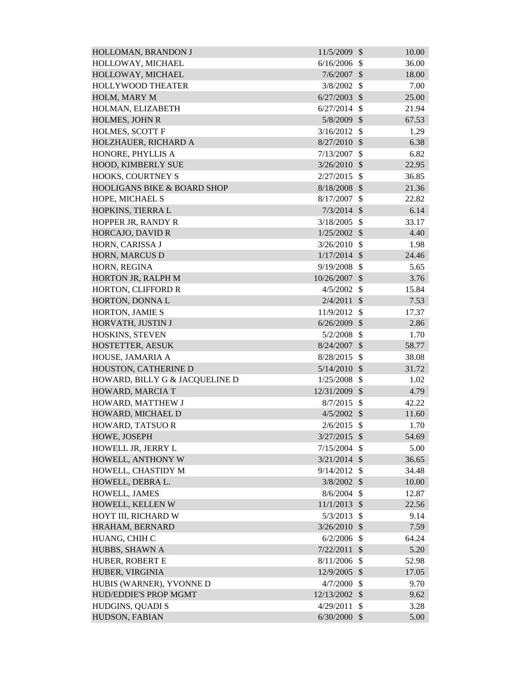| HOLLOMAN, BRANDON J            | 11/5/2009      | $\mathcal{S}$ | 10.00 |
|--------------------------------|----------------|---------------|-------|
| HOLLOWAY, MICHAEL              | $6/16/2006$ \$ |               | 36.00 |
| HOLLOWAY, MICHAEL              | 7/6/2007       | $\mathcal{S}$ | 18.00 |
| <b>HOLLYWOOD THEATER</b>       | 3/8/2002       | $\mathcal{S}$ | 7.00  |
| HOLM, MARY M                   | $6/27/2003$ \$ |               | 25.00 |
| HOLMAN, ELIZABETH              | 6/27/2014      | $\mathcal{S}$ | 21.94 |
| HOLMES, JOHN R                 | 5/8/2009 \$    |               | 67.53 |
| HOLMES, SCOTT F                | 3/16/2012      | $\mathcal{S}$ | 1.29  |
| HOLZHAUER, RICHARD A           | $8/27/2010$ \$ |               | 6.38  |
| HONORE, PHYLLIS A              | 7/13/2007      | $\mathcal{S}$ | 6.82  |
| HOOD, KIMBERLY SUE             | 3/26/2010      | $\mathcal{S}$ | 22.95 |
| HOOKS, COURTNEY S              | 2/27/2015      | $\mathcal{S}$ | 36.85 |
| HOOLIGANS BIKE & BOARD SHOP    | 8/18/2008      | $\mathcal{S}$ | 21.36 |
| HOPE, MICHAEL S                | 8/17/2007      | $\mathcal{S}$ | 22.82 |
| HOPKINS, TIERRA L              | $7/3/2014$ \$  |               | 6.14  |
| HOPPER JR, RANDY R             | 3/18/2005      | $\mathcal{S}$ | 33.17 |
| HORCAJO, DAVID R               | 1/25/2002      | $\mathcal{S}$ | 4.40  |
| HORN, CARISSA J                | $3/26/2010$ \$ |               | 1.98  |
| HORN, MARCUS D                 | $1/17/2014$ \$ |               | 24.46 |
| HORN, REGINA                   | 9/19/2008      | $\mathcal{S}$ | 5.65  |
| HORTON JR, RALPH M             | 10/26/2007     | $\mathcal{S}$ | 3.76  |
| HORTON, CLIFFORD R             | 4/5/2002       | $\mathcal{S}$ | 15.84 |
| HORTON, DONNA L                | 2/4/2011       | $\mathcal{S}$ | 7.53  |
| HORTON, JAMIE S                | 11/9/2012      | $\mathcal{S}$ | 17.37 |
| HORVATH, JUSTIN J              | 6/26/2009      | $\mathcal{S}$ | 2.86  |
| HOSKINS, STEVEN                | 5/2/2008       | $\mathcal{S}$ | 1.70  |
| HOSTETTER, AESUK               | 8/24/2007      | $\mathcal{S}$ | 58.77 |
| HOUSE, JAMARIA A               | 8/28/2015      | $\mathbb{S}$  | 38.08 |
| HOUSTON, CATHERINE D           | 5/14/2010      | $\mathcal{S}$ | 31.72 |
| HOWARD, BILLY G & JACQUELINE D | 1/25/2008      | -\$           | 1.02  |
| HOWARD, MARCIA T               | 12/31/2009 \$  |               | 4.79  |
| HOWARD, MATTHEW J              | 8/7/2015       | -\$           | 42.22 |
| HOWARD, MICHAEL D              | $4/5/2002$ \$  |               | 11.60 |
| HOWARD, TATSUOR                | $2/6/2015$ \$  |               | 1.70  |
| HOWE, JOSEPH                   | $3/27/2015$ \$ |               | 54.69 |
| HOWELL JR, JERRY L             | 7/15/2004      | $\mathbb{S}$  | 5.00  |
| HOWELL, ANTHONY W              | $3/21/2014$ \$ |               | 36.65 |
| HOWELL, CHASTIDY M             | 9/14/2012      | $\mathcal{S}$ | 34.48 |
| HOWELL, DEBRA L.               | $3/8/2002$ \$  |               | 10.00 |
| HOWELL, JAMES                  | 8/6/2004       | $\mathcal{S}$ | 12.87 |
| HOWELL, KELLEN W               | $11/1/2013$ \$ |               | 22.56 |
| HOYT III, RICHARD W            | 5/3/2013       | $\mathcal{S}$ | 9.14  |
| HRAHAM, BERNARD                | 3/26/2010      | $\mathcal{S}$ | 7.59  |
| HUANG, CHIH C                  | 6/2/2006       | $\mathbb{S}$  | 64.24 |
| HUBBS, SHAWN A                 | 7/22/2011      | $\mathcal{S}$ | 5.20  |
| HUBER, ROBERT E                | 8/11/2006      | $\mathcal{S}$ | 52.98 |
| HUBER, VIRGINIA                | 12/9/2005 \$   |               | 17.05 |
| HUBIS (WARNER), YVONNE D       | 4/7/2000       | $\mathcal{S}$ | 9.70  |
| HUD/EDDIE'S PROP MGMT          | 12/13/2002     | $\sqrt{3}$    | 9.62  |
| HUDGINS, QUADI S               | 4/29/2011      | $\mathcal{S}$ | 3.28  |
| HUDSON, FABIAN                 | $6/30/2000$ \$ |               | 5.00  |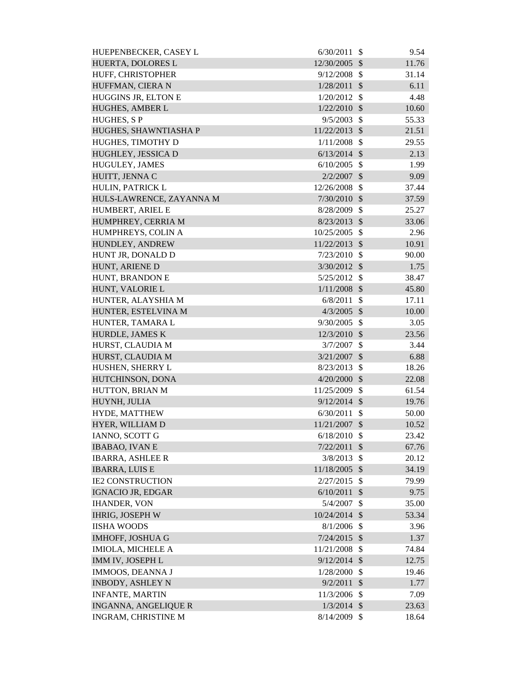| HUEPENBECKER, CASEY L       | 6/30/2011      | -\$                        | 9.54  |
|-----------------------------|----------------|----------------------------|-------|
| HUERTA, DOLORES L           | 12/30/2005     | $\mathcal{S}$              | 11.76 |
| HUFF, CHRISTOPHER           | 9/12/2008      | - \$                       | 31.14 |
| HUFFMAN, CIERA N            | 1/28/2011      | $\mathcal{S}$              | 6.11  |
| HUGGINS JR, ELTON E         | 1/20/2012      | $\mathcal{S}$              | 4.48  |
| HUGHES, AMBER L             | 1/22/2010      | $\mathcal{S}$              | 10.60 |
| <b>HUGHES, SP</b>           | 9/5/2003       | $\mathcal{S}$              | 55.33 |
| HUGHES, SHAWNTIASHA P       | 11/22/2013 \$  |                            | 21.51 |
| HUGHES, TIMOTHY D           | 1/11/2008      | $\mathcal{S}$              | 29.55 |
| HUGHLEY, JESSICA D          | $6/13/2014$ \$ |                            | 2.13  |
| HUGULEY, JAMES              | 6/10/2005      | -\$                        | 1.99  |
| HUITT, JENNA C              | 2/2/2007       | $\mathcal{S}$              | 9.09  |
| HULIN, PATRICK L            | 12/26/2008     | $\mathcal{S}$              | 37.44 |
| HULS-LAWRENCE, ZAYANNA M    | $7/30/2010$ \$ |                            | 37.59 |
| HUMBERT, ARIEL E            | 8/28/2009      | $\mathcal{S}$              | 25.27 |
| HUMPHREY, CERRIA M          | $8/23/2013$ \$ |                            | 33.06 |
| HUMPHREYS, COLIN A          | 10/25/2005     | $\mathcal{S}$              | 2.96  |
| HUNDLEY, ANDREW             | 11/22/2013     | $\sqrt{3}$                 | 10.91 |
| HUNT JR, DONALD D           | $7/23/2010$ \$ |                            | 90.00 |
| HUNT, ARIENE D              | $3/30/2012$ \$ |                            | 1.75  |
| HUNT, BRANDON E             | 5/25/2012      | $\mathcal{S}$              | 38.47 |
| HUNT, VALORIE L             | 1/11/2008      | $\mathcal{S}$              | 45.80 |
| HUNTER, ALAYSHIA M          | 6/8/2011       | $\mathcal{S}$              | 17.11 |
| HUNTER, ESTELVINA M         | $4/3/2005$ \$  |                            | 10.00 |
| HUNTER, TAMARA L            | 9/30/2005      | $\mathcal{S}$              | 3.05  |
| HURDLE, JAMES K             | 12/3/2010      | $\mathcal{S}$              | 23.56 |
| HURST, CLAUDIA M            | 3/7/2007       | $\mathcal{S}$              | 3.44  |
| HURST, CLAUDIA M            | 3/21/2007      | $\sqrt{3}$                 | 6.88  |
| HUSHEN, SHERRY L            | $8/23/2013$ \$ |                            | 18.26 |
| HUTCHINSON, DONA            | 4/20/2000      | $\mathcal{S}$              | 22.08 |
| HUTTON, BRIAN M             | 11/25/2009     | \$                         | 61.54 |
| HUYNH, JULIA                | 9/12/2014      | $\mathcal{S}$              | 19.76 |
| HYDE, MATTHEW               | 6/30/2011      | \$                         | 50.00 |
| HYER, WILLIAM D             | 11/21/2007     | $\mathcal{S}$              | 10.52 |
| <b>IANNO, SCOTT G</b>       | 6/18/2010      | $\mathcal{S}$              | 23.42 |
| <b>IBABAO, IVAN E</b>       | 7/22/2011      | \$                         | 67.76 |
| <b>IBARRA, ASHLEE R</b>     | 3/8/2013       | \$                         | 20.12 |
| <b>IBARRA, LUIS E</b>       | 11/18/2005     | $\boldsymbol{\mathcal{S}}$ | 34.19 |
| <b>IE2 CONSTRUCTION</b>     | 2/27/2015      | $\mathcal{S}$              | 79.99 |
| <b>IGNACIO JR, EDGAR</b>    | 6/10/2011      | $\mathcal{S}$              | 9.75  |
| <b>IHANDER, VON</b>         | 5/4/2007       | \$                         | 35.00 |
| <b>IHRIG, JOSEPH W</b>      | 10/24/2014     | $\sqrt[6]{\frac{1}{2}}$    | 53.34 |
| <b>IISHA WOODS</b>          | 8/1/2006       | $\mathcal{S}$              | 3.96  |
| <b>IMHOFF, JOSHUA G</b>     | 7/24/2015      | $\mathcal{S}$              | 1.37  |
| IMIOLA, MICHELE A           | 11/21/2008     | \$                         | 74.84 |
| IMM IV, JOSEPH L            | 9/12/2014      | $\sqrt{3}$                 | 12.75 |
| <b>IMMOOS, DEANNA J</b>     | 1/28/2000      | \$                         | 19.46 |
| <b>INBODY, ASHLEY N</b>     | 9/2/2011       | $\mathcal{S}$              | 1.77  |
| <b>INFANTE, MARTIN</b>      | 11/3/2006      | \$                         | 7.09  |
| <b>INGANNA, ANGELIQUE R</b> | $1/3/2014$ \$  |                            | 23.63 |
| INGRAM, CHRISTINE M         | 8/14/2009      | $\boldsymbol{\mathsf{S}}$  | 18.64 |
|                             |                |                            |       |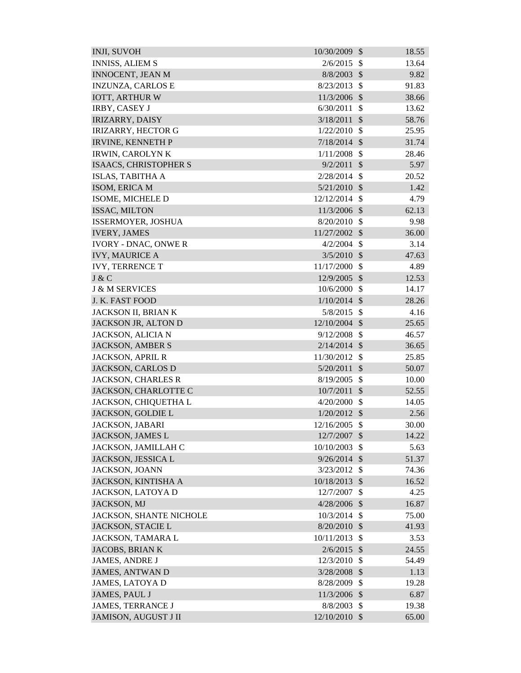| <b>INJI, SUVOH</b>             | 10/30/2009     | $\mathcal{S}$              | 18.55 |
|--------------------------------|----------------|----------------------------|-------|
| <b>INNISS, ALIEM S</b>         | 2/6/2015       | $\mathbb{S}$               | 13.64 |
| <b>INNOCENT, JEAN M</b>        | 8/8/2003       | $\mathcal{S}$              | 9.82  |
| <b>INZUNZA, CARLOS E</b>       | 8/23/2013      | $\mathcal{S}$              | 91.83 |
| <b>IOTT, ARTHUR W</b>          | 11/3/2006      | $\mathcal{S}$              | 38.66 |
| <b>IRBY, CASEY J</b>           | 6/30/2011      | $\mathcal{S}$              | 13.62 |
| <b>IRIZARRY, DAISY</b>         | 3/18/2011      | $\mathcal{S}$              | 58.76 |
| <b>IRIZARRY, HECTOR G</b>      | 1/22/2010      | $\mathcal{S}$              | 25.95 |
| <b>IRVINE, KENNETH P</b>       | 7/18/2014      | $\mathcal{S}$              | 31.74 |
| <b>IRWIN, CAROLYN K</b>        | 1/11/2008      | $\mathcal{S}$              | 28.46 |
| ISAACS, CHRISTOPHER S          | 9/2/2011       | $\mathcal{S}$              | 5.97  |
| ISLAS, TABITHA A               | 2/28/2014      | $\mathcal{S}$              | 20.52 |
| ISOM, ERICA M                  | 5/21/2010      | $\mathcal{S}$              | 1.42  |
| ISOME, MICHELE D               | 12/12/2014     | $\mathcal{S}$              | 4.79  |
| ISSAC, MILTON                  | 11/3/2006 \$   |                            | 62.13 |
| ISSERMOYER, JOSHUA             | 8/20/2010      | $\mathcal{S}$              | 9.98  |
| <b>IVERY, JAMES</b>            | 11/27/2002     | $\mathcal{S}$              | 36.00 |
| <b>IVORY - DNAC, ONWE R</b>    | 4/2/2004       | $\mathbb{S}$               | 3.14  |
| <b>IVY, MAURICE A</b>          | 3/5/2010       | $\mathcal{S}$              | 47.63 |
| <b>IVY, TERRENCE T</b>         | 11/17/2000     | $\mathcal{S}$              | 4.89  |
| J & C                          | 12/9/2005      | $\mathcal{S}$              | 12.53 |
| <b>J &amp; M SERVICES</b>      | 10/6/2000      | $\mathbb{S}$               | 14.17 |
| J. K. FAST FOOD                | $1/10/2014$ \$ |                            | 28.26 |
| JACKSON II, BRIAN K            | 5/8/2015       | $\mathcal{S}$              | 4.16  |
| JACKSON JR, ALTON D            | 12/10/2004     | $\mathcal{S}$              | 25.65 |
| JACKSON, ALICIA N              | 9/12/2008      | $\mathcal{S}$              | 46.57 |
| <b>JACKSON, AMBER S</b>        | $2/14/2014$ \$ |                            | 36.65 |
| <b>JACKSON, APRIL R</b>        | 11/30/2012     | $\mathcal{S}$              | 25.85 |
| JACKSON, CARLOS D              | 5/20/2011      | $\mathcal{S}$              | 50.07 |
| <b>JACKSON, CHARLES R</b>      | 8/19/2005      | $\mathcal{S}$              | 10.00 |
| JACKSON, CHARLOTTE C           | 10/7/2011 \$   |                            | 52.55 |
| JACKSON, CHIQUETHA L           | 4/20/2000      | \$                         | 14.05 |
| JACKSON, GOLDIE L              | 1/20/2012      | $\sqrt[6]{\frac{1}{2}}$    | 2.56  |
| JACKSON, JABARI                | 12/16/2005     | $\mathcal{S}$              | 30.00 |
| JACKSON, JAMES L               | 12/7/2007      | $\boldsymbol{\mathcal{S}}$ | 14.22 |
| JACKSON, JAMILLAH C            | 10/10/2003     | \$                         | 5.63  |
| JACKSON, JESSICA L             | 9/26/2014      | $\mathcal{S}$              | 51.37 |
| <b>JACKSON, JOANN</b>          | 3/23/2012      | $\mathcal{S}$              | 74.36 |
| JACKSON, KINTISHA A            | 10/18/2013     | $\mathcal{S}$              | 16.52 |
| JACKSON, LATOYA D              | 12/7/2007      | \$                         | 4.25  |
| JACKSON, MJ                    | 4/28/2006      | $\sqrt{3}$                 | 16.87 |
| <b>JACKSON, SHANTE NICHOLE</b> | 10/3/2014      | $\mathcal{S}$              | 75.00 |
| JACKSON, STACIE L              | 8/20/2010      | $\mathcal{S}$              | 41.93 |
| JACKSON, TAMARA L              | 10/11/2013     | $\mathcal{S}$              | 3.53  |
| JACOBS, BRIAN K                | 2/6/2015       | $\mathcal{S}$              | 24.55 |
| <b>JAMES, ANDRE J</b>          | 12/3/2010      | $\mathcal{S}$              | 54.49 |
| <b>JAMES, ANTWAN D</b>         | 3/28/2008      | $\mathcal{S}$              | 1.13  |
| JAMES, LATOYA D                | 8/28/2009      | \$                         | 19.28 |
| JAMES, PAUL J                  | 11/3/2006      | $\boldsymbol{\mathcal{S}}$ | 6.87  |
| <b>JAMES, TERRANCE J</b>       | 8/8/2003       | $\mathcal{S}$              | 19.38 |
| JAMISON, AUGUST J II           | 12/10/2010 \$  |                            | 65.00 |
|                                |                |                            |       |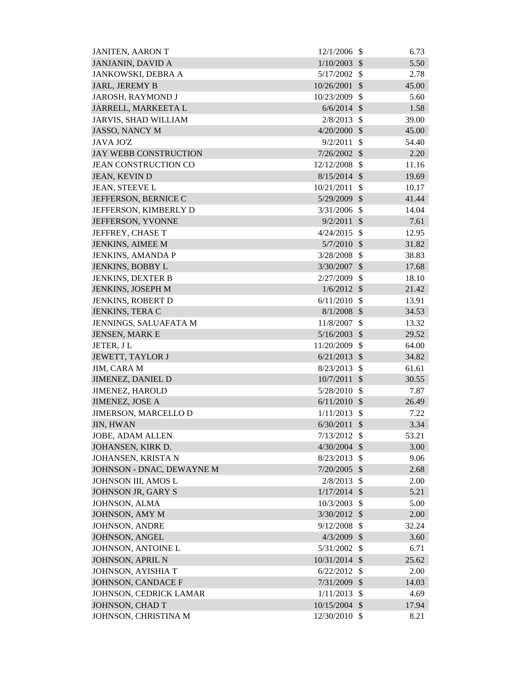| <b>JANJANIN, DAVID A</b><br>1/10/2003<br>$\mathcal{S}$<br>5.50<br>5/17/2002<br>JANKOWSKI, DEBRA A<br>$\mathcal{S}$<br>2.78<br>JARL, JEREMY B<br>10/26/2001<br>$\mathcal{S}$<br>45.00<br>$\mathcal{S}$<br>JAROSH, RAYMOND J<br>10/23/2009<br>5.60<br>1.58<br>JARRELL, MARKEETA L<br>$6/6/2014$ \$<br><b>JARVIS, SHAD WILLIAM</b><br>2/8/2013<br>$\mathcal{S}$<br>39.00<br><b>JASSO, NANCY M</b><br>4/20/2000<br>\$<br>45.00<br>$\mathcal{S}$<br><b>JAVA JOZ</b><br>9/2/2011<br>54.40<br><b>JAY WEBB CONSTRUCTION</b><br>2.20<br>7/26/2002<br>$\mathcal{S}$<br><b>JEAN CONSTRUCTION CO</b><br>12/12/2008<br>$\mathcal{S}$<br>11.16<br>$8/15/2014$ \$<br>19.69<br>JEAN, KEVIN D<br>$\mathcal{S}$<br>JEAN, STEEVE L<br>10/21/2011<br>10.17<br>5/29/2009<br>$\mathcal{S}$<br>JEFFERSON, BERNICE C<br>41.44<br>$\mathcal{S}$<br>JEFFERSON, KIMBERLY D<br>3/31/2006<br>14.04<br>$\mathcal{S}$<br>JEFFERSON, YVONNE<br>9/2/2011<br>7.61<br>JEFFREY, CHASE T<br>4/24/2015<br>$\mathcal{S}$<br>12.95<br><b>JENKINS, AIMEE M</b><br>$5/7/2010$ \$<br>31.82<br>$\mathcal{S}$<br>JENKINS, AMANDA P<br>3/28/2008<br>38.83<br>$\mathcal{S}$<br><b>JENKINS, BOBBY L</b><br>3/30/2007<br>17.68<br>2/27/2009<br>$\mathcal{S}$<br>18.10<br><b>JENKINS, DEXTER B</b><br>JENKINS, JOSEPH M<br>$1/6/2012$ \$<br>21.42<br><b>JENKINS, ROBERT D</b><br>6/11/2010<br>$\mathcal{S}$<br>13.91<br>JENKINS, TERA C<br>$8/1/2008$ \$<br>34.53<br>11/8/2007<br>JENNINGS, SALUAFATA M<br>\$<br>13.32<br><b>JENSEN, MARK E</b><br>5/16/2003<br>$\sqrt{3}$<br>29.52<br>\$<br>JETER, JL<br>11/20/2009<br>64.00<br>JEWETT, TAYLOR J<br>$\mathcal{S}$<br>34.82<br>6/21/2013<br>JIM, CARA M<br>$\mathcal{S}$<br>8/23/2013<br>61.61<br><b>JIMENEZ, DANIEL D</b><br>10/7/2011<br>30.55<br>$\mathcal{S}$<br>5/28/2010 \$<br>7.87<br><b>JIMENEZ, HAROLD</b><br><b>JIMENEZ, JOSE A</b><br>6/11/2010<br>\$<br>26.49<br>JIMERSON, MARCELLO D<br>1/11/2013<br>-\$<br>7.22<br><b>JIN, HWAN</b><br>6/30/2011<br>$\sqrt[6]{\frac{1}{2}}$<br>3.34<br><b>JOBE, ADAM ALLEN</b><br>7/13/2012<br>-\$<br>53.21<br>3.00<br>JOHANSEN, KIRK D.<br>$4/30/2004$ \$<br>JOHANSEN, KRISTA N<br>8/23/2013<br>\$<br>9.06<br>JOHNSON - DNAC, DEWAYNE M<br>$7/20/2005$ \$<br>2.68<br>JOHNSON III, AMOS L<br>2/8/2013<br>$\mathcal{S}$<br>2.00<br>5.21<br>JOHNSON JR, GARY S<br>$1/17/2014$ \$<br>JOHNSON, ALMA<br>10/3/2003<br>$\mathcal{S}$<br>5.00<br>JOHNSON, AMY M<br>3/30/2012<br>2.00<br><b>S</b><br><b>JOHNSON, ANDRE</b><br>9/12/2008<br>$\boldsymbol{\mathsf{S}}$<br>32.24<br>JOHNSON, ANGEL<br>4/3/2009<br>\$<br>3.60<br>JOHNSON, ANTOINE L<br>5/31/2002<br>\$<br>6.71<br>JOHNSON, APRIL N<br>10/31/2014 \$<br>25.62<br>JOHNSON, AYISHIA T<br>$\mathcal{S}$<br>6/22/2012<br>2.00<br>JOHNSON, CANDACE F<br>$\sqrt$<br>7/31/2009<br>14.03<br>1/11/2013<br>\$<br>JOHNSON, CEDRICK LAMAR<br>4.69<br>JOHNSON, CHAD T<br>10/15/2004 \$<br>17.94 | <b>JANITEN, AARON T</b> | 12/1/2006     | $\mathcal{S}$ | 6.73 |
|----------------------------------------------------------------------------------------------------------------------------------------------------------------------------------------------------------------------------------------------------------------------------------------------------------------------------------------------------------------------------------------------------------------------------------------------------------------------------------------------------------------------------------------------------------------------------------------------------------------------------------------------------------------------------------------------------------------------------------------------------------------------------------------------------------------------------------------------------------------------------------------------------------------------------------------------------------------------------------------------------------------------------------------------------------------------------------------------------------------------------------------------------------------------------------------------------------------------------------------------------------------------------------------------------------------------------------------------------------------------------------------------------------------------------------------------------------------------------------------------------------------------------------------------------------------------------------------------------------------------------------------------------------------------------------------------------------------------------------------------------------------------------------------------------------------------------------------------------------------------------------------------------------------------------------------------------------------------------------------------------------------------------------------------------------------------------------------------------------------------------------------------------------------------------------------------------------------------------------------------------------------------------------------------------------------------------------------------------------------------------------------------------------------------------------------------------------------------------------------------------------------------------------------------------------------------------------------------------------------------------------------------------------------------------------------------------------------------------------------------------------------------------------------------------------------------------------------------------------------------------------|-------------------------|---------------|---------------|------|
|                                                                                                                                                                                                                                                                                                                                                                                                                                                                                                                                                                                                                                                                                                                                                                                                                                                                                                                                                                                                                                                                                                                                                                                                                                                                                                                                                                                                                                                                                                                                                                                                                                                                                                                                                                                                                                                                                                                                                                                                                                                                                                                                                                                                                                                                                                                                                                                                                                                                                                                                                                                                                                                                                                                                                                                                                                                                                  |                         |               |               |      |
|                                                                                                                                                                                                                                                                                                                                                                                                                                                                                                                                                                                                                                                                                                                                                                                                                                                                                                                                                                                                                                                                                                                                                                                                                                                                                                                                                                                                                                                                                                                                                                                                                                                                                                                                                                                                                                                                                                                                                                                                                                                                                                                                                                                                                                                                                                                                                                                                                                                                                                                                                                                                                                                                                                                                                                                                                                                                                  |                         |               |               |      |
|                                                                                                                                                                                                                                                                                                                                                                                                                                                                                                                                                                                                                                                                                                                                                                                                                                                                                                                                                                                                                                                                                                                                                                                                                                                                                                                                                                                                                                                                                                                                                                                                                                                                                                                                                                                                                                                                                                                                                                                                                                                                                                                                                                                                                                                                                                                                                                                                                                                                                                                                                                                                                                                                                                                                                                                                                                                                                  |                         |               |               |      |
|                                                                                                                                                                                                                                                                                                                                                                                                                                                                                                                                                                                                                                                                                                                                                                                                                                                                                                                                                                                                                                                                                                                                                                                                                                                                                                                                                                                                                                                                                                                                                                                                                                                                                                                                                                                                                                                                                                                                                                                                                                                                                                                                                                                                                                                                                                                                                                                                                                                                                                                                                                                                                                                                                                                                                                                                                                                                                  |                         |               |               |      |
|                                                                                                                                                                                                                                                                                                                                                                                                                                                                                                                                                                                                                                                                                                                                                                                                                                                                                                                                                                                                                                                                                                                                                                                                                                                                                                                                                                                                                                                                                                                                                                                                                                                                                                                                                                                                                                                                                                                                                                                                                                                                                                                                                                                                                                                                                                                                                                                                                                                                                                                                                                                                                                                                                                                                                                                                                                                                                  |                         |               |               |      |
|                                                                                                                                                                                                                                                                                                                                                                                                                                                                                                                                                                                                                                                                                                                                                                                                                                                                                                                                                                                                                                                                                                                                                                                                                                                                                                                                                                                                                                                                                                                                                                                                                                                                                                                                                                                                                                                                                                                                                                                                                                                                                                                                                                                                                                                                                                                                                                                                                                                                                                                                                                                                                                                                                                                                                                                                                                                                                  |                         |               |               |      |
|                                                                                                                                                                                                                                                                                                                                                                                                                                                                                                                                                                                                                                                                                                                                                                                                                                                                                                                                                                                                                                                                                                                                                                                                                                                                                                                                                                                                                                                                                                                                                                                                                                                                                                                                                                                                                                                                                                                                                                                                                                                                                                                                                                                                                                                                                                                                                                                                                                                                                                                                                                                                                                                                                                                                                                                                                                                                                  |                         |               |               |      |
|                                                                                                                                                                                                                                                                                                                                                                                                                                                                                                                                                                                                                                                                                                                                                                                                                                                                                                                                                                                                                                                                                                                                                                                                                                                                                                                                                                                                                                                                                                                                                                                                                                                                                                                                                                                                                                                                                                                                                                                                                                                                                                                                                                                                                                                                                                                                                                                                                                                                                                                                                                                                                                                                                                                                                                                                                                                                                  |                         |               |               |      |
|                                                                                                                                                                                                                                                                                                                                                                                                                                                                                                                                                                                                                                                                                                                                                                                                                                                                                                                                                                                                                                                                                                                                                                                                                                                                                                                                                                                                                                                                                                                                                                                                                                                                                                                                                                                                                                                                                                                                                                                                                                                                                                                                                                                                                                                                                                                                                                                                                                                                                                                                                                                                                                                                                                                                                                                                                                                                                  |                         |               |               |      |
|                                                                                                                                                                                                                                                                                                                                                                                                                                                                                                                                                                                                                                                                                                                                                                                                                                                                                                                                                                                                                                                                                                                                                                                                                                                                                                                                                                                                                                                                                                                                                                                                                                                                                                                                                                                                                                                                                                                                                                                                                                                                                                                                                                                                                                                                                                                                                                                                                                                                                                                                                                                                                                                                                                                                                                                                                                                                                  |                         |               |               |      |
|                                                                                                                                                                                                                                                                                                                                                                                                                                                                                                                                                                                                                                                                                                                                                                                                                                                                                                                                                                                                                                                                                                                                                                                                                                                                                                                                                                                                                                                                                                                                                                                                                                                                                                                                                                                                                                                                                                                                                                                                                                                                                                                                                                                                                                                                                                                                                                                                                                                                                                                                                                                                                                                                                                                                                                                                                                                                                  |                         |               |               |      |
|                                                                                                                                                                                                                                                                                                                                                                                                                                                                                                                                                                                                                                                                                                                                                                                                                                                                                                                                                                                                                                                                                                                                                                                                                                                                                                                                                                                                                                                                                                                                                                                                                                                                                                                                                                                                                                                                                                                                                                                                                                                                                                                                                                                                                                                                                                                                                                                                                                                                                                                                                                                                                                                                                                                                                                                                                                                                                  |                         |               |               |      |
|                                                                                                                                                                                                                                                                                                                                                                                                                                                                                                                                                                                                                                                                                                                                                                                                                                                                                                                                                                                                                                                                                                                                                                                                                                                                                                                                                                                                                                                                                                                                                                                                                                                                                                                                                                                                                                                                                                                                                                                                                                                                                                                                                                                                                                                                                                                                                                                                                                                                                                                                                                                                                                                                                                                                                                                                                                                                                  |                         |               |               |      |
|                                                                                                                                                                                                                                                                                                                                                                                                                                                                                                                                                                                                                                                                                                                                                                                                                                                                                                                                                                                                                                                                                                                                                                                                                                                                                                                                                                                                                                                                                                                                                                                                                                                                                                                                                                                                                                                                                                                                                                                                                                                                                                                                                                                                                                                                                                                                                                                                                                                                                                                                                                                                                                                                                                                                                                                                                                                                                  |                         |               |               |      |
|                                                                                                                                                                                                                                                                                                                                                                                                                                                                                                                                                                                                                                                                                                                                                                                                                                                                                                                                                                                                                                                                                                                                                                                                                                                                                                                                                                                                                                                                                                                                                                                                                                                                                                                                                                                                                                                                                                                                                                                                                                                                                                                                                                                                                                                                                                                                                                                                                                                                                                                                                                                                                                                                                                                                                                                                                                                                                  |                         |               |               |      |
|                                                                                                                                                                                                                                                                                                                                                                                                                                                                                                                                                                                                                                                                                                                                                                                                                                                                                                                                                                                                                                                                                                                                                                                                                                                                                                                                                                                                                                                                                                                                                                                                                                                                                                                                                                                                                                                                                                                                                                                                                                                                                                                                                                                                                                                                                                                                                                                                                                                                                                                                                                                                                                                                                                                                                                                                                                                                                  |                         |               |               |      |
|                                                                                                                                                                                                                                                                                                                                                                                                                                                                                                                                                                                                                                                                                                                                                                                                                                                                                                                                                                                                                                                                                                                                                                                                                                                                                                                                                                                                                                                                                                                                                                                                                                                                                                                                                                                                                                                                                                                                                                                                                                                                                                                                                                                                                                                                                                                                                                                                                                                                                                                                                                                                                                                                                                                                                                                                                                                                                  |                         |               |               |      |
|                                                                                                                                                                                                                                                                                                                                                                                                                                                                                                                                                                                                                                                                                                                                                                                                                                                                                                                                                                                                                                                                                                                                                                                                                                                                                                                                                                                                                                                                                                                                                                                                                                                                                                                                                                                                                                                                                                                                                                                                                                                                                                                                                                                                                                                                                                                                                                                                                                                                                                                                                                                                                                                                                                                                                                                                                                                                                  |                         |               |               |      |
|                                                                                                                                                                                                                                                                                                                                                                                                                                                                                                                                                                                                                                                                                                                                                                                                                                                                                                                                                                                                                                                                                                                                                                                                                                                                                                                                                                                                                                                                                                                                                                                                                                                                                                                                                                                                                                                                                                                                                                                                                                                                                                                                                                                                                                                                                                                                                                                                                                                                                                                                                                                                                                                                                                                                                                                                                                                                                  |                         |               |               |      |
|                                                                                                                                                                                                                                                                                                                                                                                                                                                                                                                                                                                                                                                                                                                                                                                                                                                                                                                                                                                                                                                                                                                                                                                                                                                                                                                                                                                                                                                                                                                                                                                                                                                                                                                                                                                                                                                                                                                                                                                                                                                                                                                                                                                                                                                                                                                                                                                                                                                                                                                                                                                                                                                                                                                                                                                                                                                                                  |                         |               |               |      |
|                                                                                                                                                                                                                                                                                                                                                                                                                                                                                                                                                                                                                                                                                                                                                                                                                                                                                                                                                                                                                                                                                                                                                                                                                                                                                                                                                                                                                                                                                                                                                                                                                                                                                                                                                                                                                                                                                                                                                                                                                                                                                                                                                                                                                                                                                                                                                                                                                                                                                                                                                                                                                                                                                                                                                                                                                                                                                  |                         |               |               |      |
|                                                                                                                                                                                                                                                                                                                                                                                                                                                                                                                                                                                                                                                                                                                                                                                                                                                                                                                                                                                                                                                                                                                                                                                                                                                                                                                                                                                                                                                                                                                                                                                                                                                                                                                                                                                                                                                                                                                                                                                                                                                                                                                                                                                                                                                                                                                                                                                                                                                                                                                                                                                                                                                                                                                                                                                                                                                                                  |                         |               |               |      |
|                                                                                                                                                                                                                                                                                                                                                                                                                                                                                                                                                                                                                                                                                                                                                                                                                                                                                                                                                                                                                                                                                                                                                                                                                                                                                                                                                                                                                                                                                                                                                                                                                                                                                                                                                                                                                                                                                                                                                                                                                                                                                                                                                                                                                                                                                                                                                                                                                                                                                                                                                                                                                                                                                                                                                                                                                                                                                  |                         |               |               |      |
|                                                                                                                                                                                                                                                                                                                                                                                                                                                                                                                                                                                                                                                                                                                                                                                                                                                                                                                                                                                                                                                                                                                                                                                                                                                                                                                                                                                                                                                                                                                                                                                                                                                                                                                                                                                                                                                                                                                                                                                                                                                                                                                                                                                                                                                                                                                                                                                                                                                                                                                                                                                                                                                                                                                                                                                                                                                                                  |                         |               |               |      |
|                                                                                                                                                                                                                                                                                                                                                                                                                                                                                                                                                                                                                                                                                                                                                                                                                                                                                                                                                                                                                                                                                                                                                                                                                                                                                                                                                                                                                                                                                                                                                                                                                                                                                                                                                                                                                                                                                                                                                                                                                                                                                                                                                                                                                                                                                                                                                                                                                                                                                                                                                                                                                                                                                                                                                                                                                                                                                  |                         |               |               |      |
|                                                                                                                                                                                                                                                                                                                                                                                                                                                                                                                                                                                                                                                                                                                                                                                                                                                                                                                                                                                                                                                                                                                                                                                                                                                                                                                                                                                                                                                                                                                                                                                                                                                                                                                                                                                                                                                                                                                                                                                                                                                                                                                                                                                                                                                                                                                                                                                                                                                                                                                                                                                                                                                                                                                                                                                                                                                                                  |                         |               |               |      |
|                                                                                                                                                                                                                                                                                                                                                                                                                                                                                                                                                                                                                                                                                                                                                                                                                                                                                                                                                                                                                                                                                                                                                                                                                                                                                                                                                                                                                                                                                                                                                                                                                                                                                                                                                                                                                                                                                                                                                                                                                                                                                                                                                                                                                                                                                                                                                                                                                                                                                                                                                                                                                                                                                                                                                                                                                                                                                  |                         |               |               |      |
|                                                                                                                                                                                                                                                                                                                                                                                                                                                                                                                                                                                                                                                                                                                                                                                                                                                                                                                                                                                                                                                                                                                                                                                                                                                                                                                                                                                                                                                                                                                                                                                                                                                                                                                                                                                                                                                                                                                                                                                                                                                                                                                                                                                                                                                                                                                                                                                                                                                                                                                                                                                                                                                                                                                                                                                                                                                                                  |                         |               |               |      |
|                                                                                                                                                                                                                                                                                                                                                                                                                                                                                                                                                                                                                                                                                                                                                                                                                                                                                                                                                                                                                                                                                                                                                                                                                                                                                                                                                                                                                                                                                                                                                                                                                                                                                                                                                                                                                                                                                                                                                                                                                                                                                                                                                                                                                                                                                                                                                                                                                                                                                                                                                                                                                                                                                                                                                                                                                                                                                  |                         |               |               |      |
|                                                                                                                                                                                                                                                                                                                                                                                                                                                                                                                                                                                                                                                                                                                                                                                                                                                                                                                                                                                                                                                                                                                                                                                                                                                                                                                                                                                                                                                                                                                                                                                                                                                                                                                                                                                                                                                                                                                                                                                                                                                                                                                                                                                                                                                                                                                                                                                                                                                                                                                                                                                                                                                                                                                                                                                                                                                                                  |                         |               |               |      |
|                                                                                                                                                                                                                                                                                                                                                                                                                                                                                                                                                                                                                                                                                                                                                                                                                                                                                                                                                                                                                                                                                                                                                                                                                                                                                                                                                                                                                                                                                                                                                                                                                                                                                                                                                                                                                                                                                                                                                                                                                                                                                                                                                                                                                                                                                                                                                                                                                                                                                                                                                                                                                                                                                                                                                                                                                                                                                  |                         |               |               |      |
|                                                                                                                                                                                                                                                                                                                                                                                                                                                                                                                                                                                                                                                                                                                                                                                                                                                                                                                                                                                                                                                                                                                                                                                                                                                                                                                                                                                                                                                                                                                                                                                                                                                                                                                                                                                                                                                                                                                                                                                                                                                                                                                                                                                                                                                                                                                                                                                                                                                                                                                                                                                                                                                                                                                                                                                                                                                                                  |                         |               |               |      |
|                                                                                                                                                                                                                                                                                                                                                                                                                                                                                                                                                                                                                                                                                                                                                                                                                                                                                                                                                                                                                                                                                                                                                                                                                                                                                                                                                                                                                                                                                                                                                                                                                                                                                                                                                                                                                                                                                                                                                                                                                                                                                                                                                                                                                                                                                                                                                                                                                                                                                                                                                                                                                                                                                                                                                                                                                                                                                  |                         |               |               |      |
|                                                                                                                                                                                                                                                                                                                                                                                                                                                                                                                                                                                                                                                                                                                                                                                                                                                                                                                                                                                                                                                                                                                                                                                                                                                                                                                                                                                                                                                                                                                                                                                                                                                                                                                                                                                                                                                                                                                                                                                                                                                                                                                                                                                                                                                                                                                                                                                                                                                                                                                                                                                                                                                                                                                                                                                                                                                                                  |                         |               |               |      |
|                                                                                                                                                                                                                                                                                                                                                                                                                                                                                                                                                                                                                                                                                                                                                                                                                                                                                                                                                                                                                                                                                                                                                                                                                                                                                                                                                                                                                                                                                                                                                                                                                                                                                                                                                                                                                                                                                                                                                                                                                                                                                                                                                                                                                                                                                                                                                                                                                                                                                                                                                                                                                                                                                                                                                                                                                                                                                  |                         |               |               |      |
|                                                                                                                                                                                                                                                                                                                                                                                                                                                                                                                                                                                                                                                                                                                                                                                                                                                                                                                                                                                                                                                                                                                                                                                                                                                                                                                                                                                                                                                                                                                                                                                                                                                                                                                                                                                                                                                                                                                                                                                                                                                                                                                                                                                                                                                                                                                                                                                                                                                                                                                                                                                                                                                                                                                                                                                                                                                                                  |                         |               |               |      |
|                                                                                                                                                                                                                                                                                                                                                                                                                                                                                                                                                                                                                                                                                                                                                                                                                                                                                                                                                                                                                                                                                                                                                                                                                                                                                                                                                                                                                                                                                                                                                                                                                                                                                                                                                                                                                                                                                                                                                                                                                                                                                                                                                                                                                                                                                                                                                                                                                                                                                                                                                                                                                                                                                                                                                                                                                                                                                  |                         |               |               |      |
|                                                                                                                                                                                                                                                                                                                                                                                                                                                                                                                                                                                                                                                                                                                                                                                                                                                                                                                                                                                                                                                                                                                                                                                                                                                                                                                                                                                                                                                                                                                                                                                                                                                                                                                                                                                                                                                                                                                                                                                                                                                                                                                                                                                                                                                                                                                                                                                                                                                                                                                                                                                                                                                                                                                                                                                                                                                                                  |                         |               |               |      |
|                                                                                                                                                                                                                                                                                                                                                                                                                                                                                                                                                                                                                                                                                                                                                                                                                                                                                                                                                                                                                                                                                                                                                                                                                                                                                                                                                                                                                                                                                                                                                                                                                                                                                                                                                                                                                                                                                                                                                                                                                                                                                                                                                                                                                                                                                                                                                                                                                                                                                                                                                                                                                                                                                                                                                                                                                                                                                  |                         |               |               |      |
|                                                                                                                                                                                                                                                                                                                                                                                                                                                                                                                                                                                                                                                                                                                                                                                                                                                                                                                                                                                                                                                                                                                                                                                                                                                                                                                                                                                                                                                                                                                                                                                                                                                                                                                                                                                                                                                                                                                                                                                                                                                                                                                                                                                                                                                                                                                                                                                                                                                                                                                                                                                                                                                                                                                                                                                                                                                                                  |                         |               |               |      |
|                                                                                                                                                                                                                                                                                                                                                                                                                                                                                                                                                                                                                                                                                                                                                                                                                                                                                                                                                                                                                                                                                                                                                                                                                                                                                                                                                                                                                                                                                                                                                                                                                                                                                                                                                                                                                                                                                                                                                                                                                                                                                                                                                                                                                                                                                                                                                                                                                                                                                                                                                                                                                                                                                                                                                                                                                                                                                  |                         |               |               |      |
|                                                                                                                                                                                                                                                                                                                                                                                                                                                                                                                                                                                                                                                                                                                                                                                                                                                                                                                                                                                                                                                                                                                                                                                                                                                                                                                                                                                                                                                                                                                                                                                                                                                                                                                                                                                                                                                                                                                                                                                                                                                                                                                                                                                                                                                                                                                                                                                                                                                                                                                                                                                                                                                                                                                                                                                                                                                                                  |                         |               |               |      |
|                                                                                                                                                                                                                                                                                                                                                                                                                                                                                                                                                                                                                                                                                                                                                                                                                                                                                                                                                                                                                                                                                                                                                                                                                                                                                                                                                                                                                                                                                                                                                                                                                                                                                                                                                                                                                                                                                                                                                                                                                                                                                                                                                                                                                                                                                                                                                                                                                                                                                                                                                                                                                                                                                                                                                                                                                                                                                  |                         |               |               |      |
|                                                                                                                                                                                                                                                                                                                                                                                                                                                                                                                                                                                                                                                                                                                                                                                                                                                                                                                                                                                                                                                                                                                                                                                                                                                                                                                                                                                                                                                                                                                                                                                                                                                                                                                                                                                                                                                                                                                                                                                                                                                                                                                                                                                                                                                                                                                                                                                                                                                                                                                                                                                                                                                                                                                                                                                                                                                                                  |                         |               |               |      |
|                                                                                                                                                                                                                                                                                                                                                                                                                                                                                                                                                                                                                                                                                                                                                                                                                                                                                                                                                                                                                                                                                                                                                                                                                                                                                                                                                                                                                                                                                                                                                                                                                                                                                                                                                                                                                                                                                                                                                                                                                                                                                                                                                                                                                                                                                                                                                                                                                                                                                                                                                                                                                                                                                                                                                                                                                                                                                  |                         |               |               |      |
|                                                                                                                                                                                                                                                                                                                                                                                                                                                                                                                                                                                                                                                                                                                                                                                                                                                                                                                                                                                                                                                                                                                                                                                                                                                                                                                                                                                                                                                                                                                                                                                                                                                                                                                                                                                                                                                                                                                                                                                                                                                                                                                                                                                                                                                                                                                                                                                                                                                                                                                                                                                                                                                                                                                                                                                                                                                                                  |                         |               |               |      |
|                                                                                                                                                                                                                                                                                                                                                                                                                                                                                                                                                                                                                                                                                                                                                                                                                                                                                                                                                                                                                                                                                                                                                                                                                                                                                                                                                                                                                                                                                                                                                                                                                                                                                                                                                                                                                                                                                                                                                                                                                                                                                                                                                                                                                                                                                                                                                                                                                                                                                                                                                                                                                                                                                                                                                                                                                                                                                  |                         |               |               |      |
|                                                                                                                                                                                                                                                                                                                                                                                                                                                                                                                                                                                                                                                                                                                                                                                                                                                                                                                                                                                                                                                                                                                                                                                                                                                                                                                                                                                                                                                                                                                                                                                                                                                                                                                                                                                                                                                                                                                                                                                                                                                                                                                                                                                                                                                                                                                                                                                                                                                                                                                                                                                                                                                                                                                                                                                                                                                                                  |                         |               |               |      |
|                                                                                                                                                                                                                                                                                                                                                                                                                                                                                                                                                                                                                                                                                                                                                                                                                                                                                                                                                                                                                                                                                                                                                                                                                                                                                                                                                                                                                                                                                                                                                                                                                                                                                                                                                                                                                                                                                                                                                                                                                                                                                                                                                                                                                                                                                                                                                                                                                                                                                                                                                                                                                                                                                                                                                                                                                                                                                  |                         |               |               |      |
|                                                                                                                                                                                                                                                                                                                                                                                                                                                                                                                                                                                                                                                                                                                                                                                                                                                                                                                                                                                                                                                                                                                                                                                                                                                                                                                                                                                                                                                                                                                                                                                                                                                                                                                                                                                                                                                                                                                                                                                                                                                                                                                                                                                                                                                                                                                                                                                                                                                                                                                                                                                                                                                                                                                                                                                                                                                                                  | JOHNSON, CHRISTINA M    | 12/30/2010 \$ |               | 8.21 |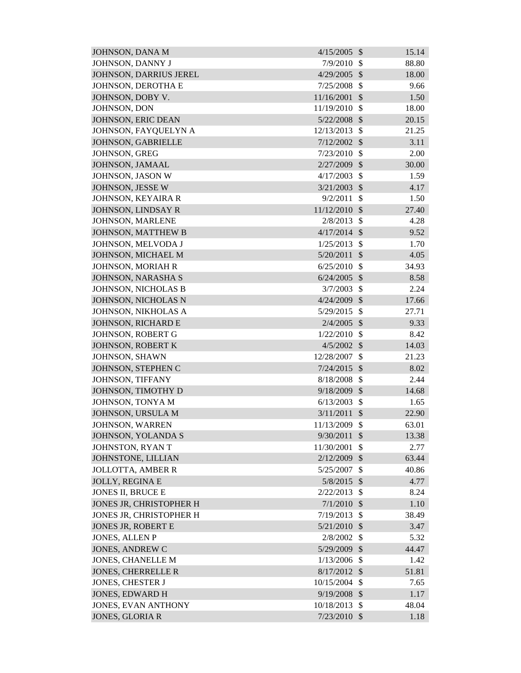| JOHNSON, DANA M               | 4/15/2005     | $\mathcal{S}$             | 15.14 |
|-------------------------------|---------------|---------------------------|-------|
| JOHNSON, DANNY J              | 7/9/2010      | \$                        | 88.80 |
| <b>JOHNSON, DARRIUS JEREL</b> | 4/29/2005     | $\mathcal{S}$             | 18.00 |
| JOHNSON, DEROTHA E            | 7/25/2008     | $\mathcal{S}$             | 9.66  |
| JOHNSON, DOBY V.              | 11/16/2001    | $\mathcal{S}$             | 1.50  |
| JOHNSON, DON                  | 11/19/2010    | $\mathcal{S}$             | 18.00 |
| JOHNSON, ERIC DEAN            | 5/22/2008     | $\mathcal{S}$             | 20.15 |
| JOHNSON, FAYQUELYN A          | 12/13/2013    | \$                        | 21.25 |
| JOHNSON, GABRIELLE            | 7/12/2002     | $\mathcal{S}$             | 3.11  |
| JOHNSON, GREG                 | 7/23/2010     | $\mathcal{S}$             | 2.00  |
| JOHNSON, JAMAAL               | 2/27/2009     | $\mathcal{S}$             | 30.00 |
| JOHNSON, JASON W              | 4/17/2003     | \$                        | 1.59  |
| JOHNSON, JESSE W              | 3/21/2003     | $\mathcal{S}$             | 4.17  |
| JOHNSON, KEYAIRA R            | 9/2/2011      | \$                        | 1.50  |
| JOHNSON, LINDSAY R            | 11/12/2010    | $\mathcal{S}$             | 27.40 |
| JOHNSON, MARLENE              | 2/8/2013      | $\mathcal{S}$             | 4.28  |
| JOHNSON, MATTHEW B            | 4/17/2014     | $\mathcal{S}$             | 9.52  |
| JOHNSON, MELVODA J            | 1/25/2013     | $\mathcal{S}$             | 1.70  |
| JOHNSON, MICHAEL M            | 5/20/2011     | $\mathcal{S}$             | 4.05  |
| JOHNSON, MORIAH R             | 6/25/2010     | $\mathcal{S}$             | 34.93 |
| JOHNSON, NARASHA S            | 6/24/2005     | $\mathcal{S}$             | 8.58  |
| JOHNSON, NICHOLAS B           | 3/7/2003      | $\mathcal{S}$             | 2.24  |
| JOHNSON, NICHOLAS N           | 4/24/2009     | $\mathcal{S}$             | 17.66 |
| JOHNSON, NIKHOLAS A           | 5/29/2015     | $\mathcal{S}$             | 27.71 |
| JOHNSON, RICHARD E            | 2/4/2005      | $\mathcal{S}$             | 9.33  |
| JOHNSON, ROBERT G             | 1/22/2010     | \$                        | 8.42  |
| <b>JOHNSON, ROBERT K</b>      | 4/5/2002      | $\mathcal{S}$             | 14.03 |
| JOHNSON, SHAWN                | 12/28/2007    | \$                        | 21.23 |
| JOHNSON, STEPHEN C            | 7/24/2015     | $\mathcal{S}$             | 8.02  |
| JOHNSON, TIFFANY              | 8/18/2008     | $\mathcal{S}$             | 2.44  |
| JOHNSON, TIMOTHY D            | 9/18/2009 \$  |                           | 14.68 |
| JOHNSON, TONYA M              | 6/13/2003     | \$                        | 1.65  |
| JOHNSON, URSULA M             | 3/11/2011     | $\sqrt[6]{\frac{1}{2}}$   | 22.90 |
| <b>JOHNSON, WARREN</b>        | 11/13/2009    | \$                        | 63.01 |
| JOHNSON, YOLANDA S            | 9/30/2011     | $\mathcal{S}$             | 13.38 |
| JOHNSTON, RYAN T              | 11/30/2001    | \$                        | 2.77  |
| JOHNSTONE, LILLIAN            | 2/12/2009     | $\boldsymbol{\mathsf{S}}$ | 63.44 |
| <b>JOLLOTTA, AMBER R</b>      | 5/25/2007     | $\mathcal{S}$             | 40.86 |
| <b>JOLLY, REGINA E</b>        | $5/8/2015$ \$ |                           | 4.77  |
| <b>JONES II, BRUCE E</b>      | 2/22/2013     | \$                        | 8.24  |
| JONES JR, CHRISTOPHER H       | 7/1/2010      | $\mathcal{S}$             | 1.10  |
| JONES JR, CHRISTOPHER H       | 7/19/2013     | $\mathcal{S}$             | 38.49 |
| <b>JONES JR, ROBERT E</b>     | 5/21/2010     | $\mathcal{S}$             | 3.47  |
| <b>JONES, ALLEN P</b>         | 2/8/2002      | $\mathcal{S}$             | 5.32  |
| <b>JONES, ANDREW C</b>        | 5/29/2009     | $\boldsymbol{\mathsf{S}}$ | 44.47 |
| <b>JONES, CHANELLE M</b>      | 1/13/2006     | $\mathcal{S}$             | 1.42  |
| <b>JONES, CHERRELLE R</b>     | 8/17/2012     | $\mathcal{S}$             | 51.81 |
| <b>JONES, CHESTER J</b>       | 10/15/2004    | \$                        | 7.65  |
| <b>JONES, EDWARD H</b>        | 9/19/2008     | $\boldsymbol{\mathsf{S}}$ | 1.17  |
| <b>JONES, EVAN ANTHONY</b>    | 10/18/2013    | $\mathcal{S}$             | 48.04 |
| <b>JONES, GLORIA R</b>        | 7/23/2010     | $\mathcal{S}$             | 1.18  |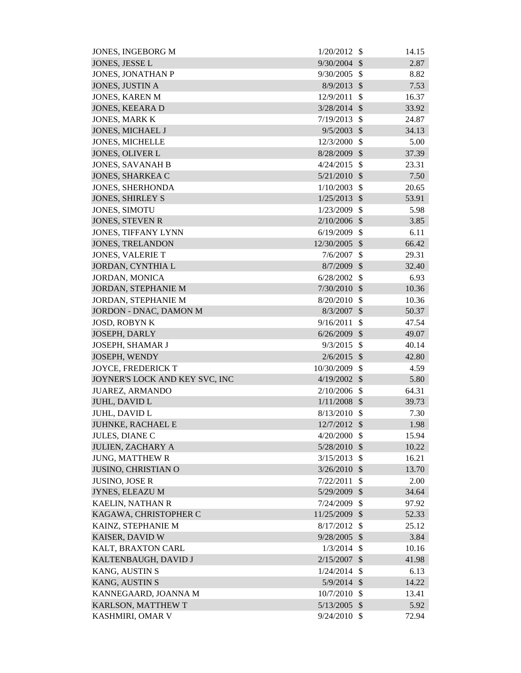| <b>JONES, INGEBORG M</b>       | 1/20/2012      | \$                      | 14.15 |
|--------------------------------|----------------|-------------------------|-------|
| JONES, JESSE L                 | 9/30/2004      | $\mathcal{S}$           | 2.87  |
| JONES, JONATHAN P              | 9/30/2005      | $\mathcal{S}$           | 8.82  |
| JONES, JUSTIN A                | 8/9/2013       | $\mathcal{S}$           | 7.53  |
| <b>JONES, KAREN M</b>          | 12/9/2011      | $\mathcal{S}$           | 16.37 |
| <b>JONES, KEEARA D</b>         | 3/28/2014      | $\mathcal{S}$           | 33.92 |
| <b>JONES, MARK K</b>           | 7/19/2013      | $\mathcal{S}$           | 24.87 |
| <b>JONES, MICHAEL J</b>        | 9/5/2003       | $\mathcal{S}$           | 34.13 |
| <b>JONES, MICHELLE</b>         | 12/3/2000      | $\mathcal{S}$           | 5.00  |
| <b>JONES, OLIVER L</b>         | 8/28/2009      | $\mathcal{S}$           | 37.39 |
| <b>JONES, SAVANAH B</b>        | 4/24/2015      | $\mathcal{S}$           | 23.31 |
| <b>JONES, SHARKEA C</b>        | 5/21/2010      | $\mathcal{S}$           | 7.50  |
| JONES, SHERHONDA               | 1/10/2003      | $\mathcal{S}$           | 20.65 |
| <b>JONES, SHIRLEY S</b>        | 1/25/2013      | $\mathcal{S}$           | 53.91 |
| JONES, SIMOTU                  | 1/23/2009      | $\mathcal{S}$           | 5.98  |
| <b>JONES, STEVEN R</b>         | 2/10/2006      | $\mathcal{S}$           | 3.85  |
| <b>JONES, TIFFANY LYNN</b>     | 6/19/2009      | $\mathcal{S}$           | 6.11  |
| <b>JONES, TRELANDON</b>        | 12/30/2005     | $\mathcal{S}$           | 66.42 |
| <b>JONES, VALERIE T</b>        | 7/6/2007       | $\mathcal{S}$           | 29.31 |
| JORDAN, CYNTHIA L              | 8/7/2009       | $\mathcal{S}$           | 32.40 |
| <b>JORDAN, MONICA</b>          | 6/28/2002      | \$                      | 6.93  |
| JORDAN, STEPHANIE M            | $7/30/2010$ \$ |                         | 10.36 |
| <b>JORDAN, STEPHANIE M</b>     | 8/20/2010      | $\mathcal{S}$           | 10.36 |
| JORDON - DNAC, DAMON M         | 8/3/2007       | $\mathcal{S}$           | 50.37 |
| <b>JOSD, ROBYN K</b>           | 9/16/2011      | $\mathcal{S}$           | 47.54 |
| <b>JOSEPH, DARLY</b>           | 6/26/2009      | $\mathcal{S}$           | 49.07 |
| JOSEPH, SHAMAR J               | 9/3/2015       | $\mathcal{S}$           | 40.14 |
| JOSEPH, WENDY                  | 2/6/2015       | $\mathcal{S}$           | 42.80 |
| <b>JOYCE, FREDERICK T</b>      | 10/30/2009     | $\mathcal{S}$           | 4.59  |
| JOYNER'S LOCK AND KEY SVC, INC | $4/19/2002$ \$ |                         | 5.80  |
| JUAREZ, ARMANDO                | $2/10/2006$ \$ |                         | 64.31 |
| JUHL, DAVID L                  | $1/11/2008$ \$ |                         | 39.73 |
| <b>JUHL, DAVID L</b>           | 8/13/2010      | $\mathcal{S}$           | 7.30  |
| JUHNKE, RACHAEL E              | 12/7/2012 \$   |                         | 1.98  |
| JULES, DIANE C                 | 4/20/2000      | $\mathcal{S}$           | 15.94 |
| <b>JULIEN, ZACHARY A</b>       | 5/28/2010      | $\mathcal{S}$           | 10.22 |
| <b>JUNG, MATTHEW R</b>         | 3/15/2013      | $\mathcal{S}$           | 16.21 |
| <b>JUSINO, CHRISTIAN O</b>     | 3/26/2010      | $\mathcal{S}$           | 13.70 |
| <b>JUSINO, JOSE R</b>          | 7/22/2011      | $\mathcal{S}$           | 2.00  |
| JYNES, ELEAZU M                | 5/29/2009      | \$                      | 34.64 |
| KAELIN, NATHAN R               | 7/24/2009      | \$                      | 97.92 |
| KAGAWA, CHRISTOPHER C          | 11/25/2009     | $\sqrt[6]{\frac{1}{2}}$ | 52.33 |
| KAINZ, STEPHANIE M             | $8/17/2012$ \$ |                         | 25.12 |
| KAISER, DAVID W                | 9/28/2005      | $\mathcal{S}$           | 3.84  |
| KALT, BRAXTON CARL             | 1/3/2014       | $\mathcal{S}$           | 10.16 |
| KALTENBAUGH, DAVID J           | $2/15/2007$ \$ |                         | 41.98 |
| <b>KANG, AUSTIN S</b>          | 1/24/2014      | - \$                    | 6.13  |
| <b>KANG, AUSTIN S</b>          | $5/9/2014$ \$  |                         | 14.22 |
| KANNEGAARD, JOANNA M           | 10/7/2010      | $\mathcal{S}$           | 13.41 |
| KARLSON, MATTHEW T             | $5/13/2005$ \$ |                         | 5.92  |
| KASHMIRI, OMAR V               | $9/24/2010$ \$ |                         | 72.94 |
|                                |                |                         |       |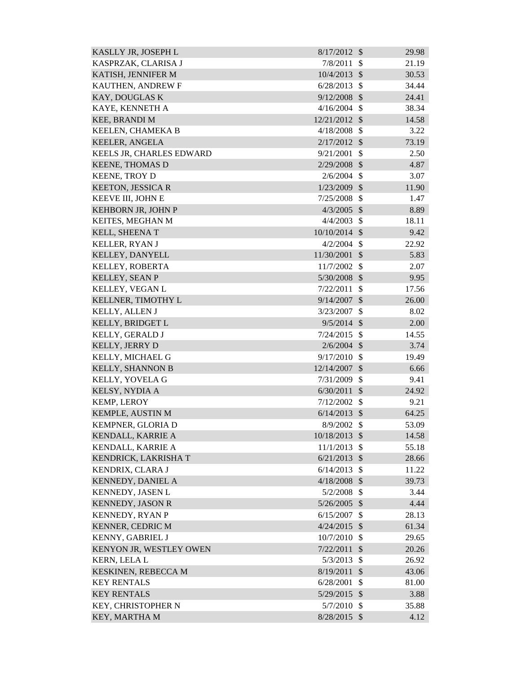| KASLLY JR, JOSEPH L      | 8/17/2012      | - \$          | 29.98 |
|--------------------------|----------------|---------------|-------|
| KASPRZAK, CLARISA J      | 7/8/2011       | -S            | 21.19 |
| KATISH, JENNIFER M       | $10/4/2013$ \$ |               | 30.53 |
| KAUTHEN, ANDREW F        | 6/28/2013      | $\mathcal{S}$ | 34.44 |
| KAY, DOUGLAS K           | $9/12/2008$ \$ |               | 24.41 |
| KAYE, KENNETH A          | 4/16/2004      | $\mathbb{S}$  | 38.34 |
| <b>KEE, BRANDI M</b>     | 12/21/2012 \$  |               | 14.58 |
| KEELEN, CHAMEKA B        | 4/18/2008      | $\mathcal{S}$ | 3.22  |
| <b>KEELER, ANGELA</b>    | 2/17/2012      | $\mathcal{S}$ | 73.19 |
| KEELS JR, CHARLES EDWARD | 9/21/2001      | $\mathcal{S}$ | 2.50  |
| <b>KEENE, THOMAS D</b>   | 2/29/2008      | $\mathcal{S}$ | 4.87  |
| KEENE, TROY D            | $2/6/2004$ \$  |               | 3.07  |
| <b>KEETON, JESSICA R</b> | 1/23/2009      | $\mathcal{S}$ | 11.90 |
| KEEVE III, JOHN E        | 7/25/2008      | $\mathcal{S}$ | 1.47  |
| KEHBORN JR, JOHN P       | $4/3/2005$ \$  |               | 8.89  |
| KEITES, MEGHAN M         | 4/4/2003       | $\mathcal{S}$ | 18.11 |
| KELL, SHEENA T           | 10/10/2014 \$  |               | 9.42  |
| KELLER, RYAN J           | 4/2/2004       | $\mathcal{S}$ | 22.92 |
| KELLEY, DANYELL          | 11/30/2001 \$  |               | 5.83  |
| KELLEY, ROBERTA          | 11/7/2002      | $\mathcal{S}$ | 2.07  |
| KELLEY, SEAN P           | 5/30/2008      | $\mathcal{S}$ | 9.95  |
| KELLEY, VEGAN L          | 7/22/2011      | $\mathcal{S}$ | 17.56 |
| KELLNER, TIMOTHY L       | 9/14/2007      | $\mathcal{S}$ | 26.00 |
| KELLY, ALLEN J           | 3/23/2007      | $\mathcal{S}$ | 8.02  |
| KELLY, BRIDGET L         | 9/5/2014       | $\mathcal{S}$ | 2.00  |
| KELLY, GERALD J          | 7/24/2015      | $\mathcal{S}$ | 14.55 |
| <b>KELLY, JERRY D</b>    | $2/6/2004$ \$  |               | 3.74  |
| KELLY, MICHAEL G         | 9/17/2010      | $\mathcal{S}$ | 19.49 |
| KELLY, SHANNON B         | 12/14/2007     | $\sqrt{3}$    | 6.66  |
| KELLY, YOVELA G          | 7/31/2009      | $\mathcal{S}$ | 9.41  |
| KELSY, NYDIA A           | $6/30/2011$ \$ |               | 24.92 |
| <b>KEMP, LEROY</b>       | 7/12/2002      | $\mathcal{S}$ | 9.21  |
| <b>KEMPLE, AUSTIN M</b>  | $6/14/2013$ \$ |               | 64.25 |
| KEMPNER, GLORIA D        | 8/9/2002       | $\mathcal{S}$ | 53.09 |
| KENDALL, KARRIE A        | 10/18/2013 \$  |               | 14.58 |
| KENDALL, KARRIE A        | 11/1/2013      | $\mathcal{S}$ | 55.18 |
| KENDRICK, LAKRISHA T     | 6/21/2013      | $\mathcal{S}$ | 28.66 |
| KENDRIX, CLARA J         | 6/14/2013      | $\mathcal{S}$ | 11.22 |
| KENNEDY, DANIEL A        | $4/18/2008$ \$ |               | 39.73 |
| KENNEDY, JASEN L         | 5/2/2008       | $\mathcal{S}$ | 3.44  |
| <b>KENNEDY, JASON R</b>  | $5/26/2005$ \$ |               | 4.44  |
| <b>KENNEDY, RYAN P</b>   | 6/15/2007      | $\mathcal{S}$ | 28.13 |
| <b>KENNER, CEDRIC M</b>  | $4/24/2015$ \$ |               | 61.34 |
| KENNY, GABRIEL J         | 10/7/2010      | $\mathcal{S}$ | 29.65 |
| KENYON JR, WESTLEY OWEN  | 7/22/2011      | $\mathcal{S}$ | 20.26 |
| <b>KERN, LELA L</b>      | 5/3/2013       | $\mathcal{S}$ | 26.92 |
| KESKINEN, REBECCA M      | 8/19/2011      | $\mathcal{S}$ | 43.06 |
| <b>KEY RENTALS</b>       | 6/28/2001      | $\mathcal{S}$ | 81.00 |
| <b>KEY RENTALS</b>       | 5/29/2015      | $\mathcal{S}$ | 3.88  |
| KEY, CHRISTOPHER N       | 5/7/2010       | -\$           | 35.88 |
| KEY, MARTHA M            | 8/28/2015 \$   |               | 4.12  |
|                          |                |               |       |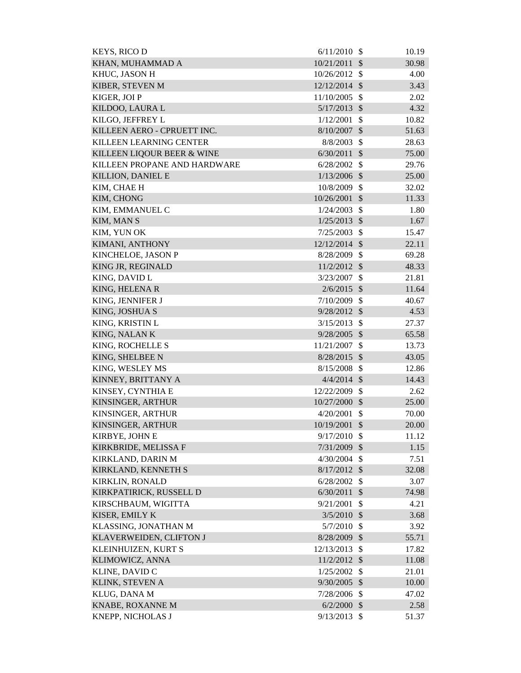| <b>KEYS, RICO D</b>            | 6/11/2010      | - \$                       | 10.19 |
|--------------------------------|----------------|----------------------------|-------|
| KHAN, MUHAMMAD A               | 10/21/2011     | $\mathcal{S}$              | 30.98 |
| KHUC, JASON H                  | 10/26/2012     | $\mathbb{S}$               | 4.00  |
| KIBER, STEVEN M                | 12/12/2014     | $\mathcal{S}$              | 3.43  |
| KIGER, JOI P                   | 11/10/2005     | $\mathcal{S}$              | 2.02  |
| KILDOO, LAURA L                | 5/17/2013      | $\mathcal{S}$              | 4.32  |
| KILGO, JEFFREY L               | 1/12/2001      | $\mathcal{S}$              | 10.82 |
| KILLEEN AERO - CPRUETT INC.    | 8/10/2007      | \$                         | 51.63 |
| <b>KILLEEN LEARNING CENTER</b> | 8/8/2003       | $\mathcal{S}$              | 28.63 |
| KILLEEN LIQOUR BEER & WINE     | 6/30/2011      | $\mathcal{S}$              | 75.00 |
| KILLEEN PROPANE AND HARDWARE   | 6/28/2002      | $\mathcal{S}$              | 29.76 |
| KILLION, DANIEL E              | $1/13/2006$ \$ |                            | 25.00 |
| KIM, CHAE H                    | 10/8/2009      | $\mathcal{S}$              | 32.02 |
| KIM, CHONG                     | 10/26/2001     | $\mathcal{S}$              | 11.33 |
| KIM, EMMANUEL C                | 1/24/2003      | $\mathcal{S}$              | 1.80  |
| KIM, MAN S                     | 1/25/2013      | $\mathcal{S}$              | 1.67  |
| KIM, YUN OK                    | 7/25/2003      | $\mathcal{S}$              | 15.47 |
| KIMANI, ANTHONY                | 12/12/2014     | $\mathcal{S}$              | 22.11 |
| KINCHELOE, JASON P             | 8/28/2009      | $\mathcal{S}$              | 69.28 |
| KING JR, REGINALD              | 11/2/2012      | $\mathcal{S}$              | 48.33 |
| KING, DAVID L                  | 3/23/2007      | $\mathcal{S}$              | 21.81 |
| KING, HELENA R                 | $2/6/2015$ \$  |                            | 11.64 |
| KING, JENNIFER J               | 7/10/2009      | $\mathcal{S}$              | 40.67 |
| KING, JOSHUA S                 | 9/28/2012      | $\mathcal{S}$              | 4.53  |
| KING, KRISTIN L                | 3/15/2013      | $\mathcal{S}$              | 27.37 |
| KING, NALAN K                  | $9/28/2005$ \$ |                            | 65.58 |
| KING, ROCHELLE S               | 11/21/2007     | $\mathcal{S}$              | 13.73 |
| KING, SHELBEE N                | 8/28/2015      | $\mathcal{S}$              | 43.05 |
| KING, WESLEY MS                | 8/15/2008      | $\mathcal{S}$              | 12.86 |
| KINNEY, BRITTANY A             | $4/4/2014$ \$  |                            | 14.43 |
| KINSEY, CYNTHIA E              | 12/22/2009 \$  |                            | 2.62  |
| KINSINGER, ARTHUR              | 10/27/2000     | $\mathcal{S}$              | 25.00 |
| KINSINGER, ARTHUR              | 4/20/2001      | $\mathcal{S}$              | 70.00 |
| KINSINGER, ARTHUR              | 10/19/2001     | $\mathcal{S}$              | 20.00 |
| KIRBYE, JOHN E                 | 9/17/2010      | $\mathcal{S}$              | 11.12 |
| KIRKBRIDE, MELISSA F           | 7/31/2009      | $\boldsymbol{\mathcal{S}}$ | 1.15  |
| KIRKLAND, DARIN M              | 4/30/2004      | $\mathcal{S}$              | 7.51  |
| KIRKLAND, KENNETH S            | $8/17/2012$ \$ |                            | 32.08 |
| KIRKLIN, RONALD                | 6/28/2002      | $\mathcal{S}$              | 3.07  |
| KIRKPATIRICK, RUSSELL D        | 6/30/2011      | $\mathcal{S}$              | 74.98 |
| KIRSCHBAUM, WIGITTA            | 9/21/2001      | $\mathcal{S}$              | 4.21  |
| KISER, EMILY K                 | 3/5/2010       | $\mathcal{S}$              | 3.68  |
| KLASSING, JONATHAN M           | 5/7/2010       | $\mathcal{S}$              | 3.92  |
| KLAVERWEIDEN, CLIFTON J        | 8/28/2009      | $\mathcal{S}$              | 55.71 |
| KLEINHUIZEN, KURT S            | 12/13/2013     | $\mathcal{S}$              | 17.82 |
| KLIMOWICZ, ANNA                | 11/2/2012      | $\mathcal{S}$              | 11.08 |
| KLINE, DAVID C                 | 1/25/2002      | $\mathcal{S}$              | 21.01 |
| KLINK, STEVEN A                | 9/30/2005      | $\mathcal{S}$              | 10.00 |
| KLUG, DANA M                   | 7/28/2006      | $\mathcal{S}$              | 47.02 |
| KNABE, ROXANNE M               | 6/2/2000       | $\sqrt[6]{\frac{1}{2}}$    | 2.58  |
| KNEPP, NICHOLAS J              | 9/13/2013      | $\boldsymbol{\mathsf{S}}$  | 51.37 |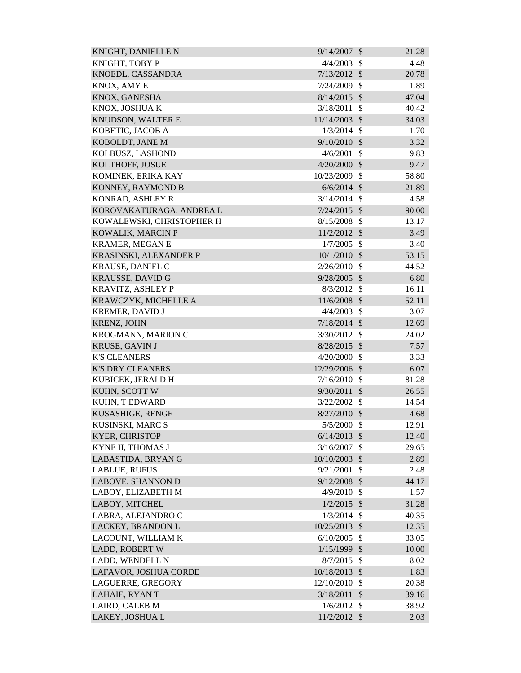| KNIGHT, DANIELLE N        | $9/14/2007$ \$ |                           | 21.28 |
|---------------------------|----------------|---------------------------|-------|
| KNIGHT, TOBY P            | 4/4/2003       | $\mathcal{S}$             | 4.48  |
| KNOEDL, CASSANDRA         | 7/13/2012      | $\mathcal{S}$             | 20.78 |
| KNOX, AMY E               | 7/24/2009      | $\mathcal{S}$             | 1.89  |
| KNOX, GANESHA             | $8/14/2015$ \$ |                           | 47.04 |
| KNOX, JOSHUA K            | 3/18/2011      | $\mathcal{S}$             | 40.42 |
| KNUDSON, WALTER E         | 11/14/2003     | $\mathcal{S}$             | 34.03 |
| KOBETIC, JACOB A          | 1/3/2014       | $\mathbb{S}$              | 1.70  |
| KOBOLDT, JANE M           | $9/10/2010$ \$ |                           | 3.32  |
| KOLBUSZ, LASHOND          | 4/6/2001       | \$                        | 9.83  |
| KOLTHOFF, JOSUE           | 4/20/2000      | $\mathcal{S}$             | 9.47  |
| KOMINEK, ERIKA KAY        | 10/23/2009     | $\mathcal{S}$             | 58.80 |
| KONNEY, RAYMOND B         | $6/6/2014$ \$  |                           | 21.89 |
| KONRAD, ASHLEY R          | 3/14/2014      | $\mathcal{S}$             | 4.58  |
| KOROVAKATURAGA, ANDREA L  | 7/24/2015      | $\mathcal{S}$             | 90.00 |
| KOWALEWSKI, CHRISTOPHER H | 8/15/2008      | $\mathcal{S}$             | 13.17 |
| KOWALIK, MARCIN P         | 11/2/2012 \$   |                           | 3.49  |
| <b>KRAMER, MEGAN E</b>    | 1/7/2005       | $\mathcal{S}$             | 3.40  |
| KRASINSKI, ALEXANDER P    | 10/1/2010      | $\mathcal{S}$             | 53.15 |
| <b>KRAUSE, DANIEL C</b>   | 2/26/2010      | $\mathcal{S}$             | 44.52 |
| <b>KRAUSSE, DAVID G</b>   | 9/28/2005      | $\mathcal{S}$             | 6.80  |
| KRAVITZ, ASHLEY P         | 8/3/2012       | $\mathcal{S}$             | 16.11 |
| KRAWCZYK, MICHELLE A      | 11/6/2008 \$   |                           | 52.11 |
| <b>KREMER, DAVID J</b>    | 4/4/2003       | $\mathcal{S}$             | 3.07  |
| <b>KRENZ, JOHN</b>        | 7/18/2014      | $\mathcal{S}$             | 12.69 |
| KROGMANN, MARION C        | 3/30/2012      | $\mathcal{S}$             | 24.02 |
| <b>KRUSE, GAVIN J</b>     | 8/28/2015      | $\mathcal{S}$             | 7.57  |
| <b>K'S CLEANERS</b>       | 4/20/2000      | $\mathcal{S}$             | 3.33  |
| <b>K'S DRY CLEANERS</b>   | 12/29/2006 \$  |                           | 6.07  |
| KUBICEK, JERALD H         | 7/16/2010      | $\boldsymbol{\mathsf{S}}$ | 81.28 |
| KUHN, SCOTT W             | $9/30/2011$ \$ |                           | 26.55 |
| KUHN, T EDWARD            | 3/22/2002      | $\mathcal{S}$             | 14.54 |
| KUSASHIGE, RENGE          | 8/27/2010      | $\mathcal{S}$             | 4.68  |
| KUSINSKI, MARC S          | 5/5/2000       | $\boldsymbol{\mathsf{S}}$ | 12.91 |
| <b>KYER, CHRISTOP</b>     | 6/14/2013      | $\mathcal{S}$             | 12.40 |
| KYNE II, THOMAS J         | 3/16/2007      | \$                        | 29.65 |
| LABASTIDA, BRYAN G        | 10/10/2003     | $\mathcal{S}$             | 2.89  |
| <b>LABLUE, RUFUS</b>      | 9/21/2001      | \$                        | 2.48  |
| <b>LABOVE, SHANNON D</b>  | 9/12/2008      | $\mathcal{S}$             | 44.17 |
| LABOY, ELIZABETH M        | 4/9/2010       | \$                        | 1.57  |
| LABOY, MITCHEL            | $1/2/2015$ \$  |                           | 31.28 |
| LABRA, ALEJANDRO C        | 1/3/2014       | $\mathcal{S}$             | 40.35 |
| LACKEY, BRANDON L         | 10/25/2013 \$  |                           | 12.35 |
| LACOUNT, WILLIAM K        | 6/10/2005      | \$                        | 33.05 |
| <b>LADD, ROBERT W</b>     | 1/15/1999      | $\mathcal{S}$             | 10.00 |
| LADD, WENDELL N           | 8/7/2015       | $\mathcal{S}$             | 8.02  |
| LAFAVOR, JOSHUA CORDE     | 10/18/2013     | $\mathcal{S}$             | 1.83  |
| LAGUERRE, GREGORY         | 12/10/2010     | \$                        | 20.38 |
| LAHAIE, RYAN T            | 3/18/2011      | $\mathcal{S}$             | 39.16 |
| LAIRD, CALEB M            | 1/6/2012       | $\mathcal{S}$             | 38.92 |
| LAKEY, JOSHUA L           | 11/2/2012 \$   |                           | 2.03  |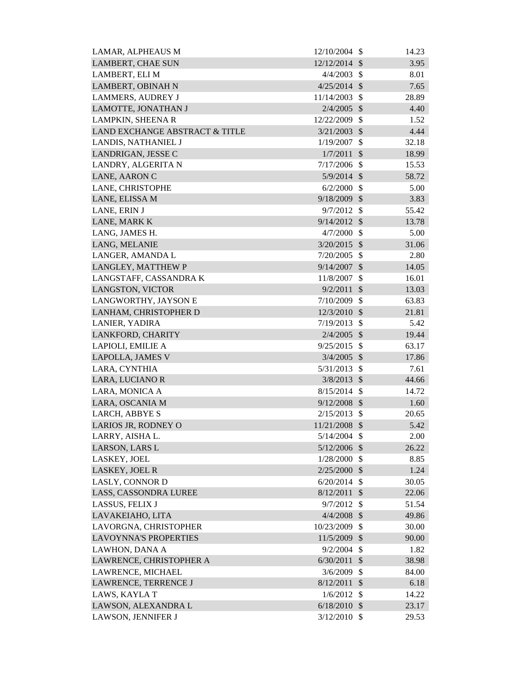| LAMAR, ALPHEAUS M              | 12/10/2004     | \$                        | 14.23 |
|--------------------------------|----------------|---------------------------|-------|
| <b>LAMBERT, CHAE SUN</b>       | 12/12/2014     | $\mathcal{S}$             | 3.95  |
| LAMBERT, ELI M                 | 4/4/2003       | $\mathcal{S}$             | 8.01  |
| <b>LAMBERT, OBINAH N</b>       | 4/25/2014      | $\mathcal{S}$             | 7.65  |
| <b>LAMMERS, AUDREY J</b>       | 11/14/2003     | $\mathcal{S}$             | 28.89 |
| LAMOTTE, JONATHAN J            | 2/4/2005       | $\mathcal{S}$             | 4.40  |
| <b>LAMPKIN, SHEENA R</b>       | 12/22/2009     | $\mathcal{S}$             | 1.52  |
| LAND EXCHANGE ABSTRACT & TITLE | 3/21/2003      | \$                        | 4.44  |
| LANDIS, NATHANIEL J            | 1/19/2007      | \$                        | 32.18 |
| LANDRIGAN, JESSE C             | 1/7/2011       | $\mathcal{S}$             | 18.99 |
| LANDRY, ALGERITA N             | 7/17/2006      | $\mathcal{S}$             | 15.53 |
| LANE, AARON C                  | $5/9/2014$ \$  |                           | 58.72 |
| LANE, CHRISTOPHE               | 6/2/2000       | $\mathcal{S}$             | 5.00  |
| LANE, ELISSA M                 | 9/18/2009 \$   |                           | 3.83  |
| LANE, ERIN J                   | $9/7/2012$ \$  |                           | 55.42 |
| LANE, MARK K                   | 9/14/2012      | $\mathcal{S}$             | 13.78 |
| LANG, JAMES H.                 | 4/7/2000       | $\mathcal{S}$             | 5.00  |
| LANG, MELANIE                  | 3/20/2015      | - \$                      | 31.06 |
| LANGER, AMANDA L               | 7/20/2005      | $\boldsymbol{\mathsf{S}}$ | 2.80  |
| LANGLEY, MATTHEW P             | 9/14/2007      | $\mathcal{S}$             | 14.05 |
| LANGSTAFF, CASSANDRA K         | 11/8/2007      | \$                        | 16.01 |
| LANGSTON, VICTOR               | 9/2/2011       | $\mathcal{S}$             | 13.03 |
| LANGWORTHY, JAYSON E           | 7/10/2009      | \$                        | 63.83 |
| LANHAM, CHRISTOPHER D          | 12/3/2010 \$   |                           | 21.81 |
| <b>LANIER, YADIRA</b>          | 7/19/2013      | \$                        | 5.42  |
| LANKFORD, CHARITY              | $2/4/2005$ \$  |                           | 19.44 |
| LAPIOLI, EMILIE A              | 9/25/2015      | $\mathcal{S}$             | 63.17 |
| LAPOLLA, JAMES V               | $3/4/2005$ \$  |                           | 17.86 |
| LARA, CYNTHIA                  | 5/31/2013      | $\mathcal{S}$             | 7.61  |
| LARA, LUCIANO R                | $3/8/2013$ \$  |                           | 44.66 |
| LARA, MONICA A                 | $8/15/2014$ \$ |                           | 14.72 |
| LARA, OSCANIA M                | 9/12/2008      | $\mathcal{S}$             | 1.60  |
| LARCH, ABBYE S                 | $2/15/2013$ \$ |                           | 20.65 |
| LARIOS JR, RODNEY O            | 11/21/2008 \$  |                           | 5.42  |
| LARRY, AISHA L.                | $5/14/2004$ \$ |                           | 2.00  |
| LARSON, LARS L                 | $5/12/2006$ \$ |                           | 26.22 |
| LASKEY, JOEL                   | $1/28/2000$ \$ |                           | 8.85  |
| LASKEY, JOEL R                 | $2/25/2000$ \$ |                           | 1.24  |
| <b>LASLY, CONNOR D</b>         | $6/20/2014$ \$ |                           | 30.05 |
| LASS, CASSONDRA LUREE          | 8/12/2011      | $\boldsymbol{\mathsf{S}}$ | 22.06 |
| LASSUS, FELIX J                | 9/7/2012       | $\mathcal{S}$             | 51.54 |
| LAVAKEIAHO, LITA               | $4/4/2008$ \$  |                           | 49.86 |
| LAVORGNA, CHRISTOPHER          | 10/23/2009 \$  |                           | 30.00 |
| <b>LAVOYNNA'S PROPERTIES</b>   | 11/5/2009      | \$                        | 90.00 |
| LAWHON, DANA A                 | 9/2/2004       | \$                        | 1.82  |
| LAWRENCE, CHRISTOPHER A        | 6/30/2011      | $\sqrt{3}$                | 38.98 |
| LAWRENCE, MICHAEL              | 3/6/2009       | $\mathcal{S}$             | 84.00 |
| LAWRENCE, TERRENCE J           | 8/12/2011      | $\sqrt{3}$                | 6.18  |
| LAWS, KAYLA T                  | 1/6/2012       | \$                        | 14.22 |
| LAWSON, ALEXANDRA L            | $6/18/2010$ \$ |                           | 23.17 |
| LAWSON, JENNIFER J             | $3/12/2010$ \$ |                           | 29.53 |
|                                |                |                           |       |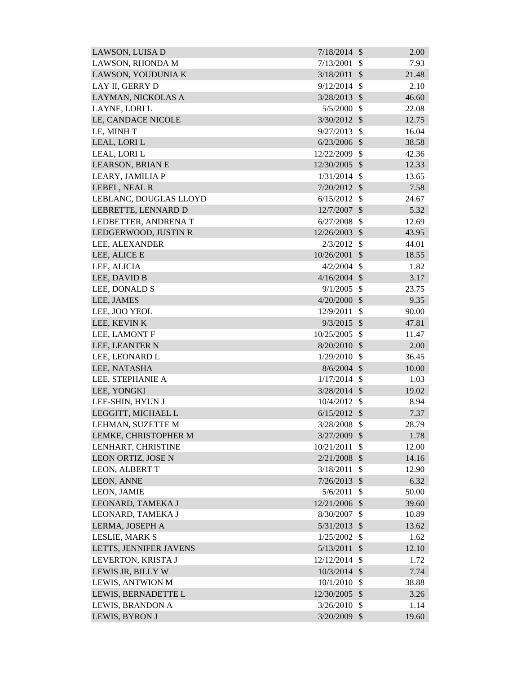| LAWSON, LUISA D         | $7/18/2014$ \$ |                           | 2.00  |
|-------------------------|----------------|---------------------------|-------|
| LAWSON, RHONDA M        | 7/13/2001      | \$                        | 7.93  |
| LAWSON, YOUDUNIA K      | 3/18/2011      | $\mathcal{S}$             | 21.48 |
| LAY II, GERRY D         | 9/12/2014      | $\mathcal{S}$             | 2.10  |
| LAYMAN, NICKOLAS A      | 3/28/2013      | $\mathcal{S}$             | 46.60 |
| LAYNE, LORI L           | 5/5/2000       | $\mathbb{S}$              | 22.08 |
| LE, CANDACE NICOLE      | 3/30/2012      | $\mathcal{S}$             | 12.75 |
| LE, MINH T              | 9/27/2013      | $\mathcal{S}$             | 16.04 |
| LEAL, LORI L            | $6/23/2006$ \$ |                           | 38.58 |
| LEAL, LORI L            | 12/22/2009     | $\mathcal{S}$             | 42.36 |
| <b>LEARSON, BRIAN E</b> | 12/30/2005     | $\mathcal{S}$             | 12.33 |
| LEARY, JAMILIA P        | 1/31/2014      | $\mathcal{S}$             | 13.65 |
| LEBEL, NEAL R           | $7/20/2012$ \$ |                           | 7.58  |
| LEBLANC, DOUGLAS LLOYD  | 6/15/2012      | $\mathcal{S}$             | 24.67 |
| LEBRETTE, LENNARD D     | 12/7/2007      | $\mathcal{S}$             | 5.32  |
| LEDBETTER, ANDRENAT     | 6/27/2008      | $\mathcal{S}$             | 12.69 |
| LEDGERWOOD, JUSTIN R    | 12/26/2003     | $\mathcal{S}$             | 43.95 |
| LEE, ALEXANDER          | 2/3/2012       | $\mathcal{S}$             | 44.01 |
| LEE, ALICE E            | 10/26/2001     | $\mathcal{S}$             | 18.55 |
| LEE, ALICIA             | 4/2/2004       | $\mathbb{S}$              | 1.82  |
| LEE, DAVID B            | $4/16/2004$ \$ |                           | 3.17  |
| LEE, DONALD S           | 9/1/2005       | $\mathcal{S}$             | 23.75 |
| LEE, JAMES              | $4/20/2000$ \$ |                           | 9.35  |
| LEE, JOO YEOL           | 12/9/2011      | $\mathcal{S}$             | 90.00 |
| LEE, KEVIN K            | 9/3/2015       | $\mathcal{S}$             | 47.81 |
| LEE, LAMONT F           | 10/25/2005     | $\mathbb{S}$              | 11.47 |
| LEE, LEANTER N          | 8/20/2010      | $\mathcal{S}$             | 2.00  |
| LEE, LEONARD L          | 1/29/2010      | $\mathbb{S}$              | 36.45 |
| LEE, NATASHA            | $8/6/2004$ \$  |                           | 10.00 |
| LEE, STEPHANIE A        | $1/17/2014$ \$ |                           | 1.03  |
| LEE, YONGKI             | $3/28/2014$ \$ |                           | 19.02 |
| LEE-SHIN, HYUN J        | 10/4/2012      | <sup>\$</sup>             | 8.94  |
| LEGGITT, MICHAEL L      | 6/15/2012      | $\mathcal{S}$             | 7.37  |
| LEHMAN, SUZETTE M       | 3/28/2008      | $\mathcal{S}$             | 28.79 |
| LEMKE, CHRISTOPHER M    | 3/27/2009      | $\mathcal{S}$             | 1.78  |
| LENHART, CHRISTINE      | 10/21/2011     | \$                        | 12.00 |
| LEON ORTIZ, JOSE N      | $2/21/2008$ \$ |                           | 14.16 |
| LEON, ALBERT T          | 3/18/2011      | \$                        | 12.90 |
| LEON, ANNE              | 7/26/2013      | $\mathcal{S}$             | 6.32  |
| LEON, JAMIE             | 5/6/2011       | $\mathcal{S}$             | 50.00 |
| LEONARD, TAMEKA J       | 12/21/2006     | $\mathcal{S}$             | 39.60 |
| LEONARD, TAMEKA J       | 8/30/2007      | $\mathcal{S}$             | 10.89 |
| LERMA, JOSEPH A         | 5/31/2013      | $\mathcal{S}$             | 13.62 |
| LESLIE, MARK S          | 1/25/2002      | $\mathcal{S}$             | 1.62  |
| LETTS, JENNIFER JAVENS  | 5/13/2011      | \$                        | 12.10 |
| LEVERTON, KRISTA J      | 12/12/2014     | $\mathcal{S}$             | 1.72  |
| LEWIS JR, BILLY W       | $10/3/2014$ \$ |                           | 7.74  |
| LEWIS, ANTWION M        | 10/1/2010      | $\mathcal{S}$             | 38.88 |
| LEWIS, BERNADETTE L     | 12/30/2005     | $\mathcal{S}$             | 3.26  |
| LEWIS, BRANDON A        | 3/26/2010      | $\boldsymbol{\mathsf{S}}$ | 1.14  |
| LEWIS, BYRON J          | $3/20/2009$ \$ |                           | 19.60 |
|                         |                |                           |       |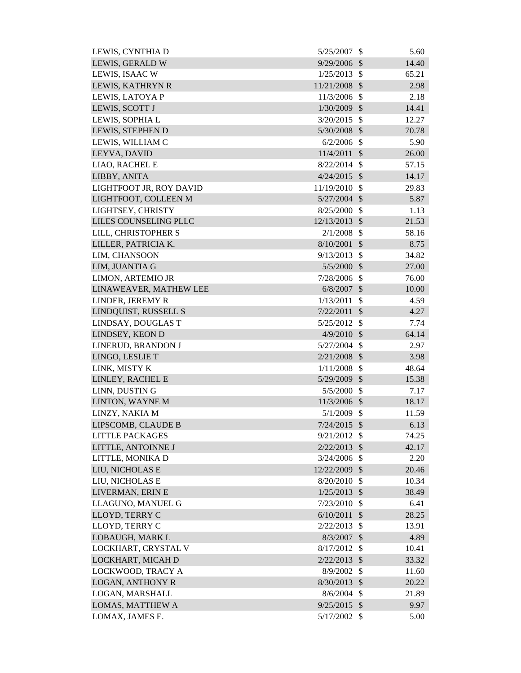| LEWIS, CYNTHIA D        | 5/25/2007      | \$            | 5.60  |
|-------------------------|----------------|---------------|-------|
| LEWIS, GERALD W         | 9/29/2006      | $\mathcal{S}$ | 14.40 |
| LEWIS, ISAAC W          | 1/25/2013      | $\mathcal{S}$ | 65.21 |
| LEWIS, KATHRYN R        | 11/21/2008     | $\mathcal{S}$ | 2.98  |
| LEWIS, LATOYA P         | 11/3/2006      | $\mathcal{S}$ | 2.18  |
| LEWIS, SCOTT J          | 1/30/2009      | $\mathcal{S}$ | 14.41 |
| LEWIS, SOPHIA L         | 3/20/2015      | $\mathcal{S}$ | 12.27 |
| LEWIS, STEPHEN D        | 5/30/2008      | $\mathcal{S}$ | 70.78 |
| LEWIS, WILLIAM C        | 6/2/2006       | $\mathcal{S}$ | 5.90  |
| LEYVA, DAVID            | 11/4/2011      | $\mathcal{S}$ | 26.00 |
| LIAO, RACHEL E          | 8/22/2014      | $\mathcal{S}$ | 57.15 |
| LIBBY, ANITA            | $4/24/2015$ \$ |               | 14.17 |
| LIGHTFOOT JR, ROY DAVID | 11/19/2010     | $\mathcal{S}$ | 29.83 |
| LIGHTFOOT, COLLEEN M    | $5/27/2004$ \$ |               | 5.87  |
| LIGHTSEY, CHRISTY       | 8/25/2000      | $\mathcal{S}$ | 1.13  |
| LILES COUNSELING PLLC   | 12/13/2013     | $\mathcal{S}$ | 21.53 |
| LILL, CHRISTOPHER S     | 2/1/2008       | $\mathcal{S}$ | 58.16 |
| LILLER, PATRICIA K.     | 8/10/2001      | $\mathcal{S}$ | 8.75  |
| LIM, CHANSOON           | 9/13/2013      | $\mathcal{S}$ | 34.82 |
| LIM, JUANTIA G          | 5/5/2000       | $\mathcal{S}$ | 27.00 |
| LIMON, ARTEMIO JR       | 7/28/2006      | $\mathcal{S}$ | 76.00 |
| LINAWEAVER, MATHEW LEE  | 6/8/2007       | $\sqrt{3}$    | 10.00 |
| LINDER, JEREMY R        | 1/13/2011      | \$            | 4.59  |
| LINDQUIST, RUSSELL S    | 7/22/2011      | $\mathcal{S}$ | 4.27  |
| LINDSAY, DOUGLAS T      | 5/25/2012      | $\mathcal{S}$ | 7.74  |
| LINDSEY, KEON D         | 4/9/2010       | $\sqrt{3}$    | 64.14 |
| LINERUD, BRANDON J      | 5/27/2004      | $\mathcal{S}$ | 2.97  |
| LINGO, LESLIE T         | 2/21/2008      | $\mathcal{S}$ | 3.98  |
| LINK, MISTY K           | 1/11/2008      | $\mathcal{S}$ | 48.64 |
| LINLEY, RACHEL E        | 5/29/2009      | $\mathcal{S}$ | 15.38 |
| LINN, DUSTIN G          | $5/5/2000$ \$  |               | 7.17  |
| LINTON, WAYNE M         | 11/3/2006 \$   |               | 18.17 |
| LINZY, NAKIA M          | $5/1/2009$ \$  |               | 11.59 |
| LIPSCOMB, CLAUDE B      | $7/24/2015$ \$ |               | 6.13  |
| <b>LITTLE PACKAGES</b>  | $9/21/2012$ \$ |               | 74.25 |
| LITTLE, ANTOINNE J      | 2/22/2013      | $\mathcal{S}$ | 42.17 |
| LITTLE, MONIKA D        | $3/24/2006$ \$ |               | 2.20  |
| LIU, NICHOLAS E         | 12/22/2009 \$  |               | 20.46 |
| LIU, NICHOLAS E         | 8/20/2010      | $\mathcal{S}$ | 10.34 |
| LIVERMAN, ERIN E        | 1/25/2013      | $\mathcal{S}$ | 38.49 |
| LLAGUNO, MANUEL G       | 7/23/2010      | $\mathcal{S}$ | 6.41  |
| LLOYD, TERRY C          | 6/10/2011      | $\mathcal{S}$ | 28.25 |
| LLOYD, TERRY C          | 2/22/2013      | $\mathcal{S}$ | 13.91 |
| LOBAUGH, MARK L         | 8/3/2007       | $\mathcal{S}$ | 4.89  |
| LOCKHART, CRYSTAL V     | 8/17/2012      | $\mathcal{S}$ | 10.41 |
| LOCKHART, MICAH D       | 2/22/2013      | $\sqrt{3}$    | 33.32 |
| LOCKWOOD, TRACY A       | 8/9/2002       | \$            | 11.60 |
| <b>LOGAN, ANTHONY R</b> | $8/30/2013$ \$ |               | 20.22 |
| LOGAN, MARSHALL         | 8/6/2004       | $\mathcal{S}$ | 21.89 |
| LOMAS, MATTHEW A        | $9/25/2015$ \$ |               | 9.97  |
| LOMAX, JAMES E.         | 5/17/2002 \$   |               | 5.00  |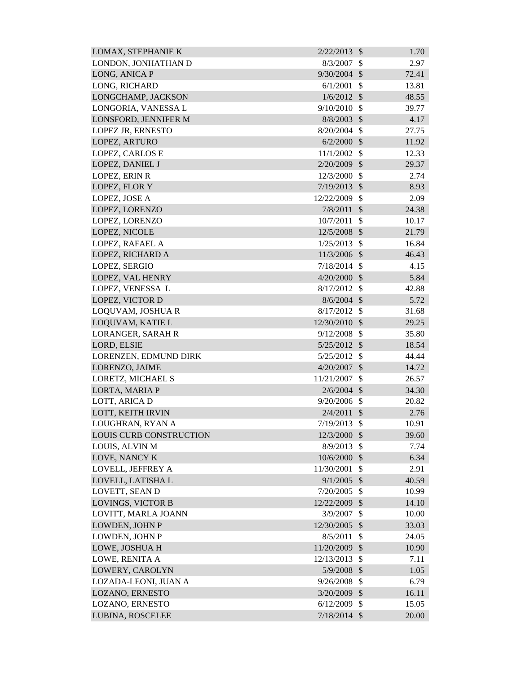| <b>LOMAX, STEPHANIE K</b> | 2/22/2013     | $\mathcal{S}$             | 1.70  |
|---------------------------|---------------|---------------------------|-------|
| LONDON, JONHATHAN D       | 8/3/2007      | \$                        | 2.97  |
| LONG, ANICA P             | 9/30/2004     | $\mathcal{S}$             | 72.41 |
| LONG, RICHARD             | 6/1/2001      | \$                        | 13.81 |
| LONGCHAMP, JACKSON        | 1/6/2012      | $\mathcal{S}$             | 48.55 |
| LONGORIA, VANESSA L       | 9/10/2010     | $\mathcal{S}$             | 39.77 |
| LONSFORD, JENNIFER M      | 8/8/2003      | $\mathcal{S}$             | 4.17  |
| LOPEZ JR, ERNESTO         | 8/20/2004     | $\mathcal{S}$             | 27.75 |
| LOPEZ, ARTURO             | 6/2/2000      | $\mathcal{S}$             | 11.92 |
| <b>LOPEZ, CARLOS E</b>    | 11/1/2002     | $\mathcal{S}$             | 12.33 |
| LOPEZ, DANIEL J           | 2/20/2009     | $\mathcal{S}$             | 29.37 |
| LOPEZ, ERIN R             | 12/3/2000     | $\mathcal{S}$             | 2.74  |
| LOPEZ, FLOR Y             | 7/19/2013     | $\mathcal{S}$             | 8.93  |
| LOPEZ, JOSE A             | 12/22/2009    | $\mathcal{S}$             | 2.09  |
| LOPEZ, LORENZO            | 7/8/2011      | $\mathcal{S}$             | 24.38 |
| LOPEZ, LORENZO            | 10/7/2011     | $\mathcal{S}$             | 10.17 |
| LOPEZ, NICOLE             | 12/5/2008     | $\mathcal{S}$             | 21.79 |
| LOPEZ, RAFAEL A           | 1/25/2013     | $\mathcal{S}$             | 16.84 |
| LOPEZ, RICHARD A          | 11/3/2006 \$  |                           | 46.43 |
| LOPEZ, SERGIO             | 7/18/2014     | $\mathcal{S}$             | 4.15  |
| LOPEZ, VAL HENRY          | 4/20/2000     | $\mathcal{S}$             | 5.84  |
| LOPEZ, VENESSA L          | 8/17/2012     | $\mathcal{S}$             | 42.88 |
| LOPEZ, VICTOR D           | $8/6/2004$ \$ |                           | 5.72  |
| LOQUVAM, JOSHUA R         | 8/17/2012     | $\mathcal{S}$             | 31.68 |
| LOQUVAM, KATIE L          | 12/30/2010    | $\mathcal{S}$             | 29.25 |
| LORANGER, SARAH R         | 9/12/2008     | $\mathcal{S}$             | 35.80 |
| LORD, ELSIE               | 5/25/2012     | $\mathcal{S}$             | 18.54 |
| LORENZEN, EDMUND DIRK     | 5/25/2012     | $\boldsymbol{\mathsf{S}}$ | 44.44 |
| LORENZO, JAIME            | 4/20/2007     | $\mathcal{S}$             | 14.72 |
| LORETZ, MICHAEL S         | 11/21/2007    | \$                        | 26.57 |
| LORTA, MARIA P            | $2/6/2004$ \$ |                           | 34.30 |
| LOTT, ARICA D             | 9/20/2006     | \$                        | 20.82 |
| LOTT, KEITH IRVIN         | 2/4/2011      | $\mathcal{S}$             | 2.76  |
| LOUGHRAN, RYAN A          | 7/19/2013     | \$                        | 10.91 |
| LOUIS CURB CONSTRUCTION   | 12/3/2000     | $\mathcal{S}$             | 39.60 |
| LOUIS, ALVIN M            | 8/9/2013      | $\mathcal{S}$             | 7.74  |
| LOVE, NANCY K             | 10/6/2000     | $\mathcal{S}$             | 6.34  |
| LOVELL, JEFFREY A         | 11/30/2001    | \$                        | 2.91  |
| LOVELL, LATISHA L         | 9/1/2005      | $\mathcal{S}$             | 40.59 |
| LOVETT, SEAN D            | 7/20/2005     | $\mathcal{S}$             | 10.99 |
| <b>LOVINGS, VICTOR B</b>  | 12/22/2009    | $\boldsymbol{\mathsf{S}}$ | 14.10 |
| LOVITT, MARLA JOANN       | 3/9/2007      | $\mathcal{S}$             | 10.00 |
| LOWDEN, JOHN P            | 12/30/2005    | $\mathcal{S}$             | 33.03 |
| LOWDEN, JOHN P            | 8/5/2011      | \$                        | 24.05 |
| LOWE, JOSHUA H            | 11/20/2009    | \$                        | 10.90 |
| LOWE, RENITA A            | 12/13/2013    | $\mathcal{S}$             | 7.11  |
| LOWERY, CAROLYN           | 5/9/2008      | $\mathcal{S}$             | 1.05  |
| LOZADA-LEONI, JUAN A      | 9/26/2008     | $\mathcal{S}$             | 6.79  |
| LOZANO, ERNESTO           | 3/20/2009     | $\mathcal{S}$             | 16.11 |
| LOZANO, ERNESTO           | 6/12/2009     | $\mathcal{S}$             | 15.05 |
| LUBINA, ROSCELEE          | 7/18/2014     | $\mathcal{S}$             | 20.00 |
|                           |               |                           |       |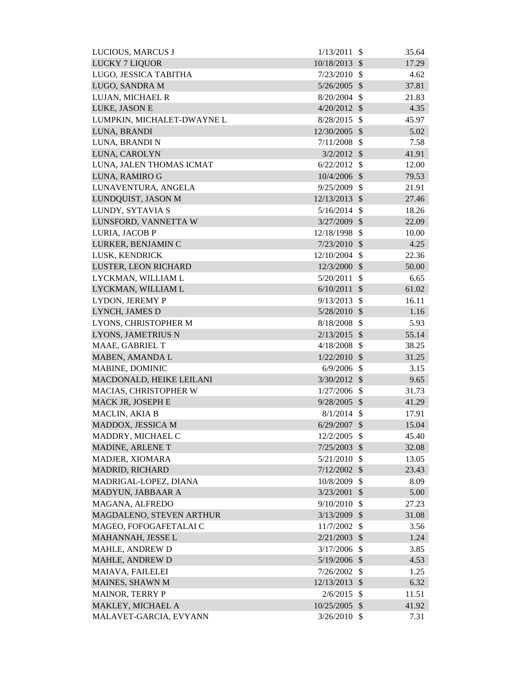| LUCIOUS, MARCUS J          | 1/13/2011      | $\mathcal{S}$             | 35.64 |
|----------------------------|----------------|---------------------------|-------|
| <b>LUCKY 7 LIQUOR</b>      | 10/18/2013     | $\mathcal{S}$             | 17.29 |
| LUGO, JESSICA TABITHA      | 7/23/2010      | $\mathbb{S}$              | 4.62  |
| LUGO, SANDRA M             | 5/26/2005      | $\boldsymbol{\mathsf{S}}$ | 37.81 |
| LUJAN, MICHAEL R           | $8/20/2004$ \$ |                           | 21.83 |
| LUKE, JASON E              | $4/20/2012$ \$ |                           | 4.35  |
| LUMPKIN, MICHALET-DWAYNE L | 8/28/2015      | $\mathcal{S}$             | 45.97 |
| LUNA, BRANDI               | 12/30/2005     | $\mathcal{S}$             | 5.02  |
| LUNA, BRANDI N             | $7/11/2008$ \$ |                           | 7.58  |
| LUNA, CAROLYN              | $3/2/2012$ \$  |                           | 41.91 |
| LUNA, JALEN THOMAS ICMAT   | $6/22/2012$ \$ |                           | 12.00 |
| LUNA, RAMIRO G             | 10/4/2006      | $\mathcal{S}$             | 79.53 |
| LUNAVENTURA, ANGELA        | 9/25/2009      | $\mathcal{S}$             | 21.91 |
| LUNDQUIST, JASON M         | 12/13/2013 \$  |                           | 27.46 |
| LUNDY, SYTAVIA S           | $5/16/2014$ \$ |                           | 18.26 |
| LUNSFORD, VANNETTA W       | 3/27/2009      | $\mathcal{S}$             | 22.09 |
| LURIA, JACOB P             | 12/18/1998     | $\mathcal{S}$             | 10.00 |
| LURKER, BENJAMIN C         | $7/23/2010$ \$ |                           | 4.25  |
| LUSK, KENDRICK             | 12/10/2004 \$  |                           | 22.36 |
| LUSTER, LEON RICHARD       | 12/3/2000 \$   |                           | 50.00 |
| LYCKMAN, WILLIAM L         | 5/20/2011      | \$                        | 6.65  |
| LYCKMAN, WILLIAM L         | 6/10/2011      | $\sqrt{3}$                | 61.02 |
| LYDON, JEREMY P            | 9/13/2013      | $\mathcal{S}$             | 16.11 |
| LYNCH, JAMES D             | 5/28/2010 \$   |                           | 1.16  |
| LYONS, CHRISTOPHER M       | 8/18/2008      | $\mathcal{S}$             | 5.93  |
| LYONS, JAMETRIUS N         | $2/13/2015$ \$ |                           | 55.14 |
| MAAE, GABRIEL T            | 4/18/2008      | $\mathcal{S}$             | 38.25 |
| MABEN, AMANDA L            | $1/22/2010$ \$ |                           | 31.25 |
| MABINE, DOMINIC            | $6/9/2006$ \$  |                           | 3.15  |
| MACDONALD, HEIKE LEILANI   | $3/30/2012$ \$ |                           | 9.65  |
| MACIAS, CHRISTOPHER W      | $1/27/2006$ \$ |                           | 31.73 |
| MACK JR, JOSEPH E          | 9/28/2005      | $\mathcal{S}$             | 41.29 |
| MACLIN, AKIA B             | $8/1/2014$ \$  |                           | 17.91 |
| MADDOX, JESSICA M          | $6/29/2007$ \$ |                           | 15.04 |
| MADDRY, MICHAEL C          | 12/2/2005      | -\$                       | 45.40 |
| MADINE, ARLENE T           | 7/25/2003 \$   |                           | 32.08 |
| MADJER, XIOMARA            | 5/21/2010      | -\$                       | 13.05 |
| <b>MADRID, RICHARD</b>     | $7/12/2002$ \$ |                           | 23.43 |
| MADRIGAL-LOPEZ, DIANA      | 10/8/2009 \$   |                           | 8.09  |
| MADYUN, JABBAAR A          | 3/23/2001      | $\boldsymbol{\mathsf{S}}$ | 5.00  |
| MAGANA, ALFREDO            | 9/10/2010      | $\mathcal{S}$             | 27.23 |
| MAGDALENO, STEVEN ARTHUR   | 3/13/2009      | $\mathcal{S}$             | 31.08 |
| MAGEO, FOFOGAFETALAI C     | 11/7/2002      | $\mathcal{S}$             | 3.56  |
| MAHANNAH, JESSE L          | 2/21/2003      | $\boldsymbol{\mathsf{S}}$ | 1.24  |
| MAHLE, ANDREW D            | 3/17/2006      | $\mathcal{S}$             | 3.85  |
| <b>MAHLE, ANDREW D</b>     | 5/19/2006 \$   |                           | 4.53  |
| MAIAVA, FAILELEI           | $7/26/2002$ \$ |                           | 1.25  |
| MAINES, SHAWN M            | 12/13/2013 \$  |                           | 6.32  |
| <b>MAINOR, TERRY P</b>     | 2/6/2015       | $\mathcal{S}$             | 11.51 |
| MAKLEY, MICHAEL A          | 10/25/2005 \$  |                           | 41.92 |
| MALAVET-GARCIA, EVYANN     | $3/26/2010$ \$ |                           | 7.31  |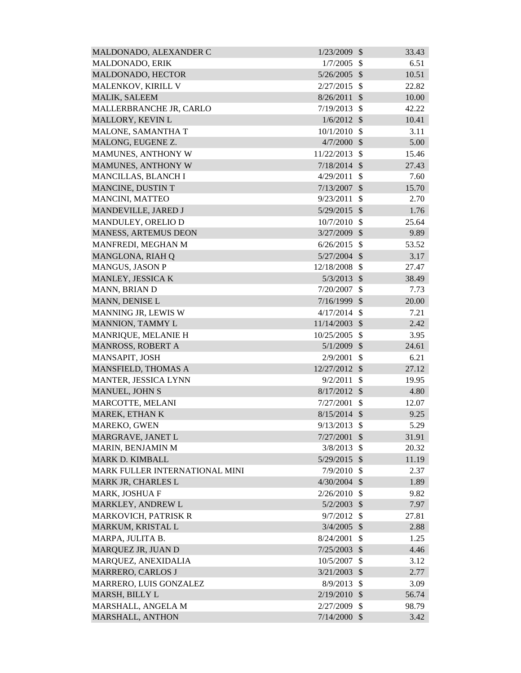| MALDONADO, ALEXANDER C         | 1/23/2009      | $\mathcal{S}$ | 33.43 |
|--------------------------------|----------------|---------------|-------|
| MALDONADO, ERIK                | 1/7/2005       | \$            | 6.51  |
| MALDONADO, HECTOR              | 5/26/2005      | $\mathcal{S}$ | 10.51 |
| MALENKOV, KIRILL V             | 2/27/2015      | $\mathcal{S}$ | 22.82 |
| <b>MALIK, SALEEM</b>           | 8/26/2011      | $\mathcal{S}$ | 10.00 |
| MALLERBRANCHE JR, CARLO        | 7/19/2013      | $\mathcal{S}$ | 42.22 |
| MALLORY, KEVIN L               | 1/6/2012       | $\mathcal{S}$ | 10.41 |
| MALONE, SAMANTHA T             | 10/1/2010      | $\mathcal{S}$ | 3.11  |
| MALONG, EUGENE Z.              | 4/7/2000       | $\mathcal{S}$ | 5.00  |
| MAMUNES, ANTHONY W             | 11/22/2013     | $\mathbb{S}$  | 15.46 |
| MAMUNES, ANTHONY W             | $7/18/2014$ \$ |               | 27.43 |
| MANCILLAS, BLANCH I            | 4/29/2011      | \$            | 7.60  |
| MANCINE, DUSTIN T              | 7/13/2007      | $\mathcal{S}$ | 15.70 |
| MANCINI, MATTEO                | 9/23/2011      | $\mathcal{S}$ | 2.70  |
| MANDEVILLE, JARED J            | $5/29/2015$ \$ |               | 1.76  |
| MANDULEY, ORELIO D             | 10/7/2010      | $\mathcal{S}$ | 25.64 |
| MANESS, ARTEMUS DEON           | 3/27/2009      | $\mathcal{S}$ | 9.89  |
| MANFREDI, MEGHAN M             | 6/26/2015      | $\mathcal{S}$ | 53.52 |
| MANGLONA, RIAH Q               | $5/27/2004$ \$ |               | 3.17  |
| <b>MANGUS, JASON P</b>         | 12/18/2008     | $\mathcal{S}$ | 27.47 |
| MANLEY, JESSICA K              | 5/3/2013       | $\mathcal{S}$ | 38.49 |
| MANN, BRIAN D                  | 7/20/2007      | $\mathcal{S}$ | 7.73  |
| MANN, DENISE L                 | 7/16/1999      | $\mathcal{S}$ | 20.00 |
| MANNING JR, LEWIS W            | 4/17/2014      | $\mathcal{S}$ | 7.21  |
| MANNION, TAMMY L               | 11/14/2003     | $\mathcal{S}$ | 2.42  |
| MANRIQUE, MELANIE H            | 10/25/2005     | $\mathcal{S}$ | 3.95  |
| MANROSS, ROBERT A              | 5/1/2009       | $\mathcal{S}$ | 24.61 |
| MANSAPIT, JOSH                 | 2/9/2001       | $\mathcal{S}$ | 6.21  |
| MANSFIELD, THOMAS A            | 12/27/2012 \$  |               | 27.12 |
| MANTER, JESSICA LYNN           | 9/2/2011       | $\mathcal{S}$ | 19.95 |
| MANUEL, JOHN S                 | $8/17/2012$ \$ |               | 4.80  |
| MARCOTTE, MELANI               | 7/27/2001      | \$            | 12.07 |
| MAREK, ETHAN K                 | $8/15/2014$ \$ |               | 9.25  |
| MAREKO, GWEN                   | 9/13/2013      | $\mathcal{S}$ | 5.29  |
| MARGRAVE, JANET L              | 7/27/2001      | $\mathcal{S}$ | 31.91 |
| MARIN, BENJAMIN M              | 3/8/2013       | $\mathcal{S}$ | 20.32 |
| <b>MARK D. KIMBALL</b>         | 5/29/2015 \$   |               | 11.19 |
| MARK FULLER INTERNATIONAL MINI | 7/9/2010       | -\$           | 2.37  |
| MARK JR, CHARLES L             | $4/30/2004$ \$ |               | 1.89  |
| MARK, JOSHUA F                 | 2/26/2010      | $\mathcal{S}$ | 9.82  |
| MARKLEY, ANDREW L              | $5/2/2003$ \$  |               | 7.97  |
| <b>MARKOVICH, PATRISK R</b>    | 9/7/2012       | $\mathbb{S}$  | 27.81 |
| MARKUM, KRISTAL L              | $3/4/2005$ \$  |               | 2.88  |
| MARPA, JULITA B.               | 8/24/2001      | \$            | 1.25  |
| MARQUEZ JR, JUAN D             | $7/25/2003$ \$ |               | 4.46  |
| MARQUEZ, ANEXIDALIA            | 10/5/2007      | $\mathcal{S}$ | 3.12  |
| MARRERO, CARLOS J              | 3/21/2003      | $\mathcal{S}$ | 2.77  |
| MARRERO, LUIS GONZALEZ         | 8/9/2013       | $\mathcal{S}$ | 3.09  |
| MARSH, BILLY L                 | 2/19/2010      | $\mathcal{S}$ | 56.74 |
| MARSHALL, ANGELA M             | 2/27/2009      | $\mathcal{S}$ | 98.79 |
| MARSHALL, ANTHON               | $7/14/2000$ \$ |               | 3.42  |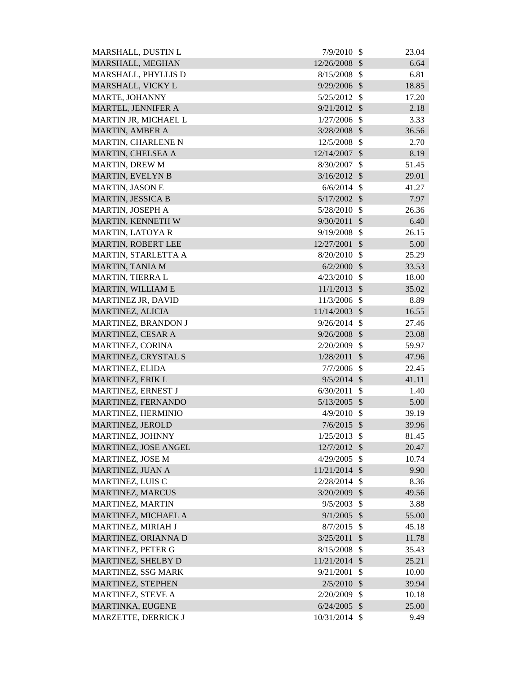| MARSHALL, DUSTIN L       | 7/9/2010       | - \$                      | 23.04 |
|--------------------------|----------------|---------------------------|-------|
| MARSHALL, MEGHAN         | 12/26/2008     | $\mathcal{S}$             | 6.64  |
| MARSHALL, PHYLLIS D      | 8/15/2008      | $\mathcal{S}$             | 6.81  |
| MARSHALL, VICKY L        | 9/29/2006      | $\mathcal{S}$             | 18.85 |
| MARTE, JOHANNY           | 5/25/2012      | $\mathcal{S}$             | 17.20 |
| MARTEL, JENNIFER A       | $9/21/2012$ \$ |                           | 2.18  |
| MARTIN JR, MICHAEL L     | 1/27/2006      | $\mathcal{S}$             | 3.33  |
| MARTIN, AMBER A          | 3/28/2008 \$   |                           | 36.56 |
| MARTIN, CHARLENE N       | 12/5/2008      | $\mathcal{S}$             | 2.70  |
| MARTIN, CHELSEA A        | 12/14/2007     | $\mathcal{S}$             | 8.19  |
| <b>MARTIN, DREW M</b>    | 8/30/2007      | $\mathcal{S}$             | 51.45 |
| <b>MARTIN, EVELYN B</b>  | 3/16/2012      | $\mathcal{S}$             | 29.01 |
| <b>MARTIN, JASON E</b>   | 6/6/2014       | $\mathcal{S}$             | 41.27 |
| <b>MARTIN, JESSICA B</b> | 5/17/2002      | $\mathcal{S}$             | 7.97  |
| MARTIN, JOSEPH A         | 5/28/2010      | $\mathcal{S}$             | 26.36 |
| MARTIN, KENNETH W        | 9/30/2011      | $\mathcal{S}$             | 6.40  |
| <b>MARTIN, LATOYAR</b>   | 9/19/2008      | \$                        | 26.15 |
| MARTIN, ROBERT LEE       | 12/27/2001     | $\mathcal{S}$             | 5.00  |
| MARTIN, STARLETTA A      | 8/20/2010      | $\mathcal{S}$             | 25.29 |
| MARTIN, TANIA M          | 6/2/2000       | $\mathcal{S}$             | 33.53 |
| MARTIN, TIERRA L         | 4/23/2010      | \$                        | 18.00 |
| MARTIN, WILLIAM E        | 11/1/2013      | $\mathcal{S}$             | 35.02 |
| MARTINEZ JR, DAVID       | 11/3/2006      | $\mathbb{S}$              | 8.89  |
| MARTINEZ, ALICIA         | 11/14/2003     | $\mathcal{S}$             | 16.55 |
| MARTINEZ, BRANDON J      | 9/26/2014      | $\mathcal{S}$             | 27.46 |
| <b>MARTINEZ, CESAR A</b> | 9/26/2008      | $\mathcal{S}$             | 23.08 |
| MARTINEZ, CORINA         | 2/20/2009      | $\mathcal{S}$             | 59.97 |
| MARTINEZ, CRYSTAL S      | 1/28/2011      | $\mathcal{S}$             | 47.96 |
| MARTINEZ, ELIDA          | $7/7/2006$ \$  |                           | 22.45 |
| MARTINEZ, ERIK L         | $9/5/2014$ \$  |                           | 41.11 |
| MARTINEZ, ERNEST J       | 6/30/2011      | $\boldsymbol{\mathsf{S}}$ | 1.40  |
| MARTINEZ, FERNANDO       | 5/13/2005      | $\mathcal{S}$             | 5.00  |
| MARTINEZ, HERMINIO       | 4/9/2010       | $\boldsymbol{\mathsf{S}}$ | 39.19 |
| MARTINEZ, JEROLD         | $7/6/2015$ \$  |                           | 39.96 |
| MARTINEZ, JOHNNY         | 1/25/2013      | $\mathcal{S}$             | 81.45 |
| MARTINEZ, JOSE ANGEL     | 12/7/2012      | $\mathcal{S}$             | 20.47 |
| MARTINEZ, JOSE M         | 4/29/2005      | $\mathcal{S}$             | 10.74 |
| MARTINEZ, JUAN A         | 11/21/2014 \$  |                           | 9.90  |
| <b>MARTINEZ, LUIS C</b>  | 2/28/2014      | $\mathcal{S}$             | 8.36  |
| <b>MARTINEZ, MARCUS</b>  | 3/20/2009      | $\mathcal{S}$             | 49.56 |
| MARTINEZ, MARTIN         | 9/5/2003       | \$                        | 3.88  |
| MARTINEZ, MICHAEL A      | 9/1/2005       | $\mathcal{S}$             | 55.00 |
| MARTINEZ, MIRIAH J       | 8/7/2015       | $\mathcal{S}$             | 45.18 |
| MARTINEZ, ORIANNA D      | 3/25/2011      | $\mathcal{S}$             | 11.78 |
| MARTINEZ, PETER G        | 8/15/2008      | \$                        | 35.43 |
| MARTINEZ, SHELBY D       | 11/21/2014     | $\mathcal{S}$             | 25.21 |
| MARTINEZ, SSG MARK       | 9/21/2001      | \$                        | 10.00 |
| MARTINEZ, STEPHEN        | 2/5/2010       | $\mathcal{S}$             | 39.94 |
| <b>MARTINEZ, STEVE A</b> | 2/20/2009      | \$                        | 10.18 |
| MARTINKA, EUGENE         | 6/24/2005      | $\mathcal{S}$             | 25.00 |
| MARZETTE, DERRICK J      | 10/31/2014 \$  |                           | 9.49  |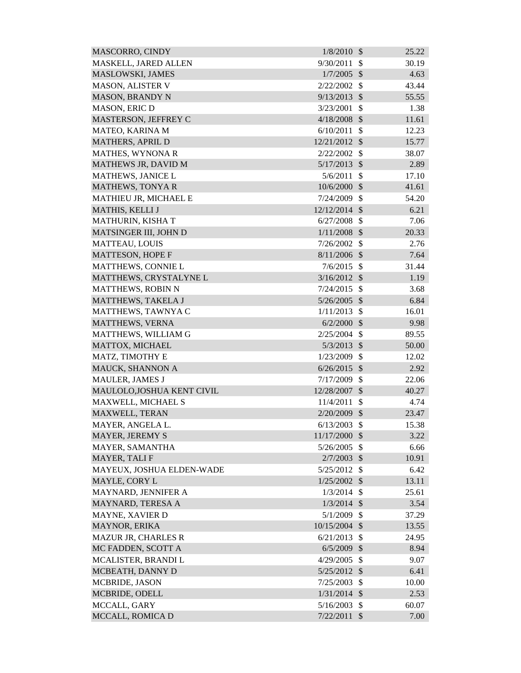| <b>MASCORRO, CINDY</b>     | 1/8/2010       | $\mathcal{S}$ | 25.22 |
|----------------------------|----------------|---------------|-------|
| MASKELL, JARED ALLEN       | 9/30/2011      | $\mathbb{S}$  | 30.19 |
| MASLOWSKI, JAMES           | 1/7/2005       | $\mathcal{S}$ | 4.63  |
| MASON, ALISTER V           | 2/22/2002      | $\mathcal{S}$ | 43.44 |
| <b>MASON, BRANDY N</b>     | 9/13/2013      | $\mathcal{S}$ | 55.55 |
| MASON, ERIC D              | 3/23/2001      | $\mathcal{S}$ | 1.38  |
| MASTERSON, JEFFREY C       | $4/18/2008$ \$ |               | 11.61 |
| MATEO, KARINA M            | 6/10/2011      | $\mathcal{S}$ | 12.23 |
| MATHERS, APRIL D           | 12/21/2012 \$  |               | 15.77 |
| <b>MATHES, WYNONA R</b>    | 2/22/2002      | $\mathcal{S}$ | 38.07 |
| MATHEWS JR, DAVID M        | $5/17/2013$ \$ |               | 2.89  |
| MATHEWS, JANICE L          | 5/6/2011       | \$            | 17.10 |
| <b>MATHEWS, TONYAR</b>     | 10/6/2000      | $\mathcal{S}$ | 41.61 |
| MATHIEU JR, MICHAEL E      | 7/24/2009      | $\mathcal{S}$ | 54.20 |
| MATHIS, KELLI J            | 12/12/2014     | $\mathcal{S}$ | 6.21  |
| MATHURIN, KISHA T          | 6/27/2008      | $\mathcal{S}$ | 7.06  |
| MATSINGER III, JOHN D      | 1/11/2008      | $\mathcal{S}$ | 20.33 |
| <b>MATTEAU, LOUIS</b>      | 7/26/2002      | $\mathcal{S}$ | 2.76  |
| <b>MATTESON, HOPE F</b>    | $8/11/2006$ \$ |               | 7.64  |
| MATTHEWS, CONNIE L         | 7/6/2015       | -\$           | 31.44 |
| MATTHEWS, CRYSTALYNE L     | $3/16/2012$ \$ |               | 1.19  |
| MATTHEWS, ROBIN N          | 7/24/2015      | $\mathcal{S}$ | 3.68  |
| MATTHEWS, TAKELA J         | $5/26/2005$ \$ |               | 6.84  |
| MATTHEWS, TAWNYA C         | 1/11/2013      | $\mathcal{S}$ | 16.01 |
| MATTHEWS, VERNA            | 6/2/2000       | $\mathcal{S}$ | 9.98  |
| MATTHEWS, WILLIAM G        | 2/25/2004      | $\mathcal{S}$ | 89.55 |
| MATTOX, MICHAEL            | $5/3/2013$ \$  |               | 50.00 |
| MATZ, TIMOTHY E            | 1/23/2009      | $\mathcal{S}$ | 12.02 |
| MAUCK, SHANNON A           | $6/26/2015$ \$ |               | 2.92  |
| MAULER, JAMES J            | 7/17/2009      | $\mathcal{S}$ | 22.06 |
| MAULOLO, JOSHUA KENT CIVIL | 12/28/2007 \$  |               | 40.27 |
| MAXWELL, MICHAEL S         | 11/4/2011      | \$            | 4.74  |
| MAXWELL, TERAN             | 2/20/2009      | $\mathcal{S}$ | 23.47 |
| MAYER, ANGELA L.           | 6/13/2003      | $\mathcal{S}$ | 15.38 |
| <b>MAYER, JEREMY S</b>     | 11/17/2000     | $\mathcal{S}$ | 3.22  |
| MAYER, SAMANTHA            | 5/26/2005      | \$            | 6.66  |
| MAYER, TALI F              | $2/7/2003$ \$  |               | 10.91 |
| MAYEUX, JOSHUA ELDEN-WADE  | 5/25/2012      | $\mathcal{S}$ | 6.42  |
| MAYLE, CORY L              | $1/25/2002$ \$ |               | 13.11 |
| MAYNARD, JENNIFER A        | 1/3/2014       | $\mathcal{S}$ | 25.61 |
| MAYNARD, TERESA A          | 1/3/2014       | $\mathcal{S}$ | 3.54  |
| <b>MAYNE, XAVIER D</b>     | 5/1/2009       | $\mathcal{S}$ | 37.29 |
| <b>MAYNOR, ERIKA</b>       | 10/15/2004 \$  |               | 13.55 |
| <b>MAZUR JR, CHARLES R</b> | 6/21/2013      | $\mathcal{S}$ | 24.95 |
| MC FADDEN, SCOTT A         | 6/5/2009       | $\mathcal{S}$ | 8.94  |
| MCALISTER, BRANDI L        | 4/29/2005      | $\mathcal{S}$ | 9.07  |
| MCBEATH, DANNY D           | 5/25/2012 \$   |               | 6.41  |
| MCBRIDE, JASON             | 7/25/2003      | $\mathcal{S}$ | 10.00 |
| MCBRIDE, ODELL             | $1/31/2014$ \$ |               | 2.53  |
| MCCALL, GARY               | 5/16/2003      | $\mathbb{S}$  | 60.07 |
| MCCALL, ROMICA D           | $7/22/2011$ \$ |               | 7.00  |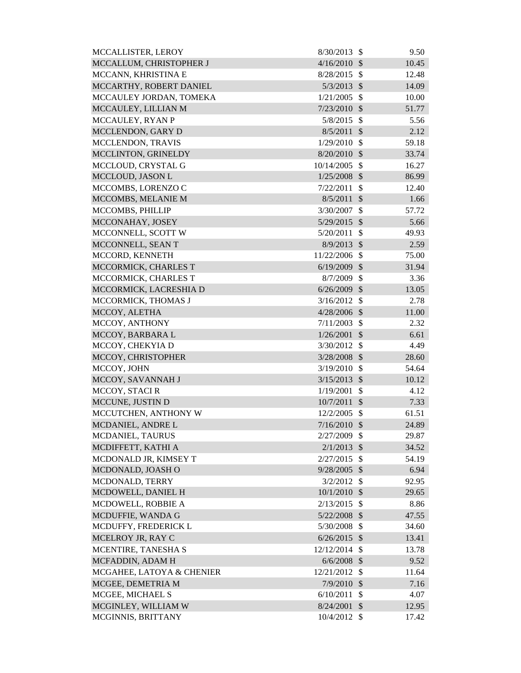| MCCALLISTER, LEROY        | 8/30/2013      | $\mathbb{S}$  | 9.50  |
|---------------------------|----------------|---------------|-------|
| MCCALLUM, CHRISTOPHER J   | 4/16/2010      | $\mathcal{S}$ | 10.45 |
| MCCANN, KHRISTINA E       | 8/28/2015      | $\mathcal{S}$ | 12.48 |
| MCCARTHY, ROBERT DANIEL   | 5/3/2013       | $\mathcal{S}$ | 14.09 |
| MCCAULEY JORDAN, TOMEKA   | 1/21/2005      | $\mathcal{S}$ | 10.00 |
| MCCAULEY, LILLIAN M       | 7/23/2010      | $\mathcal{S}$ | 51.77 |
| MCCAULEY, RYAN P          | 5/8/2015       | $\mathcal{S}$ | 5.56  |
| MCCLENDON, GARY D         | 8/5/2011       | $\mathcal{S}$ | 2.12  |
| MCCLENDON, TRAVIS         | 1/29/2010      | $\mathcal{S}$ | 59.18 |
| MCCLINTON, GRINELDY       | 8/20/2010      | $\mathcal{S}$ | 33.74 |
| MCCLOUD, CRYSTAL G        | 10/14/2005     | $\mathcal{S}$ | 16.27 |
| MCCLOUD, JASON L          | 1/25/2008      | $\mathcal{S}$ | 86.99 |
| MCCOMBS, LORENZO C        | 7/22/2011      | \$            | 12.40 |
| MCCOMBS, MELANIE M        | 8/5/2011       | $\mathcal{S}$ | 1.66  |
| MCCOMBS, PHILLIP          | 3/30/2007      | \$            | 57.72 |
| MCCONAHAY, JOSEY          | 5/29/2015      | $\mathcal{S}$ | 5.66  |
| MCCONNELL, SCOTT W        | 5/20/2011      | $\mathcal{S}$ | 49.93 |
| MCCONNELL, SEAN T         | 8/9/2013       | $\mathcal{S}$ | 2.59  |
| MCCORD, KENNETH           | 11/22/2006     | $\mathcal{S}$ | 75.00 |
| MCCORMICK, CHARLES T      | 6/19/2009      | $\mathcal{S}$ | 31.94 |
| MCCORMICK, CHARLES T      | 8/7/2009       | $\mathcal{S}$ | 3.36  |
| MCCORMICK, LACRESHIA D    | 6/26/2009      | $\mathcal{S}$ | 13.05 |
| MCCORMICK, THOMAS J       | 3/16/2012      | $\mathcal{S}$ | 2.78  |
| MCCOY, ALETHA             | 4/28/2006      | $\mathcal{S}$ | 11.00 |
| MCCOY, ANTHONY            | 7/11/2003      | $\mathcal{S}$ | 2.32  |
| MCCOY, BARBARA L          | 1/26/2001      | $\mathcal{S}$ | 6.61  |
| MCCOY, CHEKYIA D          | 3/30/2012      | $\mathcal{S}$ | 4.49  |
| MCCOY, CHRISTOPHER        | 3/28/2008      | $\mathcal{S}$ | 28.60 |
| MCCOY, JOHN               | 3/19/2010      | $\mathcal{S}$ | 54.64 |
| MCCOY, SAVANNAH J         | 3/15/2013      | $\mathcal{S}$ | 10.12 |
| MCCOY, STACI R            | 1/19/2001      | \$            | 4.12  |
| MCCUNE, JUSTIN D          | 10/7/2011      | $\mathcal{S}$ | 7.33  |
| MCCUTCHEN, ANTHONY W      | $12/2/2005$ \$ |               | 61.51 |
| MCDANIEL, ANDRE L         | $7/16/2010$ \$ |               | 24.89 |
| MCDANIEL, TAURUS          | 2/27/2009      | $\mathcal{S}$ | 29.87 |
| MCDIFFETT, KATHI A        | 2/1/2013       | $\mathcal{S}$ | 34.52 |
| MCDONALD JR, KIMSEY T     | 2/27/2015      | $\mathcal{S}$ | 54.19 |
| MCDONALD, JOASH O         | 9/28/2005      | $\mathcal{S}$ | 6.94  |
| MCDONALD, TERRY           | 3/2/2012       | $\mathcal{S}$ | 92.95 |
| MCDOWELL, DANIEL H        | 10/1/2010      | $\mathcal{S}$ | 29.65 |
| MCDOWELL, ROBBIE A        | 2/13/2015      | $\mathcal{S}$ | 8.86  |
| MCDUFFIE, WANDA G         | 5/22/2008      | $\mathcal{S}$ | 47.55 |
| MCDUFFY, FREDERICK L      | 5/30/2008      | $\mathcal{S}$ | 34.60 |
| MCELROY JR, RAY C         | 6/26/2015      | $\mathcal{S}$ | 13.41 |
| MCENTIRE, TANESHA S       | 12/12/2014     | $\mathcal{S}$ | 13.78 |
| MCFADDIN, ADAM H          | 6/6/2008       | $\mathcal{S}$ | 9.52  |
| MCGAHEE, LATOYA & CHENIER | 12/21/2012     | $\mathcal{S}$ | 11.64 |
| MCGEE, DEMETRIA M         | 7/9/2010       | $\mathcal{S}$ | 7.16  |
| MCGEE, MICHAEL S          | 6/10/2011      | \$            | 4.07  |
| MCGINLEY, WILLIAM W       | 8/24/2001      | $\mathcal{S}$ | 12.95 |
| MCGINNIS, BRITTANY        | 10/4/2012 \$   |               | 17.42 |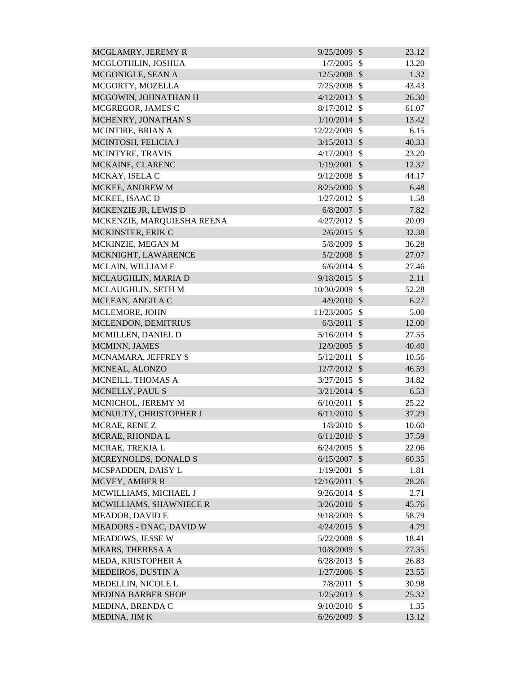| MCGLAMRY, JEREMY R         | 9/25/2009      | $\mathcal{S}$ | 23.12 |
|----------------------------|----------------|---------------|-------|
| MCGLOTHLIN, JOSHUA         | 1/7/2005       | \$            | 13.20 |
| MCGONIGLE, SEAN A          | 12/5/2008 \$   |               | 1.32  |
| MCGORTY, MOZELLA           | 7/25/2008      | $\mathcal{S}$ | 43.43 |
| MCGOWIN, JOHNATHAN H       | $4/12/2013$ \$ |               | 26.30 |
| MCGREGOR, JAMES C          | 8/17/2012      | $\mathcal{S}$ | 61.07 |
| MCHENRY, JONATHAN S        | $1/10/2014$ \$ |               | 13.42 |
| MCINTIRE, BRIAN A          | 12/22/2009     | $\mathcal{S}$ | 6.15  |
| MCINTOSH, FELICIA J        | 3/15/2013      | $\mathcal{S}$ | 40.33 |
| MCINTYRE, TRAVIS           | 4/17/2003      | $\mathcal{S}$ | 23.20 |
| MCKAINE, CLARENC           | 1/19/2001      | $\mathcal{S}$ | 12.37 |
| MCKAY, ISELA C             | 9/12/2008      | $\mathcal{S}$ | 44.17 |
| MCKEE, ANDREW M            | 8/25/2000      | $\mathcal{S}$ | 6.48  |
| MCKEE, ISAAC D             | 1/27/2012      | -\$           | 1.58  |
| MCKENZIE JR, LEWIS D       | 6/8/2007       | $\mathcal{S}$ | 7.82  |
| MCKENZIE, MARQUIESHA REENA | $4/27/2012$ \$ |               | 20.09 |
| MCKINSTER, ERIK C          | 2/6/2015       | $\mathcal{S}$ | 32.38 |
| MCKINZIE, MEGAN M          | 5/8/2009       | $\mathcal{S}$ | 36.28 |
| MCKNIGHT, LAWARENCE        | $5/2/2008$ \$  |               | 27.07 |
| MCLAIN, WILLIAM E          | 6/6/2014       | -\$           | 27.46 |
| MCLAUGHLIN, MARIA D        | 9/18/2015      | $\mathcal{S}$ | 2.11  |
| MCLAUGHLIN, SETH M         | 10/30/2009     | $\mathcal{S}$ | 52.28 |
| MCLEAN, ANGILA C           | $4/9/2010$ \$  |               | 6.27  |
| MCLEMORE, JOHN             | 11/23/2005     | $\mathcal{S}$ | 5.00  |
| MCLENDON, DEMITRIUS        | 6/3/2011       | $\mathcal{S}$ | 12.00 |
| MCMILLEN, DANIEL D         | 5/16/2014      | -\$           | 27.55 |
| MCMINN, JAMES              | 12/9/2005      | $\mathcal{S}$ | 40.40 |
| MCNAMARA, JEFFREY S        | 5/12/2011      | $\mathcal{S}$ | 10.56 |
| MCNEAL, ALONZO             | 12/7/2012      | $\mathcal{S}$ | 46.59 |
| MCNEILL, THOMAS A          | $3/27/2015$ \$ |               | 34.82 |
| MCNELLY, PAUL S            | $3/21/2014$ \$ |               | 6.53  |
| MCNICHOL, JEREMY M         | 6/10/2011      | \$            | 25.22 |
| MCNULTY, CHRISTOPHER J     | 6/11/2010      | $\mathcal{S}$ | 37.29 |
| MCRAE, RENEZ               | 1/8/2010       | -\$           | 10.60 |
| MCRAE, RHONDA L            | 6/11/2010      | $\mathcal{S}$ | 37.59 |
| MCRAE, TREKIA L            | 6/24/2005      | $\mathcal{S}$ | 22.06 |
| MCREYNOLDS, DONALD S       | 6/15/2007      | $\sqrt{3}$    | 60.35 |
| MCSPADDEN, DAISY L         | 1/19/2001      | \$            | 1.81  |
| MCVEY, AMBER R             | 12/16/2011     | $\mathcal{S}$ | 28.26 |
| MCWILLIAMS, MICHAEL J      | 9/26/2014      | $\mathcal{S}$ | 2.71  |
| MCWILLIAMS, SHAWNIECE R    | 3/26/2010      | $\mathcal{S}$ | 45.76 |
| <b>MEADOR, DAVID E</b>     | 9/18/2009      | $\mathcal{S}$ | 58.79 |
| MEADORS - DNAC, DAVID W    | 4/24/2015      | $\mathcal{S}$ | 4.79  |
| <b>MEADOWS, JESSE W</b>    | 5/22/2008      | $\mathcal{S}$ | 18.41 |
| MEARS, THERESA A           | 10/8/2009      | $\mathcal{S}$ | 77.35 |
| MEDA, KRISTOPHER A         | 6/28/2013      | $\mathcal{S}$ | 26.83 |
| MEDEIROS, DUSTIN A         | $1/27/2006$ \$ |               | 23.55 |
| MEDELLIN, NICOLE L         | 7/8/2011       | $\mathcal{S}$ | 30.98 |
| <b>MEDINA BARBER SHOP</b>  | 1/25/2013      | $\mathcal{S}$ | 25.32 |
| MEDINA, BRENDA C           | 9/10/2010      | $\mathcal{S}$ | 1.35  |
| MEDINA, JIM K              | $6/26/2009$ \$ |               | 13.12 |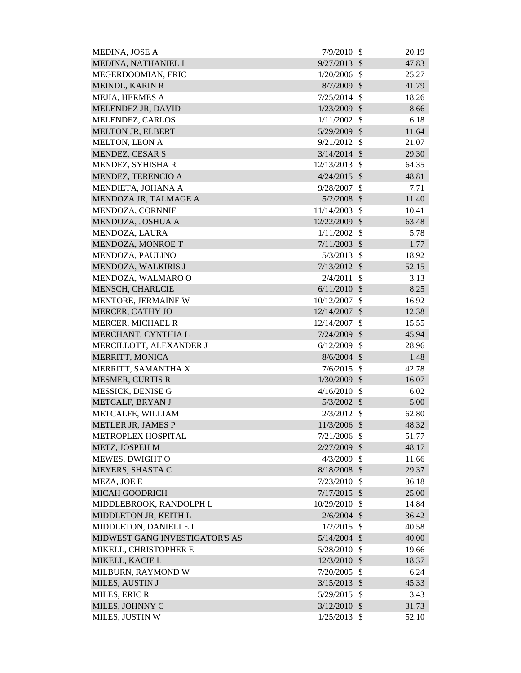| MEDINA, JOSE A                 | 7/9/2010       | $\mathcal{S}$           | 20.19 |
|--------------------------------|----------------|-------------------------|-------|
| MEDINA, NATHANIEL I            | 9/27/2013      | $\mathcal{S}$           | 47.83 |
| MEGERDOOMIAN, ERIC             | 1/20/2006      | $\mathcal{S}$           | 25.27 |
| MEINDL, KARIN R                | 8/7/2009       | $\mathcal{S}$           | 41.79 |
| MEJIA, HERMES A                | 7/25/2014      | $\mathcal{S}$           | 18.26 |
| MELENDEZ JR, DAVID             | 1/23/2009      | $\mathcal{S}$           | 8.66  |
| MELENDEZ, CARLOS               | 1/11/2002      | $\mathcal{S}$           | 6.18  |
| <b>MELTON JR, ELBERT</b>       | 5/29/2009      | $\mathcal{S}$           | 11.64 |
| MELTON, LEON A                 | 9/21/2012      | $\mathbb{S}$            | 21.07 |
| <b>MENDEZ, CESAR S</b>         | 3/14/2014      | $\mathcal{S}$           | 29.30 |
| MENDEZ, SYHISHA R              | 12/13/2013     | $\mathcal{S}$           | 64.35 |
| MENDEZ, TERENCIO A             | 4/24/2015      | $\mathcal{S}$           | 48.81 |
| MENDIETA, JOHANA A             | 9/28/2007      | \$                      | 7.71  |
| MENDOZA JR, TALMAGE A          | 5/2/2008       | $\mathcal{S}$           | 11.40 |
| MENDOZA, CORNNIE               | 11/14/2003     | $\mathcal{S}$           | 10.41 |
| MENDOZA, JOSHUA A              | 12/22/2009     | $\mathcal{S}$           | 63.48 |
| MENDOZA, LAURA                 | 1/11/2002      | $\mathcal{S}$           | 5.78  |
| MENDOZA, MONROE T              | 7/11/2003      | $\mathcal{S}$           | 1.77  |
| MENDOZA, PAULINO               | 5/3/2013       | $\mathcal{S}$           | 18.92 |
| MENDOZA, WALKIRIS J            | 7/13/2012      | $\mathcal{S}$           | 52.15 |
| MENDOZA, WALMARO O             | 2/4/2011       | \$                      | 3.13  |
| MENSCH, CHARLCIE               | 6/11/2010      | $\mathcal{S}$           | 8.25  |
| MENTORE, JERMAINE W            | 10/12/2007     | \$                      | 16.92 |
| MERCER, CATHY JO               | 12/14/2007     | $\mathcal{S}$           | 12.38 |
| MERCER, MICHAEL R              | 12/14/2007     | \$                      | 15.55 |
| MERCHANT, CYNTHIA L            | 7/24/2009      | $\mathcal{S}$           | 45.94 |
| MERCILLOTT, ALEXANDER J        | 6/12/2009      | $\mathcal{S}$           | 28.96 |
| MERRITT, MONICA                | 8/6/2004       | $\mathcal{S}$           | 1.48  |
| MERRITT, SAMANTHA X            | 7/6/2015       | $\mathcal{S}$           | 42.78 |
| <b>MESMER, CURTIS R</b>        | 1/30/2009      | $\mathcal{S}$           | 16.07 |
| MESSICK, DENISE G              | $4/16/2010$ \$ |                         | 6.02  |
| METCALF, BRYAN J               | 5/3/2002       | $\sqrt[6]{\frac{1}{2}}$ | 5.00  |
| METCALFE, WILLIAM              | 2/3/2012       | \$                      | 62.80 |
| <b>METLER JR, JAMES P</b>      | 11/3/2006 \$   |                         | 48.32 |
| METROPLEX HOSPITAL             | $7/21/2006$ \$ |                         | 51.77 |
| METZ, JOSPEH M                 | 2/27/2009 \$   |                         | 48.17 |
| MEWES, DWIGHT O                | 4/3/2009       | $\mathbb{S}$            | 11.66 |
| MEYERS, SHASTA C               | 8/18/2008 \$   |                         | 29.37 |
| MEZA, JOE E                    | 7/23/2010      | $\mathcal{S}$           | 36.18 |
| <b>MICAH GOODRICH</b>          | $7/17/2015$ \$ |                         | 25.00 |
| MIDDLEBROOK, RANDOLPH L        | 10/29/2010     | $\mathcal{S}$           | 14.84 |
| MIDDLETON JR, KEITH L          | $2/6/2004$ \$  |                         | 36.42 |
| MIDDLETON, DANIELLE I          | $1/2/2015$ \$  |                         | 40.58 |
| MIDWEST GANG INVESTIGATOR'S AS | 5/14/2004      | $\mathcal{S}$           | 40.00 |
| MIKELL, CHRISTOPHER E          | 5/28/2010      | $\mathcal{S}$           | 19.66 |
| MIKELL, KACIE L                | 12/3/2010      | $\mathcal{S}$           | 18.37 |
| MILBURN, RAYMOND W             | 7/20/2005      | $\mathcal{S}$           | 6.24  |
| MILES, AUSTIN J                | 3/15/2013      | $\mathcal{S}$           | 45.33 |
| MILES, ERIC R                  | 5/29/2015      | $\mathcal{S}$           | 3.43  |
| MILES, JOHNNY C                | 3/12/2010      | $\mathcal{S}$           | 31.73 |
| MILES, JUSTIN W                | 1/25/2013      | $\mathbb{S}$            | 52.10 |
|                                |                |                         |       |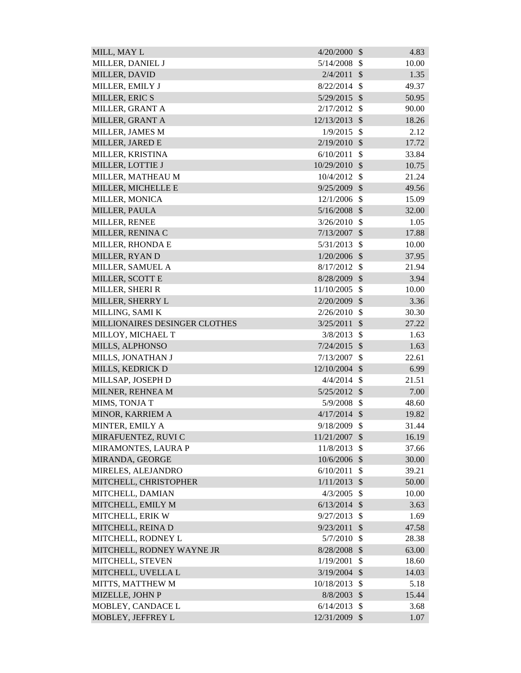| MILL, MAY L                   | 4/20/2000      | $\mathcal{S}$           | 4.83  |
|-------------------------------|----------------|-------------------------|-------|
| MILLER, DANIEL J              | 5/14/2008      | $\mathcal{S}$           | 10.00 |
| MILLER, DAVID                 | 2/4/2011       | $\mathcal{S}$           | 1.35  |
| MILLER, EMILY J               | 8/22/2014      | $\mathcal{S}$           | 49.37 |
| MILLER, ERIC S                | 5/29/2015      | $\mathcal{S}$           | 50.95 |
| MILLER, GRANT A               | 2/17/2012      | $\mathcal{S}$           | 90.00 |
| MILLER, GRANT A               | 12/13/2013     | $\mathcal{S}$           | 18.26 |
| MILLER, JAMES M               | 1/9/2015       | $\mathcal{S}$           | 2.12  |
| MILLER, JARED E               | 2/19/2010      | $\mathcal{S}$           | 17.72 |
| MILLER, KRISTINA              | 6/10/2011      | $\mathcal{S}$           | 33.84 |
| MILLER, LOTTIE J              | 10/29/2010     | $\mathcal{S}$           | 10.75 |
| MILLER, MATHEAU M             | 10/4/2012      | \$                      | 21.24 |
| MILLER, MICHELLE E            | 9/25/2009      | $\mathcal{S}$           | 49.56 |
| MILLER, MONICA                | 12/1/2006      | $\mathcal{S}$           | 15.09 |
| MILLER, PAULA                 | $5/16/2008$ \$ |                         | 32.00 |
| MILLER, RENEE                 | 3/26/2010      | \$                      | 1.05  |
| MILLER, RENINA C              | 7/13/2007      | $\mathcal{S}$           | 17.88 |
| MILLER, RHONDA E              | 5/31/2013      | $\mathcal{S}$           | 10.00 |
| MILLER, RYAN D                | 1/20/2006      | $\mathcal{S}$           | 37.95 |
| MILLER, SAMUEL A              | 8/17/2012      | $\mathcal{S}$           | 21.94 |
| MILLER, SCOTT E               | 8/28/2009      | $\mathcal{S}$           | 3.94  |
| MILLER, SHERI R               | 11/10/2005     | $\mathcal{S}$           | 10.00 |
| MILLER, SHERRY L              | 2/20/2009      | $\mathcal{S}$           | 3.36  |
| MILLING, SAMI K               | 2/26/2010      | $\mathcal{S}$           | 30.30 |
| MILLIONAIRES DESINGER CLOTHES | 3/25/2011      | $\mathcal{S}$           | 27.22 |
| MILLOY, MICHAEL T             | 3/8/2013       | $\mathcal{S}$           | 1.63  |
| MILLS, ALPHONSO               | 7/24/2015      | $\mathcal{S}$           | 1.63  |
| MILLS, JONATHAN J             | 7/13/2007      | $\mathcal{S}$           | 22.61 |
| MILLS, KEDRICK D              | 12/10/2004 \$  |                         | 6.99  |
| MILLSAP, JOSEPH D             | $4/4/2014$ \$  |                         | 21.51 |
| MILNER, REHNEA M              | $5/25/2012$ \$ |                         | 7.00  |
| MIMS, TONJA T                 | 5/9/2008       | $\mathcal{S}$           | 48.60 |
| MINOR, KARRIEM A              | $4/17/2014$ \$ |                         | 19.82 |
| MINTER, EMILY A               | 9/18/2009      | $\mathcal{S}$           | 31.44 |
| MIRAFUENTEZ, RUVI C           | 11/21/2007     | \$                      | 16.19 |
| MIRAMONTES, LAURA P           | 11/8/2013      | $\mathcal{S}$           | 37.66 |
| MIRANDA, GEORGE               | 10/6/2006      | $\mathcal{S}$           | 30.00 |
| MIRELES, ALEJANDRO            | 6/10/2011      | $\mathbb{S}$            | 39.21 |
| MITCHELL, CHRISTOPHER         | 1/11/2013      | $\mathcal{S}$           | 50.00 |
| MITCHELL, DAMIAN              | 4/3/2005       | \$                      | 10.00 |
| MITCHELL, EMILY M             | 6/13/2014      | $\mathcal{S}$           | 3.63  |
| MITCHELL, ERIK W              | 9/27/2013      | $\mathcal{S}$           | 1.69  |
| MITCHELL, REINA D             | 9/23/2011      | $\mathcal{S}$           | 47.58 |
| MITCHELL, RODNEY L            | 5/7/2010       | $\mathcal{S}$           | 28.38 |
| MITCHELL, RODNEY WAYNE JR     | 8/28/2008      | $\sqrt[6]{\frac{1}{2}}$ | 63.00 |
| MITCHELL, STEVEN              | 1/19/2001      | $\mathcal{S}$           | 18.60 |
| MITCHELL, UVELLA L            | 3/19/2004      | $\mathcal{S}$           | 14.03 |
| MITTS, MATTHEW M              | 10/18/2013     | \$                      | 5.18  |
| MIZELLE, JOHN P               | 8/8/2003       | $\mathcal{S}$           | 15.44 |
| MOBLEY, CANDACE L             | 6/14/2013      | $\mathcal{S}$           | 3.68  |
| MOBLEY, JEFFREY L             | 12/31/2009     | $\mathcal{S}$           | 1.07  |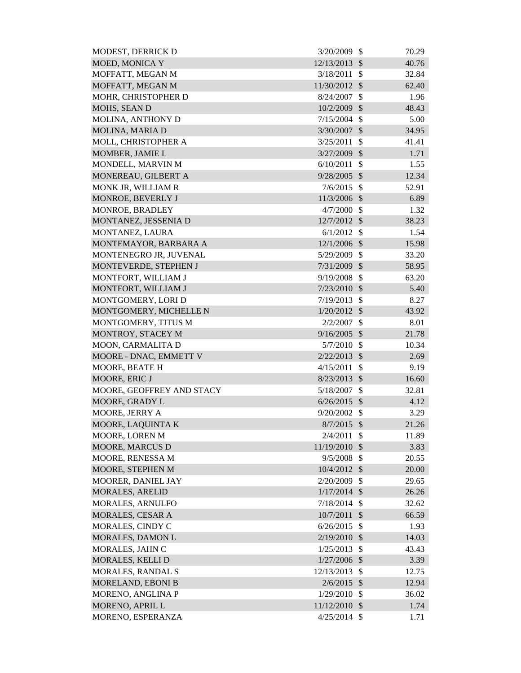| MODEST, DERRICK D         | 3/20/2009      | $\mathcal{S}$ | 70.29 |
|---------------------------|----------------|---------------|-------|
| <b>MOED, MONICA Y</b>     | 12/13/2013     | $\mathcal{S}$ | 40.76 |
| MOFFATT, MEGAN M          | 3/18/2011      | $\mathcal{S}$ | 32.84 |
| MOFFATT, MEGAN M          | 11/30/2012     | $\mathcal{S}$ | 62.40 |
| MOHR, CHRISTOPHER D       | 8/24/2007      | \$            | 1.96  |
| MOHS, SEAN D              | 10/2/2009      | $\mathcal{S}$ | 48.43 |
| MOLINA, ANTHONY D         | 7/15/2004      | $\mathcal{S}$ | 5.00  |
| MOLINA, MARIA D           | 3/30/2007      | $\mathcal{S}$ | 34.95 |
| MOLL, CHRISTOPHER A       | 3/25/2011      | $\mathcal{S}$ | 41.41 |
| MOMBER, JAMIE L           | 3/27/2009      | $\mathcal{S}$ | 1.71  |
| MONDELL, MARVIN M         | 6/10/2011      | $\mathcal{S}$ | 1.55  |
| MONEREAU, GILBERT A       | 9/28/2005      | $\mathcal{S}$ | 12.34 |
| MONK JR, WILLIAM R        | 7/6/2015       | $\mathcal{S}$ | 52.91 |
| MONROE, BEVERLY J         | 11/3/2006      | $\mathcal{S}$ | 6.89  |
| MONROE, BRADLEY           | 4/7/2000       | $\mathcal{S}$ | 1.32  |
| MONTANEZ, JESSENIA D      | 12/7/2012      | $\mathcal{S}$ | 38.23 |
| MONTANEZ, LAURA           | 6/1/2012       | $\mathcal{S}$ | 1.54  |
| MONTEMAYOR, BARBARA A     | 12/1/2006      | $\mathcal{S}$ | 15.98 |
| MONTENEGRO JR, JUVENAL    | 5/29/2009      | $\mathcal{S}$ | 33.20 |
| MONTEVERDE, STEPHEN J     | 7/31/2009      | $\mathcal{S}$ | 58.95 |
| MONTFORT, WILLIAM J       | 9/19/2008      | \$            | 63.20 |
| MONTFORT, WILLIAM J       | 7/23/2010      | $\mathcal{S}$ | 5.40  |
| MONTGOMERY, LORI D        | 7/19/2013      | $\mathcal{S}$ | 8.27  |
| MONTGOMERY, MICHELLE N    | $1/20/2012$ \$ |               | 43.92 |
| MONTGOMERY, TITUS M       | 2/2/2007       | \$            | 8.01  |
| MONTROY, STACEY M         | 9/16/2005      | $\mathcal{S}$ | 21.78 |
| MOON, CARMALITA D         | 5/7/2010       | $\mathcal{S}$ | 10.34 |
| MOORE - DNAC, EMMETT V    | 2/22/2013      | $\mathcal{S}$ | 2.69  |
| <b>MOORE, BEATE H</b>     | 4/15/2011      | $\mathcal{S}$ | 9.19  |
| MOORE, ERIC J             | $8/23/2013$ \$ |               | 16.60 |
| MOORE, GEOFFREY AND STACY | 5/18/2007 \$   |               | 32.81 |
| MOORE, GRADY L            | 6/26/2015      | $\mathcal{S}$ | 4.12  |
| MOORE, JERRY A            | 9/20/2002      | $\mathbb{S}$  | 3.29  |
| MOORE, LAQUINTA K         | 8/7/2015       | $\mathcal{S}$ | 21.26 |
| MOORE, LOREN M            | 2/4/2011       | $\mathcal{S}$ | 11.89 |
| <b>MOORE, MARCUS D</b>    | 11/19/2010     | $\mathcal{S}$ | 3.83  |
| MOORE, RENESSA M          | 9/5/2008       | $\mathcal{S}$ | 20.55 |
| MOORE, STEPHEN M          | $10/4/2012$ \$ |               | 20.00 |
| MOORER, DANIEL JAY        | 2/20/2009      | $\mathcal{S}$ | 29.65 |
| <b>MORALES, ARELID</b>    | 1/17/2014      | $\mathcal{S}$ | 26.26 |
| MORALES, ARNULFO          | 7/18/2014      | $\mathcal{S}$ | 32.62 |
| MORALES, CESAR A          | 10/7/2011      | $\mathcal{S}$ | 66.59 |
| MORALES, CINDY C          | 6/26/2015      | $\mathcal{S}$ | 1.93  |
| MORALES, DAMON L          | 2/19/2010      | \$            | 14.03 |
| MORALES, JAHN C           | 1/25/2013      | \$            | 43.43 |
| MORALES, KELLI D          | 1/27/2006      | $\mathcal{S}$ | 3.39  |
| MORALES, RANDAL S         | 12/13/2013     | $\mathcal{S}$ | 12.75 |
| MORELAND, EBONI B         | 2/6/2015       | $\mathcal{S}$ | 12.94 |
| MORENO, ANGLINA P         | 1/29/2010      | $\mathcal{S}$ | 36.02 |
| MORENO, APRIL L           | 11/12/2010     | $\mathcal{S}$ | 1.74  |
| MORENO, ESPERANZA         | 4/25/2014      | $\mathbb{S}$  | 1.71  |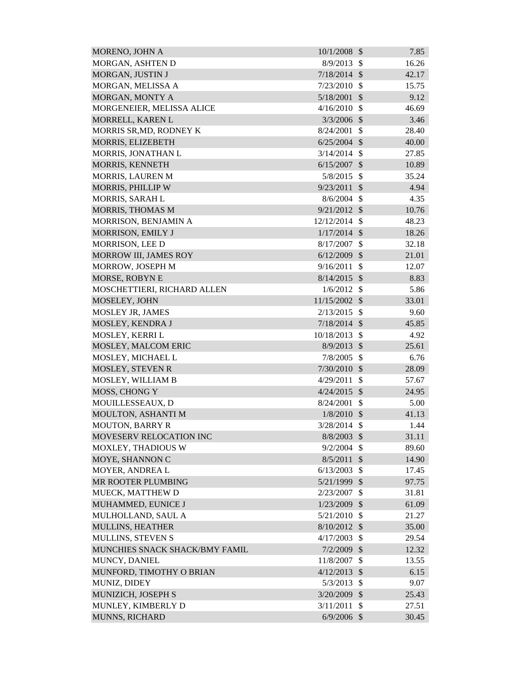| MORENO, JOHN A                 | 10/1/2008      | $\mathcal{S}$           | 7.85  |
|--------------------------------|----------------|-------------------------|-------|
| MORGAN, ASHTEN D               | 8/9/2013       | $\mathcal{S}$           | 16.26 |
| MORGAN, JUSTIN J               | $7/18/2014$ \$ |                         | 42.17 |
| MORGAN, MELISSA A              | 7/23/2010      | $\mathcal{S}$           | 15.75 |
| MORGAN, MONTY A                | 5/18/2001      | $\mathcal{S}$           | 9.12  |
| MORGENEIER, MELISSA ALICE      | 4/16/2010      | $\mathcal{S}$           | 46.69 |
| MORRELL, KAREN L               | 3/3/2006       | $\mathcal{S}$           | 3.46  |
| MORRIS SR, MD, RODNEY K        | 8/24/2001      | \$                      | 28.40 |
| MORRIS, ELIZEBETH              | $6/25/2004$ \$ |                         | 40.00 |
| MORRIS, JONATHAN L             | 3/14/2014      | $\mathcal{S}$           | 27.85 |
| MORRIS, KENNETH                | 6/15/2007      | $\mathcal{S}$           | 10.89 |
| <b>MORRIS, LAUREN M</b>        | 5/8/2015       | $\mathcal{S}$           | 35.24 |
| MORRIS, PHILLIP W              | 9/23/2011      | $\mathcal{S}$           | 4.94  |
| MORRIS, SARAH L                | 8/6/2004       | $\mathcal{S}$           | 4.35  |
| MORRIS, THOMAS M               | 9/21/2012      | $\mathcal{S}$           | 10.76 |
| MORRISON, BENJAMIN A           | 12/12/2014     | $\mathcal{S}$           | 48.23 |
| MORRISON, EMILY J              | 1/17/2014      | $\mathcal{S}$           | 18.26 |
| <b>MORRISON, LEE D</b>         | 8/17/2007      | $\mathcal{S}$           | 32.18 |
| MORROW III, JAMES ROY          | 6/12/2009      | $\mathcal{S}$           | 21.01 |
| MORROW, JOSEPH M               | 9/16/2011      | \$                      | 12.07 |
| MORSE, ROBYN E                 | 8/14/2015      | $\mathcal{S}$           | 8.83  |
| MOSCHETTIERI, RICHARD ALLEN    | 1/6/2012       | $\mathcal{S}$           | 5.86  |
| MOSELEY, JOHN                  | 11/15/2002 \$  |                         | 33.01 |
| MOSLEY JR, JAMES               | 2/13/2015      | $\mathcal{S}$           | 9.60  |
| MOSLEY, KENDRA J               | 7/18/2014      | $\mathcal{S}$           | 45.85 |
| MOSLEY, KERRI L                | 10/18/2013     | $\mathcal{S}$           | 4.92  |
| MOSLEY, MALCOM ERIC            | 8/9/2013       | $\mathcal{S}$           | 25.61 |
| MOSLEY, MICHAEL L              | 7/8/2005       | $\mathcal{S}$           | 6.76  |
| MOSLEY, STEVEN R               | 7/30/2010      | $\mathcal{S}$           | 28.09 |
| MOSLEY, WILLIAM B              | 4/29/2011      | $\mathcal{S}$           | 57.67 |
| MOSS, CHONG Y                  | 4/24/2015      | $\sqrt[6]{\frac{1}{2}}$ | 24.95 |
| MOUILLESSEAUX, D               | 8/24/2001      | \$                      | 5.00  |
| MOULTON, ASHANTI M             | $1/8/2010$ \$  |                         | 41.13 |
| <b>MOUTON, BARRY R</b>         | 3/28/2014      | $\mathcal{S}$           | 1.44  |
| MOVESERV RELOCATION INC        | 8/8/2003       | $\mathcal{S}$           | 31.11 |
| MOXLEY, THADIOUS W             | 9/2/2004       | $\mathcal{S}$           | 89.60 |
| MOYE, SHANNON C                | 8/5/2011       | $\mathcal{S}$           | 14.90 |
| MOYER, ANDREA L                | 6/13/2003      | $\mathcal{S}$           | 17.45 |
| MR ROOTER PLUMBING             | 5/21/1999      | $\mathcal{S}$           | 97.75 |
| MUECK, MATTHEW D               | 2/23/2007      | \$                      | 31.81 |
| MUHAMMED, EUNICE J             | 1/23/2009      | $\mathcal{S}$           | 61.09 |
| MULHOLLAND, SAUL A             | 5/21/2010      | $\mathcal{S}$           | 21.27 |
| <b>MULLINS, HEATHER</b>        | $8/10/2012$ \$ |                         | 35.00 |
| MULLINS, STEVEN S              | 4/17/2003      | $\mathcal{S}$           | 29.54 |
| MUNCHIES SNACK SHACK/BMY FAMIL | 7/2/2009       | $\mathcal{S}$           | 12.32 |
| MUNCY, DANIEL                  | 11/8/2007      | $\mathcal{S}$           | 13.55 |
| MUNFORD, TIMOTHY O BRIAN       | 4/12/2013      | $\mathcal{S}$           | 6.15  |
| MUNIZ, DIDEY                   | 5/3/2013       | $\mathcal{S}$           | 9.07  |
| MUNIZICH, JOSEPH S             | 3/20/2009      | $\mathcal{S}$           | 25.43 |
| MUNLEY, KIMBERLY D             | 3/11/2011      | $\mathcal{S}$           | 27.51 |
| <b>MUNNS, RICHARD</b>          | $6/9/2006$ \$  |                         | 30.45 |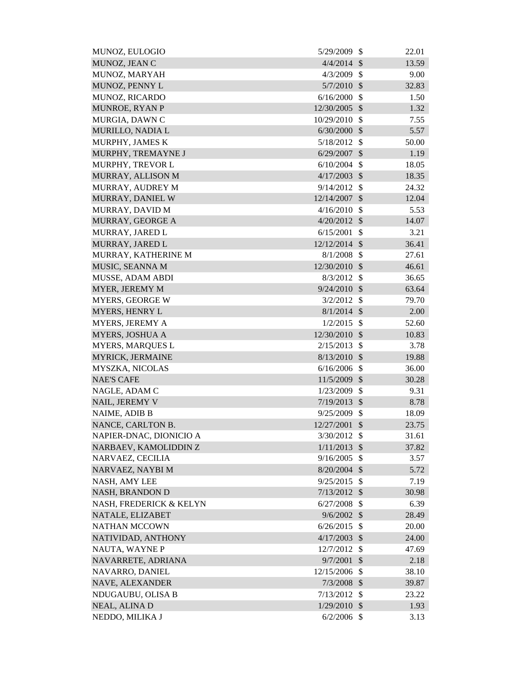| MUNOZ, EULOGIO          | 5/29/2009       | \$                         | 22.01 |
|-------------------------|-----------------|----------------------------|-------|
| MUNOZ, JEAN C           | 4/4/2014        | $\mathcal{S}$              | 13.59 |
| MUNOZ, MARYAH           | 4/3/2009        | $\mathcal{S}$              | 9.00  |
| MUNOZ, PENNY L          | $5/7/2010$ \$   |                            | 32.83 |
| MUNOZ, RICARDO          | 6/16/2000       | $\mathcal{S}$              | 1.50  |
| MUNROE, RYAN P          | 12/30/2005      | $\mathcal{S}$              | 1.32  |
| MURGIA, DAWN C          | 10/29/2010      | $\mathcal{S}$              | 7.55  |
| MURILLO, NADIA L        | 6/30/2000       | $\boldsymbol{\mathsf{S}}$  | 5.57  |
| MURPHY, JAMES K         | 5/18/2012       | $\mathcal{S}$              | 50.00 |
| MURPHY, TREMAYNE J      | 6/29/2007       | $\mathcal{S}$              | 1.19  |
| MURPHY, TREVOR L        | 6/10/2004       | $\mathcal{S}$              | 18.05 |
| MURRAY, ALLISON M       | 4/17/2003       | $\mathcal{S}$              | 18.35 |
| MURRAY, AUDREY M        | 9/14/2012       | $\mathcal{S}$              | 24.32 |
| MURRAY, DANIEL W        | 12/14/2007      | $\mathcal{S}$              | 12.04 |
| MURRAY, DAVID M         | 4/16/2010       | $\mathcal{S}$              | 5.53  |
| MURRAY, GEORGE A        | 4/20/2012       | $\mathcal{S}$              | 14.07 |
| MURRAY, JARED L         | 6/15/2001       | \$                         | 3.21  |
| MURRAY, JARED L         | $12/12/2014$ \$ |                            | 36.41 |
| MURRAY, KATHERINE M     | 8/1/2008        | $\mathcal{S}$              | 27.61 |
| MUSIC, SEANNA M         | 12/30/2010      | $\mathcal{S}$              | 46.61 |
| MUSSE, ADAM ABDI        | 8/3/2012        | $\mathcal{S}$              | 36.65 |
| MYER, JEREMY M          | $9/24/2010$ \$  |                            | 63.64 |
| <b>MYERS, GEORGE W</b>  | 3/2/2012        | $\mathcal{S}$              | 79.70 |
| <b>MYERS, HENRY L</b>   | $8/1/2014$ \$   |                            | 2.00  |
| MYERS, JEREMY A         | 1/2/2015        | $\mathcal{S}$              | 52.60 |
| MYERS, JOSHUA A         | 12/30/2010      | $\sqrt{3}$                 | 10.83 |
| <b>MYERS, MARQUES L</b> | 2/15/2013       | $\mathcal{S}$              | 3.78  |
| MYRICK, JERMAINE        | 8/13/2010       | $\mathcal{S}$              | 19.88 |
| MYSZKA, NICOLAS         | 6/16/2006       | $\mathcal{S}$              | 36.00 |
| <b>NAE'S CAFE</b>       | 11/5/2009       | $\mathcal{S}$              | 30.28 |
| NAGLE, ADAM C           | 1/23/2009 \$    |                            | 9.31  |
| NAIL, JEREMY V          | 7/19/2013       | $\boldsymbol{\mathcal{S}}$ | 8.78  |
| NAIME, ADIB B           | 9/25/2009 \$    |                            | 18.09 |
| NANCE, CARLTON B.       | 12/27/2001      | $\mathcal{S}$              | 23.75 |
| NAPIER-DNAC, DIONICIO A | $3/30/2012$ \$  |                            | 31.61 |
| NARBAEV, KAMOLIDDIN Z   | 1/11/2013       | $\boldsymbol{\mathsf{S}}$  | 37.82 |
| NARVAEZ, CECILIA        | 9/16/2005       | \$                         | 3.57  |
| NARVAEZ, NAYBI M        | $8/20/2004$ \$  |                            | 5.72  |
| NASH, AMY LEE           | 9/25/2015       | $\mathcal{S}$              | 7.19  |
| <b>NASH, BRANDON D</b>  | 7/13/2012       | $\mathcal{S}$              | 30.98 |
| NASH, FREDERICK & KELYN | 6/27/2008       | $\mathcal{S}$              | 6.39  |
| NATALE, ELIZABET        | 9/6/2002        | <b>S</b>                   | 28.49 |
| <b>NATHAN MCCOWN</b>    | 6/26/2015       | $\mathcal{S}$              | 20.00 |
| NATIVIDAD, ANTHONY      | 4/17/2003       | $\mathcal{S}$              | 24.00 |
| NAUTA, WAYNE P          | 12/7/2012       | $\mathcal{S}$              | 47.69 |
| NAVARRETE, ADRIANA      | 9/7/2001        | $\mathcal{S}$              | 2.18  |
| NAVARRO, DANIEL         | 12/15/2006      | $\boldsymbol{\mathsf{S}}$  | 38.10 |
| NAVE, ALEXANDER         | $7/3/2008$ \$   |                            | 39.87 |
| NDUGAUBU, OLISA B       | 7/13/2012       | $\mathcal{S}$              | 23.22 |
| NEAL, ALINA D           | $1/29/2010$ \$  |                            | 1.93  |
| NEDDO, MILIKA J         | $6/2/2006$ \$   |                            | 3.13  |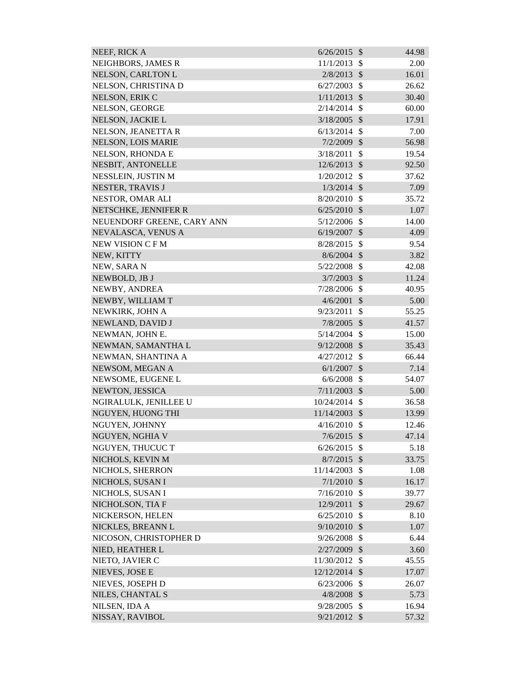| NEEF, RICK A               | 6/26/2015      | $\mathcal{S}$ | 44.98 |
|----------------------------|----------------|---------------|-------|
| NEIGHBORS, JAMES R         | 11/1/2013      | $\mathcal{S}$ | 2.00  |
| NELSON, CARLTON L          | 2/8/2013       | $\mathcal{S}$ | 16.01 |
| NELSON, CHRISTINA D        | 6/27/2003      | \$            | 26.62 |
| NELSON, ERIK C             | 1/11/2013      | $\mathcal{S}$ | 30.40 |
| NELSON, GEORGE             | 2/14/2014      | $\mathcal{S}$ | 60.00 |
| NELSON, JACKIE L           | 3/18/2005      | $\mathcal{S}$ | 17.91 |
| NELSON, JEANETTA R         | 6/13/2014      | $\mathcal{S}$ | 7.00  |
| NELSON, LOIS MARIE         | $7/2/2009$ \$  |               | 56.98 |
| NELSON, RHONDA E           | 3/18/2011      | \$            | 19.54 |
| NESBIT, ANTONELLE          | 12/6/2013      | $\mathcal{S}$ | 92.50 |
| NESSLEIN, JUSTIN M         | 1/20/2012      | $\mathcal{S}$ | 37.62 |
| NESTER, TRAVIS J           | 1/3/2014       | $\mathcal{S}$ | 7.09  |
| NESTOR, OMAR ALI           | 8/20/2010      | $\mathcal{S}$ | 35.72 |
| NETSCHKE, JENNIFER R       | 6/25/2010      | $\mathcal{S}$ | 1.07  |
| NEUENDORF GREENE, CARY ANN | 5/12/2006      | $\mathcal{S}$ | 14.00 |
| NEVALASCA, VENUS A         | 6/19/2007      | $\mathcal{S}$ | 4.09  |
| NEW VISION C F M           | 8/28/2015      | $\mathcal{S}$ | 9.54  |
| NEW, KITTY                 | $8/6/2004$ \$  |               | 3.82  |
| NEW, SARA N                | 5/22/2008      | $\mathcal{S}$ | 42.08 |
| NEWBOLD, JB J              | 3/7/2003       | $\mathcal{S}$ | 11.24 |
| NEWBY, ANDREA              | 7/28/2006      | $\mathcal{S}$ | 40.95 |
| NEWBY, WILLIAM T           | 4/6/2001       | $\mathcal{S}$ | 5.00  |
| NEWKIRK, JOHN A            | 9/23/2011      | \$            | 55.25 |
| NEWLAND, DAVID J           | 7/8/2005       | $\mathcal{S}$ | 41.57 |
| NEWMAN, JOHN E.            | 5/14/2004      | $\mathcal{S}$ | 15.00 |
| NEWMAN, SAMANTHA L         | 9/12/2008      | $\mathcal{S}$ | 35.43 |
| NEWMAN, SHANTINA A         | 4/27/2012      | $\mathcal{S}$ | 66.44 |
| NEWSOM, MEGAN A            | 6/1/2007       | $\mathcal{S}$ | 7.14  |
| NEWSOME, EUGENE L          | 6/6/2008       | $\mathcal{S}$ | 54.07 |
| NEWTON, JESSICA            | $7/11/2003$ \$ |               | 5.00  |
| NGIRALULK, JENILLEE U      | 10/24/2014     | $\mathcal{S}$ | 36.58 |
| NGUYEN, HUONG THI          | 11/14/2003     | $\mathcal{S}$ | 13.99 |
| NGUYEN, JOHNNY             | 4/16/2010      | $\mathcal{S}$ | 12.46 |
| NGUYEN, NGHIA V            | 7/6/2015       | $\mathcal{S}$ | 47.14 |
| NGUYEN, THUCUC T           | 6/26/2015      | \$            | 5.18  |
| NICHOLS, KEVIN M           | 8/7/2015       | $\mathcal{S}$ | 33.75 |
| NICHOLS, SHERRON           | 11/14/2003     | $\mathcal{S}$ | 1.08  |
| NICHOLS, SUSAN I           | 7/1/2010       | $\mathcal{S}$ | 16.17 |
| NICHOLS, SUSAN I           | 7/16/2010      | \$            | 39.77 |
| NICHOLSON, TIA F           | 12/9/2011      | $\mathcal{S}$ | 29.67 |
| NICKERSON, HELEN           | 6/25/2010      | $\mathcal{S}$ | 8.10  |
| NICKLES, BREANN L          | 9/10/2010      | $\mathcal{S}$ | 1.07  |
| NICOSON, CHRISTOPHER D     | 9/26/2008      | \$            | 6.44  |
| NIED, HEATHER L            | 2/27/2009      | \$            | 3.60  |
| NIETO, JAVIER C            | 11/30/2012     | $\mathcal{S}$ | 45.55 |
| NIEVES, JOSE E             | 12/12/2014     | $\mathcal{S}$ | 17.07 |
| NIEVES, JOSEPH D           | 6/23/2006      | $\mathcal{S}$ | 26.07 |
| NILES, CHANTAL S           | 4/8/2008       | $\mathcal{S}$ | 5.73  |
| NILSEN, IDA A              | 9/28/2005      | $\mathcal{S}$ | 16.94 |
| NISSAY, RAVIBOL            | $9/21/2012$ \$ |               | 57.32 |
|                            |                |               |       |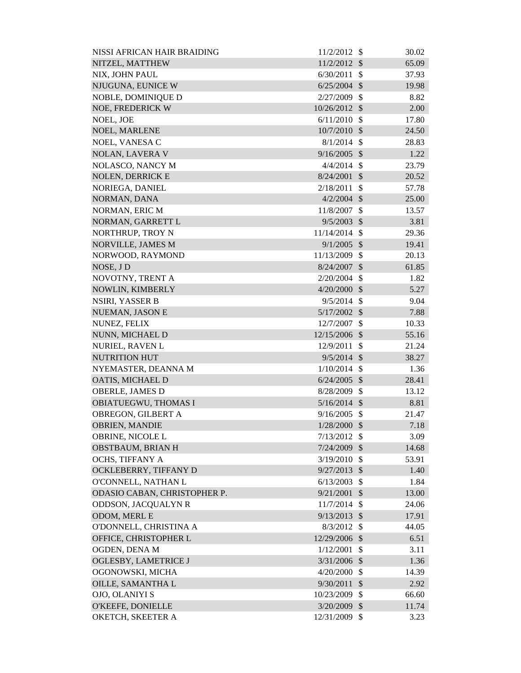| NISSI AFRICAN HAIR BRAIDING  | 11/2/2012      | -S                      | 30.02 |
|------------------------------|----------------|-------------------------|-------|
| NITZEL, MATTHEW              | 11/2/2012      | $\mathcal{S}$           | 65.09 |
| NIX, JOHN PAUL               | 6/30/2011      | $\mathcal{S}$           | 37.93 |
| NJUGUNA, EUNICE W            | 6/25/2004      | $\mathcal{S}$           | 19.98 |
| NOBLE, DOMINIQUE D           | 2/27/2009      | $\mathcal{S}$           | 8.82  |
| NOE, FREDERICK W             | 10/26/2012     | $\mathcal{S}$           | 2.00  |
| NOEL, JOE                    | 6/11/2010      | $\mathcal{S}$           | 17.80 |
| NOEL, MARLENE                | 10/7/2010      | $\mathcal{S}$           | 24.50 |
| NOEL, VANESA C               | 8/1/2014       | $\mathcal{S}$           | 28.83 |
| <b>NOLAN, LAVERA V</b>       | 9/16/2005      | $\mathcal{S}$           | 1.22  |
| NOLASCO, NANCY M             | 4/4/2014       | $\mathcal{S}$           | 23.79 |
| <b>NOLEN, DERRICK E</b>      | 8/24/2001      | $\mathcal{S}$           | 20.52 |
| NORIEGA, DANIEL              | 2/18/2011      | $\mathcal{S}$           | 57.78 |
| NORMAN, DANA                 | 4/2/2004       | $\mathcal{S}$           | 25.00 |
| NORMAN, ERIC M               | 11/8/2007      | \$                      | 13.57 |
| NORMAN, GARRETT L            | 9/5/2003       | $\mathcal{S}$           | 3.81  |
| NORTHRUP, TROY N             | 11/14/2014     | $\mathcal{S}$           | 29.36 |
| NORVILLE, JAMES M            | 9/1/2005       | $\mathcal{S}$           | 19.41 |
| NORWOOD, RAYMOND             | 11/13/2009     | $\mathcal{S}$           | 20.13 |
| NOSE, JD                     | 8/24/2007      | $\mathcal{S}$           | 61.85 |
| NOVOTNY, TRENT A             | 2/20/2004      | $\mathcal{S}$           | 1.82  |
| NOWLIN, KIMBERLY             | 4/20/2000      | $\mathcal{S}$           | 5.27  |
| NSIRI, YASSER B              | 9/5/2014       | $\mathcal{S}$           | 9.04  |
| NUEMAN, JASON E              | $5/17/2002$ \$ |                         | 7.88  |
| NUNEZ, FELIX                 | 12/7/2007      | \$                      | 10.33 |
| NUNN, MICHAEL D              | 12/15/2006     | $\mathcal{S}$           | 55.16 |
| NURIEL, RAVEN L              | 12/9/2011      | $\mathcal{S}$           | 21.24 |
| <b>NUTRITION HUT</b>         | 9/5/2014       | $\mathcal{S}$           | 38.27 |
| NYEMASTER, DEANNA M          | 1/10/2014      | $\mathbb{S}$            | 1.36  |
| OATIS, MICHAEL D             | 6/24/2005      | $\mathcal{S}$           | 28.41 |
| OBERLE, JAMES D              | 8/28/2009 \$   |                         | 13.12 |
| OBIATUEGWU, THOMAS I         | 5/16/2014      | $\sqrt[6]{\frac{1}{2}}$ | 8.81  |
| OBREGON, GILBERT A           | 9/16/2005      | $\mathbb{S}$            | 21.47 |
| <b>OBRIEN, MANDIE</b>        | $1/28/2000$ \$ |                         | 7.18  |
| OBRINE, NICOLE L             | $7/13/2012$ \$ |                         | 3.09  |
| OBSTBAUM, BRIAN H            | 7/24/2009      | $\mathcal{S}$           | 14.68 |
| OCHS, TIFFANY A              | 3/19/2010      | $\mathcal{S}$           | 53.91 |
| OCKLEBERRY, TIFFANY D        | 9/27/2013      | $\mathcal{S}$           | 1.40  |
| O'CONNELL, NATHAN L          | 6/13/2003      | $\mathcal{S}$           | 1.84  |
| ODASIO CABAN, CHRISTOPHER P. | 9/21/2001      | $\mathcal{S}$           | 13.00 |
| <b>ODDSON, JACQUALYN R</b>   | 11/7/2014      | $\mathcal{S}$           | 24.06 |
| ODOM, MERL E                 | 9/13/2013      | $\mathcal{S}$           | 17.91 |
| O'DONNELL, CHRISTINA A       | 8/3/2012       | $\mathbb{S}$            | 44.05 |
| OFFICE, CHRISTOPHER L        | 12/29/2006     | $\mathcal{S}$           | 6.51  |
| OGDEN, DENA M                | 1/12/2001      | \$                      | 3.11  |
| OGLESBY, LAMETRICE J         | 3/31/2006      | $\mathcal{S}$           | 1.36  |
| OGONOWSKI, MICHA             | 4/20/2000      | $\mathcal{S}$           | 14.39 |
| OILLE, SAMANTHA L            | 9/30/2011      | $\mathcal{S}$           | 2.92  |
| OJO, OLANIYI S               | 10/23/2009     | \$                      | 66.60 |
| O'KEEFE, DONIELLE            | 3/20/2009      | $\sqrt$                 | 11.74 |
| OKETCH, SKEETER A            | 12/31/2009 \$  |                         | 3.23  |
|                              |                |                         |       |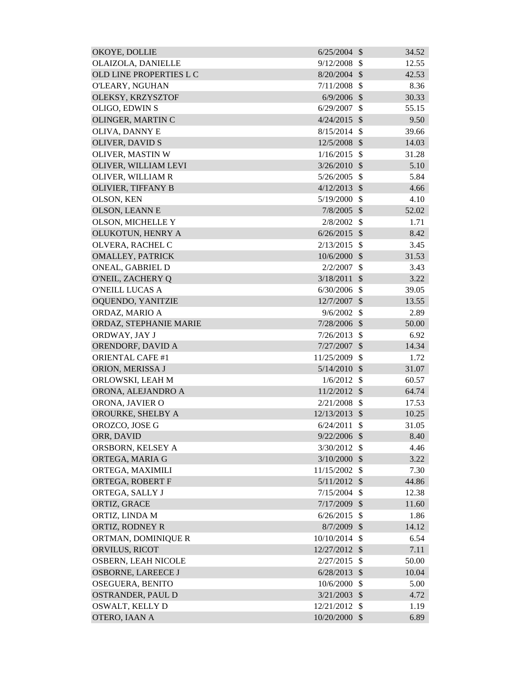| OKOYE, DOLLIE              | $6/25/2004$ \$ |               | 34.52 |
|----------------------------|----------------|---------------|-------|
| OLAIZOLA, DANIELLE         | 9/12/2008      | <sup>\$</sup> | 12.55 |
| OLD LINE PROPERTIES L C    | 8/20/2004      | $\mathcal{S}$ | 42.53 |
| O'LEARY, NGUHAN            | 7/11/2008      | $\mathcal{S}$ | 8.36  |
| OLEKSY, KRZYSZTOF          | 6/9/2006       | $\mathcal{S}$ | 30.33 |
| OLIGO, EDWIN S             | 6/29/2007      | $\mathcal{S}$ | 55.15 |
| OLINGER, MARTIN C          | 4/24/2015      | $\mathcal{S}$ | 9.50  |
| OLIVA, DANNY E             | 8/15/2014      | $\mathcal{S}$ | 39.66 |
| <b>OLIVER, DAVID S</b>     | 12/5/2008      | $\mathcal{S}$ | 14.03 |
| OLIVER, MASTIN W           | 1/16/2015      | $\mathbb{S}$  | 31.28 |
| OLIVER, WILLIAM LEVI       | 3/26/2010      | $\mathcal{S}$ | 5.10  |
| OLIVER, WILLIAM R          | 5/26/2005      | $\mathcal{S}$ | 5.84  |
| OLIVIER, TIFFANY B         | 4/12/2013      | $\mathcal{S}$ | 4.66  |
| OLSON, KEN                 | 5/19/2000      | $\mathcal{S}$ | 4.10  |
| <b>OLSON, LEANN E</b>      | $7/8/2005$ \$  |               | 52.02 |
| <b>OLSON, MICHELLE Y</b>   | 2/8/2002       | $\mathcal{S}$ | 1.71  |
| OLUKOTUN, HENRY A          | $6/26/2015$ \$ |               | 8.42  |
| OLVERA, RACHEL C           | 2/13/2015      | $\mathcal{S}$ | 3.45  |
| <b>OMALLEY, PATRICK</b>    | 10/6/2000      | $\mathcal{S}$ | 31.53 |
| ONEAL, GABRIEL D           | 2/2/2007       | \$            | 3.43  |
| O'NEIL, ZACHERY Q          | 3/18/2011      | $\mathcal{S}$ | 3.22  |
| <b>O'NEILL LUCAS A</b>     | 6/30/2006      | $\mathcal{S}$ | 39.05 |
| OQUENDO, YANITZIE          | 12/7/2007      | $\mathcal{S}$ | 13.55 |
| ORDAZ, MARIO A             | 9/6/2002       | $\mathcal{S}$ | 2.89  |
| ORDAZ, STEPHANIE MARIE     | 7/28/2006      | $\mathcal{S}$ | 50.00 |
| ORDWAY, JAY J              | 7/26/2013      | $\mathcal{S}$ | 6.92  |
| ORENDORF, DAVID A          | 7/27/2007      | $\mathcal{S}$ | 14.34 |
| <b>ORIENTAL CAFE #1</b>    | 11/25/2009     | $\mathcal{S}$ | 1.72  |
| ORION, MERISSA J           | 5/14/2010      | $\mathcal{S}$ | 31.07 |
| ORLOWSKI, LEAH M           | 1/6/2012       | \$            | 60.57 |
| ORONA, ALEJANDRO A         | $11/2/2012$ \$ |               | 64.74 |
| ORONA, JAVIER O            | 2/21/2008      | $\mathbb{S}$  | 17.53 |
| OROURKE, SHELBY A          | 12/13/2013     | $\mathcal{S}$ | 10.25 |
| OROZCO, JOSE G             | 6/24/2011      | $\mathcal{S}$ | 31.05 |
| ORR, DAVID                 | 9/22/2006      | $\mathcal{S}$ | 8.40  |
| ORSBORN, KELSEY A          | 3/30/2012      | $\mathcal{S}$ | 4.46  |
| ORTEGA, MARIA G            | 3/10/2000      | $\mathcal{S}$ | 3.22  |
| ORTEGA, MAXIMILI           | 11/15/2002     | $\mathcal{S}$ | 7.30  |
| ORTEGA, ROBERT F           | $5/11/2012$ \$ |               | 44.86 |
| ORTEGA, SALLY J            | 7/15/2004      | $\mathcal{S}$ | 12.38 |
| ORTIZ, GRACE               | $7/17/2009$ \$ |               | 11.60 |
| ORTIZ, LINDA M             | 6/26/2015      | $\mathcal{S}$ | 1.86  |
| ORTIZ, RODNEY R            | 8/7/2009 \$    |               | 14.12 |
| ORTMAN, DOMINIQUE R        | 10/10/2014     | $\mathcal{S}$ | 6.54  |
| ORVILUS, RICOT             | 12/27/2012     | $\mathcal{S}$ | 7.11  |
| <b>OSBERN, LEAH NICOLE</b> | 2/27/2015      | $\mathcal{S}$ | 50.00 |
| OSBORNE, LAREECE J         | 6/28/2013      | $\mathcal{S}$ | 10.04 |
| <b>OSEGUERA, BENITO</b>    | 10/6/2000      | \$            | 5.00  |
| OSTRANDER, PAUL D          | 3/21/2003      | $\mathcal{S}$ | 4.72  |
| OSWALT, KELLY D            | 12/21/2012     | $\mathbb{S}$  | 1.19  |
| OTERO, IAAN A              | 10/20/2000     | $\mathcal{S}$ | 6.89  |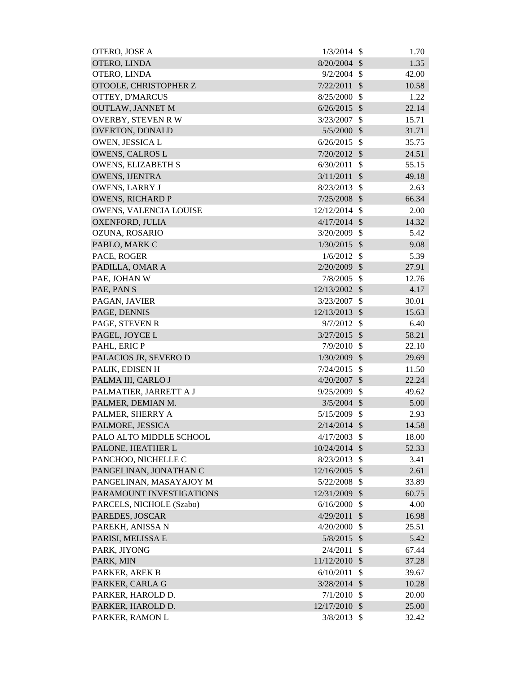| OTERO, JOSE A             | 1/3/2014       | - \$                      | 1.70  |
|---------------------------|----------------|---------------------------|-------|
| OTERO, LINDA              | 8/20/2004      | $\mathcal{S}$             | 1.35  |
| OTERO, LINDA              | $9/2/2004$ \$  |                           | 42.00 |
| OTOOLE, CHRISTOPHER Z     | 7/22/2011      | $\mathcal{S}$             | 10.58 |
| OTTEY, D'MARCUS           | 8/25/2000      | $\mathcal{S}$             | 1.22  |
| <b>OUTLAW, JANNET M</b>   | 6/26/2015      | $\mathcal{S}$             | 22.14 |
| <b>OVERBY, STEVEN RW</b>  | 3/23/2007      | $\mathcal{S}$             | 15.71 |
| OVERTON, DONALD           | 5/5/2000       | $\boldsymbol{\mathsf{S}}$ | 31.71 |
| OWEN, JESSICA L           | 6/26/2015      | $\mathcal{S}$             | 35.75 |
| <b>OWENS, CALROS L</b>    | 7/20/2012      | $\mathcal{S}$             | 24.51 |
| <b>OWENS, ELIZABETH S</b> | 6/30/2011      | $\mathcal{S}$             | 55.15 |
| <b>OWENS, IJENTRA</b>     | 3/11/2011      | $\mathcal{S}$             | 49.18 |
| <b>OWENS, LARRY J</b>     | 8/23/2013      | $\mathcal{S}$             | 2.63  |
| <b>OWENS, RICHARD P</b>   | 7/25/2008      | $\mathcal{S}$             | 66.34 |
| OWENS, VALENCIA LOUISE    | 12/12/2014     | $\mathcal{S}$             | 2.00  |
| OXENFORD, JULIA           | 4/17/2014      | $\mathcal{S}$             | 14.32 |
| OZUNA, ROSARIO            | 3/20/2009      | $\mathcal{S}$             | 5.42  |
| PABLO, MARK C             | 1/30/2015      | $\mathcal{S}$             | 9.08  |
| PACE, ROGER               | 1/6/2012       | $\mathcal{S}$             | 5.39  |
| PADILLA, OMAR A           | 2/20/2009      | $\mathcal{S}$             | 27.91 |
| PAE, JOHAN W              | 7/8/2005       | $\mathcal{S}$             | 12.76 |
| PAE, PANS                 | 12/13/2002 \$  |                           | 4.17  |
| PAGAN, JAVIER             | 3/23/2007      | $\mathcal{S}$             | 30.01 |
| PAGE, DENNIS              | 12/13/2013     | $\mathcal{S}$             | 15.63 |
| PAGE, STEVEN R            | 9/7/2012       | $\mathcal{S}$             | 6.40  |
| PAGEL, JOYCE L            | 3/27/2015      | $\sqrt{3}$                | 58.21 |
| PAHL, ERIC P              | 7/9/2010       | $\mathcal{S}$             | 22.10 |
| PALACIOS JR, SEVERO D     | 1/30/2009      | $\sqrt{3}$                | 29.69 |
| PALIK, EDISEN H           | 7/24/2015      | $\mathcal{S}$             | 11.50 |
| PALMA III, CARLO J        | 4/20/2007      | $\mathcal{S}$             | 22.24 |
| PALMATIER, JARRETT A J    | 9/25/2009 \$   |                           | 49.62 |
| PALMER, DEMIAN M.         | $3/5/2004$ \$  |                           | 5.00  |
| PALMER, SHERRY A          | 5/15/2009 \$   |                           | 2.93  |
| PALMORE, JESSICA          | $2/14/2014$ \$ |                           | 14.58 |
| PALO ALTO MIDDLE SCHOOL   | 4/17/2003      | $\mathcal{S}$             | 18.00 |
| PALONE, HEATHER L         | 10/24/2014     | $\mathcal{S}$             | 52.33 |
| PANCHOO, NICHELLE C       | 8/23/2013      | $\mathcal{S}$             | 3.41  |
| PANGELINAN, JONATHAN C    | 12/16/2005 \$  |                           | 2.61  |
| PANGELINAN, MASAYAJOY M   | 5/22/2008      | $\boldsymbol{\mathsf{S}}$ | 33.89 |
| PARAMOUNT INVESTIGATIONS  | 12/31/2009     | \$                        | 60.75 |
| PARCELS, NICHOLE (Szabo)  | 6/16/2000      | $\boldsymbol{\mathsf{S}}$ | 4.00  |
| PAREDES, JOSCAR           | 4/29/2011      | $\boldsymbol{\mathsf{S}}$ | 16.98 |
| PAREKH, ANISSA N          | 4/20/2000      | $\mathcal{S}$             | 25.51 |
| PARISI, MELISSA E         | 5/8/2015       | $\boldsymbol{\mathsf{S}}$ | 5.42  |
| PARK, JIYONG              | 2/4/2011       | $\mathcal{S}$             | 67.44 |
| PARK, MIN                 | 11/12/2010     | $\mathcal{S}$             | 37.28 |
| PARKER, AREK B            | 6/10/2011      | $\mathcal{S}$             | 39.67 |
| PARKER, CARLA G           | 3/28/2014      | $\mathcal{S}$             | 10.28 |
| PARKER, HAROLD D.         | 7/1/2010       | \$                        | 20.00 |
| PARKER, HAROLD D.         | 12/17/2010 \$  |                           | 25.00 |
| PARKER, RAMON L           | $3/8/2013$ \$  |                           | 32.42 |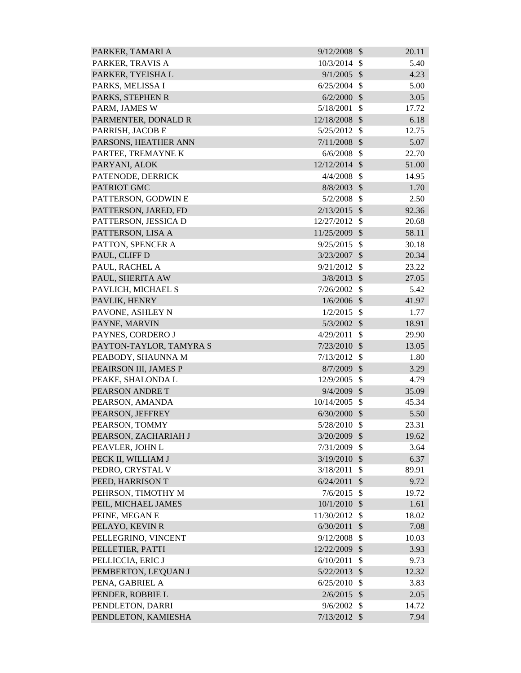| PARKER, TAMARI A        | 9/12/2008      | $\mathcal{S}$             | 20.11 |
|-------------------------|----------------|---------------------------|-------|
| PARKER, TRAVIS A        | 10/3/2014      | $\mathcal{S}$             | 5.40  |
| PARKER, TYEISHA L       | 9/1/2005       | $\mathcal{S}$             | 4.23  |
| PARKS, MELISSA I        | 6/25/2004      | $\mathcal{S}$             | 5.00  |
| PARKS, STEPHEN R        | 6/2/2000       | $\mathcal{S}$             | 3.05  |
| PARM, JAMES W           | 5/18/2001      | \$                        | 17.72 |
| PARMENTER, DONALD R     | 12/18/2008 \$  |                           | 6.18  |
| PARRISH, JACOB E        | 5/25/2012      | $\mathcal{S}$             | 12.75 |
| PARSONS, HEATHER ANN    | $7/11/2008$ \$ |                           | 5.07  |
| PARTEE, TREMAYNE K      | $6/6/2008$ \$  |                           | 22.70 |
| PARYANI, ALOK           | 12/12/2014 \$  |                           | 51.00 |
| PATENODE, DERRICK       | 4/4/2008       | $\mathcal{S}$             | 14.95 |
| PATRIOT GMC             | $8/8/2003$ \$  |                           | 1.70  |
| PATTERSON, GODWIN E     | 5/2/2008       | $\mathcal{S}$             | 2.50  |
| PATTERSON, JARED, FD    | $2/13/2015$ \$ |                           | 92.36 |
| PATTERSON, JESSICA D    | 12/27/2012     | $\mathcal{S}$             | 20.68 |
| PATTERSON, LISA A       | 11/25/2009     | $\mathcal{S}$             | 58.11 |
| PATTON, SPENCER A       | 9/25/2015      | - \$                      | 30.18 |
| PAUL, CLIFF D           | 3/23/2007      | $\mathcal{S}$             | 20.34 |
| PAUL, RACHEL A          | 9/21/2012      | $\mathcal{S}$             | 23.22 |
| PAUL, SHERITA AW        | 3/8/2013       | $\mathcal{S}$             | 27.05 |
| PAVLICH, MICHAEL S      | $7/26/2002$ \$ |                           | 5.42  |
| PAVLIK, HENRY           | $1/6/2006$ \$  |                           | 41.97 |
| PAVONE, ASHLEY N        | 1/2/2015       | $\mathcal{S}$             | 1.77  |
| PAYNE, MARVIN           | 5/3/2002       | $\mathcal{S}$             | 18.91 |
| PAYNES, CORDERO J       | 4/29/2011      | $\mathbb{S}$              | 29.90 |
| PAYTON-TAYLOR, TAMYRA S | 7/23/2010      | $\mathcal{S}$             | 13.05 |
| PEABODY, SHAUNNA M      | 7/13/2012      | \$                        | 1.80  |
| PEAIRSON III, JAMES P   | $8/7/2009$ \$  |                           | 3.29  |
| PEAKE, SHALONDA L       | 12/9/2005      | $\boldsymbol{\mathsf{S}}$ | 4.79  |
| PEARSON ANDRET          | 9/4/2009 \$    |                           | 35.09 |
| PEARSON, AMANDA         | 10/14/2005     | \$                        | 45.34 |
| PEARSON, JEFFREY        | 6/30/2000      | $\mathcal{S}$             | 5.50  |
| PEARSON, TOMMY          | 5/28/2010      | $\mathcal{S}$             | 23.31 |
| PEARSON, ZACHARIAH J    | 3/20/2009      | $\mathcal{S}$             | 19.62 |
| PEAVLER, JOHN L         | 7/31/2009      | \$                        | 3.64  |
| PECK II, WILLIAM J      | 3/19/2010      | $\mathcal{S}$             | 6.37  |
| PEDRO, CRYSTAL V        | 3/18/2011      | \$                        | 89.91 |
| PEED, HARRISON T        | 6/24/2011      | $\mathcal{S}$             | 9.72  |
| PEHRSON, TIMOTHY M      | 7/6/2015       | $\mathcal{S}$             | 19.72 |
| PEIL, MICHAEL JAMES     | 10/1/2010      | $\mathcal{S}$             | 1.61  |
| PEINE, MEGAN E          | 11/30/2012     | $\mathcal{S}$             | 18.02 |
| PELAYO, KEVIN R         | 6/30/2011      | $\mathcal{S}$             | 7.08  |
| PELLEGRINO, VINCENT     | 9/12/2008      | \$                        | 10.03 |
| PELLETIER, PATTI        | 12/22/2009     | \$                        | 3.93  |
| PELLICCIA, ERIC J       | 6/10/2011      | $\mathcal{S}$             | 9.73  |
| PEMBERTON, LE'QUAN J    | 5/22/2013      | $\mathcal{S}$             | 12.32 |
| PENA, GABRIEL A         | 6/25/2010      | $\mathcal{S}$             | 3.83  |
| PENDER, ROBBIE L        | 2/6/2015       | $\mathcal{S}$             | 2.05  |
| PENDLETON, DARRI        | 9/6/2002       | $\mathbb{S}$              | 14.72 |
| PENDLETON, KAMIESHA     | $7/13/2012$ \$ |                           | 7.94  |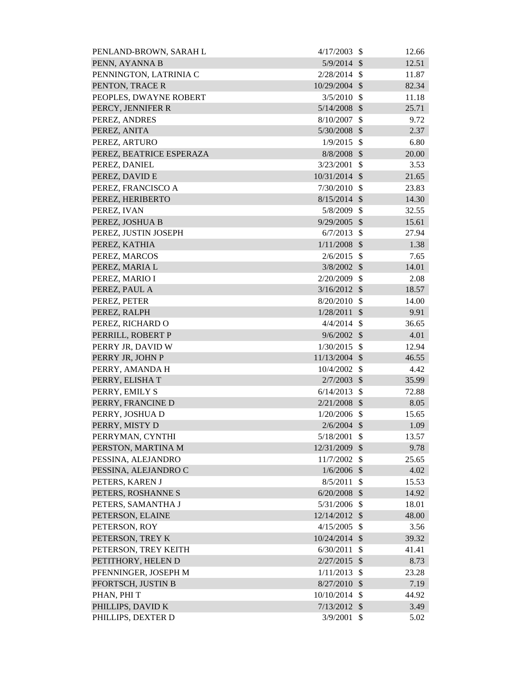| PENLAND-BROWN, SARAH L   | 4/17/2003      | - \$               | 12.66 |
|--------------------------|----------------|--------------------|-------|
| PENN, AYANNA B           | $5/9/2014$ \$  |                    | 12.51 |
| PENNINGTON, LATRINIA C   | $2/28/2014$ \$ |                    | 11.87 |
| PENTON, TRACE R          | 10/29/2004 \$  |                    | 82.34 |
| PEOPLES, DWAYNE ROBERT   | $3/5/2010$ \$  |                    | 11.18 |
| PERCY, JENNIFER R        | $5/14/2008$ \$ |                    | 25.71 |
| PEREZ, ANDRES            | 8/10/2007      | $\mathcal{S}$      | 9.72  |
| PEREZ, ANITA             | 5/30/2008 \$   |                    | 2.37  |
| PEREZ, ARTURO            | $1/9/2015$ \$  |                    | 6.80  |
| PEREZ, BEATRICE ESPERAZA | $8/8/2008$ \$  |                    | 20.00 |
| PEREZ, DANIEL            | 3/23/2001      | $\mathbf{\hat{S}}$ | 3.53  |
| PEREZ, DAVID E           | 10/31/2014 \$  |                    | 21.65 |
| PEREZ, FRANCISCO A       | $7/30/2010$ \$ |                    | 23.83 |
| PEREZ, HERIBERTO         | $8/15/2014$ \$ |                    | 14.30 |
| PEREZ, IVAN              | 5/8/2009 \$    |                    | 32.55 |
| PEREZ, JOSHUA B          | $9/29/2005$ \$ |                    | 15.61 |
| PEREZ, JUSTIN JOSEPH     | $6/7/2013$ \$  |                    | 27.94 |
| PEREZ, KATHIA            | $1/11/2008$ \$ |                    | 1.38  |
| PEREZ, MARCOS            | $2/6/2015$ \$  |                    | 7.65  |
| PEREZ, MARIA L           | 3/8/2002       | $\mathcal{S}$      | 14.01 |
| PEREZ, MARIO I           | 2/20/2009      | $\mathcal{S}$      | 2.08  |
| PEREZ, PAUL A            | $3/16/2012$ \$ |                    | 18.57 |
| PEREZ, PETER             | $8/20/2010$ \$ |                    | 14.00 |
| PEREZ, RALPH             | 1/28/2011      | $\sqrt{3}$         | 9.91  |
| PEREZ, RICHARD O         | 4/4/2014       | $\mathcal{S}$      | 36.65 |
| PERRILL, ROBERT P        | $9/6/2002$ \$  |                    | 4.01  |
| PERRY JR, DAVID W        | 1/30/2015      | $\mathcal{S}$      | 12.94 |
| PERRY JR, JOHN P         | 11/13/2004 \$  |                    | 46.55 |
| PERRY, AMANDA H          | 10/4/2002      | $\mathcal{S}$      | 4.42  |
| PERRY, ELISHAT           | $2/7/2003$ \$  |                    | 35.99 |
| PERRY, EMILY S           | $6/14/2013$ \$ |                    | 72.88 |
| PERRY, FRANCINE D        | $2/21/2008$ \$ |                    | 8.05  |
| PERRY, JOSHUA D          | 1/20/2006      | $\mathcal{S}$      | 15.65 |
| PERRY, MISTY D           | $2/6/2004$ \$  |                    | 1.09  |
| PERRYMAN, CYNTHI         | 5/18/2001      | \$                 | 13.57 |
| PERSTON, MARTINA M       | 12/31/2009     | \$                 | 9.78  |
| PESSINA, ALEJANDRO       | 11/7/2002      | -\$                | 25.65 |
| PESSINA, ALEJANDRO C     | $1/6/2006$ \$  |                    | 4.02  |
| PETERS, KAREN J          | 8/5/2011       | $\mathcal{S}$      | 15.53 |
| PETERS, ROSHANNE S       | $6/20/2008$ \$ |                    | 14.92 |
| PETERS, SAMANTHA J       | 5/31/2006      | \$                 | 18.01 |
| PETERSON, ELAINE         | 12/14/2012 \$  |                    | 48.00 |
| PETERSON, ROY            | 4/15/2005      | $\mathcal{S}$      | 3.56  |
| PETERSON, TREY K         | 10/24/2014 \$  |                    | 39.32 |
| PETERSON, TREY KEITH     | 6/30/2011      | \$                 | 41.41 |
| PETITHORY, HELEN D       | 2/27/2015      | $\mathcal{S}$      | 8.73  |
| PFENNINGER, JOSEPH M     | 1/11/2013      | $\mathcal{S}$      | 23.28 |
| PFORTSCH, JUSTIN B       | 8/27/2010      | $\mathcal{S}$      | 7.19  |
| PHAN, PHI T              | 10/10/2014     | $\mathcal{S}$      | 44.92 |
| PHILLIPS, DAVID K        | 7/13/2012      | $\mathcal{S}$      | 3.49  |
| PHILLIPS, DEXTER D       | 3/9/2001       | \$                 | 5.02  |
|                          |                |                    |       |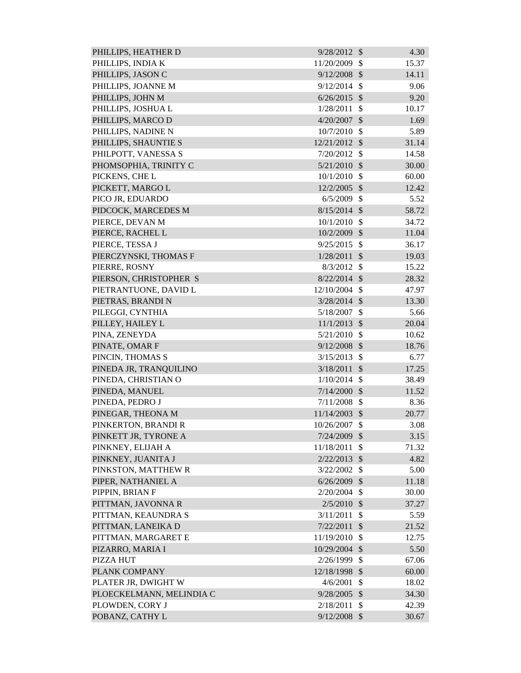| PHILLIPS, HEATHER D      | 9/28/2012      | $\mathcal{S}$             | 4.30  |
|--------------------------|----------------|---------------------------|-------|
| PHILLIPS, INDIA K        | 11/20/2009     | <sup>\$</sup>             | 15.37 |
| PHILLIPS, JASON C        | 9/12/2008      | $\mathcal{S}$             | 14.11 |
| PHILLIPS, JOANNE M       | 9/12/2014      | $\mathcal{S}$             | 9.06  |
| PHILLIPS, JOHN M         | 6/26/2015      | $\mathcal{S}$             | 9.20  |
| PHILLIPS, JOSHUA L       | 1/28/2011      | $\mathcal{S}$             | 10.17 |
| PHILLIPS, MARCO D        | 4/20/2007      | $\mathcal{S}$             | 1.69  |
| PHILLIPS, NADINE N       | 10/7/2010      | $\mathcal{S}$             | 5.89  |
| PHILLIPS, SHAUNTIE S     | 12/21/2012 \$  |                           | 31.14 |
| PHILPOTT, VANESSA S      | 7/20/2012      | $\mathcal{S}$             | 14.58 |
| PHOMSOPHIA, TRINITY C    | $5/21/2010$ \$ |                           | 30.00 |
| PICKENS, CHE L           | 10/1/2010      | $\mathcal{S}$             | 60.00 |
| PICKETT, MARGO L         | 12/2/2005      | $\mathcal{S}$             | 12.42 |
| PICO JR, EDUARDO         | 6/5/2009       | $\mathcal{S}$             | 5.52  |
| PIDCOCK, MARCEDES M      | $8/15/2014$ \$ |                           | 58.72 |
| PIERCE, DEVAN M          | 10/1/2010      | $\mathcal{S}$             | 34.72 |
| PIERCE, RACHEL L         | 10/2/2009      | $\mathcal{S}$             | 11.04 |
| PIERCE, TESSA J          | 9/25/2015      | $\mathcal{S}$             | 36.17 |
| PIERCZYNSKI, THOMAS F    | 1/28/2011      | $\mathcal{S}$             | 19.03 |
| PIERRE, ROSNY            | 8/3/2012       | -\$                       | 15.22 |
| PIERSON, CHRISTOPHER S   | $8/22/2014$ \$ |                           | 28.32 |
| PIETRANTUONE, DAVID L    | 12/10/2004     | $\mathcal{S}$             | 47.97 |
| PIETRAS, BRANDI N        | $3/28/2014$ \$ |                           | 13.30 |
| PILEGGI, CYNTHIA         | 5/18/2007      | \$                        | 5.66  |
| PILLEY, HAILEY L         | 11/1/2013      | $\mathcal{S}$             | 20.04 |
| PINA, ZENEYDA            | 5/21/2010      | $\mathcal{S}$             | 10.62 |
| PINATE, OMAR F           | 9/12/2008      | $\mathcal{S}$             | 18.76 |
| PINCIN, THOMAS S         | 3/15/2013      | $\mathcal{S}$             | 6.77  |
| PINEDA JR, TRANQUILINO   | 3/18/2011      | $\mathcal{S}$             | 17.25 |
| PINEDA, CHRISTIAN O      | 1/10/2014      | $\mathcal{S}$             | 38.49 |
| PINEDA, MANUEL           | $7/14/2000$ \$ |                           | 11.52 |
| PINEDA, PEDRO J          | 7/11/2008      | \$                        | 8.36  |
| PINEGAR, THEONA M        | 11/14/2003     | $\mathcal{S}$             | 20.77 |
| PINKERTON, BRANDI R      | 10/26/2007     | $\mathcal{S}$             | 3.08  |
| PINKETT JR, TYRONE A     | 7/24/2009      | $\mathcal{S}$             | 3.15  |
| PINKNEY, ELIJAH A        | 11/18/2011     | \$                        | 71.32 |
| PINKNEY, JUANITA J       | 2/22/2013      | $\sqrt[6]{\frac{1}{2}}$   | 4.82  |
| PINKSTON, MATTHEW R      | 3/22/2002      | $\mathcal{S}$             | 5.00  |
| PIPER, NATHANIEL A       | 6/26/2009      | $\mathcal{S}$             | 11.18 |
| PIPPIN, BRIAN F          | 2/20/2004      | $\boldsymbol{\mathsf{S}}$ | 30.00 |
| PITTMAN, JAVONNA R       | 2/5/2010       | $\mathcal{S}$             | 37.27 |
| PITTMAN, KEAUNDRA S      | 3/11/2011      | $\mathcal{S}$             | 5.59  |
| PITTMAN, LANEIKA D       | 7/22/2011      | $\mathcal{S}$             | 21.52 |
| PITTMAN, MARGARET E      | 11/19/2010     | $\mathcal{S}$             | 12.75 |
| PIZARRO, MARIA I         | 10/29/2004     | $\mathcal{S}$             | 5.50  |
| <b>PIZZA HUT</b>         | 2/26/1999      | $\boldsymbol{\mathsf{S}}$ | 67.06 |
| PLANK COMPANY            | 12/18/1998 \$  |                           | 60.00 |
| PLATER JR, DWIGHT W      | 4/6/2001       | $\mathcal{S}$             | 18.02 |
| PLOECKELMANN, MELINDIA C | 9/28/2005      | $\mathcal{S}$             | 34.30 |
| PLOWDEN, CORY J          | 2/18/2011      | $\mathcal{S}$             | 42.39 |
| POBANZ, CATHY L          | 9/12/2008      | $\mathcal{S}$             | 30.67 |
|                          |                |                           |       |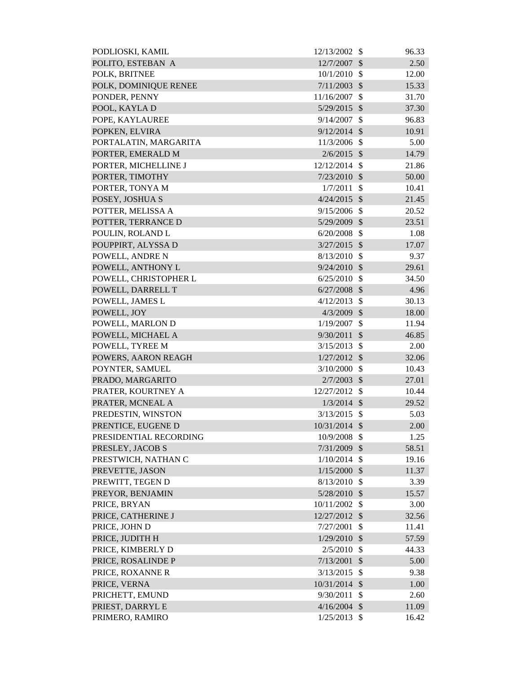| PODLIOSKI, KAMIL       | 12/13/2002     | \$                      | 96.33 |
|------------------------|----------------|-------------------------|-------|
| POLITO, ESTEBAN A      | 12/7/2007      | $\mathcal{S}$           | 2.50  |
| POLK, BRITNEE          | 10/1/2010      | -\$                     | 12.00 |
| POLK, DOMINIQUE RENEE  | 7/11/2003      | $\mathcal{S}$           | 15.33 |
| PONDER, PENNY          | 11/16/2007     | $\mathcal{S}$           | 31.70 |
| POOL, KAYLA D          | 5/29/2015 \$   |                         | 37.30 |
| POPE, KAYLAUREE        | 9/14/2007      | $\mathcal{S}$           | 96.83 |
| POPKEN, ELVIRA         | $9/12/2014$ \$ |                         | 10.91 |
| PORTALATIN, MARGARITA  | 11/3/2006      | $\mathcal{S}$           | 5.00  |
| PORTER, EMERALD M      | $2/6/2015$ \$  |                         | 14.79 |
| PORTER, MICHELLINE J   | 12/12/2014     | -\$                     | 21.86 |
| PORTER, TIMOTHY        | 7/23/2010      | $\mathcal{S}$           | 50.00 |
| PORTER, TONYA M        | 1/7/2011       | $\mathcal{S}$           | 10.41 |
| POSEY, JOSHUA S        | $4/24/2015$ \$ |                         | 21.45 |
| POTTER, MELISSA A      | 9/15/2006      | $\mathcal{S}$           | 20.52 |
| POTTER, TERRANCE D     | 5/29/2009 \$   |                         | 23.51 |
| POULIN, ROLAND L       | 6/20/2008      | $\mathcal{S}$           | 1.08  |
| POUPPIRT, ALYSSA D     | $3/27/2015$ \$ |                         | 17.07 |
| POWELL, ANDRE N        | 8/13/2010      | $\mathcal{S}$           | 9.37  |
| POWELL, ANTHONY L      | 9/24/2010      | $\mathcal{S}$           | 29.61 |
| POWELL, CHRISTOPHER L  | 6/25/2010      | $\mathcal{S}$           | 34.50 |
| POWELL, DARRELL T      | 6/27/2008      | $\mathcal{S}$           | 4.96  |
| POWELL, JAMES L        | 4/12/2013      | $\mathcal{S}$           | 30.13 |
| POWELL, JOY            | 4/3/2009       | $\mathcal{S}$           | 18.00 |
| POWELL, MARLON D       | 1/19/2007      | $\mathcal{S}$           | 11.94 |
| POWELL, MICHAEL A      | 9/30/2011      | $\mathcal{S}$           | 46.85 |
| POWELL, TYREE M        | 3/15/2013      | \$                      | 2.00  |
| POWERS, AARON REAGH    | $1/27/2012$ \$ |                         | 32.06 |
| POYNTER, SAMUEL        | 3/10/2000      | $\mathcal{S}$           | 10.43 |
| PRADO, MARGARITO       | 2/7/2003       | $\sqrt[6]{\frac{1}{2}}$ | 27.01 |
| PRATER, KOURTNEY A     | 12/27/2012 \$  |                         | 10.44 |
| PRATER, MCNEAL A       | $1/3/2014$ \$  |                         | 29.52 |
| PREDESTIN, WINSTON     | 3/13/2015      | $\mathcal{S}$           | 5.03  |
| PRENTICE, EUGENE D     | 10/31/2014 \$  |                         | 2.00  |
| PRESIDENTIAL RECORDING | 10/9/2008      | \$                      | 1.25  |
| PRESLEY, JACOB S       | 7/31/2009      | $\mathcal{S}$           | 58.51 |
| PRESTWICH, NATHAN C    | $1/10/2014$ \$ |                         | 19.16 |
| PREVETTE, JASON        | $1/15/2000$ \$ |                         | 11.37 |
| PREWITT, TEGEN D       | $8/13/2010$ \$ |                         | 3.39  |
| PREYOR, BENJAMIN       | 5/28/2010      | $\sqrt[6]{\frac{1}{2}}$ | 15.57 |
| PRICE, BRYAN           | 10/11/2002 \$  |                         | 3.00  |
| PRICE, CATHERINE J     | 12/27/2012 \$  |                         | 32.56 |
| PRICE, JOHN D          | 7/27/2001      | $\mathcal{S}$           | 11.41 |
| PRICE, JUDITH H        | 1/29/2010      | $\mathcal{S}$           | 57.59 |
| PRICE, KIMBERLY D      | 2/5/2010       | $\mathcal{S}$           | 44.33 |
| PRICE, ROSALINDE P     | 7/13/2001      | $\mathcal{S}$           | 5.00  |
| PRICE, ROXANNE R       | 3/13/2015      | $\mathcal{S}$           | 9.38  |
| PRICE, VERNA           | 10/31/2014 \$  |                         | 1.00  |
| PRICHETT, EMUND        | 9/30/2011      | $\mathcal{S}$           | 2.60  |
| PRIEST, DARRYL E       | $4/16/2004$ \$ |                         | 11.09 |
| PRIMERO, RAMIRO        | $1/25/2013$ \$ |                         | 16.42 |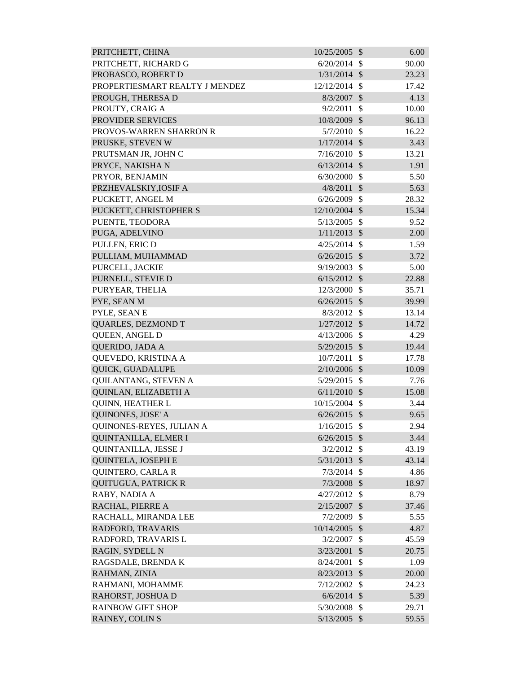| PRITCHETT, CHINA               | 10/25/2005     | $\mathcal{S}$           | 6.00  |
|--------------------------------|----------------|-------------------------|-------|
| PRITCHETT, RICHARD G           | 6/20/2014      | $\mathcal{S}$           | 90.00 |
| PROBASCO, ROBERT D             | 1/31/2014      | $\mathcal{S}$           | 23.23 |
| PROPERTIESMART REALTY J MENDEZ | 12/12/2014     | $\mathcal{S}$           | 17.42 |
| PROUGH, THERESA D              | 8/3/2007       | $\mathcal{S}$           | 4.13  |
| PROUTY, CRAIG A                | 9/2/2011       | \$                      | 10.00 |
| PROVIDER SERVICES              | 10/8/2009      | $\mathcal{S}$           | 96.13 |
| PROVOS-WARREN SHARRON R        | 5/7/2010       | $\mathcal{S}$           | 16.22 |
| PRUSKE, STEVEN W               | $1/17/2014$ \$ |                         | 3.43  |
| PRUTSMAN JR, JOHN C            | 7/16/2010      | $\mathcal{S}$           | 13.21 |
| PRYCE, NAKISHA N               | $6/13/2014$ \$ |                         | 1.91  |
| PRYOR, BENJAMIN                | 6/30/2000      | \$                      | 5.50  |
| PRZHEVALSKIY, JOSIF A          | 4/8/2011       | $\mathcal{S}$           | 5.63  |
| PUCKETT, ANGEL M               | 6/26/2009      | $\mathcal{S}$           | 28.32 |
| PUCKETT, CHRISTOPHER S         | 12/10/2004     | $\mathcal{S}$           | 15.34 |
| PUENTE, TEODORA                | 5/13/2005      | $\mathcal{S}$           | 9.52  |
| PUGA, ADELVINO                 | 1/11/2013      | $\mathcal{S}$           | 2.00  |
| PULLEN, ERIC D                 | 4/25/2014      | $\mathcal{S}$           | 1.59  |
| PULLIAM, MUHAMMAD              | 6/26/2015      | $\mathcal{S}$           | 3.72  |
| PURCELL, JACKIE                | 9/19/2003      | $\mathcal{S}$           | 5.00  |
| PURNELL, STEVIE D              | 6/15/2012      | $\mathcal{S}$           | 22.88 |
| PURYEAR, THELIA                | 12/3/2000      | $\mathcal{S}$           | 35.71 |
| PYE, SEAN M                    | $6/26/2015$ \$ |                         | 39.99 |
| PYLE, SEAN E                   | 8/3/2012       | \$                      | 13.14 |
| <b>QUARLES, DEZMOND T</b>      | 1/27/2012      | $\mathcal{S}$           | 14.72 |
| QUEEN, ANGEL D                 | 4/13/2006      | $\mathbb{S}$            | 4.29  |
| QUERIDO, JADA A                | $5/29/2015$ \$ |                         | 19.44 |
| QUEVEDO, KRISTINA A            | 10/7/2011      | $\mathcal{S}$           | 17.78 |
| QUICK, GUADALUPE               | $2/10/2006$ \$ |                         | 10.09 |
| QUILANTANG, STEVEN A           | 5/29/2015 \$   |                         | 7.76  |
| QUINLAN, ELIZABETH A           | $6/11/2010$ \$ |                         | 15.08 |
| QUINN, HEATHER L               | 10/15/2004     | -S                      | 3.44  |
| QUINONES, JOSE' A              | $6/26/2015$ \$ |                         | 9.65  |
| QUINONES-REYES, JULIAN A       | 1/16/2015      | -\$                     | 2.94  |
| QUINTANILLA, ELMER I           | 6/26/2015      | $\mathcal{S}$           | 3.44  |
| QUINTANILLA, JESSE J           | 3/2/2012       | $\mathcal{S}$           | 43.19 |
| <b>QUINTELA, JOSEPH E</b>      | 5/31/2013      | $\mathcal{S}$           | 43.14 |
| <b>QUINTERO, CARLA R</b>       | 7/3/2014       | $\mathbb{S}$            | 4.86  |
| <b>OUITUGUA, PATRICK R</b>     | 7/3/2008       | $\mathcal{S}$           | 18.97 |
| RABY, NADIA A                  | 4/27/2012      | $\mathcal{S}$           | 8.79  |
| RACHAL, PIERRE A               | 2/15/2007      | $\mathcal{S}$           | 37.46 |
| RACHALL, MIRANDA LEE           | 7/2/2009       | $\mathcal{S}$           | 5.55  |
| RADFORD, TRAVARIS              | 10/14/2005 \$  |                         | 4.87  |
| RADFORD, TRAVARIS L            | 3/2/2007       | \$                      | 45.59 |
| RAGIN, SYDELL N                | 3/23/2001      | $\mathcal{S}$           | 20.75 |
| RAGSDALE, BRENDA K             | 8/24/2001      | \$                      | 1.09  |
| RAHMAN, ZINIA                  | 8/23/2013      | $\mathcal{S}$           | 20.00 |
| RAHMANI, MOHAMME               | 7/12/2002      | $\mathcal{S}$           | 24.23 |
| RAHORST, JOSHUA D              | 6/6/2014       | $\mathcal{S}$           | 5.39  |
| <b>RAINBOW GIFT SHOP</b>       | 5/30/2008      | $\mathcal{S}$           | 29.71 |
| RAINEY, COLIN S                | 5/13/2005      | $\sqrt[6]{\frac{1}{2}}$ | 59.55 |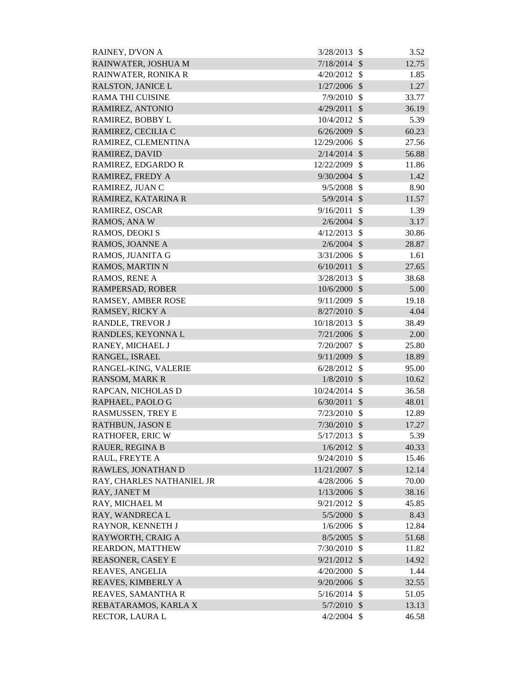| RAINEY, D'VON A           | 3/28/2013      | -S            | 3.52  |
|---------------------------|----------------|---------------|-------|
| RAINWATER, JOSHUA M       | 7/18/2014      | $\mathcal{S}$ | 12.75 |
| RAINWATER, RONIKA R       | 4/20/2012      | $\mathcal{S}$ | 1.85  |
| <b>RALSTON, JANICE L</b>  | 1/27/2006      | <sup>\$</sup> | 1.27  |
| <b>RAMA THI CUISINE</b>   | 7/9/2010       | $\mathcal{S}$ | 33.77 |
| RAMIREZ, ANTONIO          | 4/29/2011      | $\mathcal{S}$ | 36.19 |
| RAMIREZ, BOBBY L          | 10/4/2012      | - \$          | 5.39  |
| RAMIREZ, CECILIA C        | 6/26/2009      | $\mathcal{S}$ | 60.23 |
| RAMIREZ, CLEMENTINA       | 12/29/2006     | $\mathcal{S}$ | 27.56 |
| <b>RAMIREZ, DAVID</b>     | $2/14/2014$ \$ |               | 56.88 |
| RAMIREZ, EDGARDO R        | 12/22/2009     | $\mathbb{S}$  | 11.86 |
| RAMIREZ, FREDY A          | 9/30/2004      | $\mathcal{S}$ | 1.42  |
| RAMIREZ, JUAN C           | 9/5/2008       | $\mathcal{S}$ | 8.90  |
| RAMIREZ, KATARINA R       | $5/9/2014$ \$  |               | 11.57 |
| RAMIREZ, OSCAR            | 9/16/2011      | $\mathcal{S}$ | 1.39  |
| RAMOS, ANA W              | 2/6/2004       | $\mathcal{S}$ | 3.17  |
| RAMOS, DEOKI S            | 4/12/2013      | $\mathcal{S}$ | 30.86 |
| RAMOS, JOANNE A           | $2/6/2004$ \$  |               | 28.87 |
| RAMOS, JUANITA G          | 3/31/2006      | $\mathcal{S}$ | 1.61  |
| <b>RAMOS, MARTIN N</b>    | 6/10/2011      | $\mathcal{S}$ | 27.65 |
| RAMOS, RENE A             | 3/28/2013      | $\mathcal{S}$ | 38.68 |
| RAMPERSAD, ROBER          | $10/6/2000$ \$ |               | 5.00  |
| RAMSEY, AMBER ROSE        | 9/11/2009      | $\mathbb{S}$  | 19.18 |
| RAMSEY, RICKY A           | 8/27/2010      | $\mathcal{S}$ | 4.04  |
| RANDLE, TREVOR J          | 10/18/2013     | $\mathcal{S}$ | 38.49 |
| RANDLES, KEYONNA L        | 7/21/2006      | $\mathcal{S}$ | 2.00  |
| RANEY, MICHAEL J          | 7/20/2007      | $\mathbb{S}$  | 25.80 |
| RANGEL, ISRAEL            | 9/11/2009      | $\mathcal{S}$ | 18.89 |
| RANGEL-KING, VALERIE      | $6/28/2012$ \$ |               | 95.00 |
| <b>RANSOM, MARK R</b>     | $1/8/2010$ \$  |               | 10.62 |
| RAPCAN, NICHOLAS D        | 10/24/2014 \$  |               | 36.58 |
| RAPHAEL, PAOLO G          | 6/30/2011      | $\mathcal{S}$ | 48.01 |
| <b>RASMUSSEN, TREY E</b>  | 7/23/2010      | $\mathbb{S}$  | 12.89 |
| <b>RATHBUN, JASON E</b>   | 7/30/2010      | $\mathcal{S}$ | 17.27 |
| <b>RATHOFER, ERIC W</b>   | 5/17/2013      | $\mathcal{S}$ | 5.39  |
| <b>RAUER, REGINA B</b>    | $1/6/2012$ \$  |               | 40.33 |
| RAUL, FREYTE A            | 9/24/2010      | $\mathcal{S}$ | 15.46 |
| RAWLES, JONATHAN D        | 11/21/2007     | $\mathcal{S}$ | 12.14 |
| RAY, CHARLES NATHANIEL JR | 4/28/2006      | $\mathcal{S}$ | 70.00 |
| RAY, JANET M              | 1/13/2006      | $\mathcal{S}$ | 38.16 |
| RAY, MICHAEL M            | 9/21/2012      | $\mathcal{S}$ | 45.85 |
| RAY, WANDRECA L           | 5/5/2000       | $\mathcal{S}$ | 8.43  |
| RAYNOR, KENNETH J         | $1/6/2006$ \$  |               | 12.84 |
| RAYWORTH, CRAIG A         | $8/5/2005$ \$  |               | 51.68 |
| REARDON, MATTHEW          | 7/30/2010      | $\mathcal{S}$ | 11.82 |
| <b>REASONER, CASEY E</b>  | $9/21/2012$ \$ |               | 14.92 |
| REAVES, ANGELIA           | 4/20/2000      | $\mathcal{S}$ | 1.44  |
| REAVES, KIMBERLY A        | 9/20/2006 \$   |               | 32.55 |
| REAVES, SAMANTHA R        | 5/16/2014      | $\mathcal{S}$ | 51.05 |
| REBATARAMOS, KARLA X      | 5/7/2010       | $\mathcal{S}$ | 13.13 |
| RECTOR, LAURA L           | $4/2/2004$ \$  |               | 46.58 |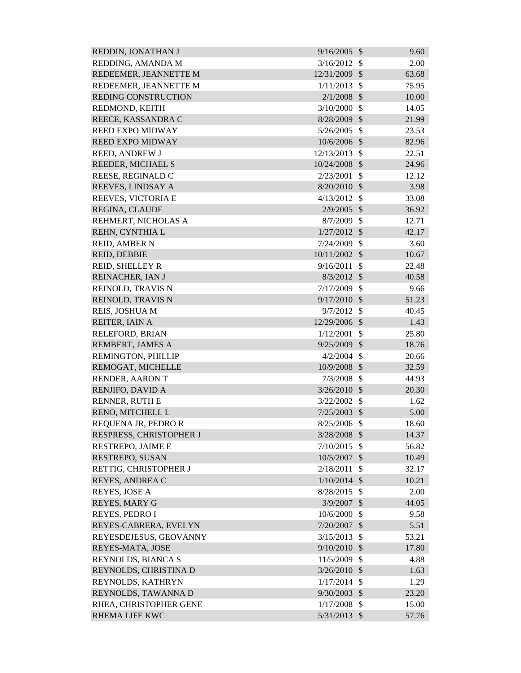| REDDIN, JONATHAN J         | 9/16/2005      | $\mathcal{S}$              | 9.60  |
|----------------------------|----------------|----------------------------|-------|
| REDDING, AMANDA M          | 3/16/2012      | $\mathcal{S}$              | 2.00  |
| REDEEMER, JEANNETTE M      | 12/31/2009     | $\mathcal{S}$              | 63.68 |
| REDEEMER, JEANNETTE M      | 1/11/2013      | \$                         | 75.95 |
| <b>REDING CONSTRUCTION</b> | 2/1/2008       | $\mathcal{S}$              | 10.00 |
| REDMOND, KEITH             | 3/10/2000      | $\mathcal{S}$              | 14.05 |
| REECE, KASSANDRA C         | 8/28/2009      | $\mathcal{S}$              | 21.99 |
| <b>REED EXPO MIDWAY</b>    | 5/26/2005      | \$                         | 23.53 |
| <b>REED EXPO MIDWAY</b>    | 10/6/2006      | $\mathcal{S}$              | 82.96 |
| <b>REED, ANDREW J</b>      | 12/13/2013     | $\mathcal{S}$              | 22.51 |
| REEDER, MICHAEL S          | 10/24/2008     | $\mathcal{S}$              | 24.96 |
| REESE, REGINALD C          | 2/23/2001      | \$                         | 12.12 |
| REEVES, LINDSAY A          | 8/20/2010      | $\mathcal{S}$              | 3.98  |
| REEVES, VICTORIA E         | 4/13/2012      | $\mathcal{S}$              | 33.08 |
| REGINA, CLAUDE             | 2/9/2005       | $\mathcal{S}$              | 36.92 |
| REHMERT, NICHOLAS A        | 8/7/2009       | $\mathcal{S}$              | 12.71 |
| REHN, CYNTHIA L            | 1/27/2012      | $\mathcal{S}$              | 42.17 |
| <b>REID, AMBER N</b>       | 7/24/2009      | $\mathcal{S}$              | 3.60  |
| REID, DEBBIE               | 10/11/2002     | $\mathcal{S}$              | 10.67 |
| <b>REID, SHELLEY R</b>     | 9/16/2011      | $\mathcal{S}$              | 22.48 |
| REINACHER, IAN J           | 8/3/2012       | $\mathcal{S}$              | 40.58 |
| REINOLD, TRAVIS N          | 7/17/2009      | $\mathcal{S}$              | 9.66  |
| REINOLD, TRAVIS N          | 9/17/2010      | $\mathcal{S}$              | 51.23 |
| REIS, JOSHUA M             | 9/7/2012       | $\mathcal{S}$              | 40.45 |
| REITER, IAIN A             | 12/29/2006     | $\mathcal{S}$              | 1.43  |
| RELEFORD, BRIAN            | 1/12/2001      | \$                         | 25.80 |
| REMBERT, JAMES A           | 9/25/2009      | $\mathcal{S}$              | 18.76 |
| REMINGTON, PHILLIP         | 4/2/2004       | $\mathcal{S}$              | 20.66 |
| REMOGAT, MICHELLE          | 10/9/2008      | $\mathcal{S}$              | 32.59 |
| RENDER, AARON T            | 7/3/2008       | \$                         | 44.93 |
| RENJIFO, DAVID A           | $3/26/2010$ \$ |                            | 20.30 |
| RENNER, RUTH E             | 3/22/2002      | <sup>\$</sup>              | 1.62  |
| RENO, MITCHELL L           | $7/25/2003$ \$ |                            | 5.00  |
| REQUENA JR, PEDRO R        | 8/25/2006 \$   |                            | 18.60 |
| RESPRESS, CHRISTOPHER J    | 3/28/2008      | $\mathcal{S}$              | 14.37 |
| RESTREPO, JAIME E          | 7/10/2015      | $\mathcal{S}$              | 56.82 |
| RESTREPO, SUSAN            | 10/5/2007      | $\mathcal{S}$              | 10.49 |
| RETTIG, CHRISTOPHER J      | 2/18/2011      | $\mathcal{S}$              | 32.17 |
| REYES, ANDREA C            | 1/10/2014      | $\mathcal{S}$              | 10.21 |
| REYES, JOSE A              | 8/28/2015      | $\mathcal{S}$              | 2.00  |
| REYES, MARY G              | 3/9/2007       | $\boldsymbol{\mathcal{S}}$ | 44.05 |
| REYES, PEDRO I             | 10/6/2000      | $\mathcal{S}$              | 9.58  |
| REYES-CABRERA, EVELYN      | 7/20/2007      | $\mathcal{S}$              | 5.51  |
| REYESDEJESUS, GEOVANNY     | 3/15/2013      | $\mathcal{S}$              | 53.21 |
| REYES-MATA, JOSE           | 9/10/2010      | $\mathcal{S}$              | 17.80 |
| REYNOLDS, BIANCA S         | 11/5/2009      | $\mathcal{S}$              | 4.88  |
| REYNOLDS, CHRISTINA D      | 3/26/2010      | $\mathcal{S}$              | 1.63  |
| REYNOLDS, KATHRYN          | 1/17/2014      | $\mathcal{S}$              | 1.29  |
| REYNOLDS, TAWANNA D        | 9/30/2003      | $\mathcal{S}$              | 23.20 |
| RHEA, CHRISTOPHER GENE     | 1/17/2008      | $\mathcal{S}$              | 15.00 |
| <b>RHEMA LIFE KWC</b>      | 5/31/2013      | $\mathcal{S}$              | 57.76 |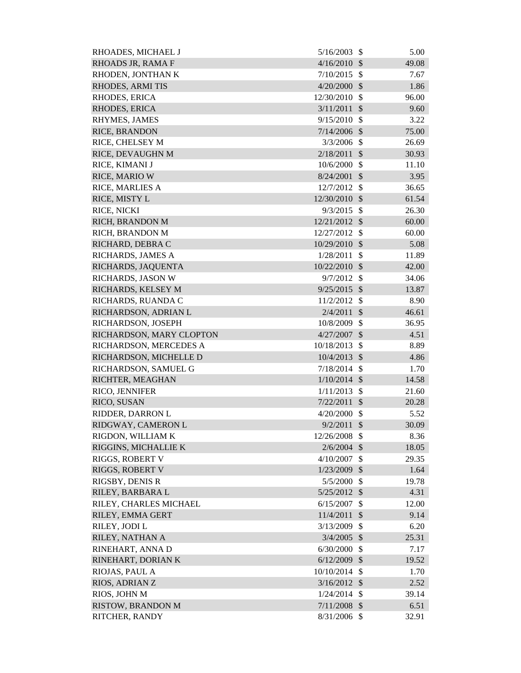| RHOADES, MICHAEL J       | 5/16/2003      | \$                        | 5.00  |
|--------------------------|----------------|---------------------------|-------|
| RHOADS JR, RAMA F        | 4/16/2010      | $\mathcal{S}$             | 49.08 |
| RHODEN, JONTHAN K        | 7/10/2015      | $\mathcal{S}$             | 7.67  |
| RHODES, ARMITIS          | 4/20/2000      | $\mathcal{S}$             | 1.86  |
| RHODES, ERICA            | 12/30/2010     | $\mathcal{S}$             | 96.00 |
| RHODES, ERICA            | 3/11/2011      | $\mathcal{S}$             | 9.60  |
| RHYMES, JAMES            | 9/15/2010      | $\mathcal{S}$             | 3.22  |
| RICE, BRANDON            | 7/14/2006      | $\mathcal{S}$             | 75.00 |
| RICE, CHELSEY M          | 3/3/2006       | $\mathcal{S}$             | 26.69 |
| RICE, DEVAUGHN M         | 2/18/2011      | $\mathcal{S}$             | 30.93 |
| RICE, KIMANI J           | 10/6/2000      | $\mathcal{S}$             | 11.10 |
| RICE, MARIO W            | 8/24/2001      | $\mathcal{S}$             | 3.95  |
| RICE, MARLIES A          | 12/7/2012      | $\mathcal{S}$             | 36.65 |
| RICE, MISTY L            | 12/30/2010     | $\mathcal{S}$             | 61.54 |
| RICE, NICKI              | 9/3/2015       | $\mathcal{S}$             | 26.30 |
| RICH, BRANDON M          | 12/21/2012     | $\mathcal{S}$             | 60.00 |
| RICH, BRANDON M          | 12/27/2012     | $\mathcal{S}$             | 60.00 |
| RICHARD, DEBRA C         | 10/29/2010     | $\mathcal{S}$             | 5.08  |
| RICHARDS, JAMES A        | 1/28/2011      | $\mathcal{S}$             | 11.89 |
| RICHARDS, JAQUENTA       | 10/22/2010     | $\mathcal{S}$             | 42.00 |
| RICHARDS, JASON W        | 9/7/2012       | $\mathcal{S}$             | 34.06 |
| RICHARDS, KELSEY M       | 9/25/2015      | $\mathcal{S}$             | 13.87 |
| RICHARDS, RUANDA C       | 11/2/2012      | $\mathcal{S}$             | 8.90  |
| RICHARDSON, ADRIAN L     | 2/4/2011       | $\mathcal{S}$             | 46.61 |
| RICHARDSON, JOSEPH       | 10/8/2009      | $\mathcal{S}$             | 36.95 |
| RICHARDSON, MARY CLOPTON | 4/27/2007      | $\mathcal{S}$             | 4.51  |
| RICHARDSON, MERCEDES A   | 10/18/2013     | $\mathcal{S}$             | 8.89  |
| RICHARDSON, MICHELLE D   | 10/4/2013      | $\mathcal{S}$             | 4.86  |
| RICHARDSON, SAMUEL G     | 7/18/2014      | $\mathcal{S}$             | 1.70  |
| RICHTER, MEAGHAN         | $1/10/2014$ \$ |                           | 14.58 |
| RICO, JENNIFER           | 1/11/2013      | $\boldsymbol{\mathsf{S}}$ | 21.60 |
| RICO, SUSAN              | 7/22/2011      | $\mathcal{S}$             | 20.28 |
| RIDDER, DARRON L         | 4/20/2000      | $\mathcal{S}$             | 5.52  |
| RIDGWAY, CAMERON L       | 9/2/2011       | $\mathcal{S}$             | 30.09 |
| RIGDON, WILLIAM K        | 12/26/2008     | $\mathcal{S}$             | 8.36  |
| RIGGINS, MICHALLIE K     | $2/6/2004$ \$  |                           | 18.05 |
| RIGGS, ROBERT V          | 4/10/2007      | $\mathcal{S}$             | 29.35 |
| RIGGS, ROBERT V          | 1/23/2009      | $\mathcal{S}$             | 1.64  |
| RIGSBY, DENIS R          | 5/5/2000       | $\mathcal{S}$             | 19.78 |
| RILEY, BARBARA L         | 5/25/2012      | $\boldsymbol{\mathsf{S}}$ | 4.31  |
| RILEY, CHARLES MICHAEL   | 6/15/2007      | \$                        | 12.00 |
| RILEY, EMMA GERT         | 11/4/2011      | $\mathcal{S}$             | 9.14  |
| RILEY, JODI L            | 3/13/2009      | $\mathcal{S}$             | 6.20  |
| RILEY, NATHAN A          | 3/4/2005       | $\sqrt{3}$                | 25.31 |
| RINEHART, ANNA D         | 6/30/2000      | \$                        | 7.17  |
| RINEHART, DORIAN K       | $6/12/2009$ \$ |                           | 19.52 |
| RIOJAS, PAUL A           | 10/10/2014     | $\mathcal{S}$             | 1.70  |
| RIOS, ADRIAN Z           | $3/16/2012$ \$ |                           | 2.52  |
| RIOS, JOHN M             | 1/24/2014      | $\mathcal{S}$             | 39.14 |
| <b>RISTOW, BRANDON M</b> | $7/11/2008$ \$ |                           | 6.51  |
| RITCHER, RANDY           | 8/31/2006 \$   |                           | 32.91 |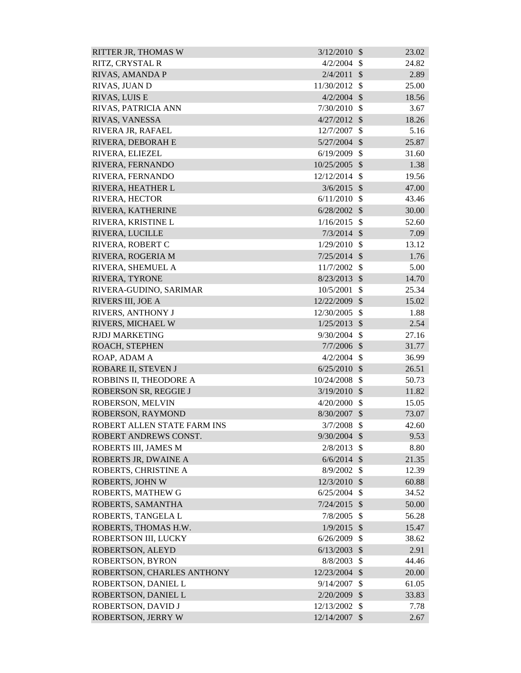| <b>RITTER JR, THOMAS W</b>  | 3/12/2010      | $\mathcal{S}$             | 23.02 |
|-----------------------------|----------------|---------------------------|-------|
| RITZ, CRYSTAL R             | 4/2/2004       | -S                        | 24.82 |
| RIVAS, AMANDA P             | 2/4/2011       | $\mathcal{S}$             | 2.89  |
| RIVAS, JUAN D               | 11/30/2012     | $\mathcal{S}$             | 25.00 |
| RIVAS, LUIS E               | $4/2/2004$ \$  |                           | 18.56 |
| RIVAS, PATRICIA ANN         | 7/30/2010      | $\mathcal{S}$             | 3.67  |
| RIVAS, VANESSA              | 4/27/2012      | $\mathcal{S}$             | 18.26 |
| RIVERA JR, RAFAEL           | 12/7/2007      | \$                        | 5.16  |
| RIVERA, DEBORAH E           | $5/27/2004$ \$ |                           | 25.87 |
| RIVERA, ELIEZEL             | 6/19/2009      | $\mathcal{S}$             | 31.60 |
| RIVERA, FERNANDO            | 10/25/2005     | $\mathcal{S}$             | 1.38  |
| RIVERA, FERNANDO            | 12/12/2014     | $\mathcal{S}$             | 19.56 |
| RIVERA, HEATHER L           | $3/6/2015$ \$  |                           | 47.00 |
| RIVERA, HECTOR              | 6/11/2010      | $\mathcal{S}$             | 43.46 |
| RIVERA, KATHERINE           | 6/28/2002      | $\mathcal{S}$             | 30.00 |
| RIVERA, KRISTINE L          | 1/16/2015      | $\mathcal{S}$             | 52.60 |
| RIVERA, LUCILLE             | 7/3/2014       | $\mathcal{S}$             | 7.09  |
| RIVERA, ROBERT C            | 1/29/2010      | $\mathcal{S}$             | 13.12 |
| RIVERA, ROGERIA M           | 7/25/2014      | $\mathcal{S}$             | 1.76  |
| RIVERA, SHEMUEL A           | 11/7/2002      | $\mathcal{S}$             | 5.00  |
| RIVERA, TYRONE              | 8/23/2013      | $\mathcal{S}$             | 14.70 |
| RIVERA-GUDINO, SARIMAR      | 10/5/2001      | $\mathcal{S}$             | 25.34 |
| RIVERS III, JOE A           | 12/22/2009     | $\mathcal{S}$             | 15.02 |
| RIVERS, ANTHONY J           | 12/30/2005     | $\mathcal{S}$             | 1.88  |
| RIVERS, MICHAEL W           | 1/25/2013      | $\mathcal{S}$             | 2.54  |
| <b>RJDJ MARKETING</b>       | 9/30/2004      | $\mathcal{S}$             | 27.16 |
| ROACH, STEPHEN              | $7/7/2006$ \$  |                           | 31.77 |
| ROAP, ADAM A                | 4/2/2004       | $\mathbb{S}$              | 36.99 |
| ROBARE II, STEVEN J         | 6/25/2010      | $\mathcal{S}$             | 26.51 |
| ROBBINS II, THEODORE A      | 10/24/2008     | $\mathcal{S}$             | 50.73 |
| ROBERSON SR, REGGIE J       | $3/19/2010$ \$ |                           | 11.82 |
| ROBERSON, MELVIN            | 4/20/2000      | \$                        | 15.05 |
| ROBERSON, RAYMOND           | 8/30/2007 \$   |                           | 73.07 |
| ROBERT ALLEN STATE FARM INS | 3/7/2008       | $\mathcal{S}$             | 42.60 |
| ROBERT ANDREWS CONST.       | $9/30/2004$ \$ |                           | 9.53  |
| ROBERTS III, JAMES M        | 2/8/2013       | $\mathcal{S}$             | 8.80  |
| ROBERTS JR, DWAINE A        | $6/6/2014$ \$  |                           | 21.35 |
| ROBERTS, CHRISTINE A        | 8/9/2002       | $\mathcal{S}$             | 12.39 |
| <b>ROBERTS, JOHN W</b>      | 12/3/2010 \$   |                           | 60.88 |
| ROBERTS, MATHEW G           | 6/25/2004      | $\mathcal{S}$             | 34.52 |
| ROBERTS, SAMANTHA           | $7/24/2015$ \$ |                           | 50.00 |
| ROBERTS, TANGELA L          | 7/8/2005       | $\mathcal{S}$             | 56.28 |
| ROBERTS, THOMAS H.W.        | $1/9/2015$ \$  |                           | 15.47 |
| ROBERTSON III, LUCKY        | 6/26/2009      | $\mathcal{S}$             | 38.62 |
| ROBERTSON, ALEYD            | 6/13/2003      | $\mathcal{S}$             | 2.91  |
| <b>ROBERTSON, BYRON</b>     | 8/8/2003       | $\mathcal{S}$             | 44.46 |
| ROBERTSON, CHARLES ANTHONY  | 12/23/2004     | $\mathcal{S}$             | 20.00 |
| ROBERTSON, DANIEL L         | 9/14/2007      | $\boldsymbol{\mathsf{S}}$ | 61.05 |
| ROBERTSON, DANIEL L         | 2/20/2009      | $\boldsymbol{\mathsf{S}}$ | 33.83 |
| ROBERTSON, DAVID J          | 12/13/2002     | $\mathbb{S}$              | 7.78  |
| <b>ROBERTSON, JERRY W</b>   | 12/14/2007     | $\sqrt$                   | 2.67  |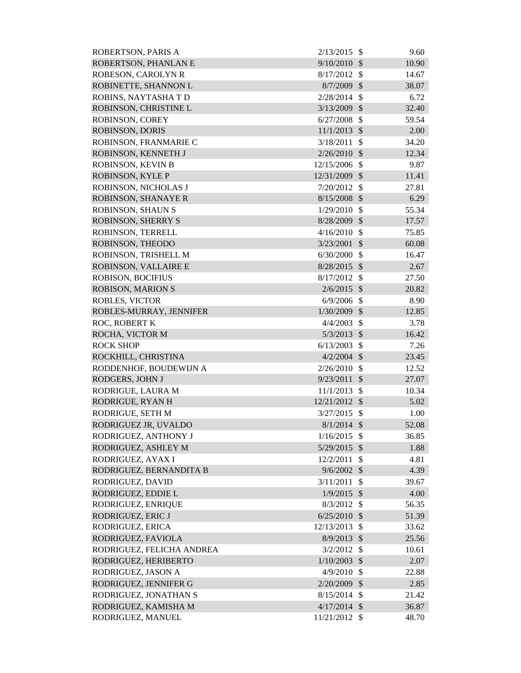| ROBERTSON, PARIS A         | 2/13/2015      | - \$                       | 9.60  |
|----------------------------|----------------|----------------------------|-------|
| ROBERTSON, PHANLAN E       | 9/10/2010      | $\mathcal{S}$              | 10.90 |
| ROBESON, CAROLYN R         | 8/17/2012      | $\mathcal{S}$              | 14.67 |
| ROBINETTE, SHANNON L       | 8/7/2009 \$    |                            | 38.07 |
| ROBINS, NAYTASHA T D       | 2/28/2014      | $\mathcal{S}$              | 6.72  |
| ROBINSON, CHRISTINE L      | 3/13/2009      | $\mathcal{S}$              | 32.40 |
| ROBINSON, COREY            | 6/27/2008      | $\mathcal{S}$              | 59.54 |
| <b>ROBINSON, DORIS</b>     | 11/1/2013      | $\mathcal{S}$              | 2.00  |
| ROBINSON, FRANMARIE C      | 3/18/2011      | $\mathcal{S}$              | 34.20 |
| ROBINSON, KENNETH J        | 2/26/2010      | $\mathcal{S}$              | 12.34 |
| ROBINSON, KEVIN B          | 12/15/2006     | $\mathcal{S}$              | 9.87  |
| ROBINSON, KYLE P           | 12/31/2009     | $\mathcal{S}$              | 11.41 |
| ROBINSON, NICHOLAS J       | 7/20/2012      | $\mathcal{S}$              | 27.81 |
| <b>ROBINSON, SHANAYE R</b> | 8/15/2008      | $\mathcal{S}$              | 6.29  |
| <b>ROBINSON, SHAUN S</b>   | 1/29/2010      | $\mathcal{S}$              | 55.34 |
| <b>ROBINSON, SHERRY S</b>  | 8/28/2009 \$   |                            | 17.57 |
| ROBINSON, TERRELL          | 4/16/2010      | $\mathcal{S}$              | 75.85 |
| ROBINSON, THEODO           | 3/23/2001      | $\boldsymbol{\mathcal{S}}$ | 60.08 |
| ROBINSON, TRISHELL M       | 6/30/2000      | $\mathcal{S}$              | 16.47 |
| ROBINSON, VALLAIRE E       | 8/28/2015      | $\mathcal{S}$              | 2.67  |
| ROBISON, BOCIFIUS          | 8/17/2012      | $\mathcal{S}$              | 27.50 |
| <b>ROBISON, MARION S</b>   | 2/6/2015       | $\mathcal{S}$              | 20.82 |
| <b>ROBLES, VICTOR</b>      | 6/9/2006       | $\mathcal{S}$              | 8.90  |
| ROBLES-MURRAY, JENNIFER    | 1/30/2009      | $\mathcal{S}$              | 12.85 |
| ROC, ROBERT K              | 4/4/2003       | $\mathcal{S}$              | 3.78  |
| ROCHA, VICTOR M            | 5/3/2013       | $\boldsymbol{\mathsf{S}}$  | 16.42 |
| <b>ROCK SHOP</b>           | 6/13/2003      | $\mathcal{S}$              | 7.26  |
| ROCKHILL, CHRISTINA        | $4/2/2004$ \$  |                            | 23.45 |
| RODDENHOF, BOUDEWIJN A     | 2/26/2010      | $\mathcal{S}$              | 12.52 |
| RODGERS, JOHN J            | 9/23/2011      | $\mathcal{S}$              | 27.07 |
| RODRIGUE, LAURA M          | 11/1/2013      | $\boldsymbol{\mathsf{S}}$  | 10.34 |
| RODRIGUE, RYAN H           | 12/21/2012 \$  |                            | 5.02  |
| RODRIGUE, SETH M           | 3/27/2015      | $\mathcal{S}$              | 1.00  |
| RODRIGUEZ JR, UVALDO       | $8/1/2014$ \$  |                            | 52.08 |
| RODRIGUEZ, ANTHONY J       | 1/16/2015      | $\mathbb{S}$               | 36.85 |
| RODRIGUEZ, ASHLEY M        | 5/29/2015      | $\boldsymbol{\mathcal{S}}$ | 1.88  |
| RODRIGUEZ, AYAX I          | 12/2/2011      | \$                         | 4.81  |
| RODRIGUEZ, BERNANDITA B    | 9/6/2002       | $\boldsymbol{\mathcal{S}}$ | 4.39  |
| RODRIGUEZ, DAVID           | 3/11/2011      | $\mathcal{S}$              | 39.67 |
| RODRIGUEZ, EDDIE L         | 1/9/2015       | $\mathcal{S}$              | 4.00  |
| RODRIGUEZ, ENRIQUE         | 8/3/2012       | $\boldsymbol{\mathsf{S}}$  | 56.35 |
| RODRIGUEZ, ERIC J          | 6/25/2010      | $\mathcal{S}$              | 51.39 |
| RODRIGUEZ, ERICA           | 12/13/2013     | -\$                        | 33.62 |
| RODRIGUEZ, FAVIOLA         | 8/9/2013       | $\mathcal{S}$              | 25.56 |
| RODRIGUEZ, FELICHA ANDREA  | 3/2/2012       | $\boldsymbol{\mathsf{S}}$  | 10.61 |
| RODRIGUEZ, HERIBERTO       | 1/10/2003      | $\sqrt{3}$                 | 2.07  |
| RODRIGUEZ, JASON A         | $4/9/2010$ \$  |                            | 22.88 |
| RODRIGUEZ, JENNIFER G      | $2/20/2009$ \$ |                            | 2.85  |
| RODRIGUEZ, JONATHAN S      | 8/15/2014      | $\mathcal{S}$              | 21.42 |
| RODRIGUEZ, KAMISHA M       | $4/17/2014$ \$ |                            | 36.87 |
| RODRIGUEZ, MANUEL          | 11/21/2012 \$  |                            | 48.70 |
|                            |                |                            |       |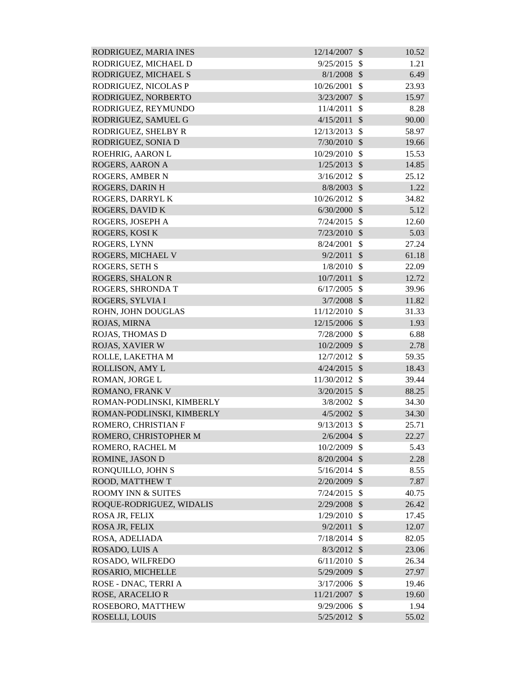| RODRIGUEZ, MARIA INES         | 12/14/2007     | $\mathcal{S}$           | 10.52 |
|-------------------------------|----------------|-------------------------|-------|
| RODRIGUEZ, MICHAEL D          | 9/25/2015      | $\mathcal{S}$           | 1.21  |
| RODRIGUEZ, MICHAEL S          | 8/1/2008       | $\mathcal{S}$           | 6.49  |
| RODRIGUEZ, NICOLAS P          | 10/26/2001     | $\mathcal{S}$           | 23.93 |
| RODRIGUEZ, NORBERTO           | 3/23/2007      | $\mathcal{S}$           | 15.97 |
| RODRIGUEZ, REYMUNDO           | 11/4/2011      | $\mathcal{S}$           | 8.28  |
| RODRIGUEZ, SAMUEL G           | 4/15/2011      | $\mathcal{S}$           | 90.00 |
| RODRIGUEZ, SHELBY R           | 12/13/2013     | $\mathcal{S}$           | 58.97 |
| RODRIGUEZ, SONIA D            | 7/30/2010      | $\mathcal{S}$           | 19.66 |
| ROEHRIG, AARON L              | 10/29/2010     | $\mathcal{S}$           | 15.53 |
| ROGERS, AARON A               | 1/25/2013      | $\mathcal{S}$           | 14.85 |
| ROGERS, AMBER N               | 3/16/2012      | $\mathcal{S}$           | 25.12 |
| ROGERS, DARIN H               | 8/8/2003       | $\mathcal{S}$           | 1.22  |
| ROGERS, DARRYL K              | 10/26/2012     | $\mathcal{S}$           | 34.82 |
| ROGERS, DAVID K               | 6/30/2000      | $\mathcal{S}$           | 5.12  |
| ROGERS, JOSEPH A              | 7/24/2015      | $\mathcal{S}$           | 12.60 |
| <b>ROGERS, KOSI K</b>         | 7/23/2010      | $\mathcal{S}$           | 5.03  |
| ROGERS, LYNN                  | 8/24/2001      | $\mathcal{S}$           | 27.24 |
| ROGERS, MICHAEL V             | 9/2/2011       | $\mathcal{S}$           | 61.18 |
| <b>ROGERS, SETH S</b>         | 1/8/2010       | $\mathcal{S}$           | 22.09 |
| <b>ROGERS, SHALON R</b>       | 10/7/2011      | $\mathcal{S}$           | 12.72 |
| ROGERS, SHRONDA T             | 6/17/2005      | $\mathcal{S}$           | 39.96 |
| ROGERS, SYLVIA I              | 3/7/2008       | $\mathcal{S}$           | 11.82 |
| ROHN, JOHN DOUGLAS            | 11/12/2010     | $\mathcal{S}$           | 31.33 |
| ROJAS, MIRNA                  | 12/15/2006     | $\mathcal{S}$           | 1.93  |
| ROJAS, THOMAS D               | 7/28/2000      | $\mathcal{S}$           | 6.88  |
| ROJAS, XAVIER W               | 10/2/2009      | $\mathcal{S}$           | 2.78  |
| ROLLE, LAKETHA M              | 12/7/2012      | $\mathcal{S}$           | 59.35 |
| ROLLISON, AMY L               | 4/24/2015      | $\mathcal{S}$           | 18.43 |
| ROMAN, JORGE L                | 11/30/2012     | $\mathcal{S}$           | 39.44 |
| ROMANO, FRANK V               | $3/20/2015$ \$ |                         | 88.25 |
| ROMAN-PODLINSKI, KIMBERLY     | 3/8/2002       | <sup>\$</sup>           | 34.30 |
| ROMAN-PODLINSKI, KIMBERLY     | $4/5/2002$ \$  |                         | 34.30 |
| ROMERO, CHRISTIAN F           | 9/13/2013      | $\mathcal{S}$           | 25.71 |
| ROMERO, CHRISTOPHER M         | $2/6/2004$ \$  |                         | 22.27 |
| ROMERO, RACHEL M              | 10/2/2009      | $\mathcal{S}$           | 5.43  |
| ROMINE, JASON D               | 8/20/2004      | $\mathcal{S}$           | 2.28  |
| RONQUILLO, JOHN S             | 5/16/2014      | $\mathcal{S}$           | 8.55  |
| ROOD, MATTHEW T               | 2/20/2009      | $\mathcal{S}$           | 7.87  |
| <b>ROOMY INN &amp; SUITES</b> | 7/24/2015      | $\mathcal{S}$           | 40.75 |
| ROQUE-RODRIGUEZ, WIDALIS      | 2/29/2008      | $\mathcal{S}$           | 26.42 |
| ROSA JR, FELIX                | 1/29/2010      | $\mathcal{S}$           | 17.45 |
| ROSA JR, FELIX                | 9/2/2011       | $\mathcal{S}$           | 12.07 |
| ROSA, ADELIADA                | 7/18/2014      | $\mathcal{S}$           | 82.05 |
| ROSADO, LUIS A                | 8/3/2012       | $\mathcal{S}$           | 23.06 |
| ROSADO, WILFREDO              | 6/11/2010      | $\mathcal{S}$           | 26.34 |
| ROSARIO, MICHELLE             | 5/29/2009      | $\mathcal{S}$           | 27.97 |
| ROSE - DNAC, TERRI A          | 3/17/2006      | \$                      | 19.46 |
| ROSE, ARACELIO R              | 11/21/2007     | $\sqrt[6]{\frac{1}{2}}$ | 19.60 |
| ROSEBORO, MATTHEW             | 9/29/2006      | $\mathbb{S}$            | 1.94  |
| ROSELLI, LOUIS                | 5/25/2012 \$   |                         | 55.02 |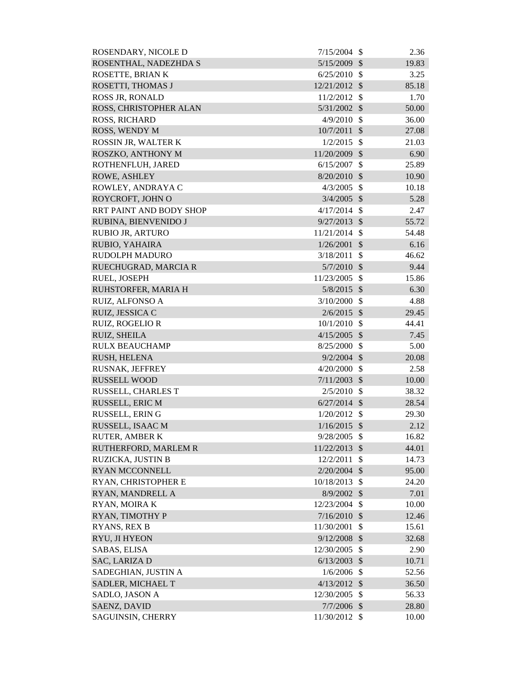| ROSENDARY, NICOLE D            | 7/15/2004      | -\$           | 2.36  |
|--------------------------------|----------------|---------------|-------|
| ROSENTHAL, NADEZHDA S          | 5/15/2009      | $\mathcal{S}$ | 19.83 |
| ROSETTE, BRIAN K               | $6/25/2010$ \$ |               | 3.25  |
| ROSETTI, THOMAS J              | 12/21/2012 \$  |               | 85.18 |
| <b>ROSS JR, RONALD</b>         | 11/2/2012      | $\mathcal{S}$ | 1.70  |
| ROSS, CHRISTOPHER ALAN         | $5/31/2002$ \$ |               | 50.00 |
| <b>ROSS, RICHARD</b>           | 4/9/2010       | $\mathcal{S}$ | 36.00 |
| ROSS, WENDY M                  | 10/7/2011      | $\mathcal{S}$ | 27.08 |
| ROSSIN JR, WALTER K            | 1/2/2015       | $\mathcal{S}$ | 21.03 |
| ROSZKO, ANTHONY M              | 11/20/2009 \$  |               | 6.90  |
| ROTHENFLUH, JARED              | 6/15/2007      | $\mathcal{S}$ | 25.89 |
| ROWE, ASHLEY                   | 8/20/2010      | $\mathcal{S}$ | 10.90 |
| ROWLEY, ANDRAYA C              | 4/3/2005       | $\mathcal{S}$ | 10.18 |
| ROYCROFT, JOHN O               | 3/4/2005       | $\mathcal{S}$ | 5.28  |
| <b>RRT PAINT AND BODY SHOP</b> | 4/17/2014      | $\mathcal{S}$ | 2.47  |
| RUBINA, BIENVENIDO J           | 9/27/2013      | $\mathcal{S}$ | 55.72 |
| RUBIO JR, ARTURO               | 11/21/2014     | $\mathcal{S}$ | 54.48 |
| RUBIO, YAHAIRA                 | 1/26/2001      | $\mathcal{S}$ | 6.16  |
| <b>RUDOLPH MADURO</b>          | 3/18/2011      | $\mathcal{S}$ | 46.62 |
| RUECHUGRAD, MARCIA R           | $5/7/2010$ \$  |               | 9.44  |
| RUEL, JOSEPH                   | 11/23/2005     | $\mathcal{S}$ | 15.86 |
| RUHSTORFER, MARIA H            | $5/8/2015$ \$  |               | 6.30  |
| RUIZ, ALFONSO A                | 3/10/2000      | $\mathcal{S}$ | 4.88  |
| RUIZ, JESSICA C                | $2/6/2015$ \$  |               | 29.45 |
| <b>RUIZ, ROGELIO R</b>         | 10/1/2010      | $\mathcal{S}$ | 44.41 |
| RUIZ, SHEILA                   | $4/15/2005$ \$ |               | 7.45  |
| <b>RULX BEAUCHAMP</b>          | 8/25/2000      | -\$           | 5.00  |
| RUSH, HELENA                   | 9/2/2004       | $\mathcal{S}$ | 20.08 |
| RUSNAK, JEFFREY                | 4/20/2000      | \$            | 2.58  |
| <b>RUSSELL WOOD</b>            | 7/11/2003      | $\mathcal{S}$ | 10.00 |
| RUSSELL, CHARLES T             | $2/5/2010$ \$  |               | 38.32 |
| RUSSELL, ERIC M                | 6/27/2014      | $\mathcal{S}$ | 28.54 |
| RUSSELL, ERING                 | 1/20/2012      | $\mathcal{S}$ | 29.30 |
| RUSSELL, ISAAC M               | 1/16/2015      | $\mathcal{S}$ | 2.12  |
| <b>RUTER, AMBER K</b>          | 9/28/2005      | $\mathcal{S}$ | 16.82 |
| RUTHERFORD, MARLEM R           | 11/22/2013     | $\mathcal{S}$ | 44.01 |
| RUZICKA, JUSTIN B              | 12/2/2011      | $\mathcal{S}$ | 14.73 |
| <b>RYAN MCCONNELL</b>          | 2/20/2004      | $\mathcal{S}$ | 95.00 |
| RYAN, CHRISTOPHER E            | 10/18/2013     | $\mathcal{S}$ | 24.20 |
| RYAN, MANDRELL A               | 8/9/2002       | $\mathcal{S}$ | 7.01  |
| RYAN, MOIRA K                  | 12/23/2004     | $\mathcal{S}$ | 10.00 |
| RYAN, TIMOTHY P                | 7/16/2010      | $\mathcal{S}$ | 12.46 |
| <b>RYANS, REX B</b>            | 11/30/2001     | $\mathcal{S}$ | 15.61 |
| RYU, JI HYEON                  | 9/12/2008      | $\mathcal{S}$ | 32.68 |
| SABAS, ELISA                   | 12/30/2005     | $\mathcal{S}$ | 2.90  |
| SAC, LARIZA D                  | 6/13/2003      | $\mathcal{S}$ | 10.71 |
| SADEGHIAN, JUSTIN A            | 1/6/2006       | $\mathcal{S}$ | 52.56 |
| SADLER, MICHAEL T              | 4/13/2012      | $\mathcal{S}$ | 36.50 |
| SADLO, JASON A                 | 12/30/2005     | $\mathcal{S}$ | 56.33 |
| SAENZ, DAVID                   | $7/7/2006$ \$  |               | 28.80 |
| SAGUINSIN, CHERRY              | 11/30/2012 \$  |               | 10.00 |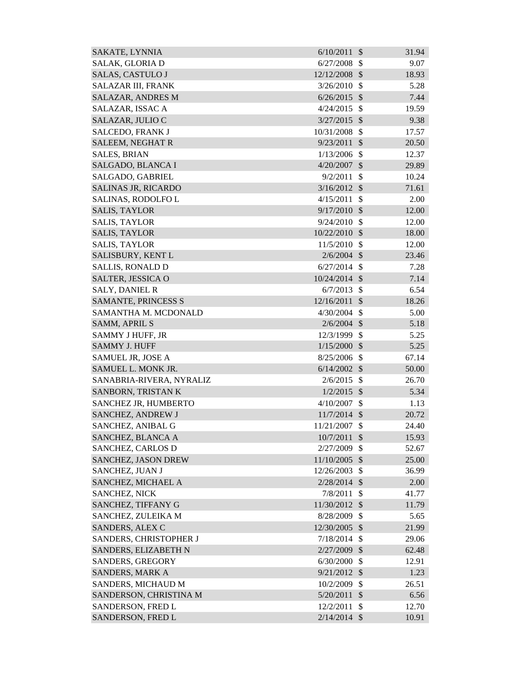| SAKATE, LYNNIA           | 6/10/2011      | $\mathcal{S}$ | 31.94 |
|--------------------------|----------------|---------------|-------|
| SALAK, GLORIA D          | 6/27/2008      | $\mathcal{S}$ | 9.07  |
| <b>SALAS, CASTULO J</b>  | 12/12/2008     | $\mathcal{S}$ | 18.93 |
| SALAZAR III, FRANK       | 3/26/2010      | \$            | 5.28  |
| <b>SALAZAR, ANDRES M</b> | 6/26/2015      | $\mathcal{S}$ | 7.44  |
| SALAZAR, ISSAC A         | 4/24/2015      | $\mathcal{S}$ | 19.59 |
| SALAZAR, JULIO C         | 3/27/2015      | $\mathcal{S}$ | 9.38  |
| SALCEDO, FRANK J         | 10/31/2008     | $\mathcal{S}$ | 17.57 |
| SALEEM, NEGHAT R         | 9/23/2011      | $\mathcal{S}$ | 20.50 |
| <b>SALES, BRIAN</b>      | 1/13/2006      | $\mathcal{S}$ | 12.37 |
| SALGADO, BLANCA I        | 4/20/2007      | $\mathcal{S}$ | 29.89 |
| SALGADO, GABRIEL         | 9/2/2011       | \$            | 10.24 |
| SALINAS JR, RICARDO      | 3/16/2012      | $\mathcal{S}$ | 71.61 |
| SALINAS, RODOLFO L       | 4/15/2011      | $\mathcal{S}$ | 2.00  |
| <b>SALIS, TAYLOR</b>     | 9/17/2010      | $\mathcal{S}$ | 12.00 |
| <b>SALIS, TAYLOR</b>     | 9/24/2010      | $\mathcal{S}$ | 12.00 |
| <b>SALIS, TAYLOR</b>     | 10/22/2010     | $\mathcal{S}$ | 18.00 |
| <b>SALIS, TAYLOR</b>     | 11/5/2010      | $\mathcal{S}$ | 12.00 |
| SALISBURY, KENT L        | $2/6/2004$ \$  |               | 23.46 |
| <b>SALLIS, RONALD D</b>  | 6/27/2014      | $\mathbb{S}$  | 7.28  |
| SALTER, JESSICA O        | 10/24/2014     | $\mathcal{S}$ | 7.14  |
| <b>SALY, DANIEL R</b>    | 6/7/2013       | $\mathcal{S}$ | 6.54  |
| SAMANTE, PRINCESS S      | 12/16/2011     | $\mathcal{S}$ | 18.26 |
| SAMANTHA M. MCDONALD     | 4/30/2004      | $\mathcal{S}$ | 5.00  |
| SAMM, APRIL S            | $2/6/2004$ \$  |               | 5.18  |
| SAMMY J HUFF, JR         | 12/3/1999      | $\mathcal{S}$ | 5.25  |
| <b>SAMMY J. HUFF</b>     | 1/15/2000      | $\mathcal{S}$ | 5.25  |
| SAMUEL JR, JOSE A        | 8/25/2006      | $\mathbb{S}$  | 67.14 |
| SAMUEL L. MONK JR.       | 6/14/2002      | $\mathcal{S}$ | 50.00 |
| SANABRIA-RIVERA, NYRALIZ | $2/6/2015$ \$  |               | 26.70 |
| SANBORN, TRISTAN K       | $1/2/2015$ \$  |               | 5.34  |
| SANCHEZ JR, HUMBERTO     | 4/10/2007      | \$            | 1.13  |
| SANCHEZ, ANDREW J        | 11/7/2014      | $\mathcal{S}$ | 20.72 |
| SANCHEZ, ANIBAL G        | 11/21/2007     | \$            | 24.40 |
| SANCHEZ, BLANCA A        | 10/7/2011      | $\mathcal{S}$ | 15.93 |
| SANCHEZ, CARLOS D        | 2/27/2009      | \$            | 52.67 |
| SANCHEZ, JASON DREW      | 11/10/2005     | $\mathcal{S}$ | 25.00 |
| SANCHEZ, JUAN J          | 12/26/2003     | $\mathcal{S}$ | 36.99 |
| SANCHEZ, MICHAEL A       | 2/28/2014      | $\mathcal{S}$ | 2.00  |
| SANCHEZ, NICK            | 7/8/2011       | \$            | 41.77 |
| SANCHEZ, TIFFANY G       | 11/30/2012     | $\mathcal{S}$ | 11.79 |
| SANCHEZ, ZULEIKA M       | 8/28/2009      | \$            | 5.65  |
| SANDERS, ALEX C          | 12/30/2005     | $\mathcal{S}$ | 21.99 |
| SANDERS, CHRISTOPHER J   | 7/18/2014      | $\mathcal{S}$ | 29.06 |
| SANDERS, ELIZABETH N     | 2/27/2009      | $\mathcal{S}$ | 62.48 |
| SANDERS, GREGORY         | 6/30/2000      | $\mathcal{S}$ | 12.91 |
| SANDERS, MARK A          | 9/21/2012      | $\mathcal{S}$ | 1.23  |
| SANDERS, MICHAUD M       | 10/2/2009      | $\mathcal{S}$ | 26.51 |
| SANDERSON, CHRISTINA M   | 5/20/2011      | $\mathcal{S}$ | 6.56  |
| SANDERSON, FRED L        | 12/2/2011      | $\mathcal{S}$ | 12.70 |
| SANDERSON, FRED L        | $2/14/2014$ \$ |               | 10.91 |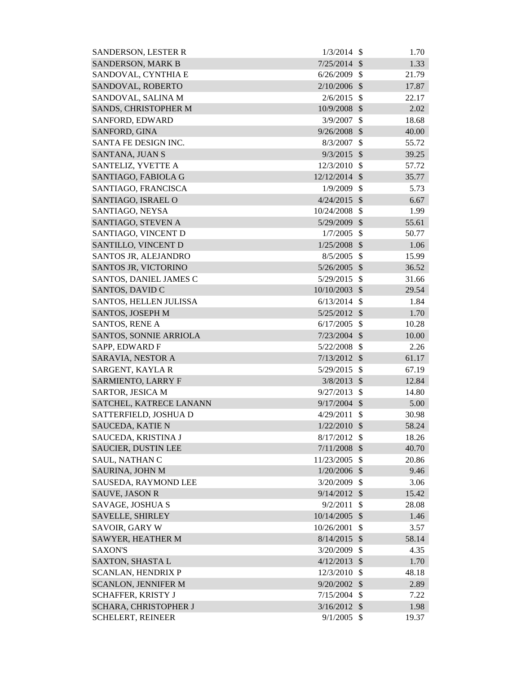| <b>SANDERSON, LESTER R</b>                    | 1/3/2014       | -\$                       | 1.70          |
|-----------------------------------------------|----------------|---------------------------|---------------|
| <b>SANDERSON, MARK B</b>                      | 7/25/2014      | $\mathcal{S}$             | 1.33          |
| SANDOVAL, CYNTHIA E                           | 6/26/2009      | $\mathcal{S}$             | 21.79         |
| SANDOVAL, ROBERTO                             | 2/10/2006      | $\mathcal{S}$             | 17.87         |
| SANDOVAL, SALINA M                            | 2/6/2015       | $\mathcal{S}$             | 22.17         |
| SANDS, CHRISTOPHER M                          | 10/9/2008      | $\mathcal{S}$             | 2.02          |
| SANFORD, EDWARD                               | 3/9/2007       | $\mathcal{S}$             | 18.68         |
| SANFORD, GINA                                 | $9/26/2008$ \$ |                           | 40.00         |
| SANTA FE DESIGN INC.                          | 8/3/2007       | $\mathcal{S}$             | 55.72         |
| <b>SANTANA, JUAN S</b>                        | $9/3/2015$ \$  |                           | 39.25         |
| SANTELIZ, YVETTE A                            | 12/3/2010      | $\mathcal{S}$             | 57.72         |
| SANTIAGO, FABIOLA G                           | 12/12/2014     | $\mathcal{S}$             | 35.77         |
| SANTIAGO, FRANCISCA                           | 1/9/2009       | $\mathcal{S}$             | 5.73          |
| SANTIAGO, ISRAEL O                            | $4/24/2015$ \$ |                           | 6.67          |
| SANTIAGO, NEYSA                               | 10/24/2008     | $\mathcal{S}$             | 1.99          |
| SANTIAGO, STEVEN A                            | 5/29/2009      | $\mathcal{S}$             | 55.61         |
| SANTIAGO, VINCENT D                           | 1/7/2005       | $\mathcal{S}$             | 50.77         |
| SANTILLO, VINCENT D                           | 1/25/2008      | $\mathcal{S}$             | 1.06          |
| SANTOS JR, ALEJANDRO                          | 8/5/2005       | $\mathcal{S}$             | 15.99         |
| SANTOS JR, VICTORINO                          | 5/26/2005      | $\mathcal{S}$             | 36.52         |
| SANTOS, DANIEL JAMES C                        | 5/29/2015      | $\mathcal{S}$             | 31.66         |
| SANTOS, DAVID C                               | 10/10/2003     | $\mathcal{S}$             | 29.54         |
| SANTOS, HELLEN JULISSA                        | 6/13/2014      | $\mathcal{S}$             | 1.84          |
| SANTOS, JOSEPH M                              | 5/25/2012      | $\mathcal{S}$             | 1.70          |
| SANTOS, RENE A                                | 6/17/2005      | $\mathcal{S}$             | 10.28         |
| SANTOS, SONNIE ARRIOLA                        | 7/23/2004      | $\mathcal{S}$             | 10.00         |
| SAPP, EDWARD F                                | 5/22/2008      | $\mathcal{S}$             | 2.26          |
| SARAVIA, NESTOR A                             | 7/13/2012      | $\mathcal{S}$             | 61.17         |
| SARGENT, KAYLA R                              | 5/29/2015      | $\mathcal{S}$             | 67.19         |
| <b>SARMIENTO, LARRY F</b>                     | $3/8/2013$ \$  |                           | 12.84         |
| SARTOR, JESICA M                              | $9/27/2013$ \$ |                           | 14.80         |
| SATCHEL, KATRECE LANANN                       | 9/17/2004      | $\mathcal{S}$             | 5.00          |
| SATTERFIELD, JOSHUA D                         | 4/29/2011      | $\mathcal{S}$             | 30.98         |
| SAUCEDA, KATIE N                              | 1/22/2010      | $\mathcal{S}$             | 58.24         |
| SAUCEDA, KRISTINA J                           | 8/17/2012      | $\mathcal{S}$             | 18.26         |
| <b>SAUCIER, DUSTIN LEE</b>                    | 7/11/2008      | $\sqrt{3}$                | 40.70         |
| SAUL, NATHAN C                                | 11/23/2005     | $\mathcal{S}$             | 20.86         |
| SAURINA, JOHN M                               | $1/20/2006$ \$ |                           | 9.46          |
| SAUSEDA, RAYMOND LEE                          | 3/20/2009      | -\$                       | 3.06          |
| <b>SAUVE, JASON R</b>                         | 9/14/2012      | $\mathcal{S}$             | 15.42         |
| SAVAGE, JOSHUA S                              | 9/2/2011       | $\mathcal{S}$             | 28.08         |
| SAVELLE, SHIRLEY                              | 10/14/2005     | $\mathcal{S}$             | 1.46          |
| SAVOIR, GARY W                                | 10/26/2001     | $\mathcal{S}$             | 3.57          |
| SAWYER, HEATHER M                             | 8/14/2015      | $\mathcal{S}$             | 58.14         |
| <b>SAXON'S</b>                                | 3/20/2009      | \$                        | 4.35          |
|                                               | 4/12/2013      | $\mathcal{S}$             |               |
| SAXTON, SHASTA L<br><b>SCANLAN, HENDRIX P</b> | 12/3/2010      | $\mathcal{S}$             | 1.70<br>48.18 |
| <b>SCANLON, JENNIFER M</b>                    | 9/20/2002      | $\mathcal{S}$             | 2.89          |
| <b>SCHAFFER, KRISTY J</b>                     | 7/15/2004      | $\boldsymbol{\mathsf{S}}$ | 7.22          |
| SCHARA, CHRISTOPHER J                         | $3/16/2012$ \$ |                           | 1.98          |
| <b>SCHELERT, REINEER</b>                      | $9/1/2005$ \$  |                           | 19.37         |
|                                               |                |                           |               |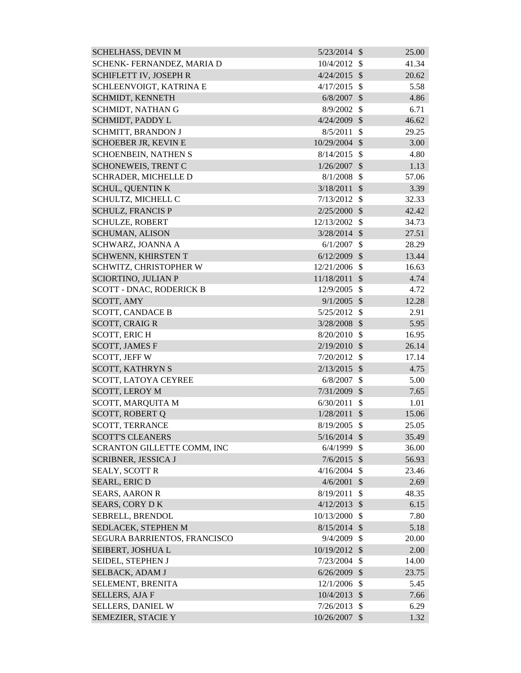| <b>SCHELHASS, DEVIN M</b>       | $5/23/2014$ \$ |                            | 25.00 |
|---------------------------------|----------------|----------------------------|-------|
| SCHENK- FERNANDEZ, MARIA D      | 10/4/2012      | $\mathbb{S}$               | 41.34 |
| SCHIFLETT IV, JOSEPH R          | 4/24/2015      | $\mathcal{S}$              | 20.62 |
| SCHLEENVOIGT, KATRINA E         | 4/17/2015      | $\mathcal{S}$              | 5.58  |
| SCHMIDT, KENNETH                | 6/8/2007       | $\mathcal{S}$              | 4.86  |
| SCHMIDT, NATHAN G               | 8/9/2002       | $\mathcal{S}$              | 6.71  |
| SCHMIDT, PADDY L                | 4/24/2009      | $\mathcal{S}$              | 46.62 |
| <b>SCHMITT, BRANDON J</b>       | 8/5/2011       | $\mathcal{S}$              | 29.25 |
| <b>SCHOEBER JR, KEVIN E</b>     | 10/29/2004 \$  |                            | 3.00  |
| <b>SCHOENBEIN, NATHEN S</b>     | 8/14/2015      | $\mathcal{S}$              | 4.80  |
| <b>SCHONEWEIS, TRENT C</b>      | 1/26/2007      | $\mathcal{S}$              | 1.13  |
| SCHRADER, MICHELLE D            | 8/1/2008       | $\mathcal{S}$              | 57.06 |
| <b>SCHUL, QUENTIN K</b>         | 3/18/2011      | $\mathcal{S}$              | 3.39  |
| SCHULTZ, MICHELL C              | 7/13/2012      | $\mathbb{S}$               | 32.33 |
| <b>SCHULZ, FRANCIS P</b>        | $2/25/2000$ \$ |                            | 42.42 |
| <b>SCHULZE, ROBERT</b>          | 12/13/2002     | $\mathcal{S}$              | 34.73 |
| <b>SCHUMAN, ALISON</b>          | 3/28/2014      | $\mathcal{S}$              | 27.51 |
| SCHWARZ, JOANNA A               | 6/1/2007       | $\mathcal{S}$              | 28.29 |
| SCHWENN, KHIRSTEN T             | 6/12/2009      | $\mathcal{S}$              | 13.44 |
| SCHWITZ, CHRISTOPHER W          | 12/21/2006     | $\mathcal{S}$              | 16.63 |
| <b>SCIORTINO, JULIAN P</b>      | 11/18/2011     | $\mathcal{S}$              | 4.74  |
| <b>SCOTT - DNAC, RODERICK B</b> | 12/9/2005      | $\mathcal{S}$              | 4.72  |
| SCOTT, AMY                      | $9/1/2005$ \$  |                            | 12.28 |
| <b>SCOTT, CANDACE B</b>         | 5/25/2012      | \$                         | 2.91  |
| <b>SCOTT, CRAIG R</b>           | 3/28/2008      | $\mathcal{S}$              | 5.95  |
| <b>SCOTT, ERICH</b>             | 8/20/2010      | $\mathcal{S}$              | 16.95 |
| <b>SCOTT, JAMES F</b>           | 2/19/2010      | $\mathcal{S}$              | 26.14 |
| <b>SCOTT, JEFF W</b>            | 7/20/2012      | $\mathcal{S}$              | 17.14 |
| <b>SCOTT, KATHRYN S</b>         | 2/13/2015      | $\mathcal{S}$              | 4.75  |
| SCOTT, LATOYA CEYREE            | 6/8/2007       | $\mathcal{S}$              | 5.00  |
| SCOTT, LEROY M                  | 7/31/2009 \$   |                            | 7.65  |
| SCOTT, MARQUITA M               | 6/30/2011      | $\mathcal{S}$              | 1.01  |
| <b>SCOTT, ROBERT Q</b>          | 1/28/2011      | \$                         | 15.06 |
| <b>SCOTT, TERRANCE</b>          | 8/19/2005      | $\mathcal{S}$              | 25.05 |
| <b>SCOTT'S CLEANERS</b>         | $5/16/2014$ \$ |                            | 35.49 |
| SCRANTON GILLETTE COMM, INC     | 6/4/1999       | $\mathcal{S}$              | 36.00 |
| <b>SCRIBNER, JESSICA J</b>      | $7/6/2015$ \$  |                            | 56.93 |
| <b>SEALY, SCOTT R</b>           | 4/16/2004      | $\mathcal{S}$              | 23.46 |
| <b>SEARL, ERIC D</b>            | 4/6/2001       | $\mathcal{S}$              | 2.69  |
| <b>SEARS, AARON R</b>           | 8/19/2011      | $\mathcal{S}$              | 48.35 |
| <b>SEARS, CORY DK</b>           | $4/12/2013$ \$ |                            | 6.15  |
| SEBRELL, BRENDOL                | 10/13/2000     | $\mathcal{S}$              | 7.80  |
| SEDLACEK, STEPHEN M             | $8/15/2014$ \$ |                            | 5.18  |
| SEGURA BARRIENTOS, FRANCISCO    | 9/4/2009       | \$                         | 20.00 |
| SEIBERT, JOSHUA L               | 10/19/2012     | $\mathcal{S}$              | 2.00  |
| SEIDEL, STEPHEN J               | 7/23/2004      | $\mathcal{S}$              | 14.00 |
| SELBACK, ADAM J                 | 6/26/2009      | $\mathcal{S}$              | 23.75 |
| SELEMENT, BRENITA               | 12/1/2006      | \$                         | 5.45  |
| <b>SELLERS, AJA F</b>           | 10/4/2013      | $\boldsymbol{\mathcal{S}}$ | 7.66  |
| <b>SELLERS, DANIEL W</b>        | 7/26/2013      | -S                         | 6.29  |
| SEMEZIER, STACIE Y              | 10/26/2007     | $\mathcal{S}$              | 1.32  |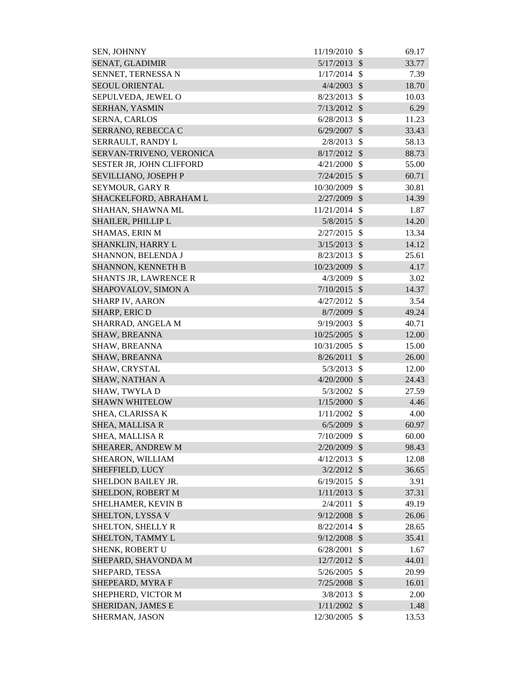| SEN, JOHNNY                  | 11/19/2010 | \$                        | 69.17 |
|------------------------------|------------|---------------------------|-------|
| SENAT, GLADIMIR              | 5/17/2013  | $\mathcal{S}$             | 33.77 |
| SENNET, TERNESSA N           | 1/17/2014  | $\mathcal{S}$             | 7.39  |
| <b>SEOUL ORIENTAL</b>        | 4/4/2003   | $\mathcal{S}$             | 18.70 |
| SEPULVEDA, JEWEL O           | 8/23/2013  | $\mathcal{S}$             | 10.03 |
| <b>SERHAN, YASMIN</b>        | 7/13/2012  | $\mathcal{S}$             | 6.29  |
| <b>SERNA, CARLOS</b>         | 6/28/2013  | $\mathcal{S}$             | 11.23 |
| SERRANO, REBECCA C           | 6/29/2007  | $\mathcal{S}$             | 33.43 |
| SERRAULT, RANDY L            | 2/8/2013   | $\mathcal{S}$             | 58.13 |
| SERVAN-TRIVENO, VERONICA     | 8/17/2012  | $\mathcal{S}$             | 88.73 |
| SESTER JR, JOHN CLIFFORD     | 4/21/2000  | $\mathcal{S}$             | 55.00 |
| SEVILLIANO, JOSEPH P         | 7/24/2015  | $\mathcal{S}$             | 60.71 |
| <b>SEYMOUR, GARY R</b>       | 10/30/2009 | $\mathcal{S}$             | 30.81 |
| SHACKELFORD, ABRAHAM L       | 2/27/2009  | $\mathcal{S}$             | 14.39 |
| SHAHAN, SHAWNA ML            | 11/21/2014 | $\mathcal{S}$             | 1.87  |
| SHAILER, PHILLIP L           | 5/8/2015   | $\mathcal{S}$             | 14.20 |
| <b>SHAMAS, ERIN M</b>        | 2/27/2015  | $\mathcal{S}$             | 13.34 |
| SHANKLIN, HARRY L            | 3/15/2013  | $\mathcal{S}$             | 14.12 |
| SHANNON, BELENDA J           | 8/23/2013  | $\mathcal{S}$             | 25.61 |
| SHANNON, KENNETH B           | 10/23/2009 | $\mathcal{S}$             | 4.17  |
| <b>SHANTS JR, LAWRENCE R</b> | 4/3/2009   | $\mathcal{S}$             | 3.02  |
| SHAPOVALOV, SIMON A          | 7/10/2015  | $\mathcal{S}$             | 14.37 |
| <b>SHARP IV, AARON</b>       | 4/27/2012  | $\mathcal{S}$             | 3.54  |
| <b>SHARP, ERIC D</b>         | 8/7/2009   | $\mathcal{S}$             | 49.24 |
| SHARRAD, ANGELA M            | 9/19/2003  | $\mathcal{S}$             | 40.71 |
| <b>SHAW, BREANNA</b>         | 10/25/2005 | $\mathcal{S}$             | 12.00 |
| SHAW, BREANNA                | 10/31/2005 | $\mathcal{S}$             | 15.00 |
| <b>SHAW, BREANNA</b>         | 8/26/2011  | $\mathcal{S}$             | 26.00 |
| SHAW, CRYSTAL                | 5/3/2013   | $\mathcal{S}$             | 12.00 |
| SHAW, NATHAN A               | 4/20/2000  | $\mathcal{S}$             | 24.43 |
| SHAW, TWYLA D                | 5/3/2002   | \$                        | 27.59 |
| <b>SHAWN WHITELOW</b>        | 1/15/2000  | $\mathcal{S}$             | 4.46  |
| SHEA, CLARISSA K             | 1/11/2002  | $\mathcal{S}$             | 4.00  |
| <b>SHEA, MALLISA R</b>       | 6/5/2009   | $\mathcal{S}$             | 60.97 |
| <b>SHEA, MALLISA R</b>       | 7/10/2009  | $\mathcal{S}$             | 60.00 |
| SHEARER, ANDREW M            | 2/20/2009  | \$                        | 98.43 |
| SHEARON, WILLIAM             | 4/12/2013  | $\mathcal{S}$             | 12.08 |
| SHEFFIELD, LUCY              | 3/2/2012   | $\mathcal{S}$             | 36.65 |
| SHELDON BAILEY JR.           | 6/19/2015  | $\mathcal{S}$             | 3.91  |
| SHELDON, ROBERT M            | 1/11/2013  | $\mathcal{S}$             | 37.31 |
| SHELHAMER, KEVIN B           | 2/4/2011   | \$                        | 49.19 |
| SHELTON, LYSSA V             | 9/12/2008  | $\mathcal{S}$             | 26.06 |
| SHELTON, SHELLY R            | 8/22/2014  | $\mathcal{S}$             | 28.65 |
| SHELTON, TAMMY L             | 9/12/2008  | $\boldsymbol{\mathsf{S}}$ | 35.41 |
| SHENK, ROBERT U              | 6/28/2001  | \$                        | 1.67  |
| SHEPARD, SHAVONDA M          | 12/7/2012  | $\mathcal{S}$             | 44.01 |
| SHEPARD, TESSA               | 5/26/2005  | $\mathcal{S}$             | 20.99 |
| SHEPEARD, MYRA F             | 7/25/2008  | $\boldsymbol{\mathsf{S}}$ | 16.01 |
| SHEPHERD, VICTOR M           | 3/8/2013   | $\mathcal{S}$             | 2.00  |
| SHERIDAN, JAMES E            | 1/11/2002  | $\mathcal{S}$             | 1.48  |
| SHERMAN, JASON               | 12/30/2005 | $\mathcal{S}$             | 13.53 |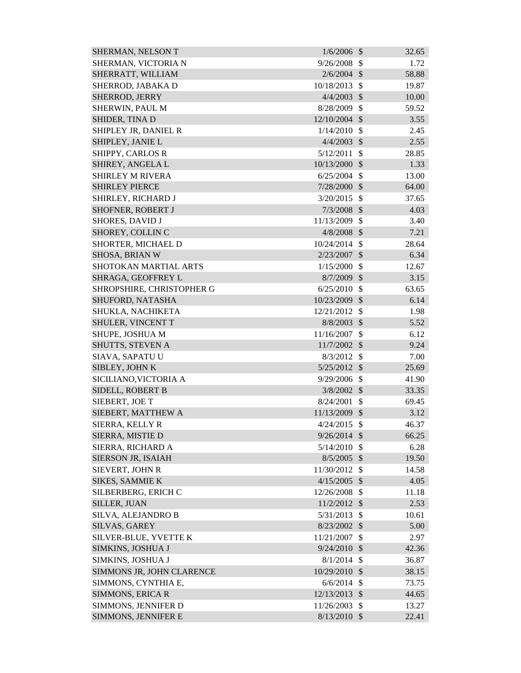| SHERMAN, NELSON T            | 1/6/2006       | $\mathcal{S}$                  | 32.65         |
|------------------------------|----------------|--------------------------------|---------------|
| SHERMAN, VICTORIA N          | 9/26/2008      | $\mathcal{S}$                  | 1.72          |
| SHERRATT, WILLIAM            | 2/6/2004       | $\mathcal{S}$                  | 58.88         |
| SHERROD, JABAKA D            | 10/18/2013     | $\mathcal{S}$                  | 19.87         |
| SHERROD, JERRY               | 4/4/2003       | $\mathcal{S}$                  | 10.00         |
| SHERWIN, PAUL M              | 8/28/2009      | $\mathcal{S}$                  | 59.52         |
| SHIDER, TINA D               | 12/10/2004 \$  |                                | 3.55          |
| SHIPLEY JR, DANIEL R         | 1/14/2010      | \$                             | 2.45          |
| SHIPLEY, JANIE L             | 4/4/2003       | $\mathcal{S}$                  | 2.55          |
| SHIPPY, CARLOS R             | 5/12/2011      | $\mathcal{S}$                  | 28.85         |
| SHIREY, ANGELA L             | 10/13/2000     | $\mathcal{S}$                  | 1.33          |
| <b>SHIRLEY M RIVERA</b>      | 6/25/2004      | $\mathcal{S}$                  | 13.00         |
| <b>SHIRLEY PIERCE</b>        | 7/28/2000      | $\mathcal{S}$                  | 64.00         |
| SHIRLEY, RICHARD J           | 3/20/2015      | $\mathcal{S}$                  | 37.65         |
| SHOFNER, ROBERT J            | 7/3/2008       | $\mathcal{S}$                  | 4.03          |
| <b>SHORES, DAVID J</b>       | 11/13/2009     | $\mathcal{S}$                  | 3.40          |
| SHOREY, COLLIN C             | 4/8/2008       | $\mathcal{S}$                  | 7.21          |
| SHORTER, MICHAEL D           | 10/24/2014     | $\mathcal{S}$                  | 28.64         |
| SHOSA, BRIAN W               | 2/23/2007      | $\mathcal{S}$                  | 6.34          |
| <b>SHOTOKAN MARTIAL ARTS</b> | 1/15/2000      | $\mathcal{S}$                  | 12.67         |
| SHRAGA, GEOFFREY L           | $8/7/2009$ \$  |                                | 3.15          |
| SHROPSHIRE, CHRISTOPHER G    | 6/25/2010      | $\mathcal{S}$                  | 63.65         |
| SHUFORD, NATASHA             | 10/23/2009     | $\mathcal{S}$                  | 6.14          |
| SHUKLA, NACHIKETA            | 12/21/2012     | $\mathbb{S}$                   | 1.98          |
| SHULER, VINCENT T            | 8/8/2003       | $\mathcal{S}$                  | 5.52          |
| SHUPE, JOSHUA M              | 11/16/2007     | \$                             | 6.12          |
| SHUTTS, STEVEN A             | 11/7/2002      | $\mathcal{S}$                  | 9.24          |
| SIAVA, SAPATU U              | 8/3/2012       | $\mathcal{S}$                  | 7.00          |
| SIBLEY, JOHN K               | $5/25/2012$ \$ |                                | 25.69         |
| SICILIANO, VICTORIA A        | 9/29/2006      | $\mathcal{S}$                  | 41.90         |
| SIDELL, ROBERT B             | $3/8/2002$ \$  |                                | 33.35         |
| SIEBERT, JOE T               | 8/24/2001      | \$                             | 69.45         |
| SIEBERT, MATTHEW A           | 11/13/2009 \$  |                                | 3.12          |
| SIERRA, KELLY R              | 4/24/2015      | $\mathcal{S}$                  | 46.37         |
| SIERRA, MISTIE D             | $9/26/2014$ \$ |                                | 66.25         |
| SIERRA, RICHARD A            | 5/14/2010      | \$                             | 6.28          |
| SIERSON JR, ISAIAH           | $8/5/2005$ \$  |                                | 19.50         |
| SIEVERT, JOHN R              | 11/30/2012     | $\mathcal{S}$                  | 14.58         |
| <b>SIKES, SAMMIE K</b>       | 4/15/2005      | $\mathcal{S}$                  | 4.05          |
| SILBERBERG, ERICH C          | 12/26/2008     | $\mathcal{S}$                  | 11.18         |
| SILLER, JUAN                 | 11/2/2012      | $\mathcal{S}$                  | 2.53          |
| SILVA, ALEJANDRO B           | 5/31/2013      | $\mathcal{S}$                  | 10.61         |
| SILVAS, GAREY                | 8/23/2002      | $\mathcal{S}$                  | 5.00          |
| SILVER-BLUE, YVETTE K        | 11/21/2007     | $\mathcal{S}$                  |               |
| SIMKINS, JOSHUA J            | 9/24/2010      | $\mathcal{S}$                  | 2.97<br>42.36 |
| SIMKINS, JOSHUA J            | 8/1/2014       | $\mathcal{S}$                  | 36.87         |
|                              |                |                                |               |
| SIMMONS JR, JOHN CLARENCE    | 10/29/2010     | $\mathcal{S}$                  | 38.15         |
| SIMMONS, CYNTHIA E,          | 6/6/2014       | $\mathcal{S}$<br>$\mathcal{S}$ | 73.75         |
| <b>SIMMONS, ERICA R</b>      | 12/13/2013     |                                | 44.65         |
| SIMMONS, JENNIFER D          | 11/26/2003     | $\mathcal{S}$                  | 13.27         |
| SIMMONS, JENNIFER E          | $8/13/2010$ \$ |                                | 22.41         |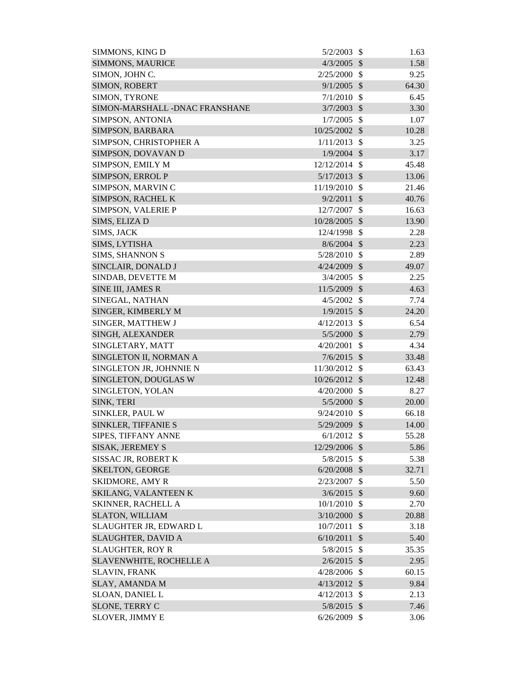| SIMMONS, KING D                 | 5/2/2003                        | $\mathcal{S}$             | 1.63  |
|---------------------------------|---------------------------------|---------------------------|-------|
| <b>SIMMONS, MAURICE</b>         | 4/3/2005                        | $\mathcal{S}$             | 1.58  |
| SIMON, JOHN C.                  | 2/25/2000                       | $\mathcal{S}$             | 9.25  |
| SIMON, ROBERT                   | 9/1/2005                        | $\mathcal{S}$             | 64.30 |
| SIMON, TYRONE                   | 7/1/2010                        | $\mathcal{S}$             | 6.45  |
| SIMON-MARSHALL - DNAC FRANSHANE | 3/7/2003                        | $\mathcal{S}$             | 3.30  |
| SIMPSON, ANTONIA                | 1/7/2005                        | $\mathcal{S}$             | 1.07  |
| SIMPSON, BARBARA                | 10/25/2002                      | $\mathcal{S}$             | 10.28 |
| SIMPSON, CHRISTOPHER A          | 1/11/2013                       | $\mathcal{S}$             | 3.25  |
| SIMPSON, DOVAVAN D              | 1/9/2004                        | $\mathcal{S}$             | 3.17  |
| SIMPSON, EMILY M                | 12/12/2014                      | $\mathcal{S}$             | 45.48 |
| SIMPSON, ERROL P                | 5/17/2013                       | $\mathcal{S}$             | 13.06 |
| SIMPSON, MARVINC                | 11/19/2010                      | \$                        | 21.46 |
| SIMPSON, RACHEL K               | 9/2/2011                        | $\mathcal{S}$             | 40.76 |
| SIMPSON, VALERIE P              | 12/7/2007                       | \$                        | 16.63 |
| SIMS, ELIZA D                   | 10/28/2005                      | $\mathcal{S}$             | 13.90 |
| SIMS, JACK                      | 12/4/1998                       | \$                        | 2.28  |
| SIMS, LYTISHA                   | $8/6/2004$ \$                   |                           | 2.23  |
| <b>SIMS, SHANNON S</b>          | 5/28/2010                       | \$                        | 2.89  |
| SINCLAIR, DONALD J              | 4/24/2009                       | $\mathcal{S}$             | 49.07 |
| SINDAB, DEVETTE M               | 3/4/2005                        | $\mathcal{S}$             | 2.25  |
| SINE III, JAMES R               | 11/5/2009                       | $\mathcal{S}$             | 4.63  |
| SINEGAL, NATHAN                 | 4/5/2002                        | $\mathcal{S}$             | 7.74  |
| SINGER, KIMBERLY M              | 1/9/2015                        | $\mathcal{S}$             | 24.20 |
| SINGER, MATTHEW J               | 4/12/2013                       | $\mathcal{S}$             | 6.54  |
| SINGH, ALEXANDER                | 5/5/2000                        | $\mathcal{S}$             | 2.79  |
| SINGLETARY, MATT                | 4/20/2001                       | $\mathcal{S}$             | 4.34  |
| SINGLETON II, NORMAN A          | 7/6/2015                        | $\mathcal{S}$             | 33.48 |
| SINGLETON JR, JOHNNIE N         | 11/30/2012                      | $\mathbb{S}$              | 63.43 |
| SINGLETON, DOUGLAS W            | 10/26/2012                      | $\mathcal{S}$             | 12.48 |
|                                 |                                 | $\boldsymbol{\mathsf{S}}$ | 8.27  |
| SINGLETON, YOLAN                | 4/20/2000                       |                           |       |
| SINK, TERI                      | $5/5/2000$ \$<br>$9/24/2010$ \$ |                           | 20.00 |
| SINKLER, PAUL W                 |                                 |                           | 66.18 |
| SINKLER, TIFFANIE S             | 5/29/2009 \$                    |                           | 14.00 |
| SIPES, TIFFANY ANNE             | 6/1/2012                        | $\mathcal{S}$             | 55.28 |
| <b>SISAK, JEREMEY S</b>         | 12/29/2006                      | $\mathcal{S}$             | 5.86  |
| SISSAC JR, ROBERT K             | 5/8/2015                        | - \$                      | 5.38  |
| <b>SKELTON, GEORGE</b>          | 6/20/2008                       | $\mathcal{S}$             | 32.71 |
| <b>SKIDMORE, AMY R</b>          | 2/23/2007                       | \$                        | 5.50  |
| SKILANG, VALANTEEN K            | 3/6/2015                        | $\mathcal{S}$             | 9.60  |
| <b>SKINNER, RACHELL A</b>       | 10/1/2010                       | $\mathcal{S}$             | 2.70  |
| <b>SLATON, WILLIAM</b>          | 3/10/2000                       | $\mathcal{S}$             | 20.88 |
| SLAUGHTER JR, EDWARD L          | 10/7/2011                       | $\mathcal{S}$             | 3.18  |
| <b>SLAUGHTER, DAVID A</b>       | 6/10/2011                       | $\mathcal{S}$             | 5.40  |
| <b>SLAUGHTER, ROY R</b>         | 5/8/2015                        | $\mathcal{S}$             | 35.35 |
| <b>SLAVENWHITE, ROCHELLE A</b>  | 2/6/2015                        | $\mathcal{S}$             | 2.95  |
| <b>SLAVIN, FRANK</b>            | $4/28/2006$ \$                  |                           | 60.15 |
| <b>SLAY, AMANDA M</b>           | $4/13/2012$ \$                  |                           | 9.84  |
| <b>SLOAN, DANIEL L</b>          | 4/12/2013                       | $\boldsymbol{\mathsf{S}}$ | 2.13  |
| SLONE, TERRY C                  | 5/8/2015 \$                     |                           | 7.46  |
| <b>SLOVER, JIMMY E</b>          | $6/26/2009$ \$                  |                           | 3.06  |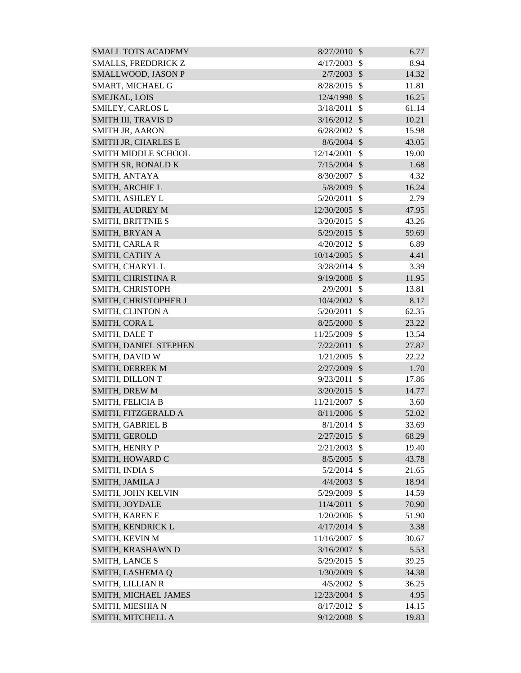| <b>SMALL TOTS ACADEMY</b>  | 8/27/2010      | $\mathcal{S}$ | 6.77  |
|----------------------------|----------------|---------------|-------|
| SMALLS, FREDDRICK Z        | 4/17/2003      | $\mathcal{S}$ | 8.94  |
| SMALLWOOD, JASON P         | 2/7/2003       | $\mathcal{S}$ | 14.32 |
| SMART, MICHAEL G           | 8/28/2015      | $\mathcal{S}$ | 11.81 |
| SMEJKAL, LOIS              | 12/4/1998      | $\mathcal{S}$ | 16.25 |
| SMILEY, CARLOS L           | 3/18/2011      | $\mathbb{S}$  | 61.14 |
| <b>SMITH III, TRAVIS D</b> | 3/16/2012      | $\mathcal{S}$ | 10.21 |
| <b>SMITH JR, AARON</b>     | 6/28/2002      | $\mathcal{S}$ | 15.98 |
| SMITH JR, CHARLES E        | $8/6/2004$ \$  |               | 43.05 |
| <b>SMITH MIDDLE SCHOOL</b> | 12/14/2001     | \$            | 19.00 |
| SMITH SR, RONALD K         | $7/15/2004$ \$ |               | 1.68  |
| SMITH, ANTAYA              | 8/30/2007      | $\mathcal{S}$ | 4.32  |
| SMITH, ARCHIE L            | 5/8/2009       | $\mathcal{S}$ | 16.24 |
| SMITH, ASHLEY L            | 5/20/2011      | $\mathcal{S}$ | 2.79  |
| <b>SMITH, AUDREY M</b>     | 12/30/2005     | $\mathcal{S}$ | 47.95 |
| SMITH, BRITTNIE S          | 3/20/2015      | $\mathcal{S}$ | 43.26 |
| SMITH, BRYAN A             | 5/29/2015      | $\mathcal{S}$ | 59.69 |
| SMITH, CARLA R             | 4/20/2012      | $\mathbb{S}$  | 6.89  |
| SMITH, CATHY A             | 10/14/2005 \$  |               | 4.41  |
| SMITH, CHARYL L            | 3/28/2014      | $\mathbb{S}$  | 3.39  |
| SMITH, CHRISTINA R         | 9/19/2008      | $\mathcal{S}$ | 11.95 |
| SMITH, CHRISTOPH           | 2/9/2001       | $\mathcal{S}$ | 13.81 |
| SMITH, CHRISTOPHER J       | 10/4/2002      | $\mathcal{S}$ | 8.17  |
| SMITH, CLINTON A           | 5/20/2011      | $\mathcal{S}$ | 62.35 |
| SMITH, CORA L              | 8/25/2000      | $\mathcal{S}$ | 23.22 |
| SMITH, DALE T              | 11/25/2009     | $\mathcal{S}$ | 13.54 |
| SMITH, DANIEL STEPHEN      | 7/22/2011      | $\mathcal{S}$ | 27.87 |
| SMITH, DAVID W             | 1/21/2005      | $\mathcal{S}$ | 22.22 |
| SMITH, DERREK M            | 2/27/2009      | $\mathcal{S}$ | 1.70  |
| SMITH, DILLON T            | 9/23/2011      | $\mathcal{S}$ | 17.86 |
| SMITH, DREW M              | $3/20/2015$ \$ |               | 14.77 |
| SMITH, FELICIA B           | 11/21/2007     | \$            | 3.60  |
| SMITH, FITZGERALD A        | $8/11/2006$ \$ |               | 52.02 |
| SMITH, GABRIEL B           | $8/1/2014$ \$  |               | 33.69 |
| SMITH, GEROLD              | $2/27/2015$ \$ |               | 68.29 |
| SMITH, HENRY P             | 2/21/2003      | $\mathcal{S}$ | 19.40 |
| SMITH, HOWARD C            | $8/5/2005$ \$  |               | 43.78 |
| SMITH, INDIA S             | $5/2/2014$ \$  |               | 21.65 |
| SMITH, JAMILA J            | $4/4/2003$ \$  |               | 18.94 |
| SMITH, JOHN KELVIN         | 5/29/2009      | $\mathcal{S}$ | 14.59 |
| SMITH, JOYDALE             | 11/4/2011      | $\mathcal{S}$ | 70.90 |
| SMITH, KAREN E             | 1/20/2006      | $\mathcal{S}$ | 51.90 |
| SMITH, KENDRICK L          | $4/17/2014$ \$ |               | 3.38  |
| SMITH, KEVIN M             | 11/16/2007     | $\mathcal{S}$ | 30.67 |
| SMITH, KRASHAWN D          | 3/16/2007      | $\mathcal{S}$ | 5.53  |
| <b>SMITH, LANCE S</b>      | 5/29/2015      | $\mathcal{S}$ | 39.25 |
| SMITH, LASHEMA Q           | 1/30/2009      | $\mathcal{S}$ | 34.38 |
| SMITH, LILLIAN R           | 4/5/2002       | $\mathcal{S}$ | 36.25 |
| SMITH, MICHAEL JAMES       | 12/23/2004     | $\mathcal{S}$ | 4.95  |
| SMITH, MIESHIA N           | 8/17/2012      | - \$          | 14.15 |
| SMITH, MITCHELL A          | $9/12/2008$ \$ |               | 19.83 |
|                            |                |               |       |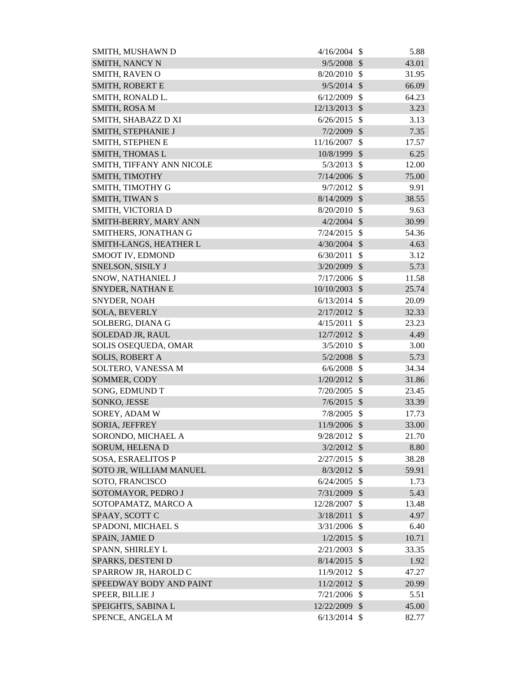| SMITH, MUSHAWN D          | 4/16/2004      | - \$                      | 5.88  |
|---------------------------|----------------|---------------------------|-------|
| SMITH, NANCY N            | 9/5/2008       | $\mathcal{S}$             | 43.01 |
| SMITH, RAVEN O            | $8/20/2010$ \$ |                           | 31.95 |
| SMITH, ROBERT E           | $9/5/2014$ \$  |                           | 66.09 |
| SMITH, RONALD L.          | 6/12/2009      | $\mathcal{S}$             | 64.23 |
| SMITH, ROSA M             | 12/13/2013 \$  |                           | 3.23  |
| SMITH, SHABAZZ D XI       | 6/26/2015      | $\mathcal{S}$             | 3.13  |
| SMITH, STEPHANIE J        | 7/2/2009       | \$                        | 7.35  |
| SMITH, STEPHEN E          | 11/16/2007     | $\boldsymbol{\mathsf{S}}$ | 17.57 |
| <b>SMITH, THOMAS L</b>    | 10/8/1999 \$   |                           | 6.25  |
| SMITH, TIFFANY ANN NICOLE | 5/3/2013       | \$                        | 12.00 |
| SMITH, TIMOTHY            | 7/14/2006      | $\mathcal{S}$             | 75.00 |
| SMITH, TIMOTHY G          | $9/7/2012$ \$  |                           | 9.91  |
| <b>SMITH, TIWAN S</b>     | 8/14/2009      | $\mathcal{S}$             | 38.55 |
| SMITH, VICTORIA D         | 8/20/2010      | -\$                       | 9.63  |
| SMITH-BERRY, MARY ANN     | 4/2/2004       | $\mathcal{S}$             | 30.99 |
| SMITHERS, JONATHAN G      | 7/24/2015      | $\mathcal{S}$             | 54.36 |
| SMITH-LANGS, HEATHER L    | $4/30/2004$ \$ |                           | 4.63  |
| SMOOT IV, EDMOND          | 6/30/2011      | $\mathcal{S}$             | 3.12  |
| SNELSON, SISILY J         | $3/20/2009$ \$ |                           | 5.73  |
| SNOW, NATHANIEL J         | 7/17/2006      | $\mathcal{S}$             | 11.58 |
| SNYDER, NATHAN E          | 10/10/2003     | $\sqrt{3}$                | 25.74 |
| SNYDER, NOAH              | 6/13/2014      | - \$                      | 20.09 |
| <b>SOLA, BEVERLY</b>      | $2/17/2012$ \$ |                           | 32.33 |
| SOLBERG, DIANA G          | 4/15/2011      | \$                        | 23.23 |
| SOLEDAD JR, RAUL          | 12/7/2012 \$   |                           | 4.49  |
| SOLIS OSEQUEDA, OMAR      | $3/5/2010$ \$  |                           | 3.00  |
| <b>SOLIS, ROBERT A</b>    | $5/2/2008$ \$  |                           | 5.73  |
| SOLTERO, VANESSA M        | 6/6/2008       | $\mathcal{S}$             | 34.34 |
| SOMMER, CODY              | 1/20/2012      | $\mathcal{S}$             | 31.86 |
| SONG, EDMUND T            | 7/20/2005      | $\boldsymbol{\mathsf{S}}$ | 23.45 |
| SONKO, JESSE              | 7/6/2015       | $\mathcal{S}$             | 33.39 |
| SOREY, ADAM W             | 7/8/2005       | $\mathcal{S}$             | 17.73 |
| SORIA, JEFFREY            | 11/9/2006 \$   |                           | 33.00 |
| SORONDO, MICHAEL A        | 9/28/2012 \$   |                           | 21.70 |
| SORUM, HELENA D           | $3/2/2012$ \$  |                           | 8.80  |
| <b>SOSA, ESRAELITOS P</b> | 2/27/2015      | $\mathcal{S}$             | 38.28 |
| SOTO JR, WILLIAM MANUEL   | $8/3/2012$ \$  |                           | 59.91 |
| SOTO, FRANCISCO           | 6/24/2005      | $\mathcal{S}$             | 1.73  |
| SOTOMAYOR, PEDRO J        | 7/31/2009      | \$                        | 5.43  |
| SOTOPAMATZ, MARCO A       | 12/28/2007     | \$                        | 13.48 |
| SPAAY, SCOTT C            | 3/18/2011      | $\mathcal{S}$             | 4.97  |
| SPADONI, MICHAEL S        | 3/31/2006      | -\$                       | 6.40  |
| SPAIN, JAMIE D            | 1/2/2015       | $\mathcal{S}$             | 10.71 |
| SPANN, SHIRLEY L          | 2/21/2003      | $\mathcal{S}$             | 33.35 |
| SPARKS, DESTENI D         | 8/14/2015      | $\mathcal{S}$             | 1.92  |
| SPARROW JR, HAROLD C      | 11/9/2012      | $\mathcal{S}$             | 47.27 |
| SPEEDWAY BODY AND PAINT   | 11/2/2012      | $\mathcal{S}$             | 20.99 |
| SPEER, BILLIE J           | 7/21/2006      | $\mathcal{S}$             | 5.51  |
| SPEIGHTS, SABINA L        | 12/22/2009     | $\sqrt{3}$                | 45.00 |
| SPENCE, ANGELA M          | $6/13/2014$ \$ |                           | 82.77 |
|                           |                |                           |       |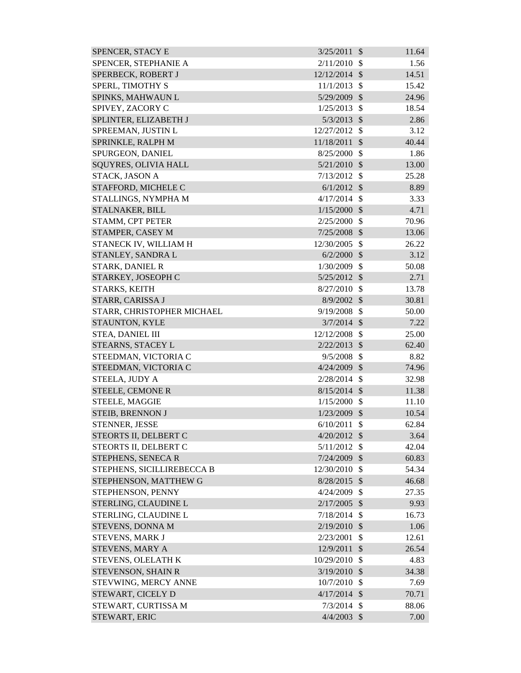| SPENCER, STEPHANIE A<br>2/11/2010<br>$\mathcal{S}$        | 1.56  |
|-----------------------------------------------------------|-------|
| SPERBECK, ROBERT J<br>12/12/2014 \$                       | 14.51 |
| SPERL, TIMOTHY S<br>11/1/2013<br>$\mathcal{S}$            | 15.42 |
| $\mathcal{S}$<br>SPINKS, MAHWAUN L<br>5/29/2009           | 24.96 |
| SPIVEY, ZACORY C<br>1/25/2013<br>$\mathcal{S}$            | 18.54 |
| SPLINTER, ELIZABETH J<br>5/3/2013<br>$\mathcal{S}$        | 2.86  |
| SPREEMAN, JUSTIN L<br>12/27/2012<br>\$                    | 3.12  |
| SPRINKLE, RALPH M<br>11/18/2011<br>$\mathcal{S}$          | 40.44 |
| $\mathcal{S}$<br>SPURGEON, DANIEL<br>8/25/2000            | 1.86  |
| <b>SQUYRES, OLIVIA HALL</b><br>5/21/2010<br>$\mathcal{S}$ | 13.00 |
| $\mathcal{S}$<br>STACK, JASON A<br>7/13/2012              | 25.28 |
| STAFFORD, MICHELE C<br>$6/1/2012$ \$                      | 8.89  |
| STALLINGS, NYMPHA M<br>4/17/2014<br>$\mathcal{S}$         | 3.33  |
| 1/15/2000<br>$\mathcal{S}$<br>STALNAKER, BILL             | 4.71  |
| STAMM, CPT PETER<br>2/25/2000<br>$\mathcal{S}$            | 70.96 |
| STAMPER, CASEY M<br>7/25/2008<br>$\mathcal{S}$            | 13.06 |
| STANECK IV, WILLIAM H<br>$\mathcal{S}$<br>12/30/2005      | 26.22 |
| STANLEY, SANDRA L<br>6/2/2000<br>$\mathcal{S}$            | 3.12  |
| <b>STARK, DANIEL R</b><br>1/30/2009<br>$\mathcal{S}$      | 50.08 |
| STARKEY, JOSEOPH C<br>5/25/2012<br>$\mathcal{S}$          | 2.71  |
| STARKS, KEITH<br>$\mathcal{S}$<br>8/27/2010               | 13.78 |
| STARR, CARISSA J<br>8/9/2002<br>$\mathcal{S}$             | 30.81 |
| $\mathcal{S}$<br>STARR, CHRISTOPHER MICHAEL<br>9/19/2008  | 50.00 |
| $3/7/2014$ \$<br>STAUNTON, KYLE                           | 7.22  |
| $\mathcal{S}$<br>STEA, DANIEL III<br>12/12/2008           | 25.00 |
| STEARNS, STACEY L<br>$\mathcal{S}$<br>2/22/2013           | 62.40 |
| STEEDMAN, VICTORIA C<br>9/5/2008<br>$\mathcal{S}$         | 8.82  |
| STEEDMAN, VICTORIA C<br>$\mathcal{S}$<br>4/24/2009        | 74.96 |
| STEELA, JUDY A<br>2/28/2014<br>$\mathcal{S}$              | 32.98 |
| STEELE, CEMONE R<br>$8/15/2014$ \$                        | 11.38 |
| STEELE, MAGGIE<br>1/15/2000<br>\$                         | 11.10 |
| $1/23/2009$ \$<br><b>STEIB, BRENNON J</b>                 | 10.54 |
| STENNER, JESSE<br>6/10/2011<br>\$                         | 62.84 |
| STEORTS II, DELBERT C<br>$4/20/2012$ \$                   | 3.64  |
| $\mathcal{S}$<br>STEORTS II, DELBERT C<br>5/11/2012       | 42.04 |
| STEPHENS, SENECA R<br>$7/24/2009$ \$                      | 60.83 |
| $\mathcal{S}$<br>STEPHENS, SICILLIREBECCA B<br>12/30/2010 | 54.34 |
| STEPHENSON, MATTHEW G<br>$8/28/2015$ \$                   | 46.68 |
| STEPHENSON, PENNY<br>\$<br>4/24/2009                      | 27.35 |
| STERLING, CLAUDINE L<br>2/17/2005<br>$\mathcal{S}$        | 9.93  |
| STERLING, CLAUDINE L<br>7/18/2014<br>$\mathcal{S}$        | 16.73 |
| STEVENS, DONNA M<br>2/19/2010<br>$\mathcal{S}$            | 1.06  |
| STEVENS, MARK J<br>2/23/2001<br>\$                        | 12.61 |
| STEVENS, MARY A<br>12/9/2011<br>$\mathcal{S}$             | 26.54 |
| $\mathcal{S}$<br>STEVENS, OLELATH K<br>10/29/2010         | 4.83  |
| STEVENSON, SHAIN R<br>3/19/2010<br>$\mathcal{S}$          | 34.38 |
| STEVWING, MERCY ANNE<br>10/7/2010<br>$\mathcal{S}$        | 7.69  |
| STEWART, CICELY D<br>4/17/2014<br>$\mathcal{S}$           | 70.71 |
| STEWART, CURTISSA M<br>7/3/2014<br>$\mathcal{S}$          | 88.06 |
| STEWART, ERIC<br>$4/4/2003$ \$                            | 7.00  |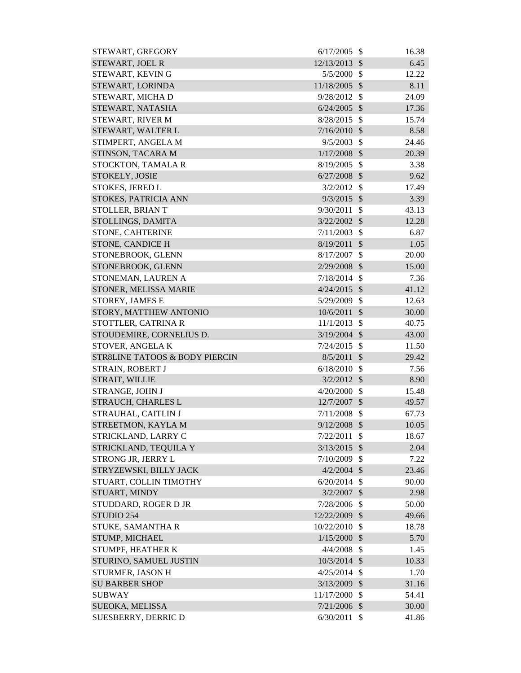| STEWART, GREGORY               | 6/17/2005      | - \$                      | 16.38 |
|--------------------------------|----------------|---------------------------|-------|
| STEWART, JOEL R                | 12/13/2013     | $\mathcal{S}$             | 6.45  |
| STEWART, KEVING                | 5/5/2000       | -\$                       | 12.22 |
| STEWART, LORINDA               | 11/18/2005     | $\mathcal{S}$             | 8.11  |
| STEWART, MICHA D               | 9/28/2012      | $\mathcal{S}$             | 24.09 |
| STEWART, NATASHA               | 6/24/2005      | $\mathcal{S}$             | 17.36 |
| STEWART, RIVER M               | 8/28/2015      | -\$                       | 15.74 |
| STEWART, WALTER L              | $7/16/2010$ \$ |                           | 8.58  |
| STIMPERT, ANGELA M             | 9/5/2003       | $\mathcal{S}$             | 24.46 |
| STINSON, TACARA M              | $1/17/2008$ \$ |                           | 20.39 |
| STOCKTON, TAMALA R             | 8/19/2005      | $\mathcal{S}$             | 3.38  |
| STOKELY, JOSIE                 | 6/27/2008      | $\mathcal{S}$             | 9.62  |
| STOKES, JERED L                | 3/2/2012       | $\mathcal{S}$             | 17.49 |
| STOKES, PATRICIA ANN           | 9/3/2015       | $\mathcal{S}$             | 3.39  |
| STOLLER, BRIAN T               | 9/30/2011      | $\mathcal{S}$             | 43.13 |
| STOLLINGS, DAMITA              | 3/22/2002      | $\mathcal{S}$             | 12.28 |
| STONE, CAHTERINE               | 7/11/2003      | $\mathcal{S}$             | 6.87  |
| STONE, CANDICE H               | 8/19/2011      | $\mathcal{S}$             | 1.05  |
| STONEBROOK, GLENN              | 8/17/2007      | \$                        | 20.00 |
| STONEBROOK, GLENN              | 2/29/2008      | $\mathcal{S}$             | 15.00 |
| STONEMAN, LAUREN A             | 7/18/2014      | $\mathcal{S}$             | 7.36  |
| STONER, MELISSA MARIE          | $4/24/2015$ \$ |                           | 41.12 |
| STOREY, JAMES E                | 5/29/2009      | $\mathcal{S}$             | 12.63 |
| STORY, MATTHEW ANTONIO         | 10/6/2011      | $\mathcal{S}$             | 30.00 |
| STOTTLER, CATRINA R            | 11/1/2013      | \$                        | 40.75 |
| STOUDEMIRE, CORNELIUS D.       | $3/19/2004$ \$ |                           | 43.00 |
| STOVER, ANGELAK                | 7/24/2015      | $\mathcal{S}$             | 11.50 |
| STR8LINE TATOOS & BODY PIERCIN | 8/5/2011       | $\mathcal{S}$             | 29.42 |
| STRAIN, ROBERT J               | $6/18/2010$ \$ |                           | 7.56  |
| STRAIT, WILLIE                 | $3/2/2012$ \$  |                           | 8.90  |
| STRANGE, JOHN J                | $4/20/2000$ \$ |                           | 15.48 |
| STRAUCH, CHARLES L             | 12/7/2007      | $\mathcal{S}$             | 49.57 |
| STRAUHAL, CAITLIN J            | $7/11/2008$ \$ |                           | 67.73 |
| STREETMON, KAYLA M             | $9/12/2008$ \$ |                           | 10.05 |
| STRICKLAND, LARRY C            | 7/22/2011      | $\mathcal{S}$             | 18.67 |
| STRICKLAND, TEQUILA Y          | 3/13/2015      | $\mathcal{S}$             | 2.04  |
| STRONG JR, JERRY L             | $7/10/2009$ \$ |                           | 7.22  |
| STRYZEWSKI, BILLY JACK         | $4/2/2004$ \$  |                           | 23.46 |
| STUART, COLLIN TIMOTHY         | $6/20/2014$ \$ |                           | 90.00 |
| STUART, MINDY                  | $3/2/2007$ \$  |                           | 2.98  |
| STUDDARD, ROGER D JR           | 7/28/2006 \$   |                           | 50.00 |
| STUDIO 254                     | 12/22/2009 \$  |                           | 49.66 |
| STUKE, SAMANTHA R              | 10/22/2010 \$  |                           | 18.78 |
| STUMP, MICHAEL                 | 1/15/2000      | $\sqrt[6]{\frac{1}{2}}$   | 5.70  |
| STUMPF, HEATHER K              | 4/4/2008       | $\mathcal{S}$             | 1.45  |
| STURINO, SAMUEL JUSTIN         | 10/3/2014      | $\mathcal{S}$             | 10.33 |
| STURMER, JASON H               | 4/25/2014      | $\mathcal{S}$             | 1.70  |
| <b>SU BARBER SHOP</b>          | 3/13/2009      | $\boldsymbol{\mathsf{S}}$ | 31.16 |
| <b>SUBWAY</b>                  | 11/17/2000     | $\mathcal{S}$             | 54.41 |
| SUEOKA, MELISSA                | $7/21/2006$ \$ |                           | 30.00 |
| SUESBERRY, DERRIC D            | 6/30/2011      | $\mathcal{S}$             | 41.86 |
|                                |                |                           |       |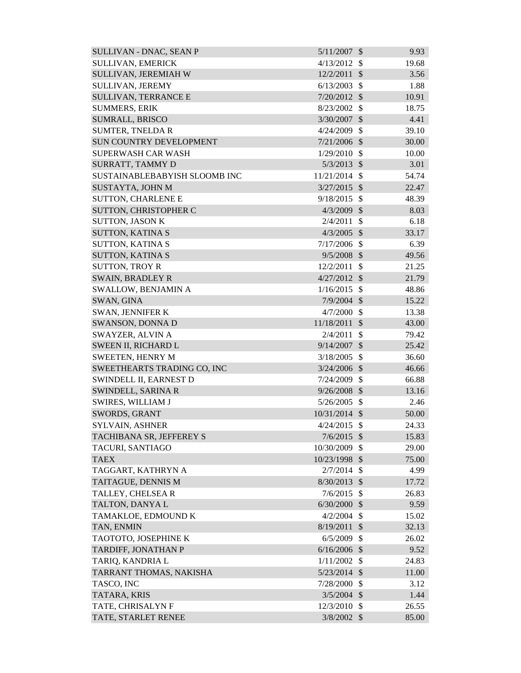| <b>SULLIVAN - DNAC, SEAN P</b> | 5/11/2007      | $\mathcal{S}$ | 9.93  |
|--------------------------------|----------------|---------------|-------|
| SULLIVAN, EMERICK              | 4/13/2012      | $\mathcal{S}$ | 19.68 |
| SULLIVAN, JEREMIAH W           | 12/2/2011      | $\mathcal{S}$ | 3.56  |
| SULLIVAN, JEREMY               | 6/13/2003      | \$            | 1.88  |
| <b>SULLIVAN, TERRANCE E</b>    | 7/20/2012      | $\mathcal{S}$ | 10.91 |
| <b>SUMMERS, ERIK</b>           | 8/23/2002      | $\mathcal{S}$ | 18.75 |
| SUMRALL, BRISCO                | 3/30/2007      | $\mathcal{S}$ | 4.41  |
| <b>SUMTER, TNELDA R</b>        | 4/24/2009      | \$            | 39.10 |
| SUN COUNTRY DEVELOPMENT        | $7/21/2006$ \$ |               | 30.00 |
| <b>SUPERWASH CAR WASH</b>      | 1/29/2010      | $\mathcal{S}$ | 10.00 |
| SURRATT, TAMMY D               | $5/3/2013$ \$  |               | 3.01  |
| SUSTAINABLEBABYISH SLOOMB INC  | 11/21/2014     | $\mathcal{S}$ | 54.74 |
| SUSTAYTA, JOHN M               | $3/27/2015$ \$ |               | 22.47 |
| <b>SUTTON, CHARLENE E</b>      | 9/18/2015      | $\mathcal{S}$ | 48.39 |
| SUTTON, CHRISTOPHER C          | $4/3/2009$ \$  |               | 8.03  |
| <b>SUTTON, JASON K</b>         | 2/4/2011       | \$            | 6.18  |
| SUTTON, KATINA S               | 4/3/2005       | $\mathcal{S}$ | 33.17 |
| <b>SUTTON, KATINA S</b>        | 7/17/2006      | $\mathcal{S}$ | 6.39  |
| <b>SUTTON, KATINA S</b>        | 9/5/2008       | $\mathcal{S}$ | 49.56 |
| <b>SUTTON, TROY R</b>          | 12/2/2011      | \$            | 21.25 |
| <b>SWAIN, BRADLEY R</b>        | 4/27/2012      | $\mathcal{S}$ | 21.79 |
| SWALLOW, BENJAMIN A            | 1/16/2015      | $\mathcal{S}$ | 48.86 |
| SWAN, GINA                     | $7/9/2004$ \$  |               | 15.22 |
| SWAN, JENNIFER K               | 4/7/2000       | $\mathcal{S}$ | 13.38 |
| SWANSON, DONNA D               | 11/18/2011     | $\mathcal{S}$ | 43.00 |
| SWAYZER, ALVIN A               | 2/4/2011       | $\mathcal{S}$ | 79.42 |
| SWEEN II, RICHARD L            | 9/14/2007      | $\mathcal{S}$ | 25.42 |
| <b>SWEETEN, HENRY M</b>        | 3/18/2005      | $\mathcal{S}$ | 36.60 |
| SWEETHEARTS TRADING CO, INC    | $3/24/2006$ \$ |               | 46.66 |
| SWINDELL II, EARNEST D         | 7/24/2009      | $\mathcal{S}$ | 66.88 |
| SWINDELL, SARINA R             | $9/26/2008$ \$ |               | 13.16 |
| <b>SWIRES, WILLIAM J</b>       | 5/26/2005      | <sup>\$</sup> | 2.46  |
| SWORDS, GRANT                  | 10/31/2014 \$  |               | 50.00 |
| SYLVAIN, ASHNER                | 4/24/2015      | $\mathbb{S}$  | 24.33 |
| TACHIBANA SR, JEFFEREY S       | 7/6/2015       | $\mathcal{S}$ | 15.83 |
| TACURI, SANTIAGO               | 10/30/2009     | $\mathcal{S}$ | 29.00 |
| <b>TAEX</b>                    | 10/23/1998 \$  |               | 75.00 |
| TAGGART, KATHRYN A             | $2/7/2014$ \$  |               | 4.99  |
| TAITAGUE, DENNIS M             | 8/30/2013      | $\mathcal{S}$ | 17.72 |
| TALLEY, CHELSEA R              | 7/6/2015       | $\mathcal{S}$ | 26.83 |
| TALTON, DANYAL                 | $6/30/2000$ \$ |               | 9.59  |
| TAMAKLOE, EDMOUND K            | 4/2/2004       | $\mathbb{S}$  | 15.02 |
| TAN, ENMIN                     | 8/19/2011      | $\mathcal{S}$ | 32.13 |
| TAOTOTO, JOSEPHINE K           | 6/5/2009       | $\mathcal{S}$ | 26.02 |
| TARDIFF, JONATHAN P            | $6/16/2006$ \$ |               | 9.52  |
| TARIQ, KANDRIA L               | 1/11/2002      | $\mathcal{S}$ | 24.83 |
| TARRANT THOMAS, NAKISHA        | $5/23/2014$ \$ |               | 11.00 |
| TASCO, INC                     | 7/28/2000      | $\mathcal{S}$ | 3.12  |
| TATARA, KRIS                   | 3/5/2004       | $\mathcal{S}$ | 1.44  |
| TATE, CHRISALYN F              | 12/3/2010      | \$            | 26.55 |
| TATE, STARLET RENEE            | $3/8/2002$ \$  |               | 85.00 |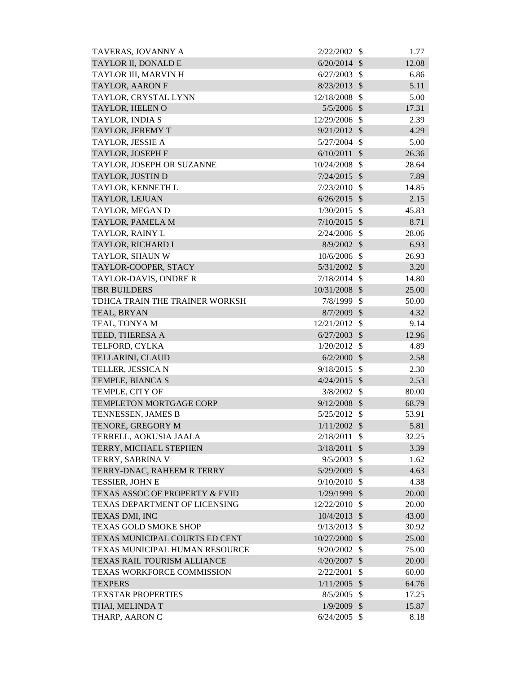| TAVERAS, JOVANNY A             | 2/22/2002      | -S                         | 1.77  |
|--------------------------------|----------------|----------------------------|-------|
| TAYLOR II, DONALD E            | 6/20/2014      | $\mathcal{S}$              | 12.08 |
| TAYLOR III, MARVIN H           | 6/27/2003      | $\mathcal{S}$              | 6.86  |
| <b>TAYLOR, AARON F</b>         | 8/23/2013      | $\sqrt[6]{\frac{1}{2}}$    | 5.11  |
| TAYLOR, CRYSTAL LYNN           | 12/18/2008     | $\mathcal{S}$              | 5.00  |
| TAYLOR, HELEN O                | $5/5/2006$ \$  |                            | 17.31 |
| TAYLOR, INDIA S                | 12/29/2006 \$  |                            | 2.39  |
| TAYLOR, JEREMY T               | $9/21/2012$ \$ |                            | 4.29  |
| TAYLOR, JESSIE A               | 5/27/2004      | $\mathcal{S}$              | 5.00  |
| <b>TAYLOR, JOSEPH F</b>        | $6/10/2011$ \$ |                            | 26.36 |
| TAYLOR, JOSEPH OR SUZANNE      | 10/24/2008     | $\mathcal{S}$              | 28.64 |
| TAYLOR, JUSTIN D               | $7/24/2015$ \$ |                            | 7.89  |
| TAYLOR, KENNETH L              | 7/23/2010      | $\mathcal{S}$              | 14.85 |
| TAYLOR, LEJUAN                 | $6/26/2015$ \$ |                            | 2.15  |
| TAYLOR, MEGAN D                | 1/30/2015      | $\mathcal{S}$              | 45.83 |
| TAYLOR, PAMELA M               | $7/10/2015$ \$ |                            | 8.71  |
| TAYLOR, RAINY L                | $2/24/2006$ \$ |                            | 28.06 |
| TAYLOR, RICHARD I              | $8/9/2002$ \$  |                            | 6.93  |
| TAYLOR, SHAUN W                | 10/6/2006 \$   |                            | 26.93 |
| TAYLOR-COOPER, STACY           | 5/31/2002      | $\mathcal{S}$              | 3.20  |
| TAYLOR-DAVIS, ONDRE R          | 7/18/2014      | $\mathcal{S}$              | 14.80 |
| <b>TBR BUILDERS</b>            | 10/31/2008     | $\mathcal{S}$              | 25.00 |
| TDHCA TRAIN THE TRAINER WORKSH | 7/8/1999       | $\mathcal{S}$              | 50.00 |
| TEAL, BRYAN                    | 8/7/2009       | $\mathcal{S}$              | 4.32  |
| TEAL, TONYA M                  | 12/21/2012     | $\mathcal{S}$              | 9.14  |
| TEED, THERESA A                | 6/27/2003      | $\mathcal{S}$              | 12.96 |
| TELFORD, CYLKA                 | 1/20/2012      | \$                         | 4.89  |
| TELLARINI, CLAUD               | $6/2/2000$ \$  |                            | 2.58  |
| TELLER, JESSICA N              | 9/18/2015      | $\mathcal{S}$              | 2.30  |
| TEMPLE, BIANCA S               | 4/24/2015      | $\mathcal{S}$              | 2.53  |
| TEMPLE, CITY OF                | 3/8/2002 \$    |                            | 80.00 |
| TEMPLETON MORTGAGE CORP        | $9/12/2008$ \$ |                            | 68.79 |
| TENNESSEN, JAMES B             | 5/25/2012      | - \$                       | 53.91 |
| TENORE, GREGORY M              | $1/11/2002$ \$ |                            | 5.81  |
| TERRELL, AOKUSIA JAALA         | 2/18/2011      | $\mathcal{S}$              | 32.25 |
| TERRY, MICHAEL STEPHEN         | 3/18/2011      | $\mathcal{S}$              | 3.39  |
| TERRY, SABRINA V               | 9/5/2003       | $\mathcal{S}$              | 1.62  |
| TERRY-DNAC, RAHEEM R TERRY     | 5/29/2009 \$   |                            | 4.63  |
| <b>TESSIER, JOHN E</b>         | $9/10/2010$ \$ |                            | 4.38  |
| TEXAS ASSOC OF PROPERTY & EVID | 1/29/1999      | $\boldsymbol{\mathcal{S}}$ | 20.00 |
| TEXAS DEPARTMENT OF LICENSING  | 12/22/2010     | $\mathcal{S}$              | 20.00 |
| TEXAS DMI, INC                 | $10/4/2013$ \$ |                            | 43.00 |
| <b>TEXAS GOLD SMOKE SHOP</b>   | 9/13/2013      | $\mathcal{S}$              | 30.92 |
| TEXAS MUNICIPAL COURTS ED CENT | 10/27/2000     | $\mathcal{S}$              | 25.00 |
| TEXAS MUNICIPAL HUMAN RESOURCE | 9/20/2002      | $\mathcal{S}$              | 75.00 |
| TEXAS RAIL TOURISM ALLIANCE    | 4/20/2007      | $\mathcal{S}$              | 20.00 |
| TEXAS WORKFORCE COMMISSION     | 2/22/2001      | $\mathcal{S}$              | 60.00 |
| <b>TEXPERS</b>                 | 1/11/2005      | $\mathcal{S}$              | 64.76 |
| <b>TEXSTAR PROPERTIES</b>      | 8/5/2005       | $\mathcal{S}$              | 17.25 |
| THAI, MELINDA T                | $1/9/2009$ \$  |                            | 15.87 |
| THARP, AARON C                 | $6/24/2005$ \$ |                            | 8.18  |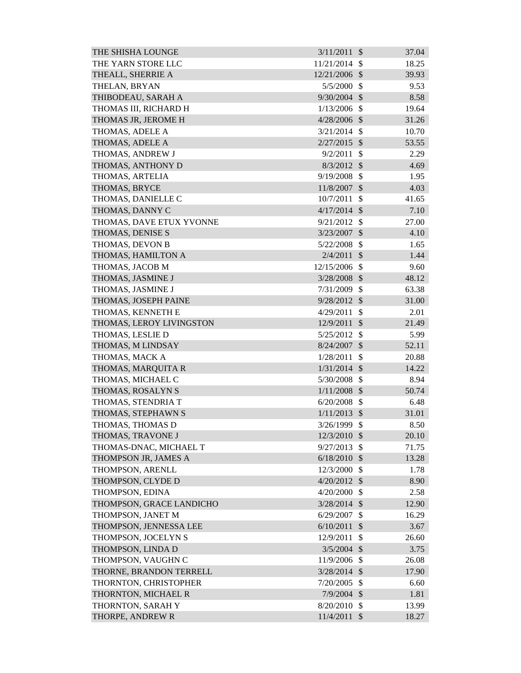| THE SHISHA LOUNGE        | 3/11/2011      | $\mathcal{S}$             | 37.04 |
|--------------------------|----------------|---------------------------|-------|
| THE YARN STORE LLC       | 11/21/2014     | \$                        | 18.25 |
| THEALL, SHERRIE A        | 12/21/2006 \$  |                           | 39.93 |
| THELAN, BRYAN            | 5/5/2000       | \$                        | 9.53  |
| THIBODEAU, SARAH A       | $9/30/2004$ \$ |                           | 8.58  |
| THOMAS III, RICHARD H    | 1/13/2006      | $\mathcal{S}$             | 19.64 |
| THOMAS JR, JEROME H      | 4/28/2006 \$   |                           | 31.26 |
| THOMAS, ADELE A          | 3/21/2014      | $\mathcal{S}$             | 10.70 |
| THOMAS, ADELE A          | $2/27/2015$ \$ |                           | 53.55 |
| THOMAS, ANDREW J         | 9/2/2011       | $\mathcal{S}$             | 2.29  |
| THOMAS, ANTHONY D        | $8/3/2012$ \$  |                           | 4.69  |
| THOMAS, ARTELIA          | 9/19/2008      | \$                        | 1.95  |
| THOMAS, BRYCE            | 11/8/2007      | $\mathcal{S}$             | 4.03  |
| THOMAS, DANIELLE C       | 10/7/2011      | $\mathcal{S}$             | 41.65 |
| THOMAS, DANNY C          | 4/17/2014      | $\mathcal{S}$             | 7.10  |
| THOMAS, DAVE ETUX YVONNE | 9/21/2012      | $\mathcal{S}$             | 27.00 |
| THOMAS, DENISE S         | 3/23/2007      | $\mathcal{S}$             | 4.10  |
| THOMAS, DEVON B          | 5/22/2008      | $\mathcal{S}$             | 1.65  |
| THOMAS, HAMILTON A       | 2/4/2011       | $\mathcal{S}$             | 1.44  |
| THOMAS, JACOB M          | 12/15/2006     | $\mathcal{S}$             | 9.60  |
| THOMAS, JASMINE J        | 3/28/2008      | $\mathcal{S}$             | 48.12 |
| THOMAS, JASMINE J        | 7/31/2009      | $\mathcal{S}$             | 63.38 |
| THOMAS, JOSEPH PAINE     | 9/28/2012 \$   |                           | 31.00 |
| THOMAS, KENNETH E        | 4/29/2011      | $\mathcal{S}$             | 2.01  |
| THOMAS, LEROY LIVINGSTON | 12/9/2011      | $\mathcal{S}$             | 21.49 |
| THOMAS, LESLIE D         | 5/25/2012      | \$                        | 5.99  |
| THOMAS, M LINDSAY        | 8/24/2007      | $\mathcal{S}$             | 52.11 |
| THOMAS, MACK A           | 1/28/2011      | \$                        | 20.88 |
| THOMAS, MARQUITA R       | $1/31/2014$ \$ |                           | 14.22 |
| THOMAS, MICHAEL C        | 5/30/2008      | \$                        | 8.94  |
| THOMAS, ROSALYN S        | $1/11/2008$ \$ |                           | 50.74 |
| THOMAS, STENDRIA T       | 6/20/2008      | \$                        | 6.48  |
| THOMAS, STEPHAWN S       | $1/11/2013$ \$ |                           | 31.01 |
| THOMAS, THOMAS D         | 3/26/1999      | $\mathcal{S}$             | 8.50  |
| THOMAS, TRAVONE J        | 12/3/2010      | $\mathcal{S}$             | 20.10 |
| THOMAS-DNAC, MICHAEL T   | 9/27/2013      | $\mathcal{S}$             | 71.75 |
| THOMPSON JR, JAMES A     | 6/18/2010      | \$                        | 13.28 |
| THOMPSON, ARENLL         | 12/3/2000      | $\mathcal{S}$             | 1.78  |
| THOMPSON, CLYDE D        | 4/20/2012      | $\mathcal{S}$             | 8.90  |
| THOMPSON, EDINA          | 4/20/2000      | $\mathcal{S}$             | 2.58  |
| THOMPSON, GRACE LANDICHO | 3/28/2014      | $\mathcal{S}$             | 12.90 |
| THOMPSON, JANET M        | 6/29/2007      | $\mathcal{S}$             | 16.29 |
| THOMPSON, JENNESSA LEE   | 6/10/2011      | $\mathcal{S}$             | 3.67  |
| THOMPSON, JOCELYN S      | 12/9/2011      | \$                        | 26.60 |
| THOMPSON, LINDA D        | 3/5/2004       | $\mathcal{S}$             | 3.75  |
| THOMPSON, VAUGHN C       | 11/9/2006      | $\mathcal{S}$             | 26.08 |
| THORNE, BRANDON TERRELL  | $3/28/2014$ \$ |                           | 17.90 |
| THORNTON, CHRISTOPHER    | 7/20/2005      | $\mathcal{S}$             | 6.60  |
| THORNTON, MICHAEL R      | 7/9/2004       | $\mathcal{S}$             | 1.81  |
| THORNTON, SARAH Y        | 8/20/2010      | $\mathcal{S}$             | 13.99 |
| THORPE, ANDREW R         | 11/4/2011      | $\boldsymbol{\mathsf{S}}$ | 18.27 |
|                          |                |                           |       |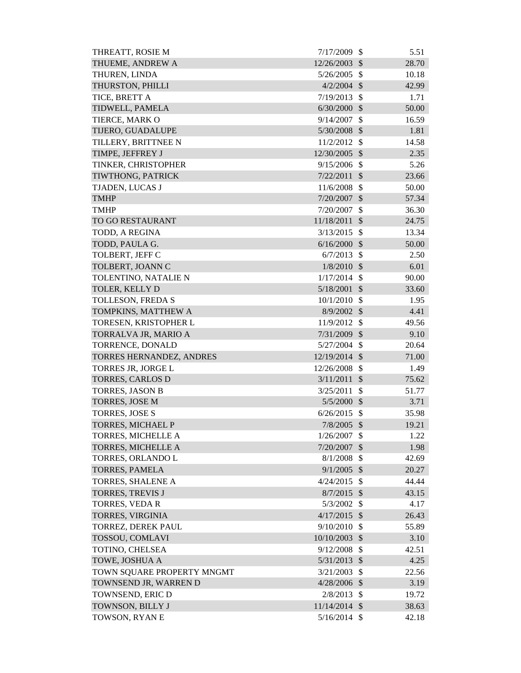| THREATT, ROSIE M           | 7/17/2009      | <sup>\$</sup>             | 5.51  |
|----------------------------|----------------|---------------------------|-------|
| THUEME, ANDREW A           | 12/26/2003     | $\mathcal{S}$             | 28.70 |
| THUREN, LINDA              | 5/26/2005      | $\mathcal{S}$             | 10.18 |
| THURSTON, PHILLI           | $4/2/2004$ \$  |                           | 42.99 |
| TICE, BRETT A              | 7/19/2013      | $\mathcal{S}$             | 1.71  |
| TIDWELL, PAMELA            | 6/30/2000      | $\mathcal{S}$             | 50.00 |
| TIERCE, MARK O             | 9/14/2007      | $\mathcal{S}$             | 16.59 |
| TIJERO, GUADALUPE          | 5/30/2008      | $\mathcal{S}$             | 1.81  |
| TILLERY, BRITTNEE N        | 11/2/2012      | $\mathcal{S}$             | 14.58 |
| TIMPE, JEFFREY J           | 12/30/2005     | $\mathcal{S}$             | 2.35  |
| TINKER, CHRISTOPHER        | 9/15/2006      | $\mathcal{S}$             | 5.26  |
| TIWTHONG, PATRICK          | 7/22/2011      | $\mathcal{S}$             | 23.66 |
| TJADEN, LUCAS J            | 11/6/2008      | \$                        | 50.00 |
| <b>TMHP</b>                | 7/20/2007      | $\mathcal{S}$             | 57.34 |
| <b>TMHP</b>                | 7/20/2007      | \$                        | 36.30 |
| TO GO RESTAURANT           | 11/18/2011     | $\mathcal{S}$             | 24.75 |
| TODD, A REGINA             | 3/13/2015      | \$                        | 13.34 |
| TODD, PAULA G.             | 6/16/2000      | $\mathcal{S}$             | 50.00 |
| TOLBERT, JEFF C            | 6/7/2013       | $\mathcal{S}$             | 2.50  |
| TOLBERT, JOANN C           | 1/8/2010       | $\mathcal{S}$             | 6.01  |
| TOLENTINO, NATALIE N       | 1/17/2014      | $\mathcal{S}$             | 90.00 |
| TOLER, KELLY D             | 5/18/2001      | $\mathcal{S}$             | 33.60 |
| TOLLESON, FREDA S          | 10/1/2010      | $\mathcal{S}$             | 1.95  |
| TOMPKINS, MATTHEW A        | 8/9/2002       | $\mathcal{S}$             | 4.41  |
| TORESEN, KRISTOPHER L      | 11/9/2012      | $\mathcal{S}$             | 49.56 |
| TORRALVA JR, MARIO A       | 7/31/2009      | $\mathcal{S}$             | 9.10  |
| TORRENCE, DONALD           | 5/27/2004      | $\mathcal{S}$             | 20.64 |
| TORRES HERNANDEZ, ANDRES   | 12/19/2014 \$  |                           | 71.00 |
| TORRES JR, JORGE L         | 12/26/2008     | $\mathcal{S}$             | 1.49  |
| <b>TORRES, CARLOS D</b>    | 3/11/2011      | $\mathcal{S}$             | 75.62 |
| <b>TORRES, JASON B</b>     | 3/25/2011      | $\boldsymbol{\mathsf{S}}$ | 51.77 |
| TORRES, JOSE M             | 5/5/2000       | $\mathcal{S}$             | 3.71  |
| <b>TORRES, JOSE S</b>      | 6/26/2015      | $\mathcal{S}$             | 35.98 |
| TORRES, MICHAEL P          | 7/8/2005       | $\mathcal{S}$             | 19.21 |
| <b>TORRES, MICHELLE A</b>  | 1/26/2007      | \$                        | 1.22  |
| TORRES, MICHELLE A         | 7/20/2007      | $\mathcal{S}$             | 1.98  |
| TORRES, ORLANDO L          | 8/1/2008       | \$                        | 42.69 |
| <b>TORRES, PAMELA</b>      | 9/1/2005       | $\mathcal{S}$             | 20.27 |
| TORRES, SHALENE A          | 4/24/2015      | $\mathcal{S}$             | 44.44 |
| <b>TORRES, TREVIS J</b>    | 8/7/2015       | $\mathcal{S}$             | 43.15 |
| TORRES, VEDA R             | 5/3/2002       | $\mathcal{S}$             | 4.17  |
| <b>TORRES, VIRGINIA</b>    | 4/17/2015      | $\mathcal{S}$             | 26.43 |
| TORREZ, DEREK PAUL         | 9/10/2010      | $\mathcal{S}$             | 55.89 |
| TOSSOU, COMLAVI            | 10/10/2003     | $\mathcal{S}$             | 3.10  |
| TOTINO, CHELSEA            | 9/12/2008      | \$                        | 42.51 |
| TOWE, JOSHUA A             | 5/31/2013      | $\mathcal{S}$             | 4.25  |
| TOWN SQUARE PROPERTY MNGMT | 3/21/2003      | $\mathcal{S}$             | 22.56 |
| TOWNSEND JR, WARREN D      | $4/28/2006$ \$ |                           | 3.19  |
| TOWNSEND, ERIC D           | 2/8/2013       | \$                        | 19.72 |
| TOWNSON, BILLY J           | 11/14/2014 \$  |                           |       |
|                            |                |                           | 38.63 |
| TOWSON, RYAN E             | $5/16/2014$ \$ |                           | 42.18 |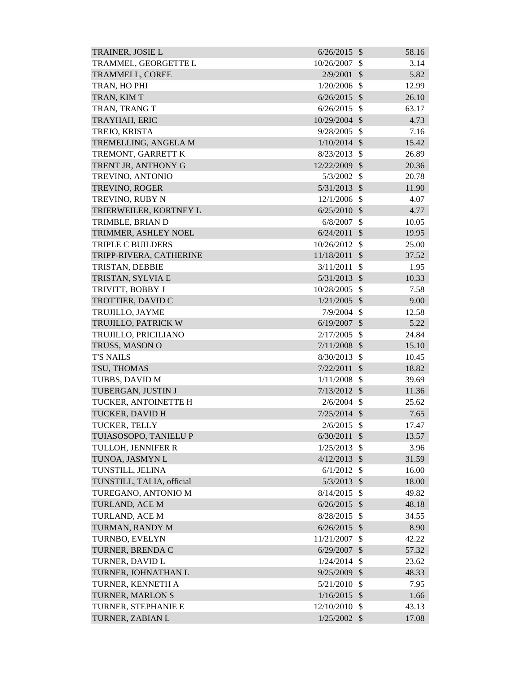| TRAINER, JOSIE L          | $6/26/2015$ \$ |                           | 58.16 |
|---------------------------|----------------|---------------------------|-------|
| TRAMMEL, GEORGETTE L      | 10/26/2007     | \$                        | 3.14  |
| TRAMMELL, COREE           | 2/9/2001       | $\mathcal{S}$             | 5.82  |
| TRAN, HO PHI              | 1/20/2006      | $\mathcal{S}$             | 12.99 |
| TRAN, KIM T               | 6/26/2015      | $\mathcal{S}$             | 26.10 |
| TRAN, TRANG T             | 6/26/2015      | $\mathcal{S}$             | 63.17 |
| TRAYHAH, ERIC             | 10/29/2004     | $\mathcal{S}$             | 4.73  |
| TREJO, KRISTA             | 9/28/2005      | $\mathcal{S}$             | 7.16  |
| TREMELLING, ANGELA M      | $1/10/2014$ \$ |                           | 15.42 |
| TREMONT, GARRETT K        | 8/23/2013      | $\mathcal{S}$             | 26.89 |
| TRENT JR, ANTHONY G       | 12/22/2009     | $\mathcal{S}$             | 20.36 |
| TREVINO, ANTONIO          | 5/3/2002       | $\mathcal{S}$             | 20.78 |
| TREVINO, ROGER            | $5/31/2013$ \$ |                           | 11.90 |
| TREVINO, RUBY N           | 12/1/2006      | $\mathcal{S}$             | 4.07  |
| TRIERWEILER, KORTNEY L    | $6/25/2010$ \$ |                           | 4.77  |
| TRIMBLE, BRIAN D          | 6/8/2007       | \$                        | 10.05 |
| TRIMMER, ASHLEY NOEL      | 6/24/2011      | $\mathcal{S}$             | 19.95 |
| <b>TRIPLE C BUILDERS</b>  | 10/26/2012     | $\mathcal{S}$             | 25.00 |
| TRIPP-RIVERA, CATHERINE   | 11/18/2011     | $\mathcal{S}$             | 37.52 |
| TRISTAN, DEBBIE           | 3/11/2011      | $\mathcal{S}$             | 1.95  |
| TRISTAN, SYLVIA E         | 5/31/2013      | $\sqrt{3}$                | 10.33 |
| TRIVITT, BOBBY J          | 10/28/2005     | $\mathcal{S}$             | 7.58  |
| TROTTIER, DAVID C         | $1/21/2005$ \$ |                           | 9.00  |
| TRUJILLO, JAYME           | $7/9/2004$ \$  |                           | 12.58 |
| TRUJILLO, PATRICK W       | 6/19/2007      | $\mathcal{S}$             | 5.22  |
| TRUJILLO, PRICILIANO      | 2/17/2005      | $\mathcal{S}$             | 24.84 |
| TRUSS, MASON O            | 7/11/2008      | $\mathcal{S}$             | 15.10 |
| <b>T'S NAILS</b>          | 8/30/2013      | $\mathcal{S}$             | 10.45 |
| TSU, THOMAS               | 7/22/2011      | $\mathcal{S}$             | 18.82 |
| TUBBS, DAVID M            | 1/11/2008      | $\boldsymbol{\mathsf{S}}$ | 39.69 |
| TUBERGAN, JUSTIN J        | $7/13/2012$ \$ |                           | 11.36 |
| TUCKER, ANTOINETTE H      | 2/6/2004       | -S                        | 25.62 |
| <b>TUCKER, DAVID H</b>    | $7/25/2014$ \$ |                           | 7.65  |
| TUCKER, TELLY             | 2/6/2015       | $\mathcal{S}$             | 17.47 |
| TUIASOSOPO, TANIELU P     | 6/30/2011      | $\mathcal{S}$             | 13.57 |
| TULLOH, JENNIFER R        | 1/25/2013      | \$                        | 3.96  |
| TUNOA, JASMYN L           | $4/12/2013$ \$ |                           | 31.59 |
| TUNSTILL, JELINA          | 6/1/2012       | $\mathcal{S}$             | 16.00 |
| TUNSTILL, TALIA, official | $5/3/2013$ \$  |                           | 18.00 |
| TUREGANO, ANTONIO M       | 8/14/2015      | $\mathcal{S}$             | 49.82 |
| TURLAND, ACE M            | $6/26/2015$ \$ |                           | 48.18 |
| TURLAND, ACE M            | 8/28/2015      | $\mathcal{S}$             | 34.55 |
| TURMAN, RANDY M           | $6/26/2015$ \$ |                           | 8.90  |
| TURNBO, EVELYN            | 11/21/2007     | \$                        | 42.22 |
| TURNER, BRENDA C          | $6/29/2007$ \$ |                           | 57.32 |
| TURNER, DAVID L           | $1/24/2014$ \$ |                           | 23.62 |
| TURNER, JOHNATHAN L       | 9/25/2009      | $\mathcal{S}$             | 48.33 |
| TURNER, KENNETH A         | 5/21/2010      | $\mathcal{S}$             | 7.95  |
| TURNER, MARLON S          | 1/16/2015      | $\mathcal{S}$             | 1.66  |
| TURNER, STEPHANIE E       | 12/10/2010 \$  |                           | 43.13 |
| TURNER, ZABIAN L          | $1/25/2002$ \$ |                           | 17.08 |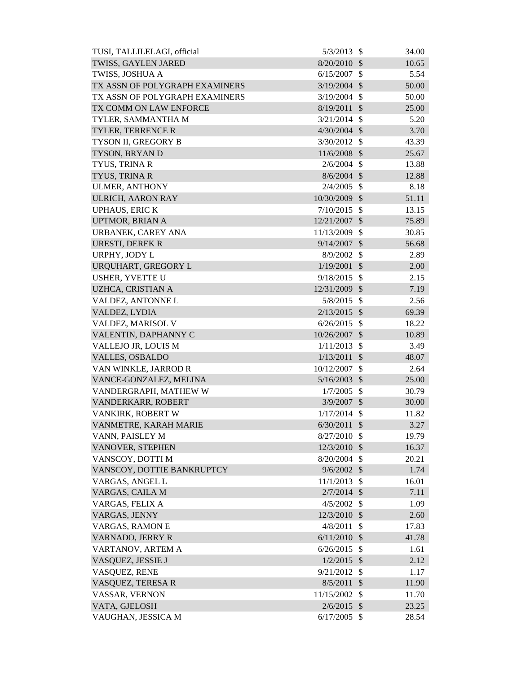| TUSI, TALLILELAGI, official    | 5/3/2013       | - \$                       | 34.00 |
|--------------------------------|----------------|----------------------------|-------|
| TWISS, GAYLEN JARED            | 8/20/2010      | $\mathcal{S}$              | 10.65 |
| TWISS, JOSHUA A                | 6/15/2007      | $\mathcal{S}$              | 5.54  |
| TX ASSN OF POLYGRAPH EXAMINERS | 3/19/2004      | $\mathcal{S}$              | 50.00 |
| TX ASSN OF POLYGRAPH EXAMINERS | 3/19/2004      | \$                         | 50.00 |
| TX COMM ON LAW ENFORCE         | 8/19/2011      | $\mathcal{S}$              | 25.00 |
| TYLER, SAMMANTHA M             | $3/21/2014$ \$ |                            | 5.20  |
| <b>TYLER, TERRENCE R</b>       | 4/30/2004      | $\mathcal{S}$              | 3.70  |
| TYSON II, GREGORY B            | 3/30/2012      | $\mathcal{S}$              | 43.39 |
| TYSON, BRYAN D                 | 11/6/2008      | $\mathcal{S}$              | 25.67 |
| TYUS, TRINA R                  | $2/6/2004$ \$  |                            | 13.88 |
| TYUS, TRINA R                  | 8/6/2004       | $\mathcal{S}$              | 12.88 |
| <b>ULMER, ANTHONY</b>          | 2/4/2005       | $\mathcal{S}$              | 8.18  |
| ULRICH, AARON RAY              | 10/30/2009     | $\mathcal{S}$              | 51.11 |
| <b>UPHAUS, ERIC K</b>          | 7/10/2015      | $\mathcal{S}$              | 13.15 |
| <b>UPTMOR, BRIAN A</b>         | 12/21/2007     | $\boldsymbol{\mathsf{S}}$  | 75.89 |
| URBANEK, CAREY ANA             | 11/13/2009     | $\mathcal{S}$              | 30.85 |
| URESTI, DEREK R                | $9/14/2007$ \$ |                            | 56.68 |
| URPHY, JODY L                  | 8/9/2002       | $\mathcal{S}$              | 2.89  |
| URQUHART, GREGORY L            | 1/19/2001      | $\sqrt{3}$                 | 2.00  |
| USHER, YVETTE U                | 9/18/2015      | $\mathcal{S}$              | 2.15  |
| UZHCA, CRISTIAN A              | 12/31/2009 \$  |                            | 7.19  |
| VALDEZ, ANTONNE L              | 5/8/2015       | $\mathcal{S}$              | 2.56  |
| VALDEZ, LYDIA                  | $2/13/2015$ \$ |                            | 69.39 |
| VALDEZ, MARISOL V              | 6/26/2015      | $\mathcal{S}$              | 18.22 |
| VALENTIN, DAPHANNY C           | 10/26/2007     | $\sqrt{3}$                 | 10.89 |
| VALLEJO JR, LOUIS M            | 1/11/2013      | $\mathcal{S}$              | 3.49  |
| <b>VALLES, OSBALDO</b>         | 1/13/2011      | $\mathcal{S}$              | 48.07 |
| VAN WINKLE, JARROD R           | 10/12/2007     | $\mathcal{S}$              | 2.64  |
| VANCE-GONZALEZ, MELINA         | 5/16/2003      | $\mathcal{S}$              | 25.00 |
| VANDERGRAPH, MATHEW W          | 1/7/2005       | $\boldsymbol{\mathsf{S}}$  | 30.79 |
| VANDERKARR, ROBERT             | 3/9/2007       | $\boldsymbol{\mathcal{S}}$ | 30.00 |
| VANKIRK, ROBERT W              | 1/17/2014      | -\$                        | 11.82 |
| VANMETRE, KARAH MARIE          | 6/30/2011      | $\mathcal{S}$              | 3.27  |
| VANN, PAISLEY M                | 8/27/2010      | $\mathcal{S}$              | 19.79 |
| VANOVER, STEPHEN               | 12/3/2010      | $\boldsymbol{\mathsf{S}}$  | 16.37 |
| VANSCOY, DOTTI M               | 8/20/2004      | $\mathcal{S}$              | 20.21 |
| VANSCOY, DOTTIE BANKRUPTCY     | 9/6/2002       | $\mathcal{S}$              | 1.74  |
| VARGAS, ANGEL L                | 11/1/2013      | $\mathcal{S}$              | 16.01 |
| VARGAS, CAILA M                | $2/7/2014$ \$  |                            | 7.11  |
| VARGAS, FELIX A                | 4/5/2002       | $\mathcal{S}$              | 1.09  |
| VARGAS, JENNY                  | 12/3/2010      | $\mathcal{S}$              | 2.60  |
| <b>VARGAS, RAMON E</b>         | 4/8/2011       | $\mathcal{S}$              | 17.83 |
| VARNADO, JERRY R               | 6/11/2010      | $\mathcal{S}$              | 41.78 |
| VARTANOV, ARTEM A              | 6/26/2015      | \$                         | 1.61  |
| VASQUEZ, JESSIE J              | $1/2/2015$ \$  |                            | 2.12  |
| VASQUEZ, RENE                  | 9/21/2012      | $\mathcal{S}$              | 1.17  |
| VASQUEZ, TERESA R              | 8/5/2011       | $\sqrt[6]{\frac{1}{2}}$    | 11.90 |
| VASSAR, VERNON                 | 11/15/2002     | \$                         | 11.70 |
| VATA, GJELOSH                  | $2/6/2015$ \$  |                            | 23.25 |
| VAUGHAN, JESSICA M             | $6/17/2005$ \$ |                            | 28.54 |
|                                |                |                            |       |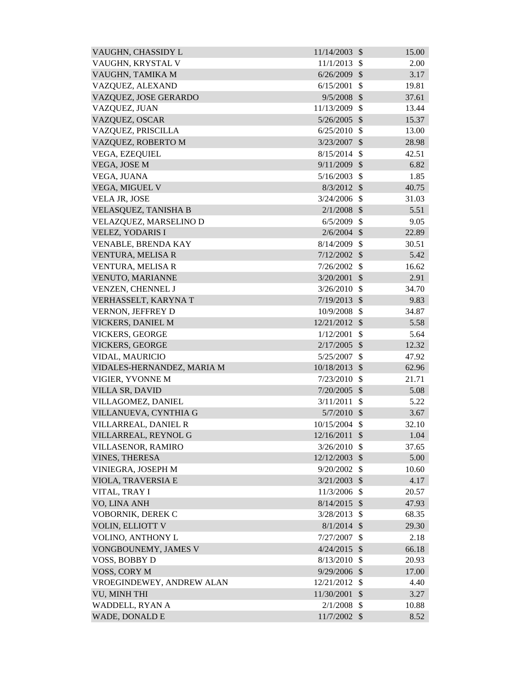| VAUGHN, CHASSIDY L         | 11/14/2003     | $\mathcal{S}$             | 15.00 |
|----------------------------|----------------|---------------------------|-------|
| VAUGHN, KRYSTAL V          | 11/1/2013      | \$                        | 2.00  |
| VAUGHN, TAMIKA M           | 6/26/2009      | $\mathcal{S}$             | 3.17  |
| VAZQUEZ, ALEXAND           | 6/15/2001      | \$                        | 19.81 |
| VAZQUEZ, JOSE GERARDO      | 9/5/2008       | $\mathcal{S}$             | 37.61 |
| VAZQUEZ, JUAN              | 11/13/2009     | \$                        | 13.44 |
| VAZQUEZ, OSCAR             | 5/26/2005      | $\mathcal{S}$             | 15.37 |
| VAZQUEZ, PRISCILLA         | 6/25/2010      | \$                        | 13.00 |
| VAZQUEZ, ROBERTO M         | 3/23/2007      | $\sqrt{3}$                | 28.98 |
| VEGA, EZEQUIEL             | 8/15/2014      | $\mathcal{S}$             | 42.51 |
| VEGA, JOSE M               | 9/11/2009      | $\mathcal{S}$             | 6.82  |
| VEGA, JUANA                | 5/16/2003      | $\mathcal{S}$             | 1.85  |
| VEGA, MIGUEL V             | 8/3/2012       | $\mathcal{S}$             | 40.75 |
| VELA JR, JOSE              | 3/24/2006      | $\mathcal{S}$             | 31.03 |
| VELASQUEZ, TANISHA B       | $2/1/2008$ \$  |                           | 5.51  |
| VELAZQUEZ, MARSELINO D     | 6/5/2009       | $\mathbb{S}$              | 9.05  |
| VELEZ, YODARIS I           | $2/6/2004$ \$  |                           | 22.89 |
| VENABLE, BRENDA KAY        | 8/14/2009      | $\mathcal{S}$             | 30.51 |
| VENTURA, MELISA R          | $7/12/2002$ \$ |                           | 5.42  |
| VENTURA, MELISA R          | 7/26/2002      | $\mathcal{S}$             | 16.62 |
| VENUTO, MARIANNE           | 3/20/2001      | $\mathcal{S}$             | 2.91  |
| VENZEN, CHENNEL J          | 3/26/2010      | $\mathcal{S}$             | 34.70 |
| VERHASSELT, KARYNA T       | 7/19/2013      | $\mathcal{S}$             | 9.83  |
| VERNON, JEFFREY D          | 10/9/2008      | $\mathcal{S}$             | 34.87 |
| VICKERS, DANIEL M          | 12/21/2012     | $\mathcal{S}$             | 5.58  |
| <b>VICKERS, GEORGE</b>     | 1/12/2001      | \$                        | 5.64  |
| <b>VICKERS, GEORGE</b>     | 2/17/2005      | $\mathcal{S}$             | 12.32 |
| VIDAL, MAURICIO            | 5/25/2007      | \$                        | 47.92 |
| VIDALES-HERNANDEZ, MARIA M | 10/18/2013     | $\mathcal{S}$             | 62.96 |
| VIGIER, YVONNE M           | 7/23/2010      | \$                        | 21.71 |
| <b>VILLA SR, DAVID</b>     | 7/20/2005 \$   |                           | 5.08  |
| VILLAGOMEZ, DANIEL         | 3/11/2011      | \$                        | 5.22  |
| VILLANUEVA, CYNTHIA G      | 5/7/2010       | $\mathcal{S}$             | 3.67  |
| VILLARREAL, DANIEL R       | 10/15/2004     | $\mathcal{S}$             | 32.10 |
| VILLARREAL, REYNOL G       | 12/16/2011     | $\mathcal{S}$             | 1.04  |
| VILLASENOR, RAMIRO         | 3/26/2010      | $\mathcal{S}$             | 37.65 |
| <b>VINES, THERESA</b>      | 12/12/2003     | $\mathcal{S}$             | 5.00  |
| VINIEGRA, JOSEPH M         | 9/20/2002      | $\mathcal{S}$             | 10.60 |
| VIOLA, TRAVERSIA E         | 3/21/2003      | $\mathcal{S}$             | 4.17  |
| VITAL, TRAY I              | 11/3/2006      | $\mathcal{S}$             | 20.57 |
| VO, LINA ANH               | 8/14/2015      | $\mathcal{S}$             | 47.93 |
| VOBORNIK, DEREK C          | 3/28/2013      | $\mathcal{S}$             | 68.35 |
| VOLIN, ELLIOTT V           | $8/1/2014$ \$  |                           | 29.30 |
| VOLINO, ANTHONY L          | 7/27/2007      | $\mathcal{S}$             | 2.18  |
| VONGBOUNEMY, JAMES V       | 4/24/2015      | $\mathcal{S}$             | 66.18 |
| VOSS, BOBBY D              | 8/13/2010      | $\mathcal{S}$             | 20.93 |
| VOSS, CORY M               | 9/29/2006      | $\mathcal{S}$             | 17.00 |
| VROEGINDEWEY, ANDREW ALAN  | 12/21/2012     | $\mathcal{S}$             | 4.40  |
| VU, MINH THI               | 11/30/2001     | $\mathcal{S}$             | 3.27  |
| WADDELL, RYAN A            | 2/1/2008       | $\mathcal{S}$             | 10.88 |
| WADE, DONALD E             | 11/7/2002      | $\boldsymbol{\mathsf{S}}$ | 8.52  |
|                            |                |                           |       |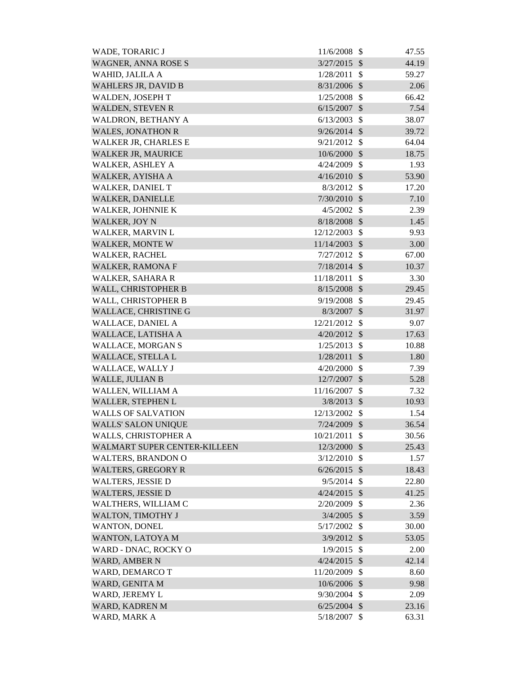| WADE, TORARIC J              | 11/6/2008      | $\mathcal{S}$             | 47.55 |
|------------------------------|----------------|---------------------------|-------|
| <b>WAGNER, ANNA ROSE S</b>   | 3/27/2015      | $\mathcal{S}$             | 44.19 |
| WAHID, JALILA A              | 1/28/2011      | $\mathcal{S}$             | 59.27 |
| <b>WAHLERS JR, DAVID B</b>   | 8/31/2006      | $\mathcal{S}$             | 2.06  |
| WALDEN, JOSEPH T             | 1/25/2008      | $\mathcal{S}$             | 66.42 |
| <b>WALDEN, STEVEN R</b>      | 6/15/2007      | $\mathcal{S}$             | 7.54  |
| WALDRON, BETHANY A           | 6/13/2003      | $\mathcal{S}$             | 38.07 |
| <b>WALES, JONATHON R</b>     | 9/26/2014      | $\mathcal{S}$             | 39.72 |
| <b>WALKER JR, CHARLES E</b>  | 9/21/2012      | $\mathcal{S}$             | 64.04 |
| <b>WALKER JR, MAURICE</b>    | 10/6/2000      | $\mathcal{S}$             | 18.75 |
| WALKER, ASHLEY A             | 4/24/2009      | $\mathcal{S}$             | 1.93  |
| WALKER, AYISHA A             | 4/16/2010      | $\mathcal{S}$             | 53.90 |
| <b>WALKER, DANIEL T</b>      | 8/3/2012       | $\mathcal{S}$             | 17.20 |
| <b>WALKER, DANIELLE</b>      | 7/30/2010      | $\mathcal{S}$             | 7.10  |
| <b>WALKER, JOHNNIE K</b>     | 4/5/2002       | $\mathcal{S}$             | 2.39  |
| <b>WALKER, JOY N</b>         | 8/18/2008      | $\mathcal{S}$             | 1.45  |
| <b>WALKER, MARVIN L</b>      | 12/12/2003     | $\mathcal{S}$             | 9.93  |
| <b>WALKER, MONTE W</b>       | 11/14/2003     | $\mathcal{S}$             | 3.00  |
| <b>WALKER, RACHEL</b>        | 7/27/2012      | $\mathcal{S}$             | 67.00 |
| <b>WALKER, RAMONA F</b>      | 7/18/2014      | $\mathcal{S}$             | 10.37 |
| WALKER, SAHARA R             | 11/18/2011     | $\mathcal{S}$             | 3.30  |
| WALL, CHRISTOPHER B          | 8/15/2008      | $\mathcal{S}$             | 29.45 |
| WALL, CHRISTOPHER B          | 9/19/2008      | $\mathcal{S}$             | 29.45 |
| WALLACE, CHRISTINE G         | 8/3/2007       | $\mathcal{S}$             | 31.97 |
| <b>WALLACE, DANIEL A</b>     | 12/21/2012     | $\mathcal{S}$             | 9.07  |
| WALLACE, LATISHA A           | 4/20/2012      | $\sqrt{3}$                | 17.63 |
| <b>WALLACE, MORGAN S</b>     | 1/25/2013      | $\mathcal{S}$             | 10.88 |
| WALLACE, STELLA L            | 1/28/2011      | $\mathcal{S}$             | 1.80  |
| WALLACE, WALLY J             | 4/20/2000      | $\mathcal{S}$             | 7.39  |
| <b>WALLE, JULIAN B</b>       | 12/7/2007      | $\mathcal{S}$             | 5.28  |
| WALLEN, WILLIAM A            | 11/16/2007     | $\boldsymbol{\mathsf{S}}$ | 7.32  |
| WALLER, STEPHEN L            | 3/8/2013       | $\mathcal{S}$             | 10.93 |
| <b>WALLS OF SALVATION</b>    | 12/13/2002     | $\mathcal{S}$             | 1.54  |
| <b>WALLS' SALON UNIQUE</b>   | 7/24/2009      | $\mathcal{S}$             | 36.54 |
| WALLS, CHRISTOPHER A         | 10/21/2011     | $\mathcal{S}$             | 30.56 |
| WALMART SUPER CENTER-KILLEEN | 12/3/2000      | $\boldsymbol{\mathsf{S}}$ | 25.43 |
| <b>WALTERS, BRANDON O</b>    | 3/12/2010      | $\mathcal{S}$             | 1.57  |
| <b>WALTERS, GREGORY R</b>    | 6/26/2015      | $\mathcal{S}$             | 18.43 |
| <b>WALTERS, JESSIE D</b>     | 9/5/2014       | $\mathcal{S}$             | 22.80 |
| <b>WALTERS, JESSIE D</b>     | 4/24/2015      | $\mathcal{S}$             | 41.25 |
| WALTHERS, WILLIAM C          | 2/20/2009      | $\mathcal{S}$             | 2.36  |
| WALTON, TIMOTHY J            | $3/4/2005$ \$  |                           | 3.59  |
| <b>WANTON, DONEL</b>         | 5/17/2002      | \$                        | 30.00 |
| WANTON, LATOYA M             | 3/9/2012       | $\mathcal{S}$             | 53.05 |
| WARD - DNAC, ROCKY O         | 1/9/2015       | $\mathcal{S}$             | 2.00  |
| <b>WARD, AMBER N</b>         | $4/24/2015$ \$ |                           | 42.14 |
| WARD, DEMARCO T              | 11/20/2009     | $\boldsymbol{\mathsf{S}}$ | 8.60  |
| WARD, GENITA M               | 10/6/2006      | $\mathcal{S}$             | 9.98  |
| WARD, JEREMY L               | 9/30/2004      | $\boldsymbol{\mathsf{S}}$ | 2.09  |
| WARD, KADREN M               | 6/25/2004      | $\mathcal{S}$             | 23.16 |
| WARD, MARK A                 | 5/18/2007      | $\boldsymbol{\mathsf{S}}$ | 63.31 |
|                              |                |                           |       |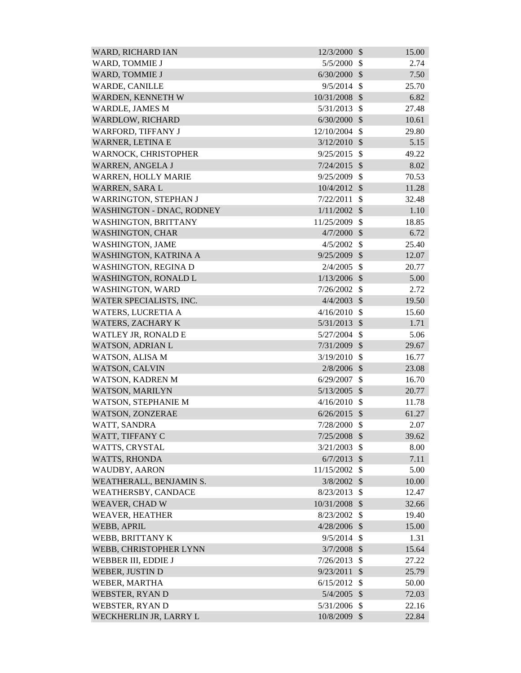| WARD, RICHARD IAN                | 12/3/2000      | $\mathcal{S}$ | 15.00 |
|----------------------------------|----------------|---------------|-------|
| WARD, TOMMIE J                   | 5/5/2000       | $\mathcal{S}$ | 2.74  |
| <b>WARD, TOMMIE J</b>            | 6/30/2000      | $\mathcal{S}$ | 7.50  |
| WARDE, CANILLE                   | 9/5/2014       | $\mathcal{S}$ | 25.70 |
| WARDEN, KENNETH W                | 10/31/2008     | $\mathcal{S}$ | 6.82  |
| <b>WARDLE, JAMES M</b>           | 5/31/2013      | $\mathcal{S}$ | 27.48 |
| <b>WARDLOW, RICHARD</b>          | 6/30/2000      | $\mathcal{S}$ | 10.61 |
| WARFORD, TIFFANY J               | 12/10/2004     | $\mathcal{S}$ | 29.80 |
| WARNER, LETINA E                 | 3/12/2010      | $\mathcal{S}$ | 5.15  |
| WARNOCK, CHRISTOPHER             | 9/25/2015      | $\mathcal{S}$ | 49.22 |
| WARREN, ANGELA J                 | 7/24/2015      | $\mathcal{S}$ | 8.02  |
| <b>WARREN, HOLLY MARIE</b>       | 9/25/2009      | $\mathcal{S}$ | 70.53 |
| WARREN, SARA L                   | $10/4/2012$ \$ |               | 11.28 |
| <b>WARRINGTON, STEPHAN J</b>     | 7/22/2011      | \$            | 32.48 |
| <b>WASHINGTON - DNAC, RODNEY</b> | 1/11/2002      | $\mathcal{S}$ | 1.10  |
| <b>WASHINGTON, BRITTANY</b>      | 11/25/2009     | $\mathcal{S}$ | 18.85 |
| <b>WASHINGTON, CHAR</b>          | 4/7/2000       | $\mathcal{S}$ | 6.72  |
| <b>WASHINGTON, JAME</b>          | 4/5/2002       | $\mathcal{S}$ | 25.40 |
| WASHINGTON, KATRINA A            | 9/25/2009      | $\mathcal{S}$ | 12.07 |
| <b>WASHINGTON, REGINA D</b>      | 2/4/2005       | $\mathcal{S}$ | 20.77 |
| <b>WASHINGTON, RONALD L</b>      | 1/13/2006      | $\mathcal{S}$ | 5.00  |
| WASHINGTON, WARD                 | 7/26/2002      | $\mathcal{S}$ | 2.72  |
| WATER SPECIALISTS, INC.          | $4/4/2003$ \$  |               | 19.50 |
| <b>WATERS, LUCRETIA A</b>        | 4/16/2010      | $\mathcal{S}$ | 15.60 |
| <b>WATERS, ZACHARY K</b>         | 5/31/2013      | $\mathcal{S}$ | 1.71  |
| WATLEY JR, RONALD E              | 5/27/2004      | $\mathcal{S}$ | 5.06  |
| <b>WATSON, ADRIAN L</b>          | 7/31/2009      | $\mathcal{S}$ | 29.67 |
| WATSON, ALISA M                  | 3/19/2010      | $\mathcal{S}$ | 16.77 |
| WATSON, CALVIN                   | $2/8/2006$ \$  |               | 23.08 |
| WATSON, KADREN M                 | 6/29/2007      | \$            | 16.70 |
| WATSON, MARILYN                  | 5/13/2005 \$   |               | 20.77 |
| WATSON, STEPHANIE M              | 4/16/2010      | \$            | 11.78 |
| WATSON, ZONZERAE                 | 6/26/2015      | $\mathcal{S}$ | 61.27 |
| WATT, SANDRA                     | 7/28/2000      | \$            | 2.07  |
| WATT, TIFFANY C                  | 7/25/2008      | $\mathcal{S}$ | 39.62 |
| WATTS, CRYSTAL                   | 3/21/2003      | \$            | 8.00  |
| <b>WATTS, RHONDA</b>             | $6/7/2013$ \$  |               | 7.11  |
| <b>WAUDBY, AARON</b>             | 11/15/2002     | $\mathcal{S}$ | 5.00  |
| WEATHERALL, BENJAMIN S.          | $3/8/2002$ \$  |               | 10.00 |
| WEATHERSBY, CANDACE              | 8/23/2013      | $\mathcal{S}$ | 12.47 |
| WEAVER, CHAD W                   | 10/31/2008     | $\mathcal{S}$ | 32.66 |
| <b>WEAVER, HEATHER</b>           | 8/23/2002      | $\mathcal{S}$ | 19.40 |
| WEBB, APRIL                      | 4/28/2006      | -\$           | 15.00 |
| WEBB, BRITTANY K                 | 9/5/2014       | $\mathcal{S}$ | 1.31  |
| WEBB, CHRISTOPHER LYNN           | 3/7/2008       | $\mathcal{S}$ | 15.64 |
| WEBBER III, EDDIE J              | 7/26/2013      | $\mathcal{S}$ | 27.22 |
| WEBER, JUSTIN D                  | 9/23/2011      | $\mathcal{S}$ | 25.79 |
| WEBER, MARTHA                    | 6/15/2012      | $\mathcal{S}$ | 50.00 |
| <b>WEBSTER, RYAND</b>            | 5/4/2005 \$    |               | 72.03 |
| WEBSTER, RYAN D                  | 5/31/2006      | \$            | 22.16 |
| WECKHERLIN JR, LARRY L           | 10/8/2009 \$   |               | 22.84 |
|                                  |                |               |       |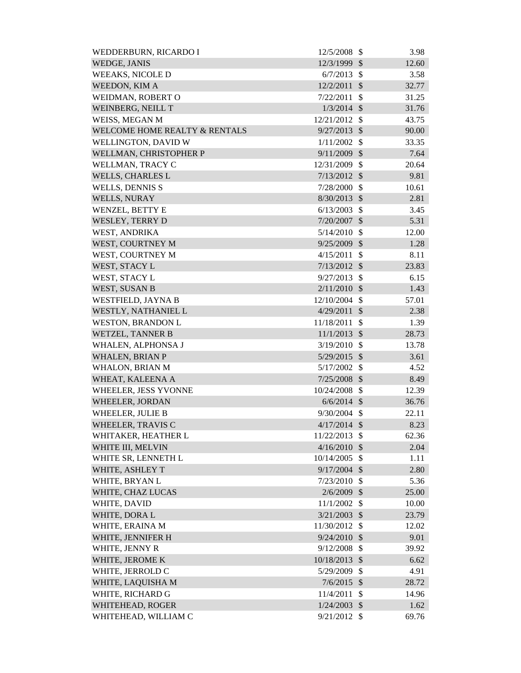| WEDDERBURN, RICARDO I                    | 12/5/2008      | $\mathcal{S}$ | 3.98  |
|------------------------------------------|----------------|---------------|-------|
| WEDGE, JANIS                             | 12/3/1999      | $\mathcal{S}$ | 12.60 |
| <b>WEEAKS, NICOLE D</b>                  | 6/7/2013       | $\mathcal{S}$ | 3.58  |
| WEEDON, KIM A                            | 12/2/2011      | $\mathcal{S}$ | 32.77 |
| WEIDMAN, ROBERT O                        | 7/22/2011      | $\mathcal{S}$ | 31.25 |
| WEINBERG, NEILL T                        | $1/3/2014$ \$  |               | 31.76 |
| WEISS, MEGAN M                           | 12/21/2012     | $\mathcal{S}$ | 43.75 |
| <b>WELCOME HOME REALTY &amp; RENTALS</b> | 9/27/2013      | $\mathcal{S}$ | 90.00 |
| WELLINGTON, DAVID W                      | 1/11/2002      | $\mathcal{S}$ | 33.35 |
| WELLMAN, CHRISTOPHER P                   | 9/11/2009      | $\mathcal{S}$ | 7.64  |
| WELLMAN, TRACY C                         | 12/31/2009     | $\mathcal{S}$ | 20.64 |
| <b>WELLS, CHARLES L</b>                  | 7/13/2012      | $\mathcal{S}$ | 9.81  |
| <b>WELLS, DENNIS S</b>                   | 7/28/2000      | \$            | 10.61 |
| <b>WELLS, NURAY</b>                      | 8/30/2013      | $\mathcal{S}$ | 2.81  |
| WENZEL, BETTY E                          | 6/13/2003      | $\mathcal{S}$ | 3.45  |
| WESLEY, TERRY D                          | 7/20/2007      | $\mathcal{S}$ | 5.31  |
| WEST, ANDRIKA                            | 5/14/2010      | \$            | 12.00 |
| WEST, COURTNEY M                         | 9/25/2009 \$   |               | 1.28  |
| WEST, COURTNEY M                         | 4/15/2011      | \$            | 8.11  |
| WEST, STACY L                            | $7/13/2012$ \$ |               | 23.83 |
| WEST, STACY L                            | 9/27/2013      | $\mathcal{S}$ | 6.15  |
| WEST, SUSAN B                            | 2/11/2010      | $\mathcal{S}$ | 1.43  |
| WESTFIELD, JAYNA B                       | 12/10/2004     | $\mathcal{S}$ | 57.01 |
| WESTLY, NATHANIEL L                      | 4/29/2011      | $\mathcal{S}$ | 2.38  |
| <b>WESTON, BRANDON L</b>                 | 11/18/2011     | $\mathcal{S}$ | 1.39  |
| <b>WETZEL, TANNER B</b>                  | 11/1/2013      | $\mathcal{S}$ | 28.73 |
| WHALEN, ALPHONSA J                       | 3/19/2010      | $\mathcal{S}$ | 13.78 |
| <b>WHALEN, BRIAN P</b>                   | 5/29/2015      | $\mathcal{S}$ | 3.61  |
| <b>WHALON, BRIAN M</b>                   | $5/17/2002$ \$ |               | 4.52  |
| WHEAT, KALEENA A                         | 7/25/2008      | $\mathcal{S}$ | 8.49  |
| WHEELER, JESS YVONNE                     | 10/24/2008     | $\mathcal{S}$ | 12.39 |
| WHEELER, JORDAN                          | $6/6/2014$ \$  |               | 36.76 |
| WHEELER, JULIE B                         | $9/30/2004$ \$ |               | 22.11 |
| WHEELER, TRAVIS C                        | $4/17/2014$ \$ |               | 8.23  |
| WHITAKER, HEATHER L                      | 11/22/2013     | $\mathcal{S}$ | 62.36 |
| WHITE III, MELVIN                        | 4/16/2010      | $\mathcal{S}$ | 2.04  |
| WHITE SR, LENNETH L                      | 10/14/2005     | $\mathcal{S}$ | 1.11  |
| WHITE, ASHLEY T                          | $9/17/2004$ \$ |               | 2.80  |
| WHITE, BRYAN L                           | 7/23/2010      | $\mathbb{S}$  | 5.36  |
| WHITE, CHAZ LUCAS                        | 2/6/2009       | $\mathcal{S}$ | 25.00 |
| WHITE, DAVID                             | 11/1/2002      | $\mathcal{S}$ | 10.00 |
| WHITE, DORA L                            | $3/21/2003$ \$ |               | 23.79 |
| WHITE, ERAINA M                          | 11/30/2012 \$  |               | 12.02 |
| WHITE, JENNIFER H                        | $9/24/2010$ \$ |               | 9.01  |
| WHITE, JENNY R                           | 9/12/2008      | $\mathcal{S}$ | 39.92 |
| WHITE, JEROME K                          | 10/18/2013     | $\mathcal{S}$ | 6.62  |
| WHITE, JERROLD C                         | 5/29/2009      | $\mathcal{S}$ | 4.91  |
| WHITE, LAQUISHA M                        | $7/6/2015$ \$  |               | 28.72 |
| WHITE, RICHARD G                         | 11/4/2011      | \$            | 14.96 |
| WHITEHEAD, ROGER                         | 1/24/2003      | $\mathcal{S}$ | 1.62  |
| WHITEHEAD, WILLIAM C                     | $9/21/2012$ \$ |               | 69.76 |
|                                          |                |               |       |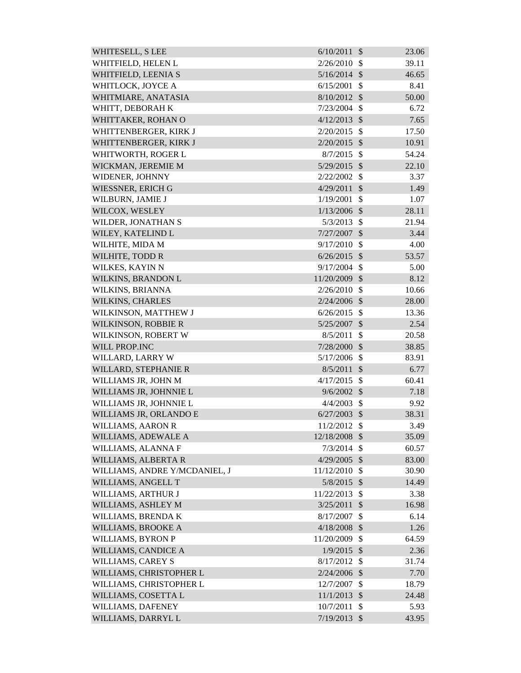| WHITESELL, S LEE              | 6/10/2011      | $\mathcal{S}$ | 23.06 |
|-------------------------------|----------------|---------------|-------|
| WHITFIELD, HELEN L            | 2/26/2010      | $\mathcal{S}$ | 39.11 |
| WHITFIELD, LEENIA S           | 5/16/2014      | $\mathcal{S}$ | 46.65 |
| WHITLOCK, JOYCE A             | 6/15/2001      | \$            | 8.41  |
| WHITMIARE, ANATASIA           | 8/10/2012      | $\mathcal{S}$ | 50.00 |
| WHITT, DEBORAH K              | 7/23/2004      | $\mathcal{S}$ | 6.72  |
| WHITTAKER, ROHAN O            | 4/12/2013      | $\mathcal{S}$ | 7.65  |
| WHITTENBERGER, KIRK J         | 2/20/2015      | $\mathcal{S}$ | 17.50 |
| WHITTENBERGER, KIRK J         | 2/20/2015      | $\mathcal{S}$ | 10.91 |
| WHITWORTH, ROGER L            | 8/7/2015       | $\mathcal{S}$ | 54.24 |
| WICKMAN, JEREMIE M            | 5/29/2015      | $\mathcal{S}$ | 22.10 |
| WIDENER, JOHNNY               | 2/22/2002      | \$            | 3.37  |
| WIESSNER, ERICH G             | 4/29/2011      | $\mathcal{S}$ | 1.49  |
| WILBURN, JAMIE J              | 1/19/2001      | $\mathcal{S}$ | 1.07  |
| WILCOX, WESLEY                | 1/13/2006      | $\mathcal{S}$ | 28.11 |
| WILDER, JONATHAN S            | 5/3/2013       | $\mathcal{S}$ | 21.94 |
| WILEY, KATELIND L             | 7/27/2007      | $\mathcal{S}$ | 3.44  |
| WILHITE, MIDA M               | 9/17/2010      | $\mathcal{S}$ | 4.00  |
| WILHITE, TODD R               | 6/26/2015      | $\mathcal{S}$ | 53.57 |
| WILKES, KAYIN N               | 9/17/2004      | $\mathcal{S}$ | 5.00  |
| WILKINS, BRANDON L            | 11/20/2009     | $\mathcal{S}$ | 8.12  |
| WILKINS, BRIANNA              | 2/26/2010      | $\mathcal{S}$ | 10.66 |
| <b>WILKINS, CHARLES</b>       | 2/24/2006      | $\mathcal{S}$ | 28.00 |
| WILKINSON, MATTHEW J          | 6/26/2015      | $\mathcal{S}$ | 13.36 |
| WILKINSON, ROBBIE R           | 5/25/2007      | $\mathcal{S}$ | 2.54  |
| WILKINSON, ROBERT W           | 8/5/2011       | $\mathcal{S}$ | 20.58 |
| <b>WILL PROP.INC</b>          | 7/28/2000      | $\mathcal{S}$ | 38.85 |
| WILLARD, LARRY W              | 5/17/2006      | $\mathcal{S}$ | 83.91 |
| WILLARD, STEPHANIE R          | 8/5/2011       | $\mathcal{S}$ | 6.77  |
| WILLIAMS JR, JOHN M           | 4/17/2015      | $\mathcal{S}$ | 60.41 |
| WILLIAMS JR, JOHNNIE L        | $9/6/2002$ \$  |               | 7.18  |
| WILLIAMS JR, JOHNNIE L        | 4/4/2003       | $\mathcal{S}$ | 9.92  |
| WILLIAMS JR, ORLANDO E        | $6/27/2003$ \$ |               | 38.31 |
| <b>WILLIAMS, AARON R</b>      | 11/2/2012      | $\mathbb{S}$  | 3.49  |
| WILLIAMS, ADEWALE A           | 12/18/2008     | $\mathcal{S}$ | 35.09 |
| WILLIAMS, ALANNA F            | 7/3/2014       | $\mathcal{S}$ | 60.57 |
| WILLIAMS, ALBERTA R           | 4/29/2005      | $\mathcal{S}$ | 83.00 |
| WILLIAMS, ANDRE Y/MCDANIEL, J | 11/12/2010     | $\mathcal{S}$ | 30.90 |
| WILLIAMS, ANGELL T            | 5/8/2015       | $\mathcal{S}$ | 14.49 |
| WILLIAMS, ARTHUR J            | 11/22/2013     | \$            | 3.38  |
| WILLIAMS, ASHLEY M            | 3/25/2011      | $\mathcal{S}$ | 16.98 |
| WILLIAMS, BRENDA K            | 8/17/2007      | \$            | 6.14  |
| WILLIAMS, BROOKE A            | 4/18/2008      | $\mathcal{S}$ | 1.26  |
| WILLIAMS, BYRON P             | 11/20/2009     | \$            | 64.59 |
| WILLIAMS, CANDICE A           | 1/9/2015       | $\mathcal{S}$ | 2.36  |
| WILLIAMS, CAREY S             | 8/17/2012      | $\mathcal{S}$ | 31.74 |
| WILLIAMS, CHRISTOPHER L       | 2/24/2006      | $\mathcal{S}$ | 7.70  |
| WILLIAMS, CHRISTOPHER L       | 12/7/2007      | \$            | 18.79 |
| WILLIAMS, COSETTA L           | 11/1/2013      | $\mathcal{S}$ | 24.48 |
| WILLIAMS, DAFENEY             | 10/7/2011      | \$            | 5.93  |
| WILLIAMS, DARRYL L            | 7/19/2013      | $\mathcal{S}$ | 43.95 |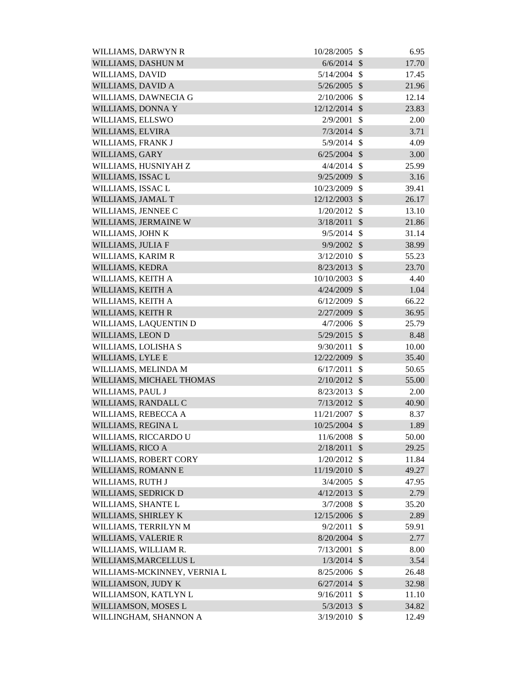| WILLIAMS, DARWYN R          | 10/28/2005     | \$                        | 6.95  |
|-----------------------------|----------------|---------------------------|-------|
| WILLIAMS, DASHUN M          | 6/6/2014       | $\mathcal{S}$             | 17.70 |
| <b>WILLIAMS, DAVID</b>      | 5/14/2004      | $\mathcal{S}$             | 17.45 |
| WILLIAMS, DAVID A           | 5/26/2005      | $\mathcal{S}$             | 21.96 |
| WILLIAMS, DAWNECIA G        | 2/10/2006      | $\mathcal{S}$             | 12.14 |
| WILLIAMS, DONNA Y           | 12/12/2014 \$  |                           | 23.83 |
| WILLIAMS, ELLSWO            | 2/9/2001       | $\mathcal{S}$             | 2.00  |
| WILLIAMS, ELVIRA            | $7/3/2014$ \$  |                           | 3.71  |
| WILLIAMS, FRANK J           | 5/9/2014       | $\mathcal{S}$             | 4.09  |
| WILLIAMS, GARY              | $6/25/2004$ \$ |                           | 3.00  |
| WILLIAMS, HUSNIYAH Z        | $4/4/2014$ \$  |                           | 25.99 |
| WILLIAMS, ISSAC L           | 9/25/2009      | \$                        | 3.16  |
| WILLIAMS, ISSAC L           | 10/23/2009     | $\mathcal{S}$             | 39.41 |
| WILLIAMS, JAMAL T           | 12/12/2003     | $\mathcal{S}$             | 26.17 |
| WILLIAMS, JENNEE C          | 1/20/2012      | $\mathcal{S}$             | 13.10 |
| WILLIAMS, JERMAINE W        | 3/18/2011      | $\mathcal{S}$             | 21.86 |
| WILLIAMS, JOHN K            | 9/5/2014       | $\mathcal{S}$             | 31.14 |
| WILLIAMS, JULIA F           | 9/9/2002       | $\mathcal{S}$             | 38.99 |
| WILLIAMS, KARIM R           | 3/12/2010      | $\mathcal{S}$             | 55.23 |
| WILLIAMS, KEDRA             | 8/23/2013      | $\mathcal{S}$             | 23.70 |
| WILLIAMS, KEITH A           | 10/10/2003     | $\mathcal{S}$             | 4.40  |
| WILLIAMS, KEITH A           | 4/24/2009      | $\mathcal{S}$             | 1.04  |
| WILLIAMS, KEITH A           | 6/12/2009      | \$                        | 66.22 |
| WILLIAMS, KEITH R           | 2/27/2009      | $\mathcal{S}$             | 36.95 |
| WILLIAMS, LAQUENTIN D       | 4/7/2006       | $\mathcal{S}$             | 25.79 |
| WILLIAMS, LEON D            | 5/29/2015      | $\sqrt$                   | 8.48  |
| WILLIAMS, LOLISHA S         | 9/30/2011      | $\mathcal{S}$             | 10.00 |
| WILLIAMS, LYLE E            | 12/22/2009     | $\sqrt{3}$                | 35.40 |
| WILLIAMS, MELINDA M         | 6/17/2011      | $\mathcal{S}$             | 50.65 |
| WILLIAMS, MICHAEL THOMAS    | $2/10/2012$ \$ |                           | 55.00 |
| WILLIAMS, PAUL J            | 8/23/2013      | $\mathcal{S}$             | 2.00  |
| WILLIAMS, RANDALL C         | 7/13/2012      | $\mathcal{S}$             | 40.90 |
| WILLIAMS, REBECCA A         | 11/21/2007     | $\mathcal{S}$             | 8.37  |
| WILLIAMS, REGINA L          | 10/25/2004     | $\mathcal{S}$             | 1.89  |
| WILLIAMS, RICCARDO U        | 11/6/2008      | $\mathcal{S}$             | 50.00 |
| WILLIAMS, RICO A            | 2/18/2011      | \$                        | 29.25 |
| WILLIAMS, ROBERT CORY       | 1/20/2012      | $\mathcal{S}$             | 11.84 |
| WILLIAMS, ROMANN E          | 11/19/2010     | $\mathcal{S}$             | 49.27 |
| WILLIAMS, RUTH J            | 3/4/2005       | $\mathcal{S}$             | 47.95 |
| WILLIAMS, SEDRICK D         | $4/12/2013$ \$ |                           | 2.79  |
| WILLIAMS, SHANTE L          | 3/7/2008       | $\mathcal{S}$             | 35.20 |
| WILLIAMS, SHIRLEY K         | 12/15/2006 \$  |                           | 2.89  |
| WILLIAMS, TERRILYN M        | 9/2/2011       | $\mathcal{S}$             | 59.91 |
| <b>WILLIAMS, VALERIE R</b>  | 8/20/2004      | $\mathcal{S}$             | 2.77  |
| WILLIAMS, WILLIAM R.        | 7/13/2001      | \$                        | 8.00  |
| WILLIAMS, MARCELLUS L       | 1/3/2014       | $\boldsymbol{\mathsf{S}}$ | 3.54  |
| WILLIAMS-MCKINNEY, VERNIA L | 8/25/2006      | $\mathcal{S}$             | 26.48 |
| WILLIAMSON, JUDY K          | $6/27/2014$ \$ |                           | 32.98 |
| WILLIAMSON, KATLYN L        | 9/16/2011      | \$                        | 11.10 |
| WILLIAMSON, MOSES L         | 5/3/2013       | $\sqrt$                   | 34.82 |
| WILLINGHAM, SHANNON A       | $3/19/2010$ \$ |                           | 12.49 |
|                             |                |                           |       |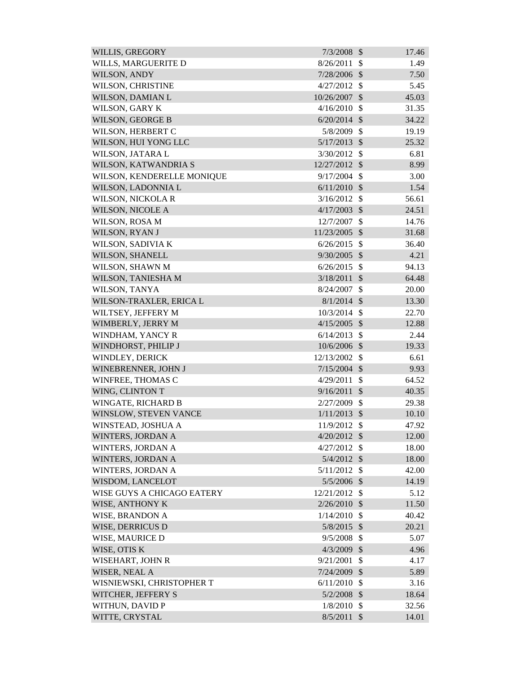| <b>WILLIS, GREGORY</b>            | 7/3/2008       | $\mathcal{S}$              | 17.46 |
|-----------------------------------|----------------|----------------------------|-------|
| WILLS, MARGUERITE D               | 8/26/2011      | $\mathcal{S}$              | 1.49  |
| <b>WILSON, ANDY</b>               | 7/28/2006      | $\mathcal{S}$              | 7.50  |
| WILSON, CHRISTINE                 | 4/27/2012      | $\mathcal{S}$              | 5.45  |
| WILSON, DAMIAN L                  | 10/26/2007     | $\mathcal{S}$              | 45.03 |
| WILSON, GARY K                    | 4/16/2010      | $\mathcal{S}$              | 31.35 |
| WILSON, GEORGE B                  | 6/20/2014      | $\mathcal{S}$              | 34.22 |
| WILSON, HERBERT C                 | 5/8/2009       | $\mathcal{S}$              | 19.19 |
| WILSON, HUI YONG LLC              | 5/17/2013      | $\mathcal{S}$              | 25.32 |
| WILSON, JATARA L                  | 3/30/2012      | $\mathcal{S}$              | 6.81  |
| WILSON, KATWANDRIA S              | 12/27/2012 \$  |                            | 8.99  |
| WILSON, KENDERELLE MONIQUE        | 9/17/2004      | $\mathcal{S}$              | 3.00  |
| WILSON, LADONNIA L                | 6/11/2010      | $\mathcal{S}$              | 1.54  |
| <b>WILSON, NICKOLAR</b>           | 3/16/2012      | $\mathcal{S}$              | 56.61 |
| WILSON, NICOLE A                  | 4/17/2003      | $\mathcal{S}$              | 24.51 |
| WILSON, ROSA M                    | 12/7/2007      | \$                         | 14.76 |
| WILSON, RYAN J                    | 11/23/2005     | $\mathcal{S}$              | 31.68 |
| WILSON, SADIVIA K                 | 6/26/2015      | $\mathcal{S}$              | 36.40 |
| <b>WILSON, SHANELL</b>            | 9/30/2005      | $\mathcal{S}$              | 4.21  |
| WILSON, SHAWN M                   | 6/26/2015      | $\mathcal{S}$              | 94.13 |
| WILSON, TANIESHA M                | 3/18/2011      | $\mathcal{S}$              | 64.48 |
| WILSON, TANYA                     | 8/24/2007      | $\mathcal{S}$              | 20.00 |
| WILSON-TRAXLER, ERICA L           | $8/1/2014$ \$  |                            | 13.30 |
| WILTSEY, JEFFERY M                | 10/3/2014      | $\mathcal{S}$              | 22.70 |
| WIMBERLY, JERRY M                 | 4/15/2005      | $\mathcal{S}$              | 12.88 |
| WINDHAM, YANCY R                  | 6/14/2013      | $\mathcal{S}$              | 2.44  |
| WINDHORST, PHILIP J               | 10/6/2006 \$   |                            | 19.33 |
| WINDLEY, DERICK                   | 12/13/2002     | $\mathcal{S}$              | 6.61  |
| WINEBRENNER, JOHN J               | $7/15/2004$ \$ |                            | 9.93  |
| WINFREE, THOMAS C                 | 4/29/2011      | $\mathcal{S}$              | 64.52 |
| WING, CLINTON T                   | $9/16/2011$ \$ |                            | 40.35 |
| WINGATE, RICHARD B                | 2/27/2009      | $\mathcal{S}$              | 29.38 |
| WINSLOW, STEVEN VANCE             | 1/11/2013      | $\mathcal{S}$              | 10.10 |
| WINSTEAD, JOSHUA A                | 11/9/2012      | $\mathcal{S}$              | 47.92 |
| WINTERS, JORDAN A                 | 4/20/2012      | $\mathcal{S}$              | 12.00 |
| WINTERS, JORDAN A                 | 4/27/2012      | $\mathcal{S}$              | 18.00 |
| WINTERS, JORDAN A                 | $5/4/2012$ \$  |                            | 18.00 |
| WINTERS, JORDAN A                 | 5/11/2012      | $\mathcal{S}$              | 42.00 |
| WISDOM, LANCELOT                  | $5/5/2006$ \$  |                            | 14.19 |
| <b>WISE GUYS A CHICAGO EATERY</b> | 12/21/2012     | $\mathcal{S}$              | 5.12  |
| WISE, ANTHONY K                   | 2/26/2010      | $\mathcal{S}$              | 11.50 |
| <b>WISE, BRANDON A</b>            | 1/14/2010      | $\mathcal{S}$              | 40.42 |
| WISE, DERRICUS D                  | 5/8/2015 \$    |                            | 20.21 |
| WISE, MAURICE D                   | 9/5/2008       | \$                         | 5.07  |
| WISE, OTIS K                      | 4/3/2009       | $\mathcal{S}$              | 4.96  |
| WISEHART, JOHN R                  | 9/21/2001      | $\mathcal{S}$              | 4.17  |
| WISER, NEAL A                     | 7/24/2009      | $\mathcal{S}$              | 5.89  |
| WISNIEWSKI, CHRISTOPHER T         | 6/11/2010      | $\mathcal{S}$              | 3.16  |
| WITCHER, JEFFERY S                | 5/2/2008       | $\mathcal{S}$              | 18.64 |
| WITHUN, DAVID P                   | 1/8/2010       | $\mathcal{S}$              | 32.56 |
| WITTE, CRYSTAL                    | 8/5/2011       | $\boldsymbol{\mathcal{S}}$ | 14.01 |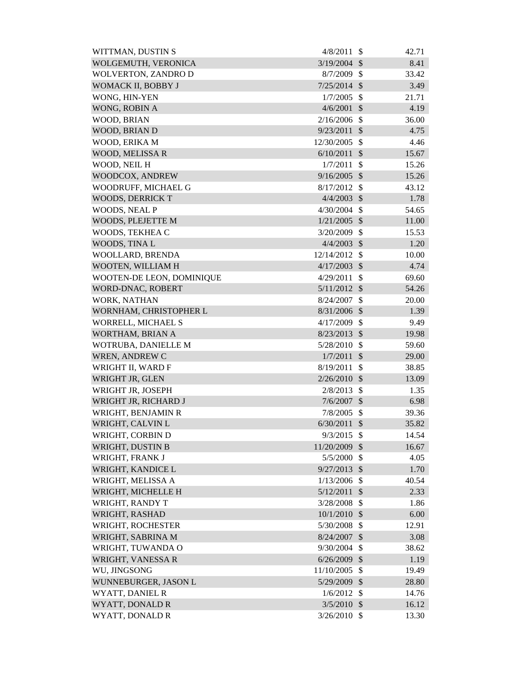| WITTMAN, DUSTIN S          | 4/8/2011       | $\mathcal{S}$             | 42.71 |
|----------------------------|----------------|---------------------------|-------|
| WOLGEMUTH, VERONICA        | 3/19/2004      | $\mathcal{S}$             | 8.41  |
| <b>WOLVERTON, ZANDRO D</b> | 8/7/2009       | $\mathcal{S}$             | 33.42 |
| WOMACK II, BOBBY J         | 7/25/2014      | $\mathcal{S}$             | 3.49  |
| WONG, HIN-YEN              | 1/7/2005       | $\mathcal{S}$             | 21.71 |
| WONG, ROBIN A              | 4/6/2001       | $\mathcal{S}$             | 4.19  |
| WOOD, BRIAN                | 2/16/2006      | $\mathcal{S}$             | 36.00 |
| WOOD, BRIAN D              | 9/23/2011      | \$                        | 4.75  |
| WOOD, ERIKA M              | 12/30/2005     | $\mathcal{S}$             | 4.46  |
| <b>WOOD, MELISSA R</b>     | 6/10/2011      | $\mathcal{S}$             | 15.67 |
| WOOD, NEIL H               | 1/7/2011       | $\mathcal{S}$             | 15.26 |
| WOODCOX, ANDREW            | 9/16/2005      | $\mathcal{S}$             | 15.26 |
| WOODRUFF, MICHAEL G        | 8/17/2012      | $\mathcal{S}$             | 43.12 |
| <b>WOODS, DERRICK T</b>    | 4/4/2003       | $\mathcal{S}$             | 1.78  |
| WOODS, NEAL P              | 4/30/2004      | $\mathcal{S}$             | 54.65 |
| WOODS, PLEJETTE M          | 1/21/2005      | $\mathcal{S}$             | 11.00 |
| WOODS, TEKHEA C            | 3/20/2009      | $\mathcal{S}$             | 15.53 |
| WOODS, TINA L              | 4/4/2003       | $\mathcal{S}$             | 1.20  |
| WOOLLARD, BRENDA           | 12/14/2012     | $\mathcal{S}$             | 10.00 |
| WOOTEN, WILLIAM H          | 4/17/2003      | $\mathcal{S}$             | 4.74  |
| WOOTEN-DE LEON, DOMINIQUE  | 4/29/2011      | $\mathcal{S}$             | 69.60 |
| WORD-DNAC, ROBERT          | 5/11/2012      | $\sqrt{3}$                | 54.26 |
| <b>WORK, NATHAN</b>        | 8/24/2007      | $\mathcal{S}$             | 20.00 |
| WORNHAM, CHRISTOPHER L     | $8/31/2006$ \$ |                           | 1.39  |
| WORRELL, MICHAEL S         | 4/17/2009      | $\mathcal{S}$             | 9.49  |
| WORTHAM, BRIAN A           | 8/23/2013      | $\mathcal{S}$             | 19.98 |
| WOTRUBA, DANIELLE M        | 5/28/2010      | $\mathcal{S}$             | 59.60 |
| <b>WREN, ANDREW C</b>      | 1/7/2011       | $\mathcal{S}$             | 29.00 |
| WRIGHT II, WARD F          | 8/19/2011      | $\mathcal{S}$             | 38.85 |
| WRIGHT JR, GLEN            | 2/26/2010      | $\mathcal{S}$             | 13.09 |
| WRIGHT JR, JOSEPH          | 2/8/2013       | $\boldsymbol{\mathsf{S}}$ | 1.35  |
| WRIGHT JR, RICHARD J       | 7/6/2007       | \$                        | 6.98  |
| WRIGHT, BENJAMIN R         | 7/8/2005       | $\mathcal{S}$             | 39.36 |
| WRIGHT, CALVIN L           | 6/30/2011      | $\mathcal{S}$             | 35.82 |
| WRIGHT, CORBIN D           | 9/3/2015       | $\mathcal{S}$             | 14.54 |
| WRIGHT, DUSTIN B           | 11/20/2009     | $\mathcal{S}$             | 16.67 |
| WRIGHT, FRANK J            | 5/5/2000       | $\mathcal{S}$             | 4.05  |
| WRIGHT, KANDICE L          | 9/27/2013      | $\mathcal{S}$             | 1.70  |
| WRIGHT, MELISSA A          | 1/13/2006      | $\mathcal{S}$             | 40.54 |
| WRIGHT, MICHELLE H         | 5/12/2011      | $\mathcal{S}$             | 2.33  |
| WRIGHT, RANDY T            | 3/28/2008      | \$                        | 1.86  |
| WRIGHT, RASHAD             | 10/1/2010      | $\mathcal{S}$             | 6.00  |
| WRIGHT, ROCHESTER          | 5/30/2008      | $\mathcal{S}$             | 12.91 |
| WRIGHT, SABRINA M          | 8/24/2007      | $\mathcal{S}$             | 3.08  |
| WRIGHT, TUWANDA O          | 9/30/2004      | \$                        | 38.62 |
| WRIGHT, VANESSA R          | 6/26/2009      | $\mathcal{S}$             | 1.19  |
| WU, JINGSONG               | 11/10/2005     | $\mathcal{S}$             | 19.49 |
| WUNNEBURGER, JASON L       | 5/29/2009      | $\mathcal{S}$             | 28.80 |
| <b>WYATT, DANIEL R</b>     | 1/6/2012       | $\mathcal{S}$             | 14.76 |
| WYATT, DONALD R            | 3/5/2010       | $\mathcal{S}$             | 16.12 |
| WYATT, DONALD R            | $3/26/2010$ \$ |                           | 13.30 |
|                            |                |                           |       |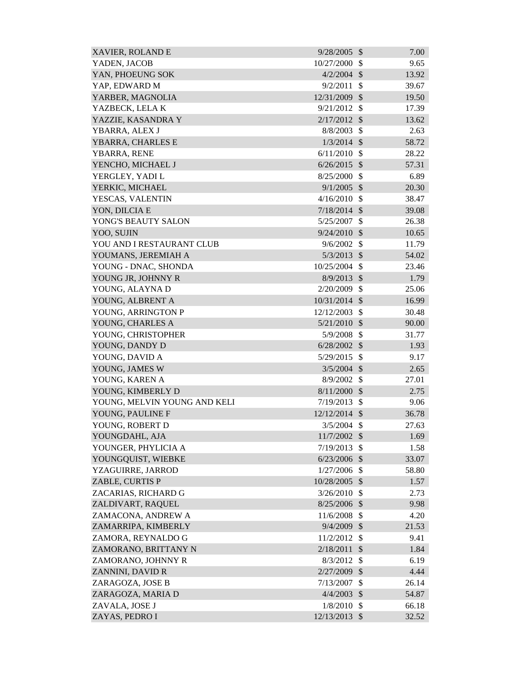| <b>XAVIER, ROLAND E</b>      | 9/28/2005      | $\mathcal{S}$              | 7.00  |
|------------------------------|----------------|----------------------------|-------|
| YADEN, JACOB                 | 10/27/2000     | \$                         | 9.65  |
| YAN, PHOEUNG SOK             | 4/2/2004       | $\mathcal{S}$              | 13.92 |
| YAP, EDWARD M                | 9/2/2011       | \$                         | 39.67 |
| YARBER, MAGNOLIA             | 12/31/2009     | $\mathcal{S}$              | 19.50 |
| YAZBECK, LELAK               | 9/21/2012      | $\mathcal{S}$              | 17.39 |
| YAZZIE, KASANDRA Y           | 2/17/2012      | $\mathcal{S}$              | 13.62 |
| YBARRA, ALEX J               | 8/8/2003       | \$                         | 2.63  |
| YBARRA, CHARLES E            | $1/3/2014$ \$  |                            | 58.72 |
| YBARRA, RENE                 | 6/11/2010      | $\mathbb{S}$               | 28.22 |
| YENCHO, MICHAEL J            | 6/26/2015      | $\mathcal{S}$              | 57.31 |
| YERGLEY, YADI L              | 8/25/2000      | $\mathcal{S}$              | 6.89  |
| YERKIC, MICHAEL              | 9/1/2005       | $\mathcal{S}$              | 20.30 |
| YESCAS, VALENTIN             | 4/16/2010      | $\mathbb{S}$               | 38.47 |
| YON, DILCIA E                | 7/18/2014      | $\mathcal{S}$              | 39.08 |
| YONG'S BEAUTY SALON          | 5/25/2007      | $\mathcal{S}$              | 26.38 |
| YOO, SUJIN                   | 9/24/2010      | $\mathcal{S}$              | 10.65 |
| YOU AND I RESTAURANT CLUB    | 9/6/2002       | $\mathcal{S}$              | 11.79 |
| YOUMANS, JEREMIAH A          | $5/3/2013$ \$  |                            | 54.02 |
| YOUNG - DNAC, SHONDA         | 10/25/2004     | $\mathcal{S}$              | 23.46 |
| YOUNG JR, JOHNNY R           | 8/9/2013       | $\mathcal{S}$              | 1.79  |
| YOUNG, ALAYNA D              | 2/20/2009      | $\mathcal{S}$              | 25.06 |
| YOUNG, ALBRENT A             | 10/31/2014     | $\mathcal{S}$              | 16.99 |
| YOUNG, ARRINGTON P           | 12/12/2003     | $\mathcal{S}$              | 30.48 |
| YOUNG, CHARLES A             | 5/21/2010      | $\mathcal{S}$              | 90.00 |
| YOUNG, CHRISTOPHER           | 5/9/2008       | $\mathcal{S}$              | 31.77 |
| YOUNG, DANDY D               | 6/28/2002      | $\mathcal{S}$              | 1.93  |
| YOUNG, DAVID A               | 5/29/2015      | $\mathcal{S}$              | 9.17  |
| YOUNG, JAMES W               | $3/5/2004$ \$  |                            | 2.65  |
| YOUNG, KAREN A               | 8/9/2002       | <sup>\$</sup>              | 27.01 |
| YOUNG, KIMBERLY D            | 8/11/2000 \$   |                            | 2.75  |
| YOUNG, MELVIN YOUNG AND KELI | 7/19/2013      | \$                         | 9.06  |
| YOUNG, PAULINE F             | 12/12/2014     | $\mathcal{S}$              | 36.78 |
| YOUNG, ROBERT D              | 3/5/2004       | $\mathcal{S}$              | 27.63 |
| YOUNGDAHL, AJA               | 11/7/2002      | $\mathcal{S}$              | 1.69  |
| YOUNGER, PHYLICIA A          | 7/19/2013      | \$                         | 1.58  |
| YOUNGQUIST, WIEBKE           | $6/23/2006$ \$ |                            | 33.07 |
| YZAGUIRRE, JARROD            | 1/27/2006      | $\mathcal{S}$              | 58.80 |
| ZABLE, CURTIS P              | 10/28/2005     | $\mathcal{S}$              | 1.57  |
| ZACARIAS, RICHARD G          | 3/26/2010      | $\mathcal{S}$              | 2.73  |
| ZALDIVART, RAQUEL            | 8/25/2006      | $\boldsymbol{\mathcal{S}}$ | 9.98  |
| ZAMACONA, ANDREW A           | 11/6/2008      | $\mathcal{S}$              | 4.20  |
| ZAMARRIPA, KIMBERLY          | 9/4/2009       | $\mathcal{S}$              | 21.53 |
| ZAMORA, REYNALDO G           | 11/2/2012      | $\mathcal{S}$              | 9.41  |
| ZAMORANO, BRITTANY N         | 2/18/2011      | \$                         | 1.84  |
| ZAMORANO, JOHNNY R           | 8/3/2012       | $\mathcal{S}$              | 6.19  |
| ZANNINI, DAVID R             | 2/27/2009      | $\mathcal{S}$              | 4.44  |
| ZARAGOZA, JOSE B             | 7/13/2007      | \$                         | 26.14 |
| ZARAGOZA, MARIA D            | 4/4/2003       | $\mathcal{S}$              | 54.87 |
| ZAVALA, JOSE J               | 1/8/2010       | $\mathcal{S}$              | 66.18 |
| ZAYAS, PEDRO I               | 12/13/2013 \$  |                            | 32.52 |